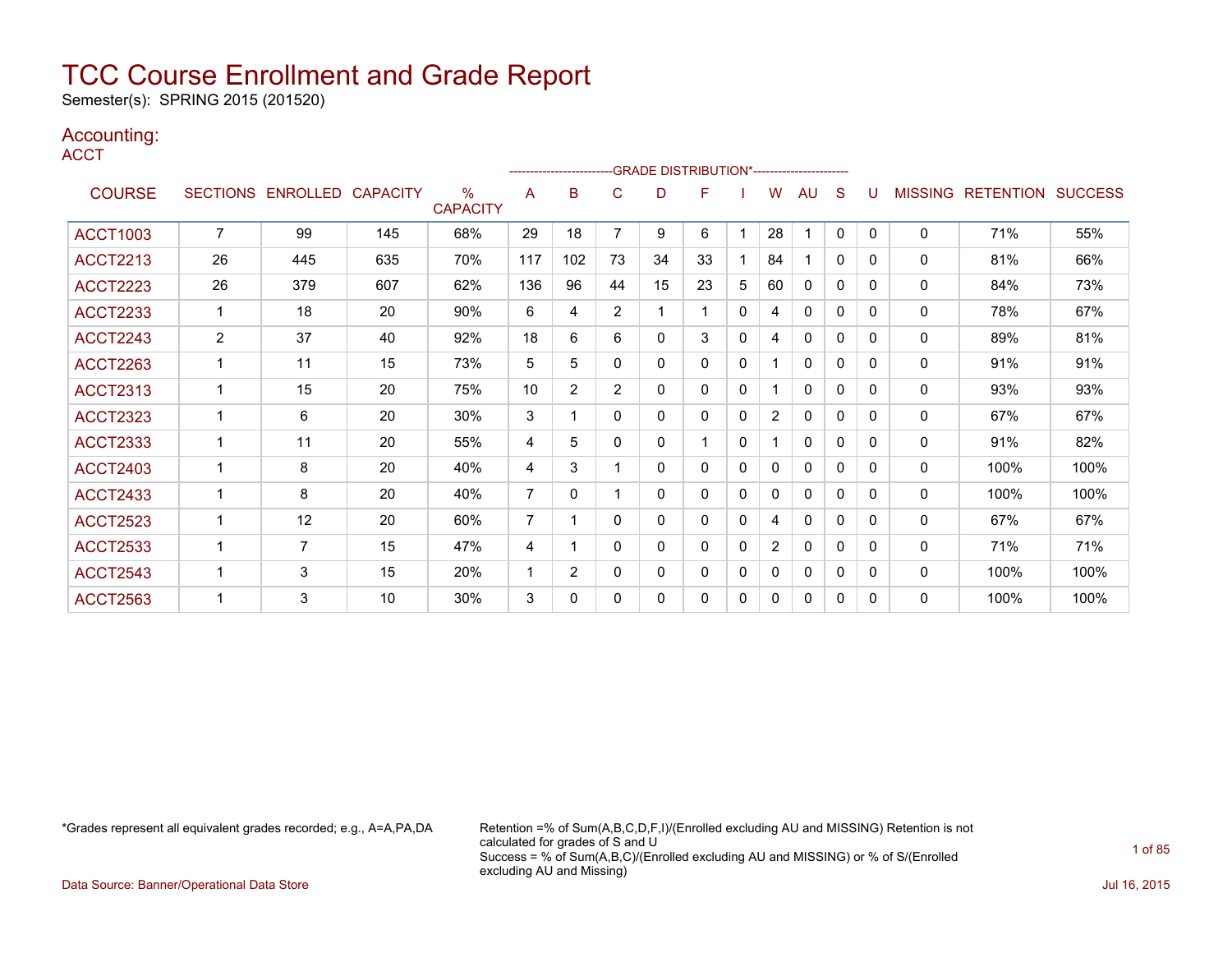Semester(s): SPRING 2015 (201520)

### Accounting:

**ACCT** 

|                 |                 |                   |     | ------------------------ |                |                | -- GRADE DISTRIBUTION*----------------------- |    |              |   |                |              |              |              |                |                  |                |
|-----------------|-----------------|-------------------|-----|--------------------------|----------------|----------------|-----------------------------------------------|----|--------------|---|----------------|--------------|--------------|--------------|----------------|------------------|----------------|
| <b>COURSE</b>   | <b>SECTIONS</b> | ENROLLED CAPACITY |     | $\%$<br><b>CAPACITY</b>  | A              | B              | С                                             | D  | F            |   | W              | AU           | S            |              | <b>MISSING</b> | <b>RETENTION</b> | <b>SUCCESS</b> |
| <b>ACCT1003</b> | $\overline{7}$  | 99                | 145 | 68%                      | 29             | 18             | $\overline{7}$                                | 9  | 6            | 1 | 28             |              | $\mathbf{0}$ | $\Omega$     | $\mathbf{0}$   | 71%              | 55%            |
| <b>ACCT2213</b> | 26              | 445               | 635 | 70%                      | 117            | 102            | 73                                            | 34 | 33           |   | 84             |              | 0            | 0            | 0              | 81%              | 66%            |
| <b>ACCT2223</b> | 26              | 379               | 607 | 62%                      | 136            | 96             | 44                                            | 15 | 23           | 5 | 60             | 0            | 0            | 0            | $\mathbf{0}$   | 84%              | 73%            |
| <b>ACCT2233</b> | 1               | 18                | 20  | 90%                      | 6              | 4              | $\overline{2}$                                | 1  | 1            | 0 | 4              | $\Omega$     | 0            | $\Omega$     | $\mathbf{0}$   | 78%              | 67%            |
| <b>ACCT2243</b> | 2               | 37                | 40  | 92%                      | 18             | 6              | 6                                             | 0  | 3            | 0 | 4              | $\mathbf{0}$ | 0            | 0            | 0              | 89%              | 81%            |
| <b>ACCT2263</b> | 1               | 11                | 15  | 73%                      | 5              | 5              | 0                                             | 0  | $\mathbf{0}$ | 0 | 1              | 0            | 0            | $\Omega$     | 0              | 91%              | 91%            |
| <b>ACCT2313</b> | 1               | 15                | 20  | 75%                      | 10             | $\overline{2}$ | $\overline{2}$                                | 0  | $\mathbf{0}$ | 0 |                | $\mathbf{0}$ | $\mathbf{0}$ | $\Omega$     | $\mathbf{0}$   | 93%              | 93%            |
| <b>ACCT2323</b> |                 | 6                 | 20  | 30%                      | 3              |                | 0                                             | 0  | 0            | 0 | $\overline{2}$ | $\mathbf{0}$ | 0            | 0            | $\mathbf{0}$   | 67%              | 67%            |
| <b>ACCT2333</b> | 1               | 11                | 20  | 55%                      | 4              | 5              | 0                                             | 0  |              | 0 |                | 0            | 0            | $\Omega$     | $\mathbf{0}$   | 91%              | 82%            |
| <b>ACCT2403</b> |                 | 8                 | 20  | 40%                      | 4              | 3              |                                               | 0  | $\Omega$     | 0 | 0              | $\Omega$     | 0            | <sup>0</sup> | $\mathbf{0}$   | 100%             | 100%           |
| <b>ACCT2433</b> |                 | 8                 | 20  | 40%                      | 7              | 0              |                                               | 0  | 0            | 0 | 0              | $\mathbf{0}$ | 0            | 0            | 0              | 100%             | 100%           |
| <b>ACCT2523</b> | 1               | 12                | 20  | 60%                      | $\overline{7}$ |                | 0                                             | 0  | $\mathbf{0}$ | 0 | 4              | 0            | 0            | $\Omega$     | 0              | 67%              | 67%            |
| <b>ACCT2533</b> |                 | $\overline{7}$    | 15  | 47%                      | 4              |                | 0                                             | 0  | $\Omega$     | 0 | $\overline{2}$ | $\Omega$     | $\mathbf{0}$ | $\Omega$     | $\mathbf{0}$   | 71%              | 71%            |
| <b>ACCT2543</b> |                 | 3                 | 15  | 20%                      | 1              | $\overline{2}$ | 0                                             | 0  | 0            | 0 | 0              | $\mathbf{0}$ | 0            | 0            | $\mathbf{0}$   | 100%             | 100%           |
| <b>ACCT2563</b> |                 | 3                 | 10  | 30%                      | 3              | 0              | 0                                             | 0  | $\mathbf{0}$ | 0 | 0              | 0            | 0            | 0            | 0              | 100%             | 100%           |

\*Grades represent all equivalent grades recorded; e.g., A=A,PA,DA Retention =% of Sum(A,B,C,D,F,I)/(Enrolled excluding AU and MISSING) Retention is not calculated for grades of S and U Success = % of Sum(A,B,C)/(Enrolled excluding AU and MISSING) or % of S/(Enrolled excluding AU and Missing)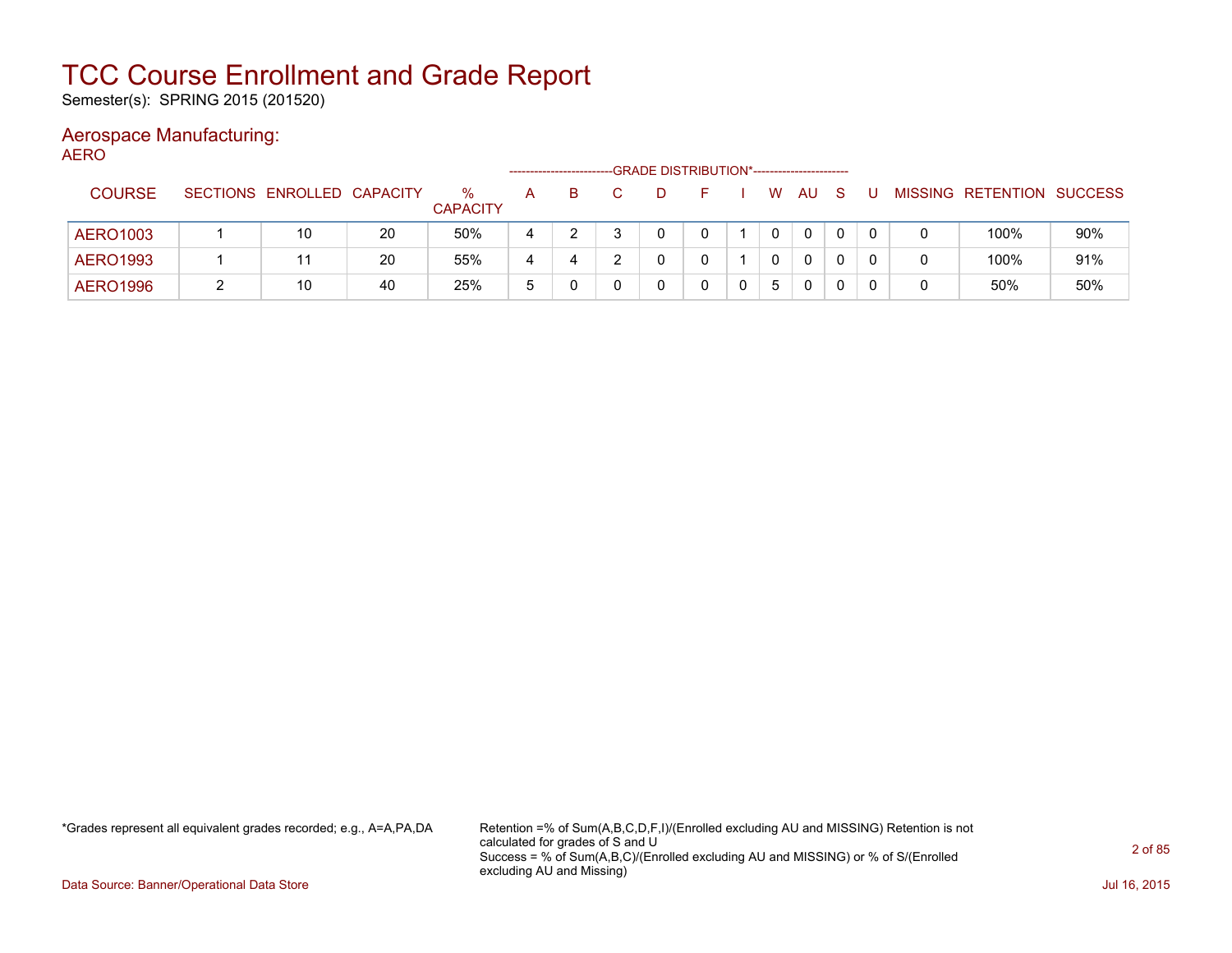Semester(s): SPRING 2015 (201520)

#### Aerospace Manufacturing: AERO

| ᠁               |   |                            |    |                         | -------------------- |   |  | -GRADE DISTRIBUTION*----------------------- |             |   |              |     |   |   |                           |     |
|-----------------|---|----------------------------|----|-------------------------|----------------------|---|--|---------------------------------------------|-------------|---|--------------|-----|---|---|---------------------------|-----|
| <b>COURSE</b>   |   | SECTIONS ENROLLED CAPACITY |    | $\%$<br><b>CAPACITY</b> | A                    | B |  |                                             |             | W | AU           | - S | U |   | MISSING RETENTION SUCCESS |     |
| AERO1003        |   | 10                         | 20 | 50%                     | 4                    |   |  |                                             |             |   | 0            | 0   | 0 |   | 100%                      | 90% |
| AERO1993        |   |                            | 20 | 55%                     | 4                    |   |  |                                             |             |   | $\mathbf{0}$ | 0   | 0 | 0 | 100%                      | 91% |
| <b>AERO1996</b> | 2 | 10                         | 40 | 25%                     | 5                    |   |  |                                             | $\mathbf 0$ | 5 | 0            | 0   | 0 | 0 | 50%                       | 50% |

\*Grades represent all equivalent grades recorded; e.g., A=A,PA,DA Retention =% of Sum(A,B,C,D,F,I)/(Enrolled excluding AU and MISSING) Retention is not calculated for grades of S and U Success = % of Sum(A,B,C)/(Enrolled excluding AU and MISSING) or % of S/(Enrolled excluding AU and Missing)

Data Source: Banner/Operational Data Store Jul 16, 2015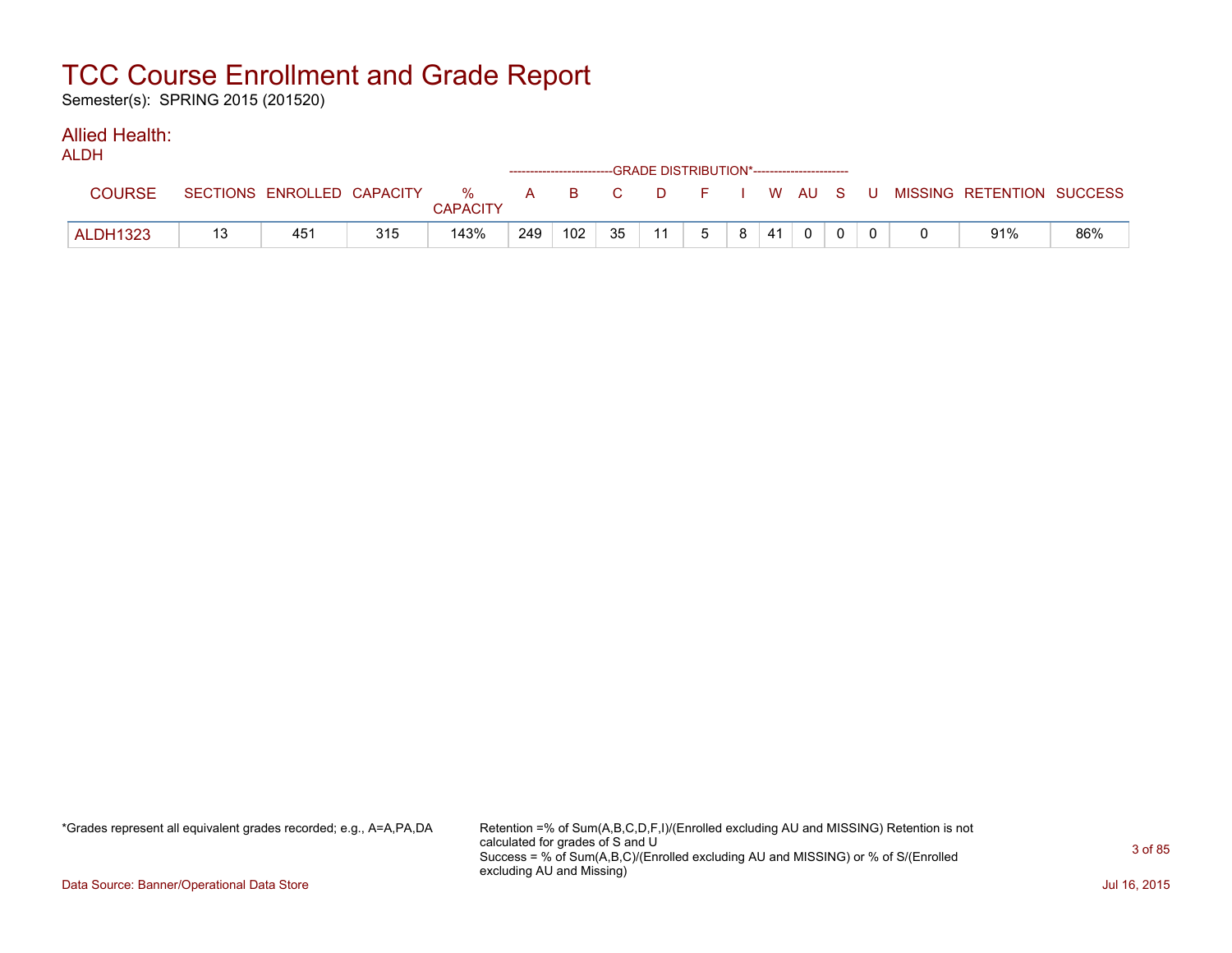Semester(s): SPRING 2015 (201520)

#### Allied Health: ALDH

| ALUN            |                            |     |                         |     | ------------------------GRADE DISTRIBUTION*----------------------- |    |    |   |   |    |          |  |                                                |     |
|-----------------|----------------------------|-----|-------------------------|-----|--------------------------------------------------------------------|----|----|---|---|----|----------|--|------------------------------------------------|-----|
| <b>COURSE</b>   | SECTIONS ENROLLED CAPACITY |     | $\%$<br><b>CAPACITY</b> |     |                                                                    |    |    |   |   |    |          |  | A B C D F I W AU S U MISSING—RETENTION SUCCESS |     |
| <b>ALDH1323</b> | 45 <sup>4</sup>            | 315 | 143%                    | 249 | 102                                                                | 35 | 11 | 5 | 8 | 41 | $\Omega$ |  | 91%                                            | 86% |

\*Grades represent all equivalent grades recorded; e.g., A=A,PA,DA Retention =% of Sum(A,B,C,D,F,I)/(Enrolled excluding AU and MISSING) Retention is not calculated for grades of S and U Success = % of Sum(A,B,C)/(Enrolled excluding AU and MISSING) or % of S/(Enrolled excluding AU and Missing)

Data Source: Banner/Operational Data Store Jul 16, 2015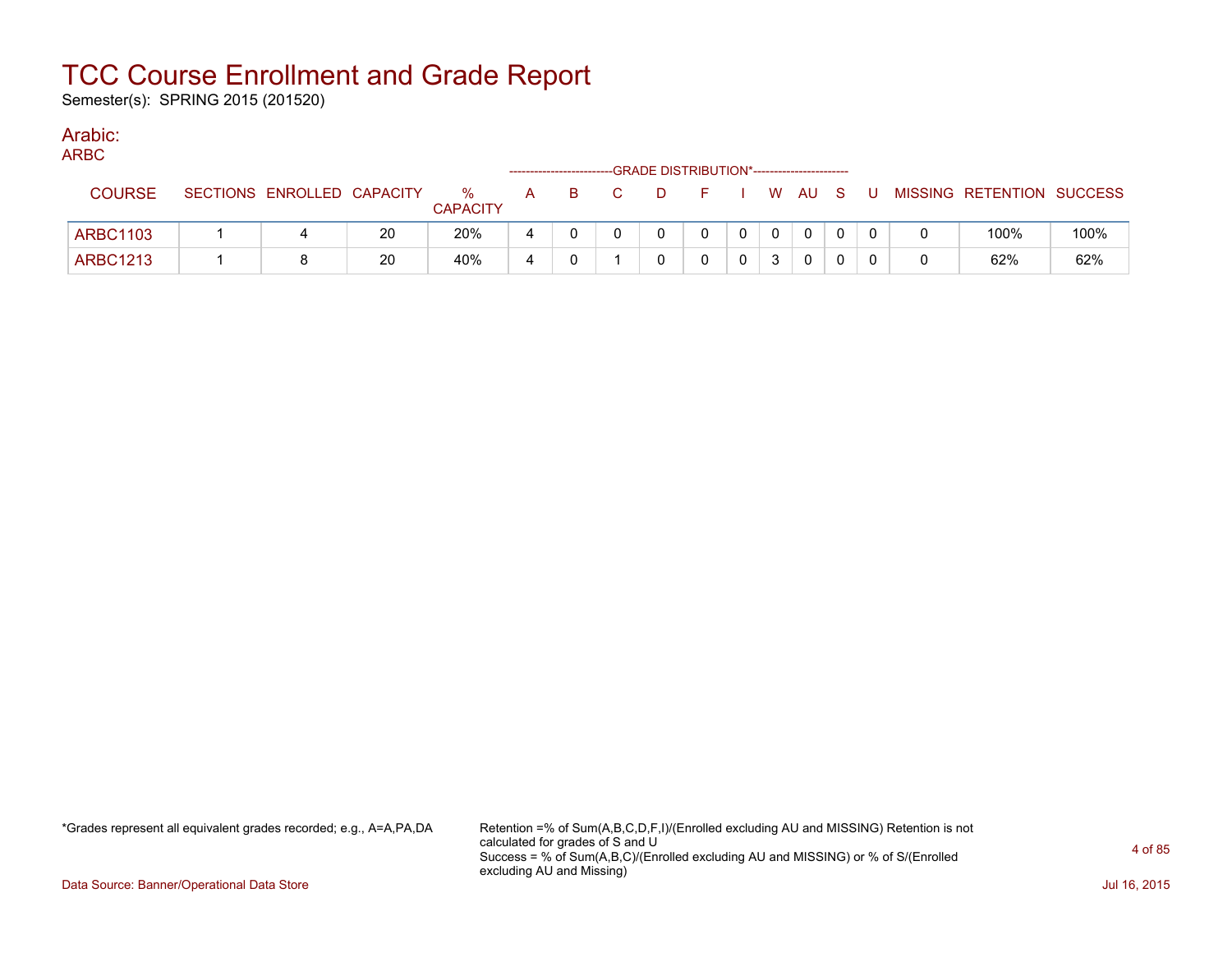Semester(s): SPRING 2015 (201520)

### Arabic:

ARBC

| $\sim$          |                            |    |                         |   |   | ------------------------GRADE DISTRIBUTION*----------------------- |              |          |              |  |                           |      |
|-----------------|----------------------------|----|-------------------------|---|---|--------------------------------------------------------------------|--------------|----------|--------------|--|---------------------------|------|
| <b>COURSE</b>   | SECTIONS ENROLLED CAPACITY |    | $\%$<br><b>CAPACITY</b> | A | в | D.                                                                 |              |          | W AU S       |  | MISSING RETENTION SUCCESS |      |
| <b>ARBC1103</b> |                            | 20 | 20%                     |   |   |                                                                    | $\mathbf{0}$ | $\Omega$ | $\mathbf{0}$ |  | 100%                      | 100% |
| <b>ARBC1213</b> |                            | 20 | 40%                     |   |   |                                                                    |              | 3        |              |  | 62%                       | 62%  |

\*Grades represent all equivalent grades recorded; e.g., A=A,PA,DA Retention =% of Sum(A,B,C,D,F,I)/(Enrolled excluding AU and MISSING) Retention is not calculated for grades of S and U Success = % of Sum(A,B,C)/(Enrolled excluding AU and MISSING) or % of S/(Enrolled excluding AU and Missing)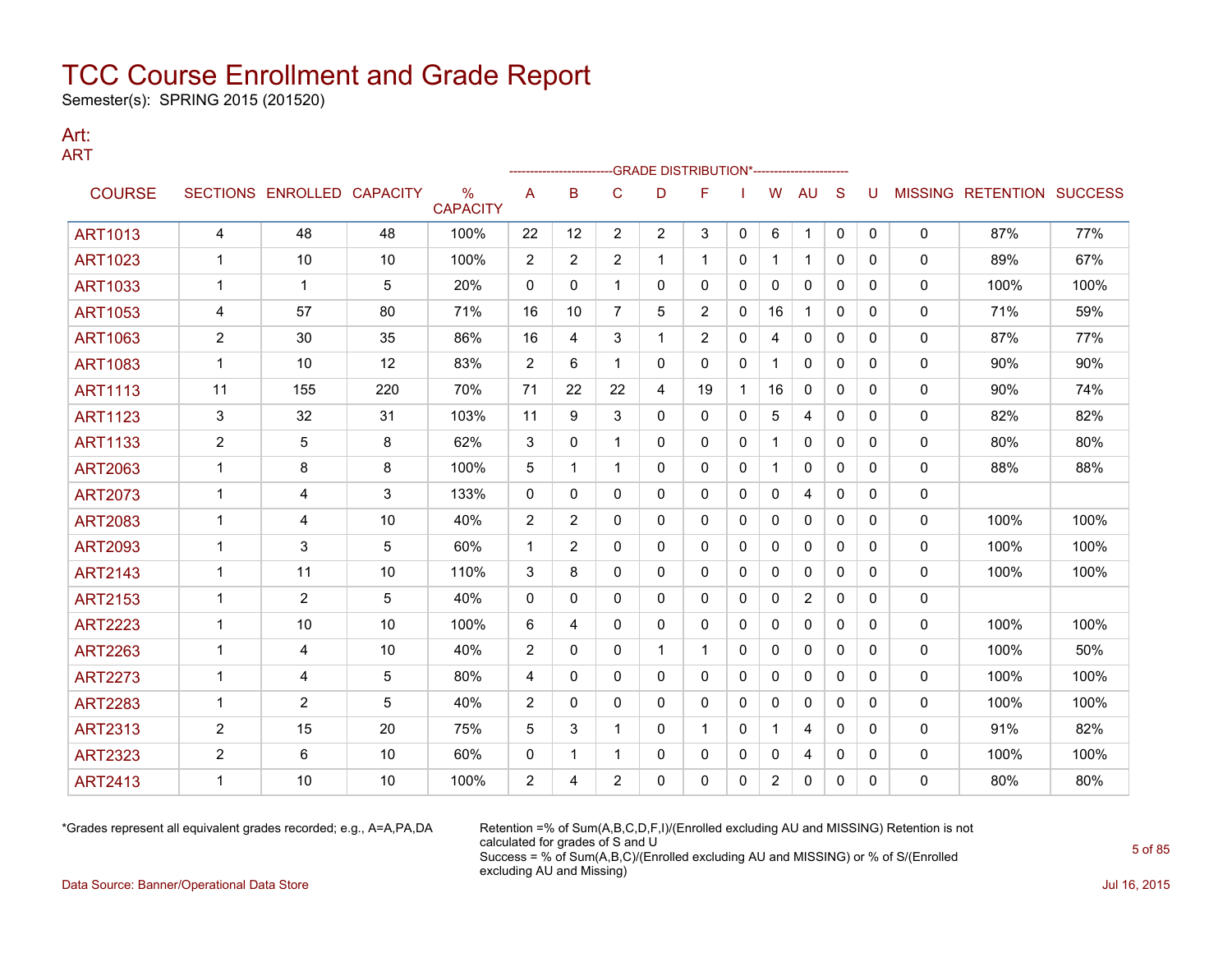Semester(s): SPRING 2015 (201520)

### Art: ART

|                |                |                            |     |                                  |                |                |                | -GRADE DISTRIBUTION*--------------------- |                |              |                |                |              |              |              |                                  |      |
|----------------|----------------|----------------------------|-----|----------------------------------|----------------|----------------|----------------|-------------------------------------------|----------------|--------------|----------------|----------------|--------------|--------------|--------------|----------------------------------|------|
| <b>COURSE</b>  |                | SECTIONS ENROLLED CAPACITY |     | $\frac{0}{0}$<br><b>CAPACITY</b> | A              | B              | C              | D                                         | F              |              | W              | <b>AU</b>      | <sub>S</sub> | U            |              | <b>MISSING RETENTION SUCCESS</b> |      |
| <b>ART1013</b> | $\overline{4}$ | 48                         | 48  | 100%                             | 22             | 12             | $\overline{2}$ | $\overline{2}$                            | 3              | $\mathbf{0}$ | 6              | $\mathbf 1$    | $\mathbf{0}$ | $\mathbf 0$  | 0            | 87%                              | 77%  |
| <b>ART1023</b> |                | 10                         | 10  | 100%                             | $\overline{2}$ | $\overline{2}$ | $\overline{2}$ | 1                                         | 1              | 0            | 1              | $\mathbf{1}$   | $\Omega$     | 0            | $\mathbf 0$  | 89%                              | 67%  |
| <b>ART1033</b> | $\mathbf{1}$   | 1                          | 5   | 20%                              | $\mathbf{0}$   | 0              |                | 0                                         | 0              | 0            | 0              | 0              | $\mathbf{0}$ | 0            | 0            | 100%                             | 100% |
| <b>ART1053</b> | 4              | 57                         | 80  | 71%                              | 16             | 10             | 7              | 5                                         | $\overline{2}$ | 0            | 16             | 1              | $\mathbf{0}$ | 0            | 0            | 71%                              | 59%  |
| <b>ART1063</b> | $\overline{2}$ | 30                         | 35  | 86%                              | 16             | 4              | 3              | 1                                         | 2              | 0            | 4              | 0              | 0            | 0            | 0            | 87%                              | 77%  |
| <b>ART1083</b> | $\mathbf{1}$   | 10                         | 12  | 83%                              | $\overline{2}$ | 6              | $\mathbf 1$    | $\Omega$                                  | 0              | $\mathbf{0}$ | $\mathbf{1}$   | $\mathbf{0}$   | $\Omega$     | 0            | $\mathbf 0$  | 90%                              | 90%  |
| <b>ART1113</b> | 11             | 155                        | 220 | 70%                              | 71             | 22             | 22             | 4                                         | 19             | -1           | 16             | $\mathbf{0}$   | $\mathbf{0}$ | 0            | 0            | 90%                              | 74%  |
| <b>ART1123</b> | 3              | 32                         | 31  | 103%                             | 11             | 9              | 3              | 0                                         | 0              | $\mathbf{0}$ | 5              | 4              | $\mathbf{0}$ | $\mathbf{0}$ | 0            | 82%                              | 82%  |
| <b>ART1133</b> | 2              | 5                          | 8   | 62%                              | 3              | 0              | 1              | 0                                         | 0              | 0            | 1              | 0              | 0            | 0            | 0            | 80%                              | 80%  |
| <b>ART2063</b> | $\mathbf{1}$   | 8                          | 8   | 100%                             | 5              | 1              | 1              | 0                                         | 0              | $\mathbf{0}$ |                | $\mathbf{0}$   | $\Omega$     | 0            | $\mathbf 0$  | 88%                              | 88%  |
| <b>ART2073</b> | 1              | 4                          | 3   | 133%                             | $\mathbf{0}$   | 0              | 0              | 0                                         | 0              | 0            | 0              | 4              | $\mathbf{0}$ | 0            | $\mathbf 0$  |                                  |      |
| <b>ART2083</b> | 1              | 4                          | 10  | 40%                              | 2              | $\overline{2}$ | 0              | 0                                         | 0              | 0            | 0              | 0              | 0            | 0            | 0            | 100%                             | 100% |
| <b>ART2093</b> | 1              | 3                          | 5   | 60%                              | $\mathbf 1$    | $\overline{2}$ | 0              | 0                                         | 0              | 0            | 0              | 0              | 0            | 0            | 0            | 100%                             | 100% |
| <b>ART2143</b> | $\mathbf{1}$   | 11                         | 10  | 110%                             | 3              | 8              | 0              | 0                                         | 0              | $\mathbf{0}$ | $\mathbf{0}$   | $\mathbf{0}$   | $\mathbf{0}$ | 0            | $\mathbf{0}$ | 100%                             | 100% |
| <b>ART2153</b> | $\mathbf{1}$   | 2                          | 5   | 40%                              | $\Omega$       | 0              | 0              | 0                                         | 0              | $\mathbf{0}$ | $\mathbf{0}$   | $\overline{2}$ | $\mathbf{0}$ | 0            | $\mathbf 0$  |                                  |      |
| <b>ART2223</b> | 1              | 10                         | 10  | 100%                             | 6              | 4              | 0              | 0                                         | 0              | 0            | 0              | 0              | 0            | $\mathbf{0}$ | 0            | 100%                             | 100% |
| <b>ART2263</b> | 1              | 4                          | 10  | 40%                              | 2              | $\mathbf{0}$   | 0              | $\mathbf 1$                               | 1              | $\mathbf{0}$ | 0              | $\mathbf{0}$   | $\mathbf{0}$ | 0            | 0            | 100%                             | 50%  |
| <b>ART2273</b> | 1              | 4                          | 5   | 80%                              | 4              | 0              | $\mathbf{0}$   | 0                                         | 0              | $\mathbf{0}$ | $\mathbf{0}$   | $\mathbf{0}$   | $\mathbf{0}$ | 0            | $\mathbf{0}$ | 100%                             | 100% |
| <b>ART2283</b> | 1              | 2                          | 5   | 40%                              | 2              | 0              | 0              | 0                                         | 0              | 0            | 0              | 0              | $\mathbf{0}$ | 0            | 0            | 100%                             | 100% |
| <b>ART2313</b> | 2              | 15                         | 20  | 75%                              | 5              | 3              |                | 0                                         | 1.             | 0            | 1              | 4              | $\mathbf{0}$ | 0            | 0            | 91%                              | 82%  |
| <b>ART2323</b> | $\overline{c}$ | 6                          | 10  | 60%                              | 0              | 1              | 1              | 0                                         | 0              | 0            | 0              | 4              | 0            | 0            | 0            | 100%                             | 100% |
| <b>ART2413</b> | 1              | 10                         | 10  | 100%                             | $\overline{2}$ | 4              | 2              | 0                                         | 0              | 0            | $\overline{2}$ | 0              | 0            | $\Omega$     | $\mathbf{0}$ | 80%                              | 80%  |

\*Grades represent all equivalent grades recorded; e.g., A=A,PA,DA Retention =% of Sum(A,B,C,D,F,I)/(Enrolled excluding AU and MISSING) Retention is not calculated for grades of S and U Success = % of Sum(A,B,C)/(Enrolled excluding AU and MISSING) or % of S/(Enrolled excluding AU and Missing)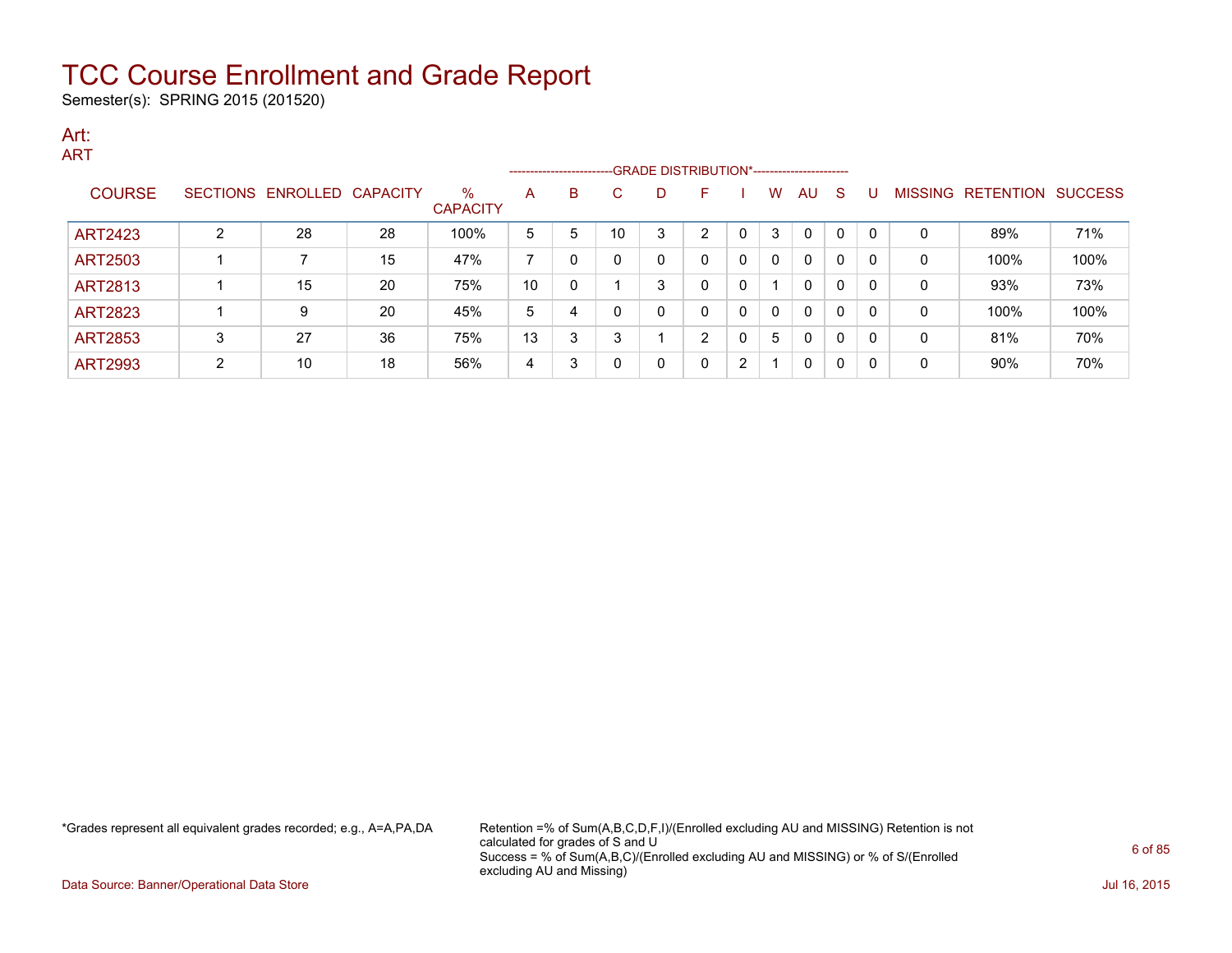Semester(s): SPRING 2015 (201520)

### Art: ART

|                |   |                            |    |                         |    |   | ------------------------GRADE DISTRIBUTION*----------------------- |   |                |   |              |              |              |          |   |                                  |      |
|----------------|---|----------------------------|----|-------------------------|----|---|--------------------------------------------------------------------|---|----------------|---|--------------|--------------|--------------|----------|---|----------------------------------|------|
| <b>COURSE</b>  |   | SECTIONS ENROLLED CAPACITY |    | $\%$<br><b>CAPACITY</b> | A  | B | С                                                                  | D | F              |   | W            | <b>AU</b>    | -S           | U        |   | <b>MISSING RETENTION SUCCESS</b> |      |
| <b>ART2423</b> | C | 28                         | 28 | 100%                    | 5  | 5 | 10                                                                 | 3 | $\overline{2}$ | 0 | 3            | $\Omega$     | $\mathbf{0}$ | $\Omega$ | 0 | 89%                              | 71%  |
| <b>ART2503</b> |   |                            | 15 | 47%                     |    |   |                                                                    | 0 | 0              | 0 | $\mathbf{0}$ | $\mathbf{0}$ | $\Omega$     | $\Omega$ | 0 | 100%                             | 100% |
| ART2813        |   | 15                         | 20 | 75%                     | 10 |   |                                                                    | 3 | 0              | 0 |              | $\mathbf{0}$ | $\Omega$     | $\Omega$ | 0 | 93%                              | 73%  |
| <b>ART2823</b> |   | 9                          | 20 | 45%                     | 5  | 4 |                                                                    | 0 | $\Omega$       | 0 | 0            | $\mathbf{0}$ | $\Omega$     | $\Omega$ | 0 | 100%                             | 100% |
| <b>ART2853</b> | 3 | 27                         | 36 | 75%                     | 13 | 3 | 3                                                                  |   | C              | 0 | 5            | 0            | 0            | $\Omega$ | 0 | 81%                              | 70%  |
| <b>ART2993</b> | ົ | 10                         | 18 | 56%                     | 4  | 3 |                                                                    | 0 | 0              | 2 |              | $\Omega$     | $\Omega$     | $\Omega$ | 0 | 90%                              | 70%  |

\*Grades represent all equivalent grades recorded; e.g., A=A,PA,DA Retention =% of Sum(A,B,C,D,F,I)/(Enrolled excluding AU and MISSING) Retention is not calculated for grades of S and U Success = % of Sum(A,B,C)/(Enrolled excluding AU and MISSING) or % of S/(Enrolled excluding AU and Missing)

Data Source: Banner/Operational Data Store Jul 16, 2015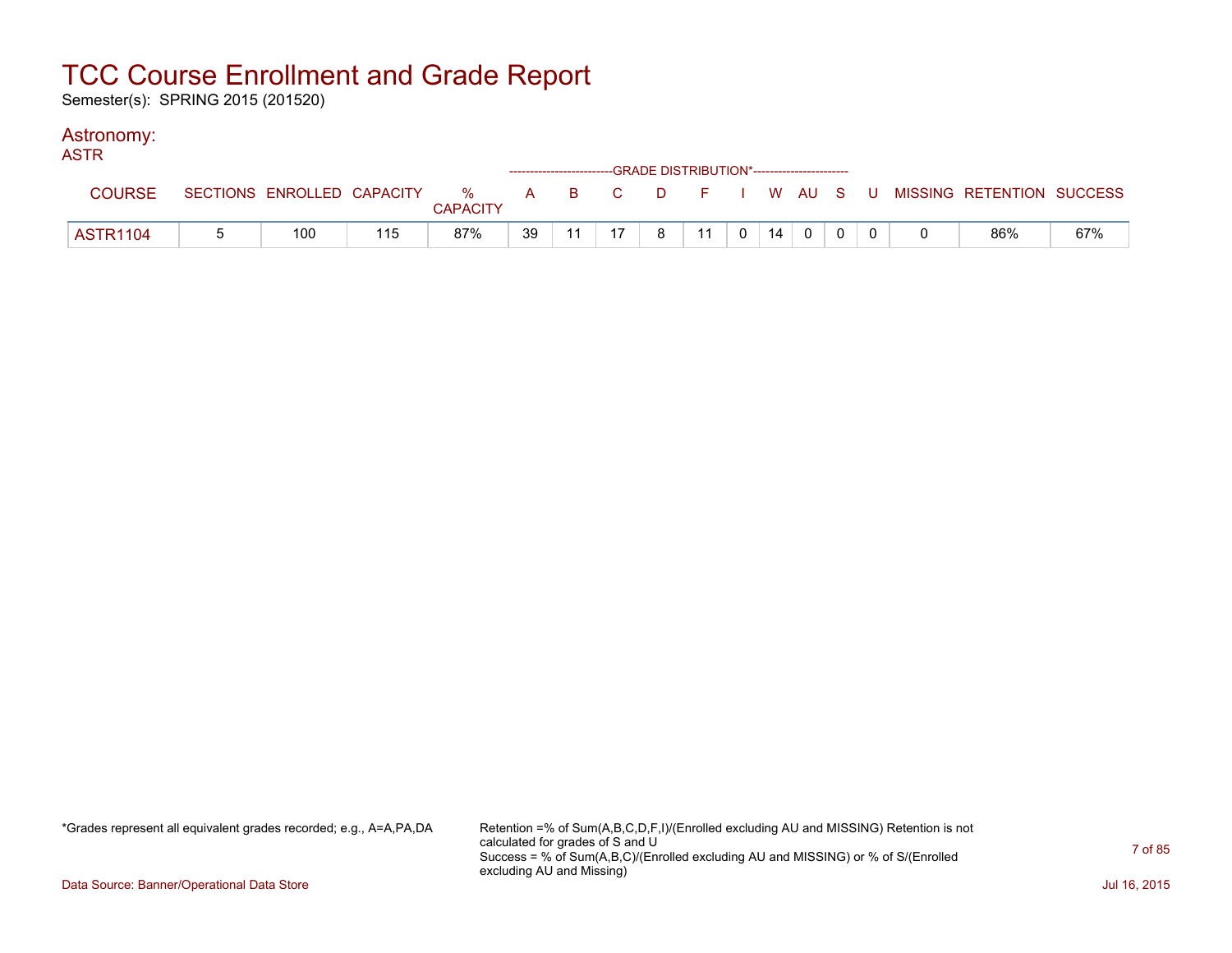Semester(s): SPRING 2015 (201520)

### Astronomy:

| <b>ASTR</b>     |     |     |                 |    | ------------------------GRADE DISTRIBUTION*----------------------- |   |    |                                               |    |              |  |                                                                             |     |
|-----------------|-----|-----|-----------------|----|--------------------------------------------------------------------|---|----|-----------------------------------------------|----|--------------|--|-----------------------------------------------------------------------------|-----|
| <b>COURSE</b>   |     |     | <b>CAPACITY</b> |    |                                                                    |   |    |                                               |    |              |  | SECTIONS ENROLLED CAPACITY % A B C D F I W AU S U MISSING RETENTION SUCCESS |     |
| <b>ASTR1104</b> | 100 | 115 | 87%             | 39 | 17                                                                 | 8 | 11 | $\begin{array}{cc} \circ & \circ \end{array}$ | 14 | $\mathbf{0}$ |  | 86%                                                                         | 67% |

\*Grades represent all equivalent grades recorded; e.g., A=A,PA,DA Retention =% of Sum(A,B,C,D,F,I)/(Enrolled excluding AU and MISSING) Retention is not calculated for grades of S and U Success = % of Sum(A,B,C)/(Enrolled excluding AU and MISSING) or % of S/(Enrolled excluding AU and Missing)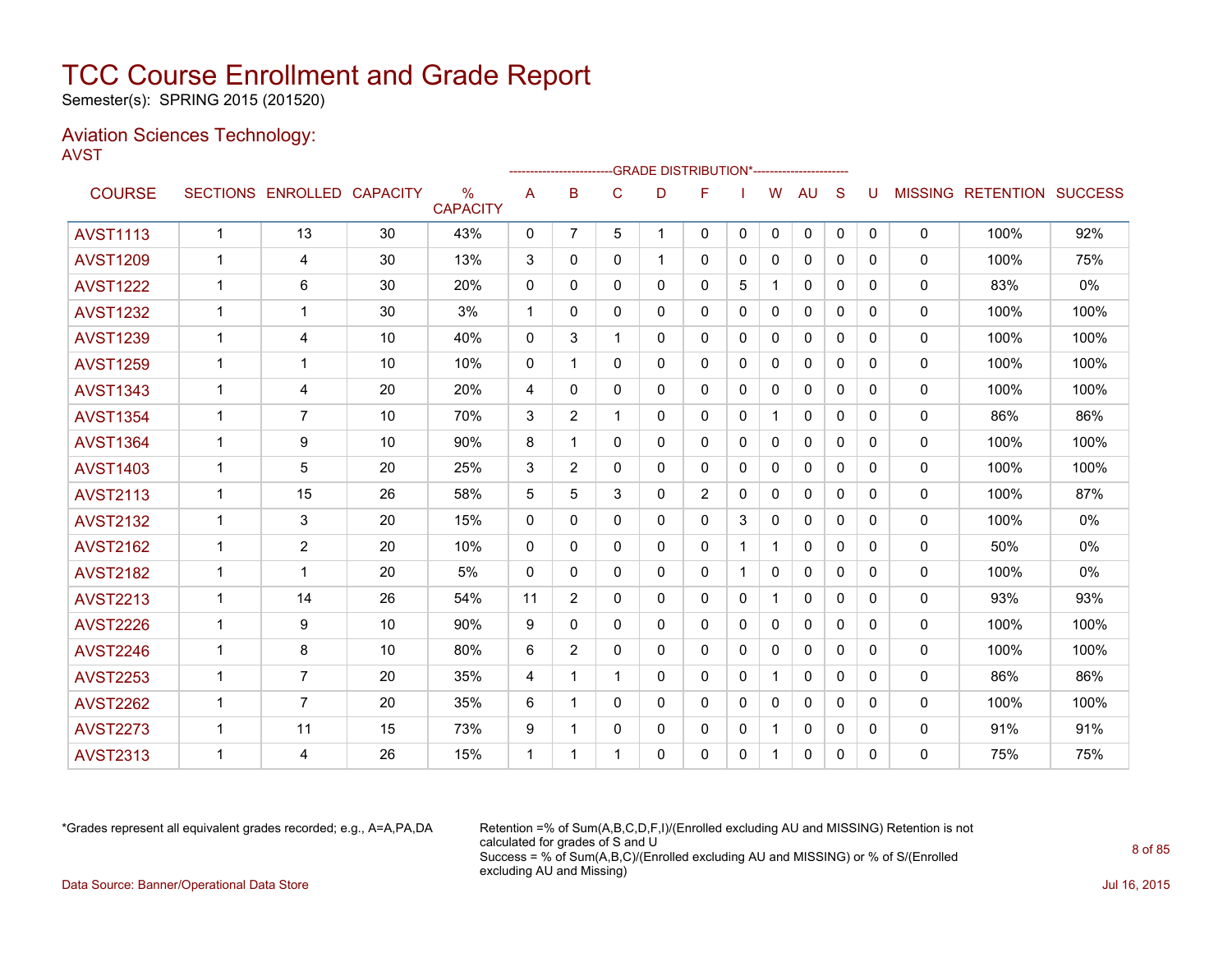Semester(s): SPRING 2015 (201520)

### Aviation Sciences Technology: AVST

|                 |             |                            |    |                         |              |                |              |          | ------------------------GRADE                DISTRIBUTION*---------------------- |              |              |              |              |              |              |                                  |       |
|-----------------|-------------|----------------------------|----|-------------------------|--------------|----------------|--------------|----------|----------------------------------------------------------------------------------|--------------|--------------|--------------|--------------|--------------|--------------|----------------------------------|-------|
| <b>COURSE</b>   |             | SECTIONS ENROLLED CAPACITY |    | $\%$<br><b>CAPACITY</b> | A            | B              | C            | D        | F                                                                                |              | W            | AU           | S            | U            |              | <b>MISSING RETENTION SUCCESS</b> |       |
| <b>AVST1113</b> | $\mathbf 1$ | 13                         | 30 | 43%                     | $\mathbf{0}$ | $\overline{7}$ | 5            | 1        | $\mathbf{0}$                                                                     | $\mathbf{0}$ | 0            | 0            | $\mathbf 0$  | $\mathbf{0}$ | 0            | 100%                             | 92%   |
| <b>AVST1209</b> | 1           | 4                          | 30 | 13%                     | 3            | 0              | $\mathbf{0}$ | 1        | $\mathbf{0}$                                                                     | 0            | 0            | 0            | $\mathbf{0}$ | 0            | 0            | 100%                             | 75%   |
| <b>AVST1222</b> | $\mathbf 1$ | 6                          | 30 | 20%                     | 0            | 0              | 0            | 0        | $\mathbf{0}$                                                                     | 5            | $\mathbf 1$  | $\mathbf{0}$ | $\mathbf{0}$ | 0            | 0            | 83%                              | $0\%$ |
| <b>AVST1232</b> | 1           | 1                          | 30 | 3%                      | -1           | $\Omega$       | $\mathbf{0}$ | 0        | $\Omega$                                                                         | 0            | $\mathbf{0}$ | $\mathbf{0}$ | $\Omega$     | 0            | 0            | 100%                             | 100%  |
| <b>AVST1239</b> | $\mathbf 1$ | 4                          | 10 | 40%                     | $\mathbf{0}$ | 3              | 1            | $\Omega$ | $\mathbf{0}$                                                                     | $\Omega$     | $\mathbf{0}$ | $\mathbf{0}$ | $\Omega$     | 0            | 0            | 100%                             | 100%  |
| <b>AVST1259</b> | $\mathbf 1$ | 1                          | 10 | 10%                     | 0            | -1             | $\mathbf{0}$ | 0        | $\mathbf{0}$                                                                     | 0            | 0            | 0            | $\mathbf{0}$ | 0            | 0            | 100%                             | 100%  |
| <b>AVST1343</b> | 1           | 4                          | 20 | 20%                     | 4            | $\Omega$       | $\mathbf{0}$ | $\Omega$ | $\Omega$                                                                         | $\Omega$     | $\mathbf{0}$ | $\mathbf{0}$ | $\Omega$     | $\Omega$     | 0            | 100%                             | 100%  |
| <b>AVST1354</b> | $\mathbf 1$ | $\overline{7}$             | 10 | 70%                     | 3            | $\overline{2}$ | 1            | 0        | $\mathbf{0}$                                                                     | 0            | 1            | $\mathbf{0}$ | $\mathbf{0}$ | 0            | 0            | 86%                              | 86%   |
| <b>AVST1364</b> | 1           | 9                          | 10 | 90%                     | 8            | 1              | $\mathbf{0}$ | $\Omega$ | $\mathbf{0}$                                                                     | $\Omega$     | 0            | $\mathbf{0}$ | $\Omega$     | 0            | 0            | 100%                             | 100%  |
| <b>AVST1403</b> | 1           | 5                          | 20 | 25%                     | 3            | $\overline{2}$ | $\Omega$     | 0        | $\mathbf{0}$                                                                     | 0            | 0            | $\mathbf{0}$ | $\mathbf{0}$ | 0            | 0            | 100%                             | 100%  |
| <b>AVST2113</b> | 1           | 15                         | 26 | 58%                     | 5            | 5              | 3            | 0        | 2                                                                                | 0            | 0            | $\mathbf{0}$ | $\mathbf{0}$ | 0            | 0            | 100%                             | 87%   |
| <b>AVST2132</b> | 1           | 3                          | 20 | 15%                     | $\Omega$     | $\Omega$       | $\mathbf{0}$ | $\Omega$ | $\Omega$                                                                         | 3            | $\mathbf{0}$ | $\mathbf{0}$ | $\Omega$     | 0            | 0            | 100%                             | 0%    |
| <b>AVST2162</b> | 1           | $\overline{2}$             | 20 | 10%                     | $\Omega$     | 0              | $\mathbf{0}$ | 0        | $\mathbf{0}$                                                                     | -1           | 1            | $\mathbf{0}$ | $\mathbf{0}$ | 0            | $\mathbf{0}$ | 50%                              | 0%    |
| <b>AVST2182</b> | 1           | 1                          | 20 | 5%                      | $\mathbf 0$  | 0              | $\Omega$     | $\Omega$ | $\mathbf{0}$                                                                     |              | 0            | $\mathbf{0}$ | $\Omega$     | 0            | 0            | 100%                             | $0\%$ |
| <b>AVST2213</b> | 1           | 14                         | 26 | 54%                     | 11           | 2              | $\mathbf{0}$ | 0        | $\mathbf{0}$                                                                     | 0            | $\mathbf 1$  | $\mathbf{0}$ | $\mathbf{0}$ | 0            | $\mathbf{0}$ | 93%                              | 93%   |
| <b>AVST2226</b> | 1           | 9                          | 10 | 90%                     | 9            | $\Omega$       | $\mathbf{0}$ | $\Omega$ | $\Omega$                                                                         | 0            | $\mathbf{0}$ | $\mathbf{0}$ | $\mathbf{0}$ | 0            | $\mathbf{0}$ | 100%                             | 100%  |
| <b>AVST2246</b> | 1           | 8                          | 10 | 80%                     | 6            | $\overline{2}$ | $\mathbf{0}$ | 0        | $\Omega$                                                                         | 0            | 0            | $\mathbf{0}$ | $\Omega$     | 0            | $\mathbf{0}$ | 100%                             | 100%  |
| <b>AVST2253</b> | 1           | 7                          | 20 | 35%                     | 4            | 1              | $\mathbf 1$  | $\Omega$ | $\mathbf{0}$                                                                     | 0            |              | $\mathbf{0}$ | $\Omega$     | 0            | $\mathbf{0}$ | 86%                              | 86%   |
| <b>AVST2262</b> | 1           | $\overline{7}$             | 20 | 35%                     | 6            | -1             | $\Omega$     | 0        | $\Omega$                                                                         | 0            | 0            | $\mathbf{0}$ | $\Omega$     | 0            | 0            | 100%                             | 100%  |
| <b>AVST2273</b> | $\mathbf 1$ | 11                         | 15 | 73%                     | 9            | 1              | $\mathbf{0}$ | 0        | $\mathbf{0}$                                                                     | 0            | $\mathbf{1}$ | $\mathbf{0}$ | $\mathbf{0}$ | 0            | $\mathbf{0}$ | 91%                              | 91%   |
| <b>AVST2313</b> |             | 4                          | 26 | 15%                     | -1           | -1             | 1            | $\Omega$ | 0                                                                                | 0            | 1            | $\mathbf{0}$ | $\Omega$     | 0            | $\mathbf{0}$ | 75%                              | 75%   |

\*Grades represent all equivalent grades recorded; e.g., A=A,PA,DA Retention =% of Sum(A,B,C,D,F,I)/(Enrolled excluding AU and MISSING) Retention is not calculated for grades of S and U Success = % of Sum(A,B,C)/(Enrolled excluding AU and MISSING) or % of S/(Enrolled excluding AU and Missing) Data Source: Banner/Operational Data Store Jul 16, 2015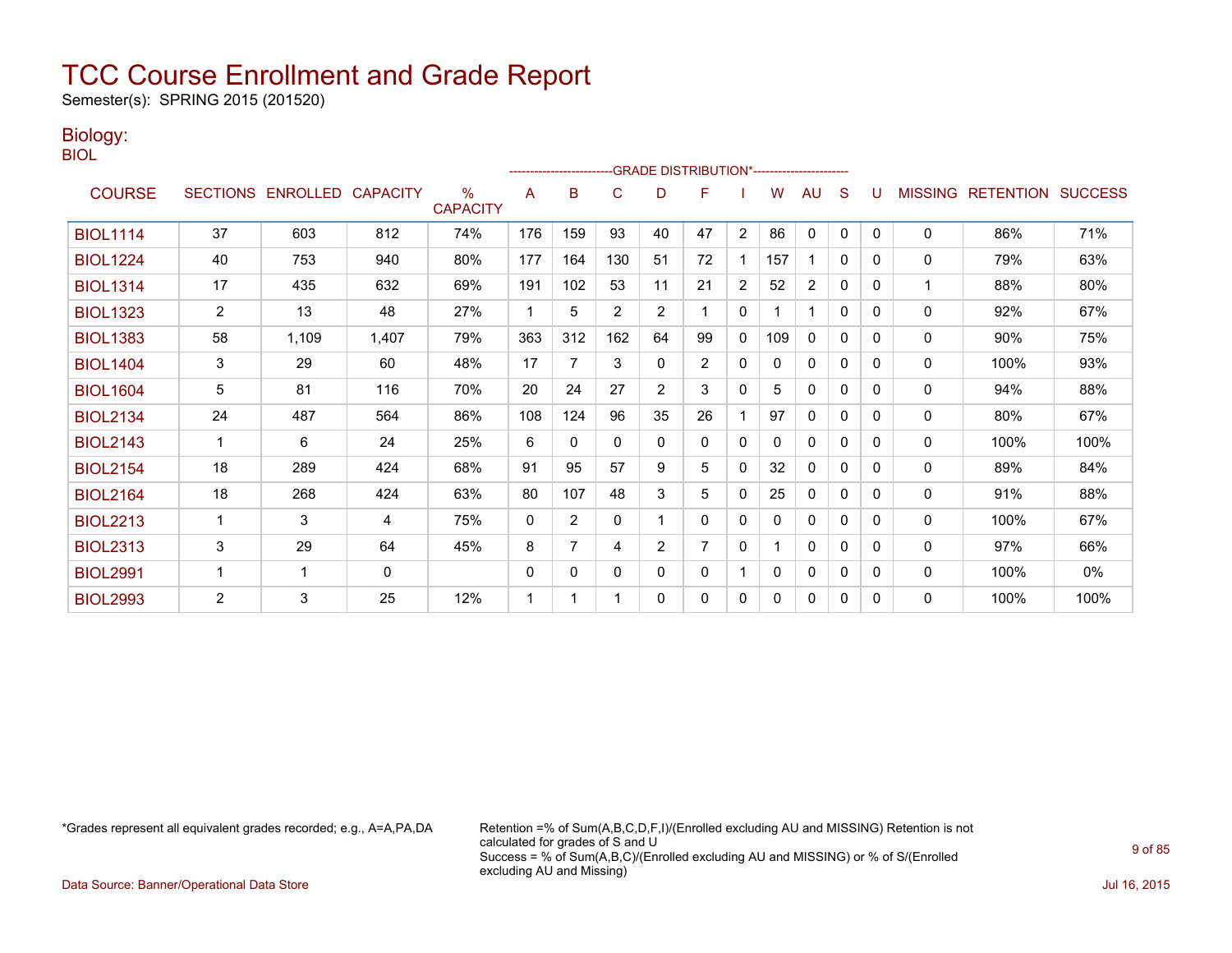Semester(s): SPRING 2015 (201520)

### Biology:

BIOL

|                 |                       |                            |              |                         |              | ------------------------ |          |                | -GRADE DISTRIBUTION*----------------------- |              |     |                |              |   |                |                          |      |
|-----------------|-----------------------|----------------------------|--------------|-------------------------|--------------|--------------------------|----------|----------------|---------------------------------------------|--------------|-----|----------------|--------------|---|----------------|--------------------------|------|
| <b>COURSE</b>   |                       | SECTIONS ENROLLED CAPACITY |              | $\%$<br><b>CAPACITY</b> | A            | B                        | C        | D              | F                                           |              | W   | AU             | S            |   | <b>MISSING</b> | <b>RETENTION SUCCESS</b> |      |
| <b>BIOL1114</b> | 37                    | 603                        | 812          | 74%                     | 176          | 159                      | 93       | 40             | 47                                          | 2            | 86  | 0              | $\mathbf{0}$ | 0 | 0              | 86%                      | 71%  |
| <b>BIOL1224</b> | 40                    | 753                        | 940          | 80%                     | 177          | 164                      | 130      | 51             | 72                                          |              | 157 |                | $\mathbf{0}$ | 0 | 0              | 79%                      | 63%  |
| <b>BIOL1314</b> | 17                    | 435                        | 632          | 69%                     | 191          | 102                      | 53       | 11             | 21                                          | 2            | 52  | $\overline{2}$ | $\mathbf{0}$ | 0 | 1              | 88%                      | 80%  |
| <b>BIOL1323</b> | $\mathbf{2}^{\prime}$ | 13                         | 48           | 27%                     | 1            | 5                        | 2        | 2              |                                             | 0            |     |                | 0            | 0 | 0              | 92%                      | 67%  |
| <b>BIOL1383</b> | 58                    | 1,109                      | 1,407        | 79%                     | 363          | 312                      | 162      | 64             | 99                                          | $\mathbf{0}$ | 109 | $\mathbf{0}$   | 0            | 0 | $\mathbf{0}$   | 90%                      | 75%  |
| <b>BIOL1404</b> | 3                     | 29                         | 60           | 48%                     | 17           | 7                        | 3        | 0              | 2                                           | $\mathbf{0}$ | 0   | $\mathbf{0}$   | 0            | 0 | 0              | 100%                     | 93%  |
| <b>BIOL1604</b> | 5                     | 81                         | 116          | 70%                     | 20           | 24                       | 27       | $\overline{2}$ | 3                                           | $\mathbf{0}$ | 5   | $\mathbf{0}$   | $\mathbf{0}$ | 0 | 0              | 94%                      | 88%  |
| <b>BIOL2134</b> | 24                    | 487                        | 564          | 86%                     | 108          | 124                      | 96       | 35             | 26                                          |              | 97  | $\mathbf{0}$   | $\Omega$     | 0 | 0              | 80%                      | 67%  |
| <b>BIOL2143</b> | 1                     | 6                          | 24           | 25%                     | 6            | $\Omega$                 | 0        | $\Omega$       | $\mathbf{0}$                                | 0            | 0   | 0              | 0            | 0 | 0              | 100%                     | 100% |
| <b>BIOL2154</b> | 18                    | 289                        | 424          | 68%                     | 91           | 95                       | 57       | 9              | 5                                           | $\mathbf{0}$ | 32  | $\mathbf{0}$   | $\Omega$     | 0 | $\mathbf{0}$   | 89%                      | 84%  |
| <b>BIOL2164</b> | 18                    | 268                        | 424          | 63%                     | 80           | 107                      | 48       | 3              | 5                                           | 0            | 25  | $\mathbf{0}$   | $\mathbf{0}$ | 0 | 0              | 91%                      | 88%  |
| <b>BIOL2213</b> | $\mathbf{1}$          | 3                          | 4            | 75%                     | 0            | 2                        | 0        |                | $\Omega$                                    | 0            | 0   | 0              | $\mathbf{0}$ | 0 | 0              | 100%                     | 67%  |
| <b>BIOL2313</b> | 3                     | 29                         | 64           | 45%                     | 8            | $\overline{7}$           | 4        | $\overline{2}$ |                                             | $\mathbf{0}$ |     | 0              | $\Omega$     | 0 | 0              | 97%                      | 66%  |
| <b>BIOL2991</b> | -1                    | 1                          | $\mathbf{0}$ |                         | $\mathbf{0}$ | 0                        | $\Omega$ | 0              | $\mathbf{0}$                                |              | 0   | $\mathbf{0}$   | 0            | 0 | 0              | 100%                     | 0%   |
| <b>BIOL2993</b> | $\overline{2}$        | 3                          | 25           | 12%                     | 1            |                          |          | 0              | 0                                           | $\mathbf{0}$ | 0   | $\mathbf{0}$   | $\mathbf{0}$ | 0 | 0              | 100%                     | 100% |

\*Grades represent all equivalent grades recorded; e.g., A=A,PA,DA Retention =% of Sum(A,B,C,D,F,I)/(Enrolled excluding AU and MISSING) Retention is not calculated for grades of S and U Success = % of Sum(A,B,C)/(Enrolled excluding AU and MISSING) or % of S/(Enrolled excluding AU and Missing)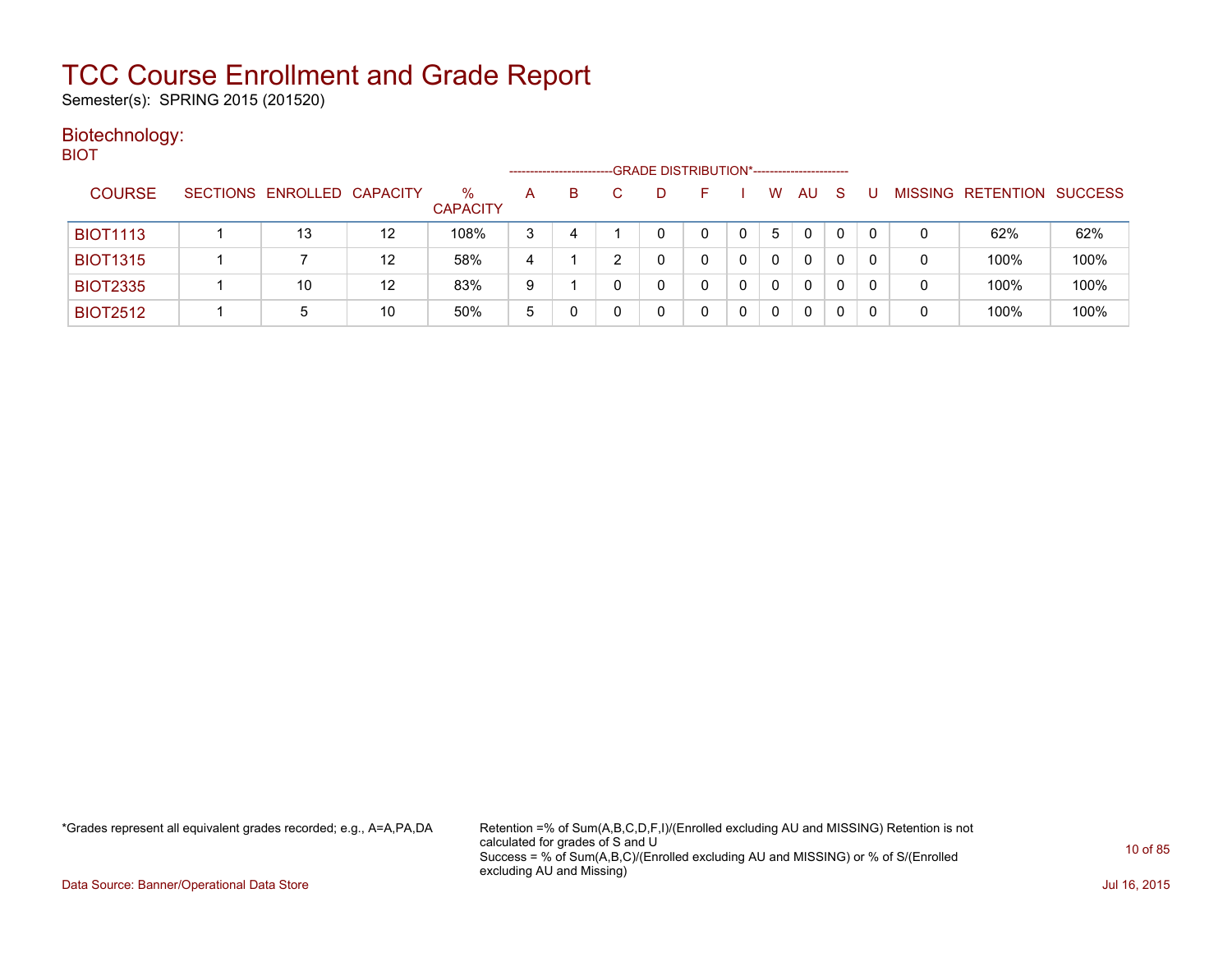Semester(s): SPRING 2015 (201520)

### Biotechnology: BIOT

|                 |                            |    |                         | --------------------- |    | -GRADE DISTRIBUTION*----------------------- |              |   |    |              |   |   |                          |                |
|-----------------|----------------------------|----|-------------------------|-----------------------|----|---------------------------------------------|--------------|---|----|--------------|---|---|--------------------------|----------------|
| <b>COURSE</b>   | SECTIONS ENROLLED CAPACITY |    | $\%$<br><b>CAPACITY</b> | A                     | B. |                                             |              | W | AU | <sub>S</sub> |   |   | <b>MISSING RETENTION</b> | <b>SUCCESS</b> |
| <b>BIOT1113</b> | 13                         | 12 | 108%                    | 3                     | 4  |                                             |              | 5 | 0  |              |   | 0 | 62%                      | 62%            |
| <b>BIOT1315</b> |                            | 12 | 58%                     | 4                     |    |                                             |              | 0 | 0  |              | 0 | 0 | 100%                     | 100%           |
| <b>BIOT2335</b> | 10                         | 12 | 83%                     | 9                     |    | 0                                           | <sup>n</sup> | 0 | 0  | 0            | 0 | 0 | 100%                     | 100%           |
| <b>BIOT2512</b> | 5                          | 10 | 50%                     | 5                     |    |                                             |              |   | 0  |              |   | 0 | 100%                     | 100%           |

\*Grades represent all equivalent grades recorded; e.g., A=A,PA,DA Retention =% of Sum(A,B,C,D,F,I)/(Enrolled excluding AU and MISSING) Retention is not calculated for grades of S and U Success = % of Sum(A,B,C)/(Enrolled excluding AU and MISSING) or % of S/(Enrolled excluding AU and Missing)

Data Source: Banner/Operational Data Store Jul 16, 2015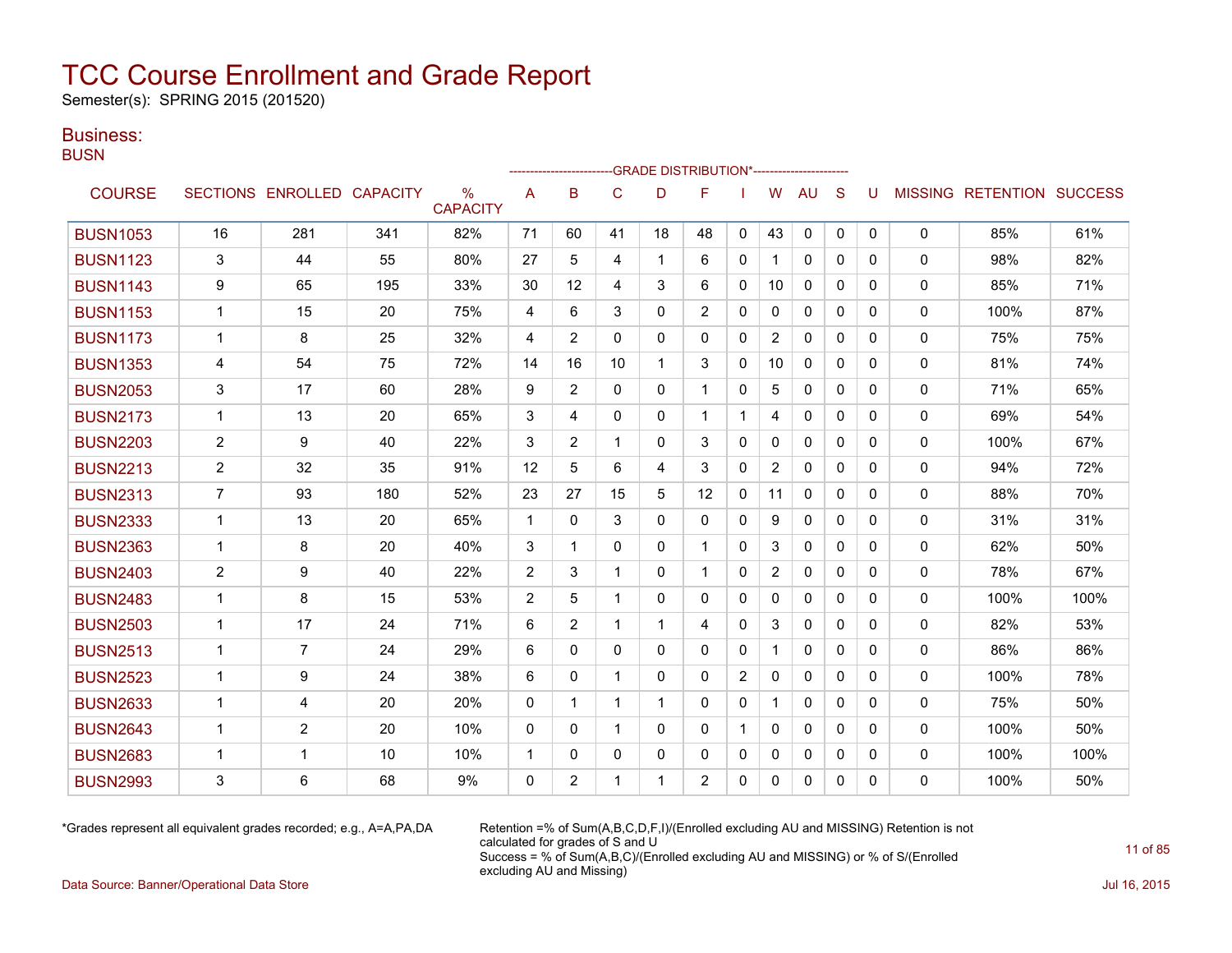Semester(s): SPRING 2015 (201520)

### Business:

**BUSN** 

|                 |                |                            |     |                                  |             |                |              |              | <b>GRADE DISTRIBUTION*-----------------------</b> |              |                |              |              |          |              |                           |      |
|-----------------|----------------|----------------------------|-----|----------------------------------|-------------|----------------|--------------|--------------|---------------------------------------------------|--------------|----------------|--------------|--------------|----------|--------------|---------------------------|------|
| <b>COURSE</b>   |                | SECTIONS ENROLLED CAPACITY |     | $\frac{0}{0}$<br><b>CAPACITY</b> | A           | B              | C            | D            | F                                                 |              | W              | AU           | S            | U        |              | MISSING RETENTION SUCCESS |      |
| <b>BUSN1053</b> | 16             | 281                        | 341 | 82%                              | 71          | 60             | 41           | 18           | 48                                                | $\mathbf{0}$ | 43             | 0            | $\mathbf{0}$ | 0        | 0            | 85%                       | 61%  |
| <b>BUSN1123</b> | 3              | 44                         | 55  | 80%                              | 27          | 5              | 4            | 1            | 6                                                 | $\Omega$     | 1              | $\mathbf{0}$ | $\Omega$     | 0        | $\mathbf{0}$ | 98%                       | 82%  |
| <b>BUSN1143</b> | 9              | 65                         | 195 | 33%                              | 30          | 12             | 4            | 3            | 6                                                 | 0            | 10             | $\mathbf{0}$ | $\Omega$     | 0        | 0            | 85%                       | 71%  |
| <b>BUSN1153</b> | $\mathbf{1}$   | 15                         | 20  | 75%                              | 4           | 6              | 3            | 0            | 2                                                 | 0            | $\mathbf{0}$   | $\mathbf{0}$ | $\Omega$     | 0        | 0            | 100%                      | 87%  |
| <b>BUSN1173</b> | $\mathbf{1}$   | 8                          | 25  | 32%                              | 4           | 2              | 0            | 0            | $\mathbf{0}$                                      | $\Omega$     | $\overline{2}$ | $\mathbf{0}$ | $\mathbf{0}$ | 0        | 0            | 75%                       | 75%  |
| <b>BUSN1353</b> | 4              | 54                         | 75  | 72%                              | 14          | 16             | 10           | $\mathbf 1$  | 3                                                 | $\Omega$     | 10             | $\Omega$     | $\Omega$     | 0        | $\Omega$     | 81%                       | 74%  |
| <b>BUSN2053</b> | 3              | 17                         | 60  | 28%                              | 9           | $\overline{2}$ | $\Omega$     | $\Omega$     | $\mathbf{1}$                                      | $\Omega$     | 5              | $\Omega$     | $\Omega$     | $\Omega$ | $\mathbf{0}$ | 71%                       | 65%  |
| <b>BUSN2173</b> | $\mathbf{1}$   | 13                         | 20  | 65%                              | 3           | 4              | $\mathbf{0}$ | 0            | $\mathbf{1}$                                      | $\mathbf 1$  | 4              | 0            | $\mathbf{0}$ | $\Omega$ | 0            | 69%                       | 54%  |
| <b>BUSN2203</b> | $\overline{2}$ | 9                          | 40  | 22%                              | 3           | $\overline{2}$ | 1            | 0            | 3                                                 | 0            | 0              | $\mathbf{0}$ | $\mathbf{0}$ | 0        | 0            | 100%                      | 67%  |
| <b>BUSN2213</b> | $\overline{2}$ | 32                         | 35  | 91%                              | 12          | 5              | 6            | 4            | 3                                                 | 0            | $\overline{2}$ | 0            | $\mathbf{0}$ | 0        | 0            | 94%                       | 72%  |
| <b>BUSN2313</b> | $\overline{7}$ | 93                         | 180 | 52%                              | 23          | 27             | 15           | 5            | 12                                                | 0            | 11             | $\mathbf{0}$ | $\Omega$     | 0        | $\mathbf{0}$ | 88%                       | 70%  |
| <b>BUSN2333</b> | $\mathbf{1}$   | 13                         | 20  | 65%                              | $\mathbf 1$ | 0              | 3            | 0            | 0                                                 | 0            | 9              | 0            | $\mathbf{0}$ | 0        | 0            | 31%                       | 31%  |
| <b>BUSN2363</b> | $\mathbf{1}$   | 8                          | 20  | 40%                              | 3           | 1              | $\mathbf{0}$ | 0            | $\mathbf 1$                                       | $\mathbf{0}$ | 3              | $\mathbf{0}$ | $\mathbf{0}$ | 0        | 0            | 62%                       | 50%  |
| <b>BUSN2403</b> | $\overline{2}$ | 9                          | 40  | 22%                              | 2           | 3              | 1            | $\Omega$     | $\mathbf 1$                                       | $\Omega$     | $\overline{2}$ | $\mathbf{0}$ | $\Omega$     | 0        | $\mathbf{0}$ | 78%                       | 67%  |
| <b>BUSN2483</b> | $\mathbf{1}$   | 8                          | 15  | 53%                              | 2           | 5              | 1            | $\Omega$     | $\Omega$                                          | $\Omega$     | $\Omega$       | $\Omega$     | $\Omega$     | 0        | $\Omega$     | 100%                      | 100% |
| <b>BUSN2503</b> | $\mathbf{1}$   | 17                         | 24  | 71%                              | 6           | 2              | 1            | $\mathbf{1}$ | 4                                                 | $\Omega$     | 3              | $\mathbf{0}$ | $\Omega$     | 0        | $\mathbf{0}$ | 82%                       | 53%  |
| <b>BUSN2513</b> | $\mathbf{1}$   | 7                          | 24  | 29%                              | 6           | $\Omega$       | $\mathbf{0}$ | 0            | $\Omega$                                          | 0            | $\mathbf{1}$   | $\mathbf{0}$ | $\Omega$     | 0        | 0            | 86%                       | 86%  |
| <b>BUSN2523</b> | $\mathbf 1$    | 9                          | 24  | 38%                              | 6           | 0              | $\mathbf 1$  | 0            | $\mathbf{0}$                                      | 2            | $\mathbf{0}$   | $\mathbf{0}$ | $\Omega$     | 0        | 0            | 100%                      | 78%  |
| <b>BUSN2633</b> | $\mathbf{1}$   | 4                          | 20  | 20%                              | 0           | 1              | 1            | 1            | $\Omega$                                          | 0            |                | $\mathbf{0}$ | $\Omega$     | 0        | 0            | 75%                       | 50%  |
| <b>BUSN2643</b> | $\mathbf{1}$   | $\overline{2}$             | 20  | 10%                              | $\Omega$    | $\Omega$       | 1            | $\Omega$     | $\Omega$                                          | 1            | 0              | $\mathbf{0}$ | $\Omega$     | 0        | 0            | 100%                      | 50%  |
| <b>BUSN2683</b> | $\mathbf{1}$   | 1                          | 10  | 10%                              | $\mathbf 1$ | $\mathbf{0}$   | 0            | 0            | $\mathbf{0}$                                      | 0            | 0              | 0            | $\mathbf{0}$ | 0        | $\mathbf{0}$ | 100%                      | 100% |
| <b>BUSN2993</b> | 3              | 6                          | 68  | 9%                               | $\mathbf 0$ | 2              |              |              | $\overline{2}$                                    | 0            | 0              | 0            | 0            | 0        | 0            | 100%                      | 50%  |

\*Grades represent all equivalent grades recorded; e.g., A=A,PA,DA Retention =% of Sum(A,B,C,D,F,I)/(Enrolled excluding AU and MISSING) Retention is not calculated for grades of S and U Success = % of Sum(A,B,C)/(Enrolled excluding AU and MISSING) or % of S/(Enrolled excluding AU and Missing)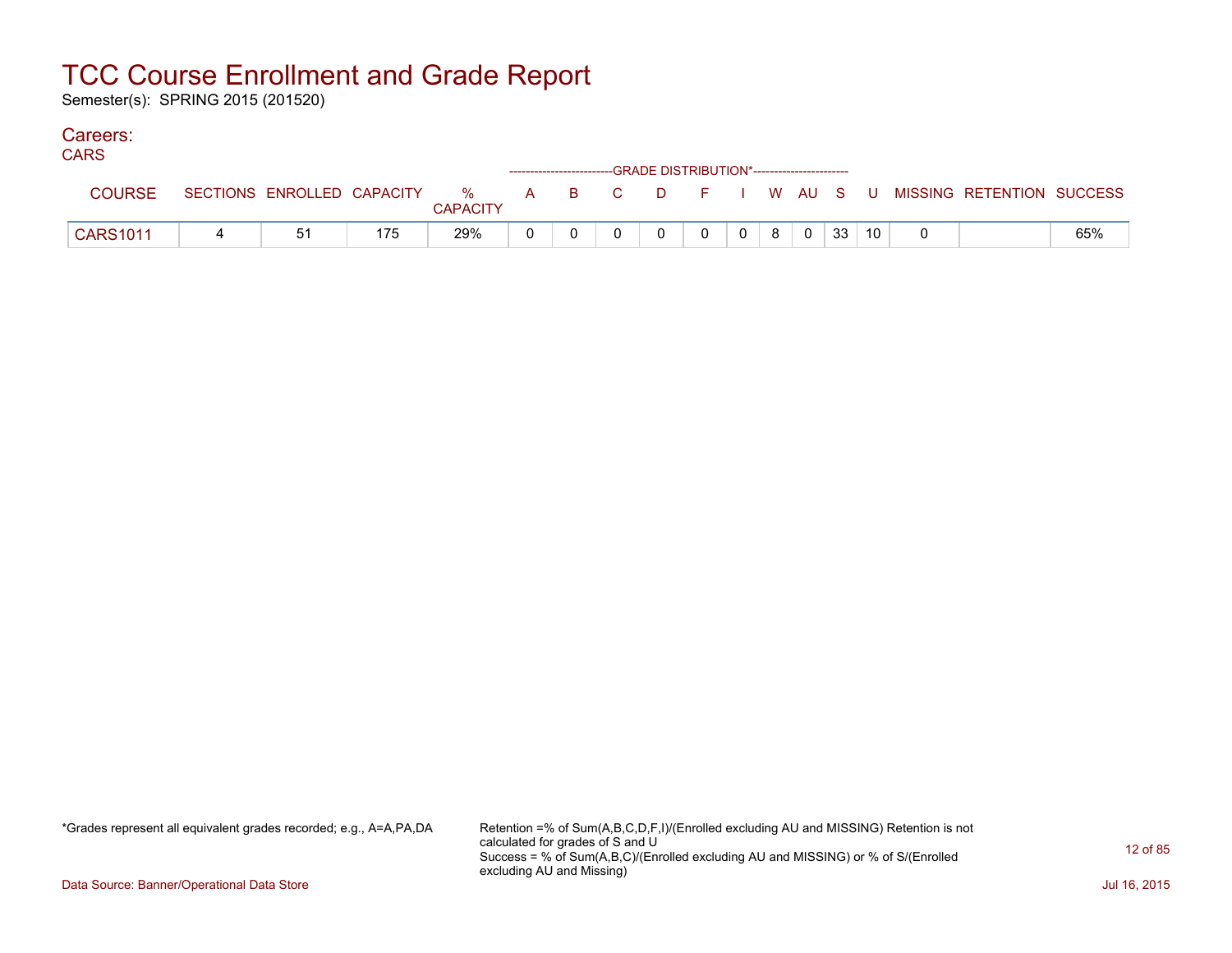Semester(s): SPRING 2015 (201520)

#### Careers: CA<sub>D</sub>C<sub>1</sub>

| <b>CARS</b>     |                            |     |                            |  | ------------------------GRADE DISTRIBUTION*----------------------- |   |   |                |   |                |    |                 |                                          |     |
|-----------------|----------------------------|-----|----------------------------|--|--------------------------------------------------------------------|---|---|----------------|---|----------------|----|-----------------|------------------------------------------|-----|
| <b>COURSE</b>   | SECTIONS ENROLLED CAPACITY |     | % A B C<br><b>CAPACITY</b> |  |                                                                    |   |   |                |   |                |    |                 | D F I W AU S U MISSING RETENTION SUCCESS |     |
| <b>CARS1011</b> | 51                         | 175 | 29%                        |  |                                                                    | 0 | 0 | 0 <sup>1</sup> | 8 | $\overline{0}$ | 33 | 10 <sub>1</sub> |                                          | 65% |

\*Grades represent all equivalent grades recorded; e.g., A=A,PA,DA Retention =% of Sum(A,B,C,D,F,I)/(Enrolled excluding AU and MISSING) Retention is not calculated for grades of S and U Success = % of Sum(A,B,C)/(Enrolled excluding AU and MISSING) or % of S/(Enrolled excluding AU and Missing)

Data Source: Banner/Operational Data Store Jul 16, 2015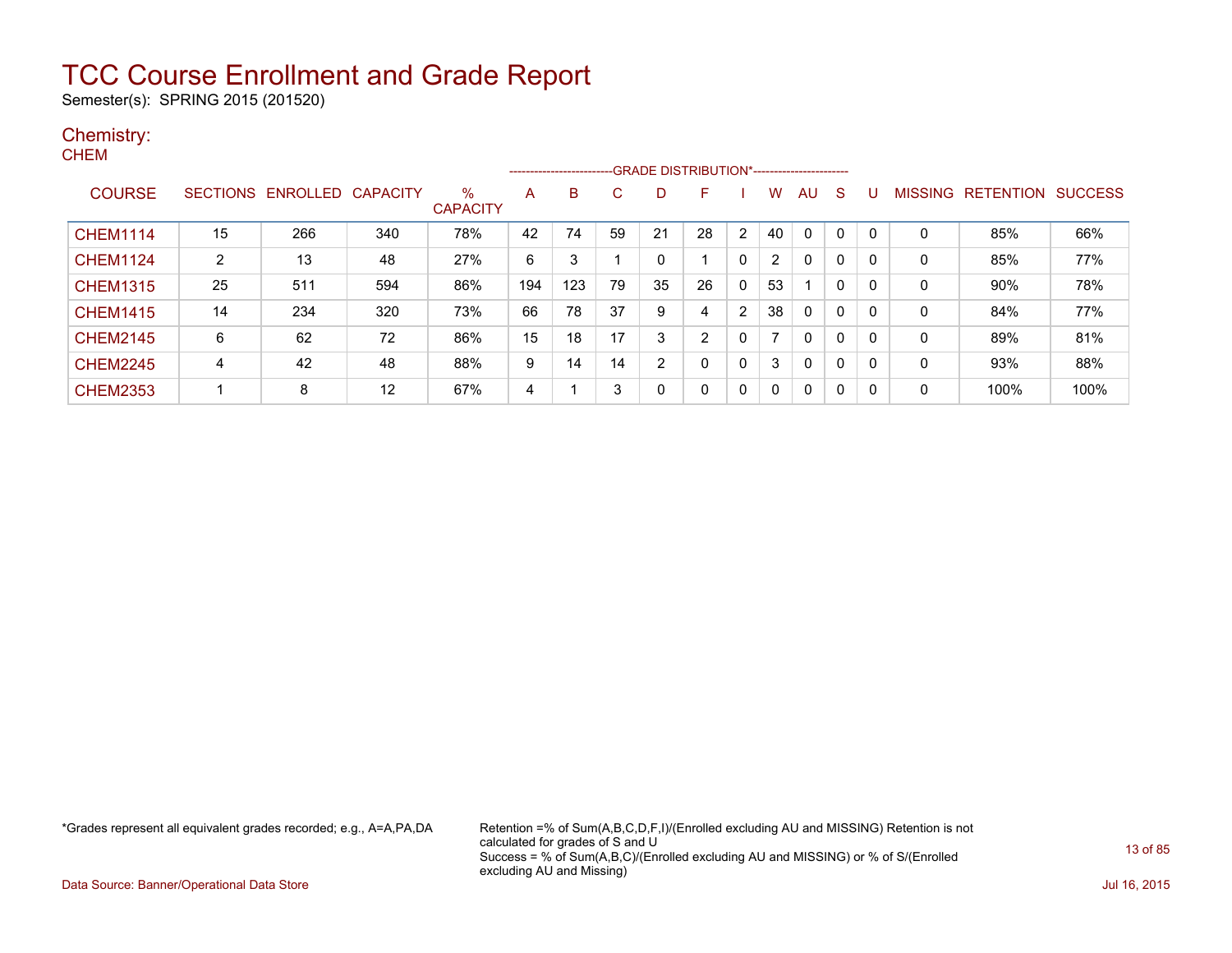Semester(s): SPRING 2015 (201520)

### Chemistry: **CHEM**

|                 |                |                   |                 |                         |     | ------------------------- |    |    |                |                |                |              |   |              |                |                  |                |
|-----------------|----------------|-------------------|-----------------|-------------------------|-----|---------------------------|----|----|----------------|----------------|----------------|--------------|---|--------------|----------------|------------------|----------------|
| <b>COURSE</b>   |                | SECTIONS ENROLLED | <b>CAPACITY</b> | $\%$<br><b>CAPACITY</b> | A   | B.                        | С  | D  | F              |                | w              | AU           | S |              | <b>MISSING</b> | <b>RETENTION</b> | <b>SUCCESS</b> |
| <b>CHEM1114</b> | 15             | 266               | 340             | 78%                     | 42  | 74                        | 59 | 21 | 28             | $\overline{2}$ | 40             | 0            | 0 | $\mathbf{0}$ | 0              | 85%              | 66%            |
| <b>CHEM1124</b> | $\overline{2}$ | 13                | 48              | 27%                     | 6   | 3                         |    | 0  |                | 0              | $\overline{2}$ | 0            | 0 | 0            | 0              | 85%              | 77%            |
| <b>CHEM1315</b> | 25             | 511               | 594             | 86%                     | 194 | 123                       | 79 | 35 | 26             | 0              | 53             |              | 0 | 0            | 0              | 90%              | 78%            |
| <b>CHEM1415</b> | 14             | 234               | 320             | 73%                     | 66  | 78                        | 37 | 9  | 4              | $\overline{2}$ | 38             | $\mathbf{0}$ | 0 | 0            | 0              | 84%              | 77%            |
| <b>CHEM2145</b> | 6              | 62                | 72              | 86%                     | 15  | 18                        | 17 | 3  | $\overline{2}$ |                | 7              | $\mathbf{0}$ | 0 | 0            | 0              | 89%              | 81%            |
| <b>CHEM2245</b> | 4              | 42                | 48              | 88%                     | 9   | 14                        | 14 | 2  | 0              | 0              | 3              | $\mathbf{0}$ | 0 | 0            | 0              | 93%              | 88%            |
| <b>CHEM2353</b> |                | 8                 | 12              | 67%                     | 4   |                           | 3  | 0  | $\mathbf{0}$   | 0              | $\Omega$       | $\mathbf{0}$ | 0 | 0            | 0              | 100%             | 100%           |

\*Grades represent all equivalent grades recorded; e.g., A=A,PA,DA Retention =% of Sum(A,B,C,D,F,I)/(Enrolled excluding AU and MISSING) Retention is not calculated for grades of S and U Success = % of Sum(A,B,C)/(Enrolled excluding AU and MISSING) or % of S/(Enrolled excluding AU and Missing)

Data Source: Banner/Operational Data Store Jul 16, 2015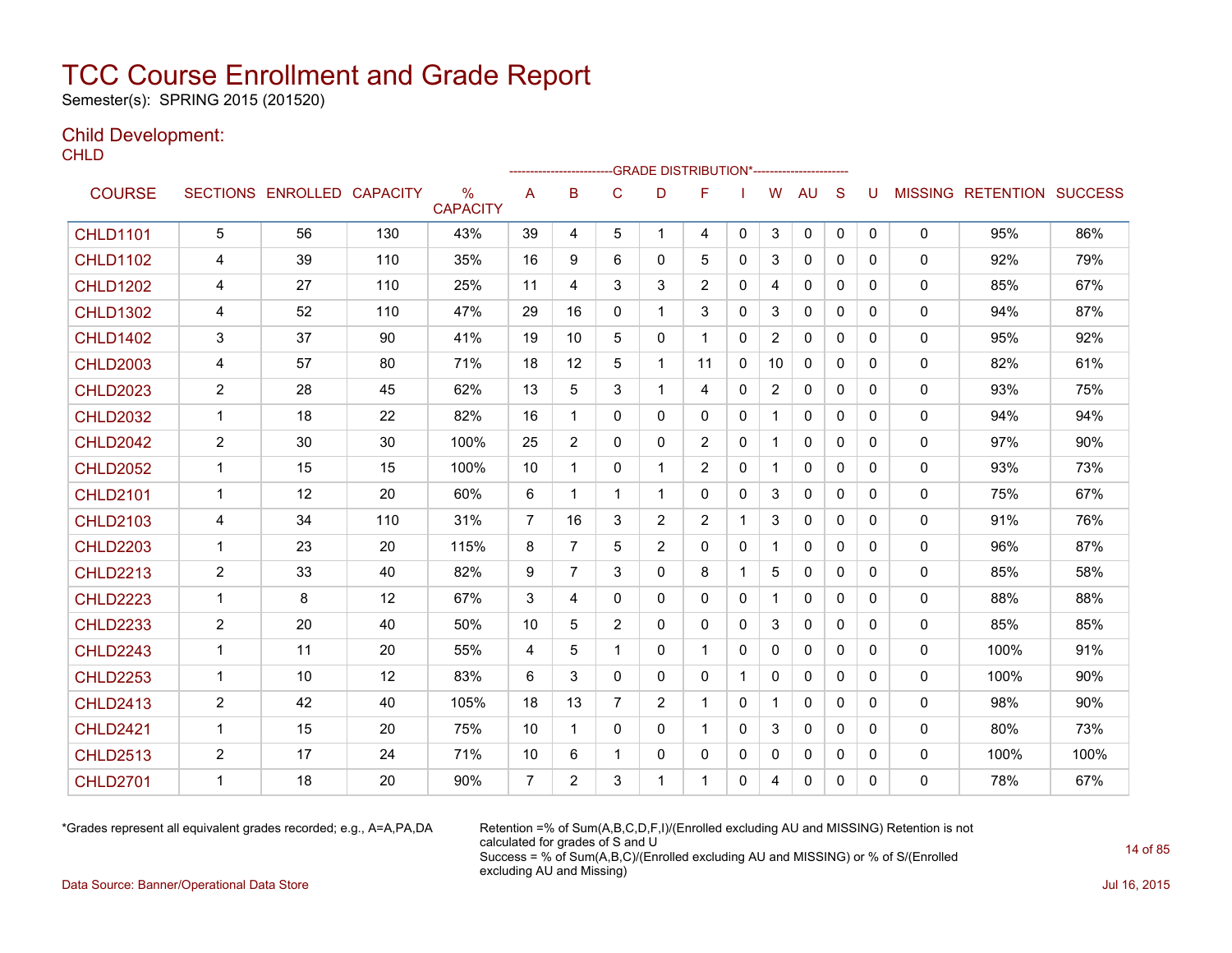Semester(s): SPRING 2015 (201520)

### Child Development:

**CHLD** 

|                 |                |                   |                 |                                  |                |                |                |                | --------------------GRADE                       DISTRIBUTION*--------------------- |              |                |              |              |              |              |                                  |      |
|-----------------|----------------|-------------------|-----------------|----------------------------------|----------------|----------------|----------------|----------------|------------------------------------------------------------------------------------|--------------|----------------|--------------|--------------|--------------|--------------|----------------------------------|------|
| <b>COURSE</b>   |                | SECTIONS ENROLLED | <b>CAPACITY</b> | $\frac{0}{0}$<br><b>CAPACITY</b> | A              | B              | C              | D              | F                                                                                  |              | W              | AU           | S            | U            |              | <b>MISSING RETENTION SUCCESS</b> |      |
| <b>CHLD1101</b> | 5              | 56                | 130             | 43%                              | 39             | 4              | 5              | $\mathbf{1}$   | 4                                                                                  | $\mathbf{0}$ | 3              | $\mathbf 0$  | $\mathbf{0}$ | $\mathbf{0}$ | 0            | 95%                              | 86%  |
| <b>CHLD1102</b> | 4              | 39                | 110             | 35%                              | 16             | 9              | 6              | 0              | 5                                                                                  | $\Omega$     | 3              | $\mathbf{0}$ | $\Omega$     | 0            | $\mathbf{0}$ | 92%                              | 79%  |
| <b>CHLD1202</b> | 4              | 27                | 110             | 25%                              | 11             | 4              | 3              | 3              | $\overline{2}$                                                                     | $\mathbf{0}$ | 4              | 0            | $\mathbf{0}$ | 0            | 0            | 85%                              | 67%  |
| <b>CHLD1302</b> | 4              | 52                | 110             | 47%                              | 29             | 16             | 0              |                | 3                                                                                  | $\mathbf{0}$ | 3              | $\mathbf{0}$ | $\mathbf{0}$ | 0            | 0            | 94%                              | 87%  |
| <b>CHLD1402</b> | 3              | 37                | 90              | 41%                              | 19             | 10             | 5              | 0              | 1                                                                                  | $\mathbf{0}$ | $\overline{2}$ | $\mathbf{0}$ | $\Omega$     | 0            | 0            | 95%                              | 92%  |
| <b>CHLD2003</b> | 4              | 57                | 80              | 71%                              | 18             | 12             | 5              | $\mathbf{1}$   | 11                                                                                 | $\mathbf{0}$ | 10             | 0            | $\mathbf{0}$ | 0            | 0            | 82%                              | 61%  |
| <b>CHLD2023</b> | $\overline{2}$ | 28                | 45              | 62%                              | 13             | 5              | 3              | $\mathbf{1}$   | 4                                                                                  | $\Omega$     | $\overline{2}$ | $\mathbf{0}$ | $\mathbf{0}$ | 0            | $\mathbf{0}$ | 93%                              | 75%  |
| <b>CHLD2032</b> | $\mathbf{1}$   | 18                | 22              | 82%                              | 16             | 1              | 0              | $\Omega$       | 0                                                                                  | $\Omega$     | $\mathbf{1}$   | $\Omega$     | $\Omega$     | 0            | $\mathbf{0}$ | 94%                              | 94%  |
| <b>CHLD2042</b> | $\overline{c}$ | 30                | 30              | 100%                             | 25             | $\overline{2}$ | 0              | 0              | $\overline{c}$                                                                     | 0            | $\mathbf 1$    | 0            | $\mathbf{0}$ | 0            | 0            | 97%                              | 90%  |
| <b>CHLD2052</b> | $\mathbf 1$    | 15                | 15              | 100%                             | 10             | 1              | $\mathbf{0}$   |                | $\overline{2}$                                                                     | $\mathbf{0}$ |                | $\mathbf{0}$ | $\mathbf{0}$ | 0            | $\mathbf{0}$ | 93%                              | 73%  |
| <b>CHLD2101</b> | 1              | 12                | 20              | 60%                              | 6              | 1              | 1              |                | 0                                                                                  | $\mathbf{0}$ | 3              | $\mathbf{0}$ | $\Omega$     | 0            | 0            | 75%                              | 67%  |
| <b>CHLD2103</b> | 4              | 34                | 110             | 31%                              | 7              | 16             | 3              | $\overline{2}$ | $\overline{2}$                                                                     |              | 3              | 0            | 0            | 0            | 0            | 91%                              | 76%  |
| <b>CHLD2203</b> | $\mathbf{1}$   | 23                | 20              | 115%                             | 8              | $\overline{7}$ | 5              | $\overline{2}$ | 0                                                                                  | $\mathbf{0}$ | $\mathbf{1}$   | $\mathbf{0}$ | $\mathbf{0}$ | 0            | 0            | 96%                              | 87%  |
| <b>CHLD2213</b> | $\overline{2}$ | 33                | 40              | 82%                              | 9              | $\overline{7}$ | 3              | 0              | 8                                                                                  | 1            | 5              | $\mathbf{0}$ | $\mathbf{0}$ | 0            | 0            | 85%                              | 58%  |
| <b>CHLD2223</b> | $\mathbf{1}$   | 8                 | 12              | 67%                              | 3              | 4              | 0              | 0              | $\Omega$                                                                           | $\Omega$     | $\mathbf{1}$   | $\mathbf{0}$ | $\Omega$     | 0            | 0            | 88%                              | 88%  |
| <b>CHLD2233</b> | $\overline{2}$ | 20                | 40              | 50%                              | 10             | 5              | $\overline{2}$ | 0              | 0                                                                                  | $\mathbf{0}$ | 3              | $\mathbf{0}$ | $\mathbf{0}$ | 0            | 0            | 85%                              | 85%  |
| <b>CHLD2243</b> | $\mathbf{1}$   | 11                | 20              | 55%                              | 4              | 5              | 1              | 0              | 1                                                                                  | $\Omega$     | $\mathbf{0}$   | $\mathbf{0}$ | $\Omega$     | 0            | 0            | 100%                             | 91%  |
| <b>CHLD2253</b> | $\mathbf{1}$   | 10                | 12              | 83%                              | 6              | 3              | $\mathbf{0}$   | 0              | 0                                                                                  |              | $\mathbf{0}$   | $\mathbf{0}$ | $\Omega$     | 0            | 0            | 100%                             | 90%  |
| <b>CHLD2413</b> | 2              | 42                | 40              | 105%                             | 18             | 13             | 7              | $\overline{2}$ | 1                                                                                  | $\mathbf{0}$ |                | $\mathbf{0}$ | $\mathbf{0}$ | 0            | 0            | 98%                              | 90%  |
| <b>CHLD2421</b> | 1              | 15                | 20              | 75%                              | 10             | 1              | 0              | 0              | 1                                                                                  | $\mathbf{0}$ | 3              | $\Omega$     | $\Omega$     | 0            | $\mathbf{0}$ | 80%                              | 73%  |
| <b>CHLD2513</b> | $\overline{c}$ | 17                | 24              | 71%                              | 10             | 6              | 1              | 0              | 0                                                                                  | 0            | $\mathbf 0$    | 0            | 0            | 0            | 0            | 100%                             | 100% |
| <b>CHLD2701</b> | 1              | 18                | 20              | 90%                              | $\overline{7}$ | $\overline{2}$ | 3              |                | 1                                                                                  | $\Omega$     | 4              | $\Omega$     | 0            | 0            | 0            | 78%                              | 67%  |

\*Grades represent all equivalent grades recorded; e.g., A=A,PA,DA Retention =% of Sum(A,B,C,D,F,I)/(Enrolled excluding AU and MISSING) Retention is not calculated for grades of S and U Success = % of Sum(A,B,C)/(Enrolled excluding AU and MISSING) or % of S/(Enrolled excluding AU and Missing)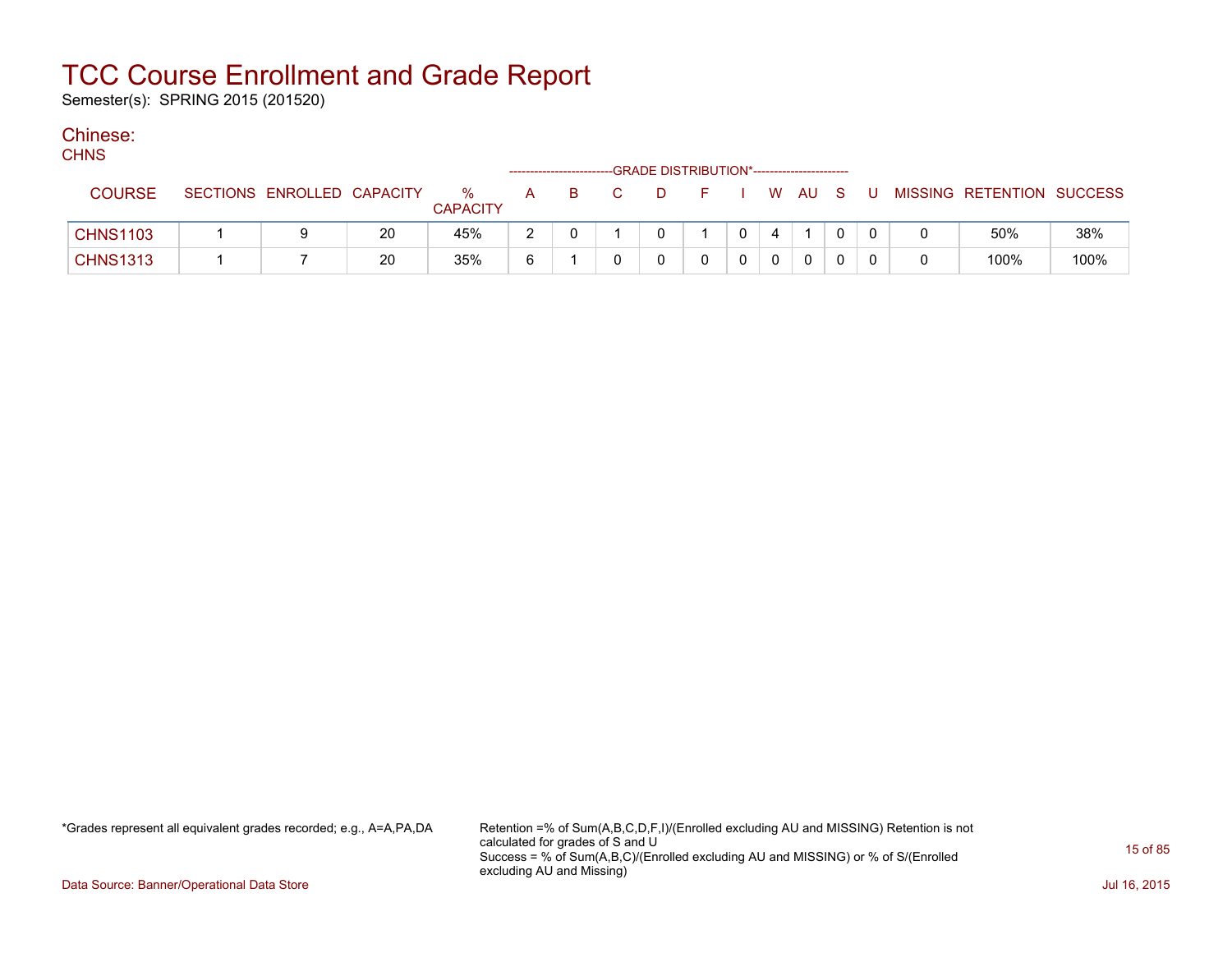Semester(s): SPRING 2015 (201520)

### Chinese:

| ۰, | v.<br>۹ |
|----|---------|

| ,,,,,           |                            |    |                      |   |  | -GRADE DISTRIBUTION*----------------------- |  |    |    |     |   |                           |      |
|-----------------|----------------------------|----|----------------------|---|--|---------------------------------------------|--|----|----|-----|---|---------------------------|------|
| <b>COURSE</b>   | SECTIONS ENROLLED CAPACITY |    | %<br><b>CAPACITY</b> | A |  |                                             |  | W. | AU | - S | U | MISSING RETENTION SUCCESS |      |
| <b>CHNS1103</b> |                            | 20 | 45%                  | າ |  |                                             |  |    |    | 0   |   | 50%                       | 38%  |
| <b>CHNS1313</b> |                            | 20 | 35%                  | 6 |  |                                             |  |    |    | 0   |   | 100%                      | 100% |

\*Grades represent all equivalent grades recorded; e.g., A=A,PA,DA Retention =% of Sum(A,B,C,D,F,I)/(Enrolled excluding AU and MISSING) Retention is not calculated for grades of S and U Success = % of Sum(A,B,C)/(Enrolled excluding AU and MISSING) or % of S/(Enrolled excluding AU and Missing)

Data Source: Banner/Operational Data Store Jul 16, 2015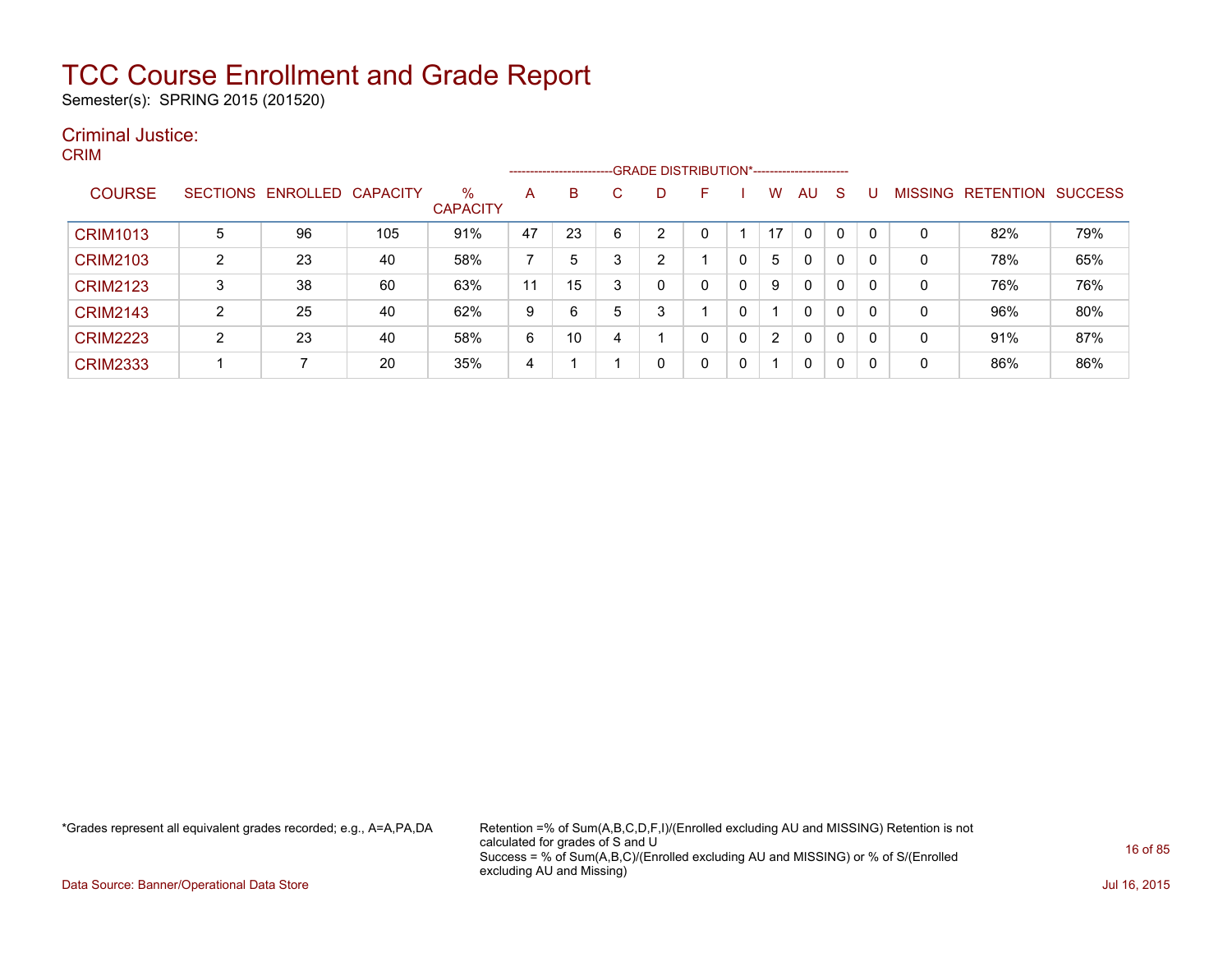Semester(s): SPRING 2015 (201520)

### Criminal Justice: CRIM

|                 |                |                   |                 |                         |    |    |   | -----------------------GRADE DISTRIBUTION*----------------------- |    |          |    |              |   |              |             |                  |                |
|-----------------|----------------|-------------------|-----------------|-------------------------|----|----|---|-------------------------------------------------------------------|----|----------|----|--------------|---|--------------|-------------|------------------|----------------|
| <b>COURSE</b>   |                | SECTIONS ENROLLED | <b>CAPACITY</b> | $\%$<br><b>CAPACITY</b> | A  | B  |   |                                                                   | F. |          | W  | AU           | S |              | MISSING     | <b>RETENTION</b> | <b>SUCCESS</b> |
| <b>CRIM1013</b> | 5              | 96                | 105             | 91%                     | 47 | 23 | 6 | ົ                                                                 |    |          | 17 | $\mathbf{0}$ | 0 | $\mathbf{0}$ | 0           | 82%              | 79%            |
| <b>CRIM2103</b> | $\overline{2}$ | 23                | 40              | 58%                     |    | 5  | 3 | ົ                                                                 |    |          | 5  | 0            | 0 | 0            | $\mathbf 0$ | 78%              | 65%            |
| <b>CRIM2123</b> | 3              | 38                | 60              | 63%                     | 11 | 15 | 3 |                                                                   | 0  | $\Omega$ | 9  | $\mathbf{0}$ | 0 | 0            | 0           | 76%              | 76%            |
| <b>CRIM2143</b> | 2              | 25                | 40              | 62%                     | 9  | 6  | 5 |                                                                   |    | 0        |    | 0            | 0 | 0            | 0           | 96%              | 80%            |
| <b>CRIM2223</b> | 2              | 23                | 40              | 58%                     | 6  | 10 | 4 |                                                                   | 0  | 0        | 2  | $\mathbf{0}$ | 0 | 0            | 0           | 91%              | 87%            |
| <b>CRIM2333</b> |                |                   | 20              | 35%                     | 4  |    |   |                                                                   | 0  | 0        |    | 0            | 0 | 0            | 0           | 86%              | 86%            |

\*Grades represent all equivalent grades recorded; e.g., A=A,PA,DA Retention =% of Sum(A,B,C,D,F,I)/(Enrolled excluding AU and MISSING) Retention is not calculated for grades of S and U Success = % of Sum(A,B,C)/(Enrolled excluding AU and MISSING) or % of S/(Enrolled excluding AU and Missing)

Data Source: Banner/Operational Data Store Jul 16, 2015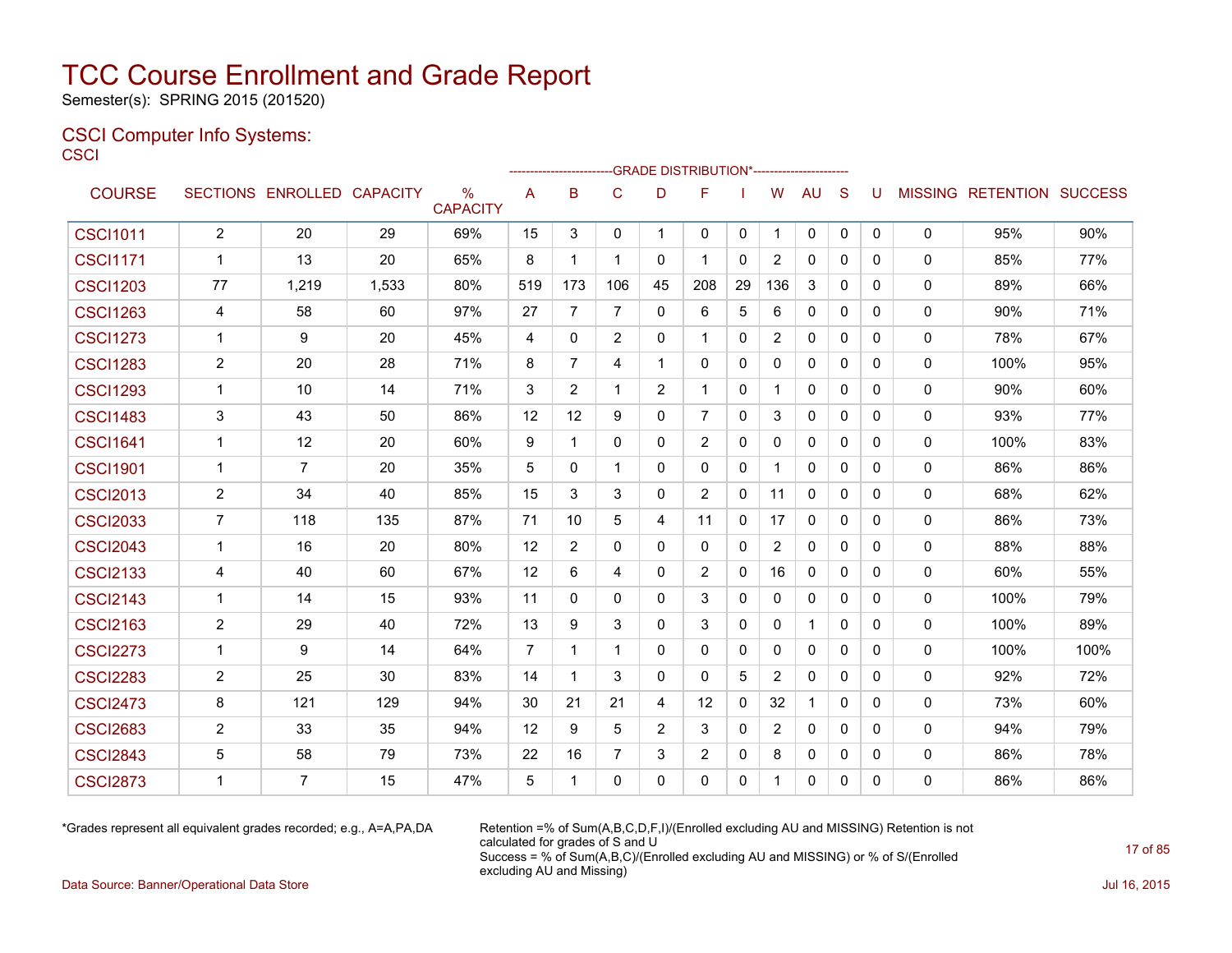Semester(s): SPRING 2015 (201520)

### CSCI Computer Info Systems: **CSCI**

|                 |                         |                            |       |                         |                |                | ------------------------GRADE                DISTRIBUTION*---------------------- |                |                |              |                |              |              |              |              |                                  |      |
|-----------------|-------------------------|----------------------------|-------|-------------------------|----------------|----------------|----------------------------------------------------------------------------------|----------------|----------------|--------------|----------------|--------------|--------------|--------------|--------------|----------------------------------|------|
| <b>COURSE</b>   |                         | SECTIONS ENROLLED CAPACITY |       | $\%$<br><b>CAPACITY</b> | A              | B              | $\mathsf{C}$                                                                     | D              | F              |              | W              | <b>AU</b>    | S            | U            |              | <b>MISSING RETENTION SUCCESS</b> |      |
| <b>CSCI1011</b> | $\overline{2}$          | 20                         | 29    | 69%                     | 15             | 3              | $\mathbf{0}$                                                                     | $\mathbf{1}$   | $\mathbf{0}$   | 0            | -1             | $\mathbf{0}$ | $\mathbf 0$  | $\mathbf{0}$ | $\mathbf 0$  | 95%                              | 90%  |
| <b>CSCI1171</b> | $\mathbf{1}$            | 13                         | 20    | 65%                     | 8              | $\mathbf 1$    | $\mathbf 1$                                                                      | 0              | -1             | $\mathbf{0}$ | $\overline{2}$ | 0            | $\mathbf{0}$ | $\Omega$     | 0            | 85%                              | 77%  |
| <b>CSCI1203</b> | 77                      | 1,219                      | 1,533 | 80%                     | 519            | 173            | 106                                                                              | 45             | 208            | 29           | 136            | 3            | $\Omega$     | $\Omega$     | 0            | 89%                              | 66%  |
| <b>CSCI1263</b> | 4                       | 58                         | 60    | 97%                     | 27             | 7              | $\overline{7}$                                                                   | 0              | 6              | 5            | 6              | 0            | $\mathbf{0}$ | $\mathbf{0}$ | 0            | 90%                              | 71%  |
| <b>CSCI1273</b> | $\mathbf 1$             | 9                          | 20    | 45%                     | 4              | 0              | $\overline{2}$                                                                   | $\Omega$       |                | $\mathbf{0}$ | 2              | 0            | 0            | $\Omega$     | 0            | 78%                              | 67%  |
| <b>CSCI1283</b> | $\overline{2}$          | 20                         | 28    | 71%                     | 8              | $\overline{7}$ | $\overline{4}$                                                                   | 1              | $\Omega$       | $\mathbf{0}$ | $\Omega$       | 0            | $\mathbf{0}$ | $\mathbf{0}$ | 0            | 100%                             | 95%  |
| <b>CSCI1293</b> | $\mathbf{1}$            | 10                         | 14    | 71%                     | 3              | 2              | 1                                                                                | 2              | 1              | 0            | 1              | 0            | $\mathbf{0}$ | $\mathbf{0}$ | 0            | 90%                              | 60%  |
| <b>CSCI1483</b> | 3                       | 43                         | 50    | 86%                     | 12             | 12             | 9                                                                                | $\Omega$       | $\overline{7}$ | $\mathbf{0}$ | 3              | $\mathbf{0}$ | $\Omega$     | $\Omega$     | $\mathbf 0$  | 93%                              | 77%  |
| <b>CSCI1641</b> | $\mathbf 1$             | 12                         | 20    | 60%                     | 9              | $\mathbf 1$    | $\mathbf 0$                                                                      | 0              | 2              | $\mathbf{0}$ | 0              | 0            | $\mathbf{0}$ | $\Omega$     | $\mathbf 0$  | 100%                             | 83%  |
| <b>CSCI1901</b> | -1                      | $\overline{7}$             | 20    | 35%                     | 5              | 0              | $\mathbf 1$                                                                      | 0              | 0              | $\mathbf 0$  |                | $\Omega$     | $\mathbf{0}$ | $\Omega$     | 0            | 86%                              | 86%  |
| <b>CSCI2013</b> | $\overline{2}$          | 34                         | 40    | 85%                     | 15             | 3              | 3                                                                                | 0              | 2              | 0            | 11             | 0            | 0            | $\mathbf{0}$ | 0            | 68%                              | 62%  |
| <b>CSCI2033</b> | 7                       | 118                        | 135   | 87%                     | 71             | 10             | 5                                                                                | 4              | 11             | 0            | 17             | 0            | $\mathbf{0}$ | $\Omega$     | 0            | 86%                              | 73%  |
| <b>CSCI2043</b> | -1                      | 16                         | 20    | 80%                     | 12             | 2              | 0                                                                                | 0              | 0              | 0            | 2              | 0            | $\mathbf{0}$ | $\mathbf{0}$ | 0            | 88%                              | 88%  |
| <b>CSCI2133</b> | 4                       | 40                         | 60    | 67%                     | 12             | 6              | 4                                                                                | 0              | 2              | 0            | 16             | 0            | 0            | 0            | 0            | 60%                              | 55%  |
| <b>CSCI2143</b> | -1                      | 14                         | 15    | 93%                     | 11             | $\mathbf{0}$   | $\mathbf{0}$                                                                     | $\mathbf{0}$   | 3              | 0            | 0              | 0            | $\mathbf{0}$ | $\mathbf{0}$ | 0            | 100%                             | 79%  |
| <b>CSCI2163</b> | $\overline{2}$          | 29                         | 40    | 72%                     | 13             | 9              | 3                                                                                | $\Omega$       | 3              | 0            | $\mathbf{0}$   | $\mathbf{1}$ | $\mathbf{0}$ | $\mathbf{0}$ | $\mathbf{0}$ | 100%                             | 89%  |
| <b>CSCI2273</b> | $\overline{1}$          | 9                          | 14    | 64%                     | $\overline{7}$ | $\mathbf{1}$   | 1                                                                                | $\Omega$       | $\Omega$       | $\mathbf{0}$ | $\Omega$       | $\Omega$     | $\Omega$     | $\mathbf{0}$ | $\mathbf{0}$ | 100%                             | 100% |
| <b>CSCI2283</b> | $\overline{2}$          | 25                         | 30    | 83%                     | 14             | $\mathbf 1$    | 3                                                                                | $\mathbf{0}$   | $\Omega$       | 5            | $\overline{2}$ | $\Omega$     | $\Omega$     | $\Omega$     | $\mathbf 0$  | 92%                              | 72%  |
| <b>CSCI2473</b> | 8                       | 121                        | 129   | 94%                     | 30             | 21             | 21                                                                               | 4              | 12             | $\mathbf{0}$ | 32             | $\mathbf{1}$ | $\Omega$     | $\Omega$     | 0            | 73%                              | 60%  |
| <b>CSCI2683</b> | $\overline{2}$          | 33                         | 35    | 94%                     | 12             | 9              | 5                                                                                | $\overline{2}$ | 3              | $\mathbf{0}$ | 2              | $\Omega$     | $\Omega$     | $\Omega$     | $\mathbf 0$  | 94%                              | 79%  |
| <b>CSCI2843</b> | 5                       | 58                         | 79    | 73%                     | 22             | 16             | $\overline{7}$                                                                   | 3              | 2              | 0            | 8              | $\Omega$     | $\mathbf{0}$ | $\Omega$     | 0            | 86%                              | 78%  |
| <b>CSCI2873</b> | $\overline{\mathbf{1}}$ | 7                          | 15    | 47%                     | 5              | 1              | 0                                                                                | $\Omega$       | $\Omega$       | $\Omega$     |                | $\Omega$     | $\Omega$     | $\Omega$     | 0            | 86%                              | 86%  |

\*Grades represent all equivalent grades recorded; e.g., A=A,PA,DA Retention =% of Sum(A,B,C,D,F,I)/(Enrolled excluding AU and MISSING) Retention is not calculated for grades of S and U Success = % of Sum(A,B,C)/(Enrolled excluding AU and MISSING) or % of S/(Enrolled excluding AU and Missing)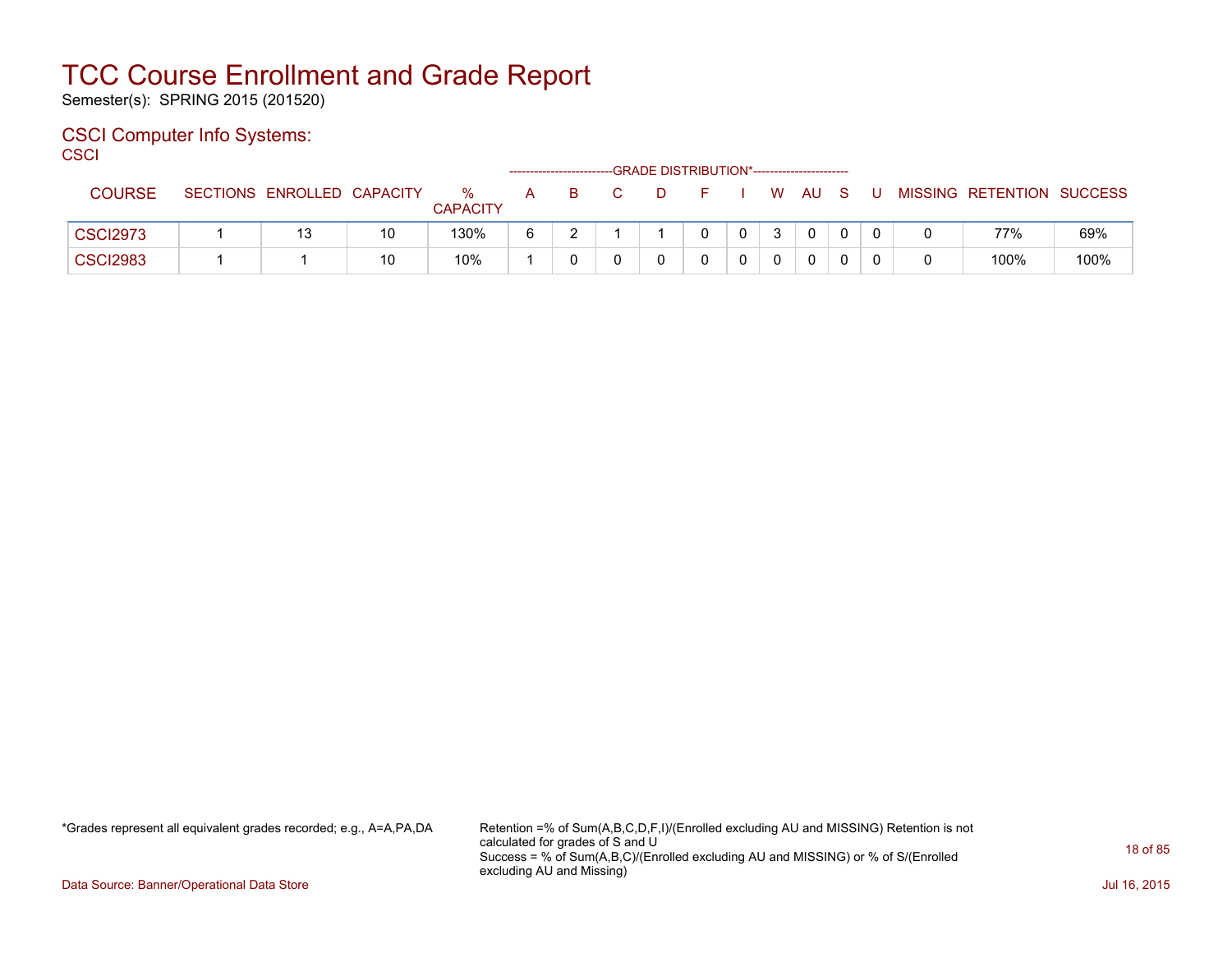Semester(s): SPRING 2015 (201520)

### CSCI Computer Info Systems:

**CSCI** 

|                 |                            |    |                      |   |    |    | --GRADE DISTRIBUTION*----------------------- |              |        |   |                           |      |
|-----------------|----------------------------|----|----------------------|---|----|----|----------------------------------------------|--------------|--------|---|---------------------------|------|
| <b>COURSE</b>   | SECTIONS ENROLLED CAPACITY |    | %<br><b>CAPACITY</b> | A | -B | D. |                                              |              | W AU S | U | MISSING RETENTION SUCCESS |      |
| <b>CSCI2973</b> | 13                         | 10 | 130%                 | 6 |    |    |                                              | $\mathbf{0}$ |        |   | 77%                       | 69%  |
| <b>CSCI2983</b> |                            | 10 | 10%                  |   |    |    |                                              |              |        |   | 100%                      | 100% |

\*Grades represent all equivalent grades recorded; e.g., A=A,PA,DA Retention =% of Sum(A,B,C,D,F,I)/(Enrolled excluding AU and MISSING) Retention is not calculated for grades of S and U Success = % of Sum(A,B,C)/(Enrolled excluding AU and MISSING) or % of S/(Enrolled excluding AU and Missing)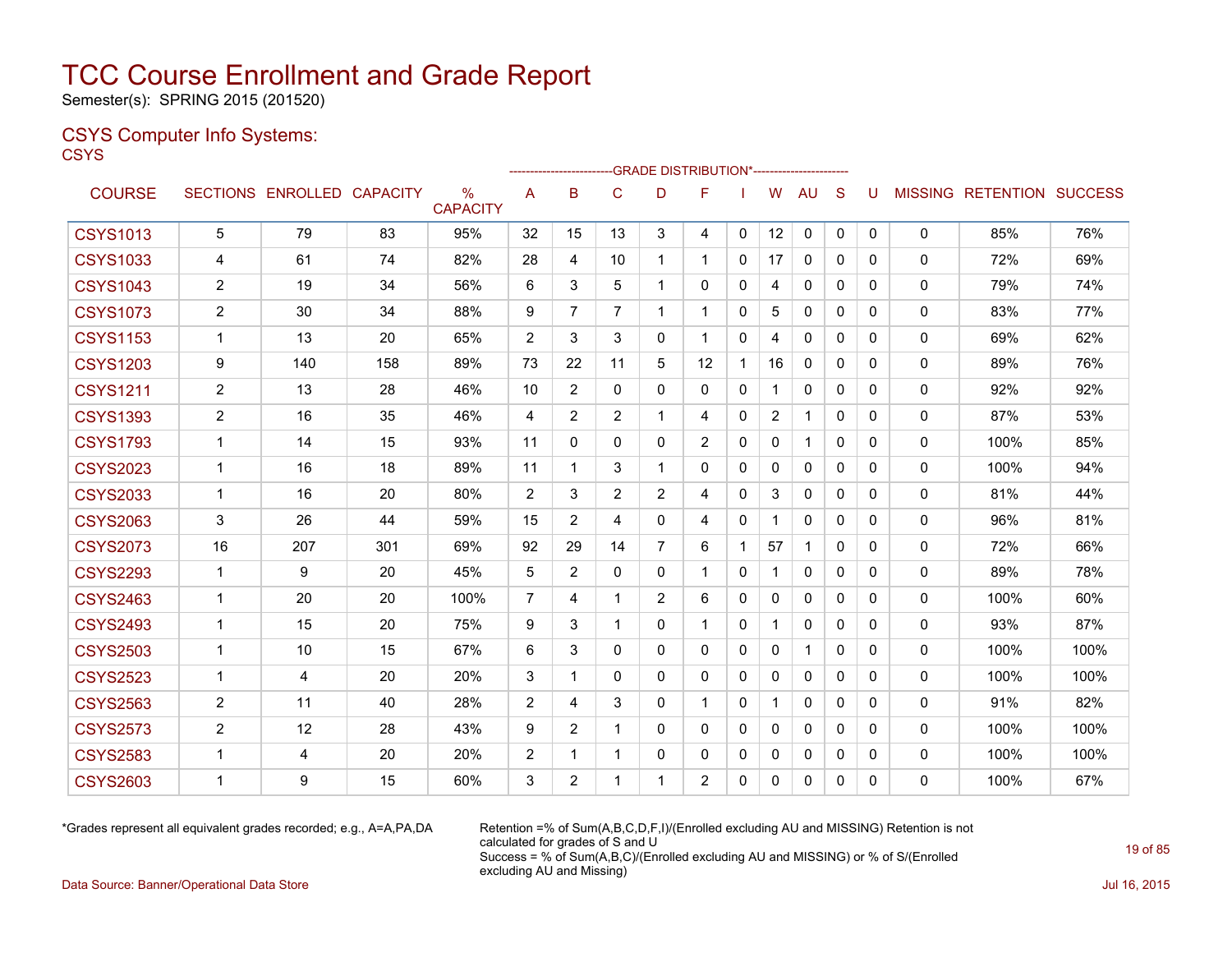Semester(s): SPRING 2015 (201520)

### CSYS Computer Info Systems: **CSYS**

|                 |                |                            |     |                         |                |              |                |                | -GRADE DISTRIBUTION*----------------------- |              |                |              |              |              |              |                                  |      |
|-----------------|----------------|----------------------------|-----|-------------------------|----------------|--------------|----------------|----------------|---------------------------------------------|--------------|----------------|--------------|--------------|--------------|--------------|----------------------------------|------|
| <b>COURSE</b>   |                | SECTIONS ENROLLED CAPACITY |     | $\%$<br><b>CAPACITY</b> | A              | B            | C              | D              | F                                           |              | W              | AU.          | S            | U            |              | <b>MISSING RETENTION SUCCESS</b> |      |
| <b>CSYS1013</b> | 5              | 79                         | 83  | 95%                     | 32             | 15           | 13             | 3              | 4                                           | $\mathbf{0}$ | 12             | 0            | $\mathbf{0}$ | $\Omega$     | $\mathbf{0}$ | 85%                              | 76%  |
| <b>CSYS1033</b> | 4              | 61                         | 74  | 82%                     | 28             | 4            | 10             | 1              | 1                                           | 0            | 17             | $\mathbf{0}$ | 0            | $\mathbf{0}$ | $\mathbf{0}$ | 72%                              | 69%  |
| <b>CSYS1043</b> | 2              | 19                         | 34  | 56%                     | 6              | 3            | 5              | 1              | 0                                           | 0            | 4              | 0            | 0            | $\Omega$     | 0            | 79%                              | 74%  |
| <b>CSYS1073</b> | $\overline{2}$ | 30                         | 34  | 88%                     | 9              | 7            | $\overline{7}$ | $\mathbf{1}$   | $\mathbf{1}$                                | 0            | 5              | 0            | 0            | $\mathbf{0}$ | 0            | 83%                              | 77%  |
| <b>CSYS1153</b> | 1              | 13                         | 20  | 65%                     | 2              | 3            | 3              | $\mathbf{0}$   | 1                                           | 0            | 4              | 0            | $\Omega$     | 0            | $\mathbf{0}$ | 69%                              | 62%  |
| <b>CSYS1203</b> | 9              | 140                        | 158 | 89%                     | 73             | 22           | 11             | 5              | 12                                          | 1            | 16             | $\mathbf 0$  | 0            | $\Omega$     | $\Omega$     | 89%                              | 76%  |
| <b>CSYS1211</b> | 2              | 13                         | 28  | 46%                     | 10             | 2            | $\mathbf{0}$   | $\mathbf{0}$   | 0                                           | 0            | 1              | $\mathbf{0}$ | 0            | 0            | $\mathbf{0}$ | 92%                              | 92%  |
| <b>CSYS1393</b> | 2              | 16                         | 35  | 46%                     | 4              | 2            | $\overline{2}$ | $\mathbf{1}$   | 4                                           | 0            | $\overline{2}$ | $\mathbf{1}$ | $\mathbf{0}$ | $\mathbf{0}$ | 0            | 87%                              | 53%  |
| <b>CSYS1793</b> | $\mathbf 1$    | 14                         | 15  | 93%                     | 11             | $\mathbf{0}$ | $\mathbf{0}$   | $\mathbf{0}$   | $\overline{2}$                              | $\mathbf{0}$ | $\mathbf{0}$   | $\mathbf{1}$ | $\Omega$     | $\Omega$     | $\mathbf{0}$ | 100%                             | 85%  |
| <b>CSYS2023</b> | $\mathbf{1}$   | 16                         | 18  | 89%                     | 11             | $\mathbf 1$  | 3              | 1              | $\Omega$                                    | 0            | 0              | 0            | $\Omega$     | $\mathbf{0}$ | 0            | 100%                             | 94%  |
| <b>CSYS2033</b> | 1              | 16                         | 20  | 80%                     | $\overline{2}$ | 3            | 2              | $\overline{2}$ | 4                                           | $\Omega$     | 3              | 0            | $\Omega$     | $\mathbf{0}$ | $\mathbf{0}$ | 81%                              | 44%  |
| <b>CSYS2063</b> | 3              | 26                         | 44  | 59%                     | 15             | 2            | 4              | $\mathbf{0}$   | 4                                           | $\mathbf{0}$ | 1              | 0            | $\Omega$     | 0            | 0            | 96%                              | 81%  |
| <b>CSYS2073</b> | 16             | 207                        | 301 | 69%                     | 92             | 29           | 14             | $\overline{7}$ | 6                                           |              | 57             | $\mathbf 1$  | 0            | 0            | $\mathbf{0}$ | 72%                              | 66%  |
| <b>CSYS2293</b> | 1              | 9                          | 20  | 45%                     | 5              | 2            | 0              | 0              | 1                                           | 0            | 1              | 0            | 0            | 0            | 0            | 89%                              | 78%  |
| <b>CSYS2463</b> | 1              | 20                         | 20  | 100%                    | 7              | 4            | 1              | $\overline{2}$ | 6                                           | 0            | $\mathbf{0}$   | 0            | 0            | $\Omega$     | $\mathbf{0}$ | 100%                             | 60%  |
| <b>CSYS2493</b> | 1              | 15                         | 20  | 75%                     | 9              | 3            | 1              | $\mathbf{0}$   | 1                                           | 0            | 1              | $\mathbf{0}$ | 0            | $\Omega$     | $\mathbf{0}$ | 93%                              | 87%  |
| <b>CSYS2503</b> | 1              | 10                         | 15  | 67%                     | 6              | 3            | 0              | $\mathbf{0}$   | 0                                           | $\mathbf{0}$ | $\mathbf{0}$   | $\mathbf 1$  | 0            | $\Omega$     | $\mathbf{0}$ | 100%                             | 100% |
| <b>CSYS2523</b> | $\mathbf{1}$   | 4                          | 20  | 20%                     | 3              | $\mathbf 1$  | $\mathbf{0}$   | $\mathbf{0}$   | 0                                           | 0            | 0              | $\mathbf{0}$ | $\mathbf{0}$ | $\mathbf{0}$ | $\mathbf{0}$ | 100%                             | 100% |
| <b>CSYS2563</b> | $\overline{c}$ | 11                         | 40  | 28%                     | $\overline{2}$ | 4            | 3              | $\mathbf{0}$   | 1                                           | $\mathbf{0}$ | $\mathbf 1$    | $\mathbf{0}$ | 0            | $\Omega$     | $\mathbf{0}$ | 91%                              | 82%  |
| <b>CSYS2573</b> | $\overline{2}$ | 12                         | 28  | 43%                     | 9              | 2            | 1              | $\mathbf{0}$   | 0                                           | 0            | 0              | 0            | 0            | $\mathbf{0}$ | 0            | 100%                             | 100% |
| <b>CSYS2583</b> | 1              | 4                          | 20  | 20%                     | 2              | 1            | 1              | 0              | 0                                           | 0            | $\mathbf{0}$   | $\mathbf{0}$ | 0            | $\Omega$     | 0            | 100%                             | 100% |
| <b>CSYS2603</b> | 1              | 9                          | 15  | 60%                     | 3              | 2            | 1              | 1              | $\overline{2}$                              | 0            | 0              | $\mathbf{0}$ | $\mathbf{0}$ | $\mathbf{0}$ | $\mathbf{0}$ | 100%                             | 67%  |
|                 |                |                            |     |                         |                |              |                |                |                                             |              |                |              |              |              |              |                                  |      |

\*Grades represent all equivalent grades recorded; e.g., A=A,PA,DA Retention =% of Sum(A,B,C,D,F,I)/(Enrolled excluding AU and MISSING) Retention is not calculated for grades of S and U Success = % of Sum(A,B,C)/(Enrolled excluding AU and MISSING) or % of S/(Enrolled excluding AU and Missing)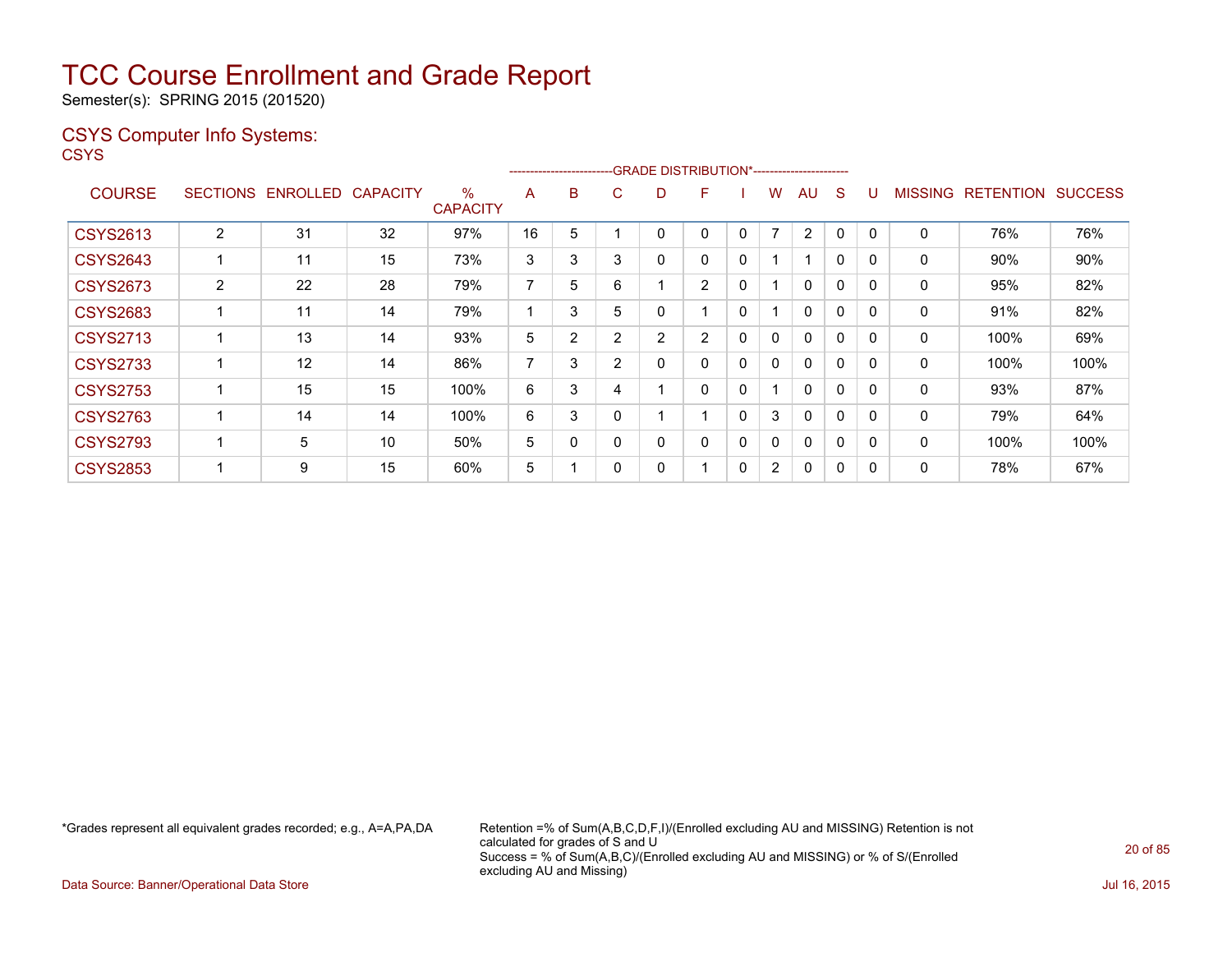Semester(s): SPRING 2015 (201520)

### CSYS Computer Info Systems:

**CSYS** 

|                 |                 |          |                 |                         |                | ------------------------ |   |                | -GRADE DISTRIBUTION*----------------------- |              |                |                |          |              |                |                  |                |
|-----------------|-----------------|----------|-----------------|-------------------------|----------------|--------------------------|---|----------------|---------------------------------------------|--------------|----------------|----------------|----------|--------------|----------------|------------------|----------------|
| <b>COURSE</b>   | <b>SECTIONS</b> | ENROLLED | <b>CAPACITY</b> | $\%$<br><b>CAPACITY</b> | A              | B                        | С | D              | F                                           |              | W              | AU             | S        | U            | <b>MISSING</b> | <b>RETENTION</b> | <b>SUCCESS</b> |
| <b>CSYS2613</b> | 2               | 31       | 32              | 97%                     | 16             | 5                        |   | 0              | 0                                           | 0            | $\overline{7}$ | $\overline{2}$ | $\Omega$ | $\Omega$     | 0              | 76%              | 76%            |
| <b>CSYS2643</b> |                 | 11       | 15              | 73%                     | 3              | 3                        | 3 | 0              | 0                                           | 0            |                | 1              | 0        | $\mathbf{0}$ | 0              | 90%              | 90%            |
| <b>CSYS2673</b> | $\overline{2}$  | 22       | 28              | 79%                     | 7              | 5                        | 6 |                | $\overline{2}$                              | 0            |                | $\mathbf{0}$   | 0        | $\mathbf{0}$ | 0              | 95%              | 82%            |
| <b>CSYS2683</b> |                 | 11       | 14              | 79%                     | 4              | 3                        | 5 | 0              | 1                                           | $\mathbf{0}$ |                | 0              | $\Omega$ | $\mathbf{0}$ | 0              | 91%              | 82%            |
| <b>CSYS2713</b> |                 | 13       | 14              | 93%                     | 5              | $\overline{2}$           | 2 | $\overline{2}$ | $\overline{2}$                              | 0            | 0              | 0              | 0        | $\mathbf{0}$ | 0              | 100%             | 69%            |
| <b>CSYS2733</b> |                 | 12       | 14              | 86%                     | $\overline{ }$ | 3                        | 2 | 0              | 0                                           | 0            | 0              | $\mathbf{0}$   | $\Omega$ | $\mathbf{0}$ | $\mathbf{0}$   | 100%             | 100%           |
| <b>CSYS2753</b> |                 | 15       | 15              | 100%                    | 6              | 3                        | 4 |                | 0                                           | 0            |                | $\mathbf{0}$   | $\Omega$ | $\Omega$     | $\mathbf{0}$   | 93%              | 87%            |
| <b>CSYS2763</b> |                 | 14       | 14              | 100%                    | 6              | 3                        |   |                | $\blacktriangleleft$                        | $\Omega$     | 3              | $\mathbf{0}$   | $\Omega$ | $\Omega$     | 0              | 79%              | 64%            |
| <b>CSYS2793</b> |                 | 5        | 10              | 50%                     | 5              | 0                        |   | 0              | 0                                           | 0            | 0              | $\mathbf{0}$   | $\Omega$ | $\Omega$     | $\mathbf{0}$   | 100%             | 100%           |
| <b>CSYS2853</b> |                 | 9        | 15              | 60%                     | 5              |                          |   | 0              |                                             | 0            | $\overline{2}$ | $\mathbf{0}$   | 0        | $\Omega$     | 0              | 78%              | 67%            |
|                 |                 |          |                 |                         |                |                          |   |                |                                             |              |                |                |          |              |                |                  |                |

\*Grades represent all equivalent grades recorded; e.g., A=A,PA,DA Retention =% of Sum(A,B,C,D,F,I)/(Enrolled excluding AU and MISSING) Retention is not calculated for grades of S and U Success = % of Sum(A,B,C)/(Enrolled excluding AU and MISSING) or % of S/(Enrolled excluding AU and Missing)

Data Source: Banner/Operational Data Store Jul 16, 2015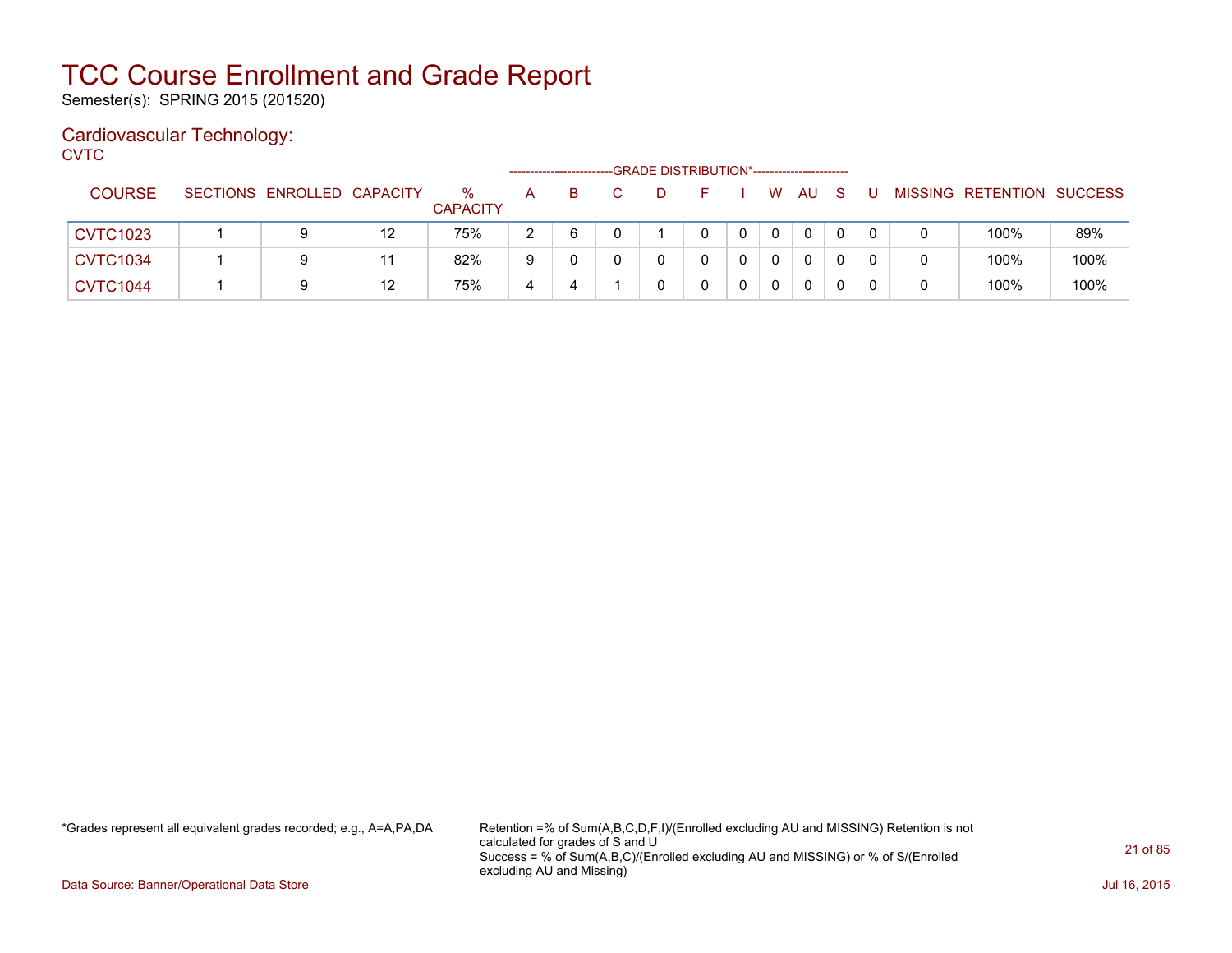Semester(s): SPRING 2015 (201520)

### Cardiovascular Technology:

**CVTC** 

|                 |                            |    |                         |   |   |  | -GRADE DISTRIBUTION*----------------------- |          |              |  |                           |      |
|-----------------|----------------------------|----|-------------------------|---|---|--|---------------------------------------------|----------|--------------|--|---------------------------|------|
| <b>COURSE</b>   | SECTIONS ENROLLED CAPACITY |    | $\%$<br><b>CAPACITY</b> | A | B |  |                                             | W        | AU           |  | MISSING RETENTION SUCCESS |      |
| <b>CVTC1023</b> | 9                          | 12 | 75%                     | 2 | 6 |  | 0                                           | $\Omega$ | $\mathbf{0}$ |  | 100%                      | 89%  |
| <b>CVTC1034</b> | 9                          | 11 | 82%                     | 9 |   |  | 0                                           | $\Omega$ | $\mathbf{0}$ |  | 100%                      | 100% |
| <b>CVTC1044</b> | 9                          | 12 | 75%                     |   |   |  |                                             | 0        | 0            |  | 100%                      | 100% |

\*Grades represent all equivalent grades recorded; e.g., A=A,PA,DA Retention =% of Sum(A,B,C,D,F,I)/(Enrolled excluding AU and MISSING) Retention is not calculated for grades of S and U Success = % of Sum(A,B,C)/(Enrolled excluding AU and MISSING) or % of S/(Enrolled excluding AU and Missing)

Data Source: Banner/Operational Data Store Jul 16, 2015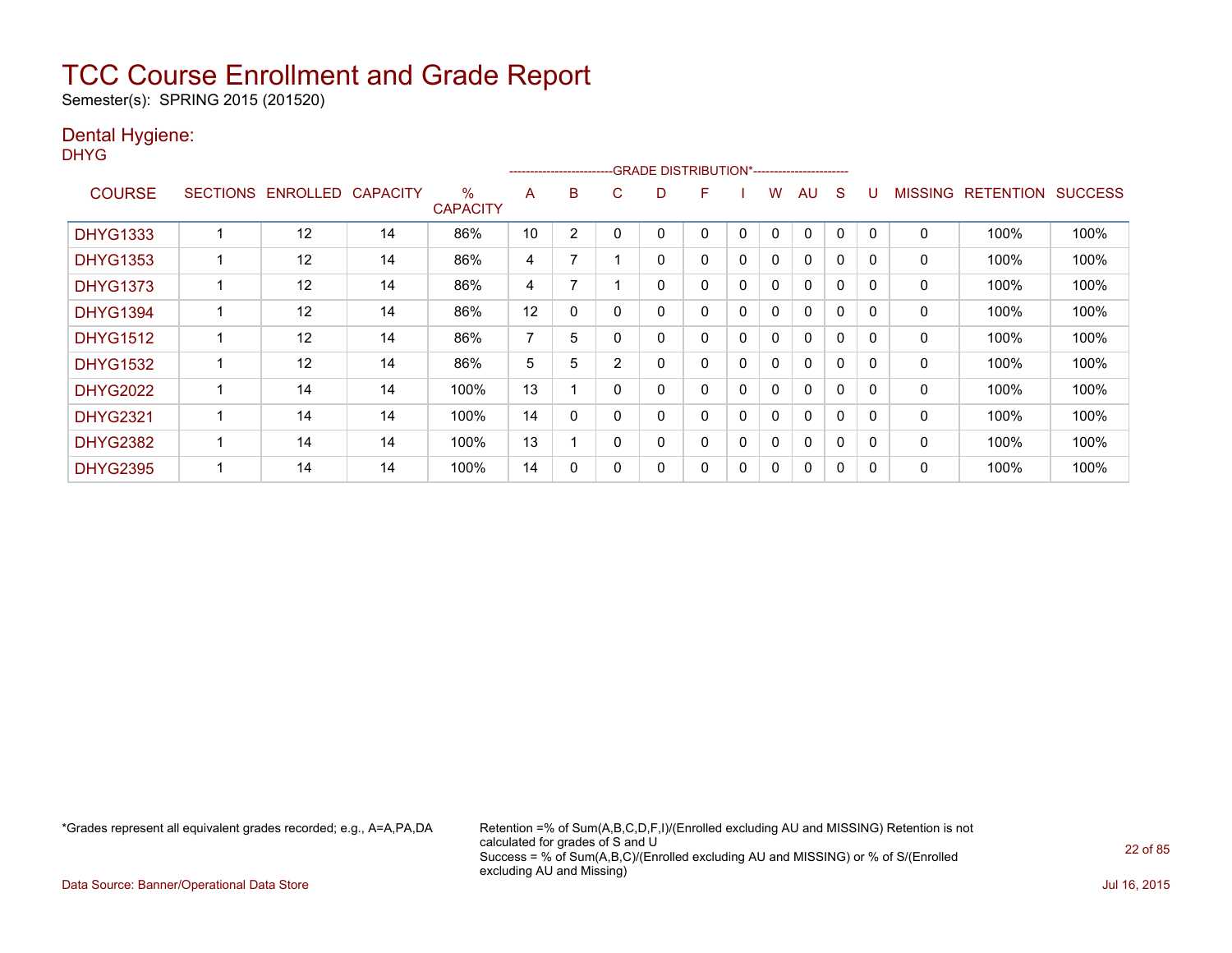Semester(s): SPRING 2015 (201520)

### Dental Hygiene:

DHYG

|                 |                 |          |                 |                         |    | ------------------------ |                | -GRADE DISTRIBUTION*----------------------- |   |          |   |              |          |              |                |                  |                |
|-----------------|-----------------|----------|-----------------|-------------------------|----|--------------------------|----------------|---------------------------------------------|---|----------|---|--------------|----------|--------------|----------------|------------------|----------------|
| <b>COURSE</b>   | <b>SECTIONS</b> | ENROLLED | <b>CAPACITY</b> | $\%$<br><b>CAPACITY</b> | A  | B                        | С              | D                                           | F |          | w | AU           | S        |              | <b>MISSING</b> | <b>RETENTION</b> | <b>SUCCESS</b> |
| <b>DHYG1333</b> |                 | 12       | 14              | 86%                     | 10 | 2                        |                |                                             | 0 | 0        | 0 | 0            | 0        |              | 0              | 100%             | 100%           |
| <b>DHYG1353</b> |                 | 12       | 14              | 86%                     | 4  | 7                        |                | 0                                           | 0 | 0        | 0 | 0            | $\Omega$ | $\Omega$     | 0              | 100%             | 100%           |
| <b>DHYG1373</b> |                 | 12       | 14              | 86%                     | 4  | 7                        |                | 0                                           | 0 | $\Omega$ | 0 | $\Omega$     | $\Omega$ | $\Omega$     | 0              | 100%             | 100%           |
| <b>DHYG1394</b> |                 | 12       | 14              | 86%                     | 12 | 0                        |                | 0                                           | 0 | 0        | 0 | $\mathbf{0}$ | $\Omega$ | $\Omega$     | 0              | 100%             | 100%           |
| <b>DHYG1512</b> |                 | 12       | 14              | 86%                     | 7  | 5                        |                | 0                                           | 0 | $\Omega$ | 0 | $\mathbf{0}$ | $\Omega$ | $\Omega$     | 0              | 100%             | 100%           |
| <b>DHYG1532</b> |                 | 12       | 14              | 86%                     | 5  | 5                        | $\overline{2}$ | 0                                           | 0 | 0        | 0 | $\mathbf{0}$ | $\Omega$ | <sup>0</sup> | 0              | 100%             | 100%           |
| <b>DHYG2022</b> |                 | 14       | 14              | 100%                    | 13 |                          | 0              | 0                                           | 0 | 0        | 0 | 0            | 0        | $\Omega$     | 0              | 100%             | 100%           |
| <b>DHYG2321</b> |                 | 14       | 14              | 100%                    | 14 | 0                        |                | 0                                           | 0 | 0        | 0 | 0            | $\Omega$ | $\Omega$     | 0              | 100%             | 100%           |
| <b>DHYG2382</b> |                 | 14       | 14              | 100%                    | 13 |                          | 0              | 0                                           | 0 | 0        | 0 | 0            | 0        | $\Omega$     | 0              | 100%             | 100%           |
| <b>DHYG2395</b> |                 | 14       | 14              | 100%                    | 14 | 0                        |                | 0                                           | 0 | 0        | 0 | 0            | 0        | O            | 0              | 100%             | 100%           |

\*Grades represent all equivalent grades recorded; e.g., A=A,PA,DA Retention =% of Sum(A,B,C,D,F,I)/(Enrolled excluding AU and MISSING) Retention is not calculated for grades of S and U Success = % of Sum(A,B,C)/(Enrolled excluding AU and MISSING) or % of S/(Enrolled excluding AU and Missing)

Data Source: Banner/Operational Data Store Jul 16, 2015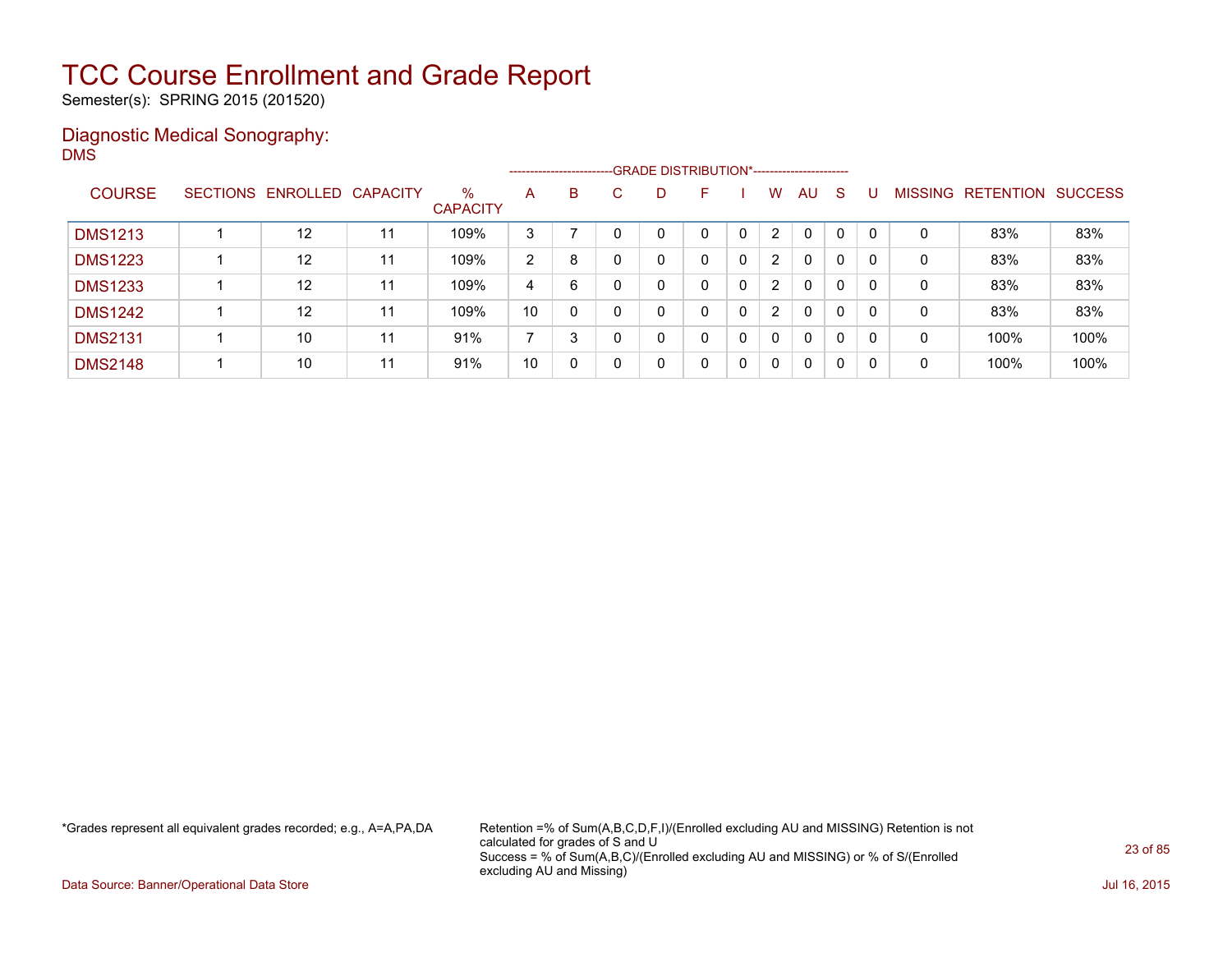Semester(s): SPRING 2015 (201520)

### Diagnostic Medical Sonography: DMS

|                |                            |    |                         | ------------------------- |   |   | -GRADE DISTRIBUTION*----------------------- |   |                |              |    |   |                |                  |                |
|----------------|----------------------------|----|-------------------------|---------------------------|---|---|---------------------------------------------|---|----------------|--------------|----|---|----------------|------------------|----------------|
| <b>COURSE</b>  | SECTIONS ENROLLED CAPACITY |    | $\%$<br><b>CAPACITY</b> | A                         | B | D | F                                           |   | W              | AU           | -S |   | <b>MISSING</b> | <b>RETENTION</b> | <b>SUCCESS</b> |
| <b>DMS1213</b> | 12                         |    | 109%                    | 3                         |   |   | 0                                           |   | $\overline{2}$ | $\mathbf{0}$ | 0  |   | 0              | 83%              | 83%            |
| <b>DMS1223</b> | 12                         | 11 | 109%                    | 2                         | 8 |   | 0                                           | 0 | $\overline{2}$ | $\mathbf{0}$ | 0  | 0 | 0              | 83%              | 83%            |
| <b>DMS1233</b> | 12                         | 11 | 109%                    | 4                         | 6 |   | 0                                           | 0 | $\overline{2}$ | $\mathbf{0}$ | 0  | 0 | 0              | 83%              | 83%            |
| <b>DMS1242</b> | 12                         | 11 | 109%                    | 10                        | 0 | n | 0                                           | 0 | $\overline{2}$ | $\mathbf{0}$ | 0  | 0 | 0              | 83%              | 83%            |
| <b>DMS2131</b> | 10                         | 11 | 91%                     | ⇁                         | 3 |   | 0                                           | 0 | 0              | $\mathbf{0}$ | 0  | 0 | 0              | 100%             | 100%           |
| <b>DMS2148</b> | 10                         | 11 | 91%                     | 10                        | 0 |   | 0                                           | 0 | 0              | $\mathbf{0}$ | 0  | 0 | 0              | 100%             | 100%           |

\*Grades represent all equivalent grades recorded; e.g., A=A,PA,DA Retention =% of Sum(A,B,C,D,F,I)/(Enrolled excluding AU and MISSING) Retention is not calculated for grades of S and U Success = % of Sum(A,B,C)/(Enrolled excluding AU and MISSING) or % of S/(Enrolled excluding AU and Missing)

Data Source: Banner/Operational Data Store Jul 16, 2015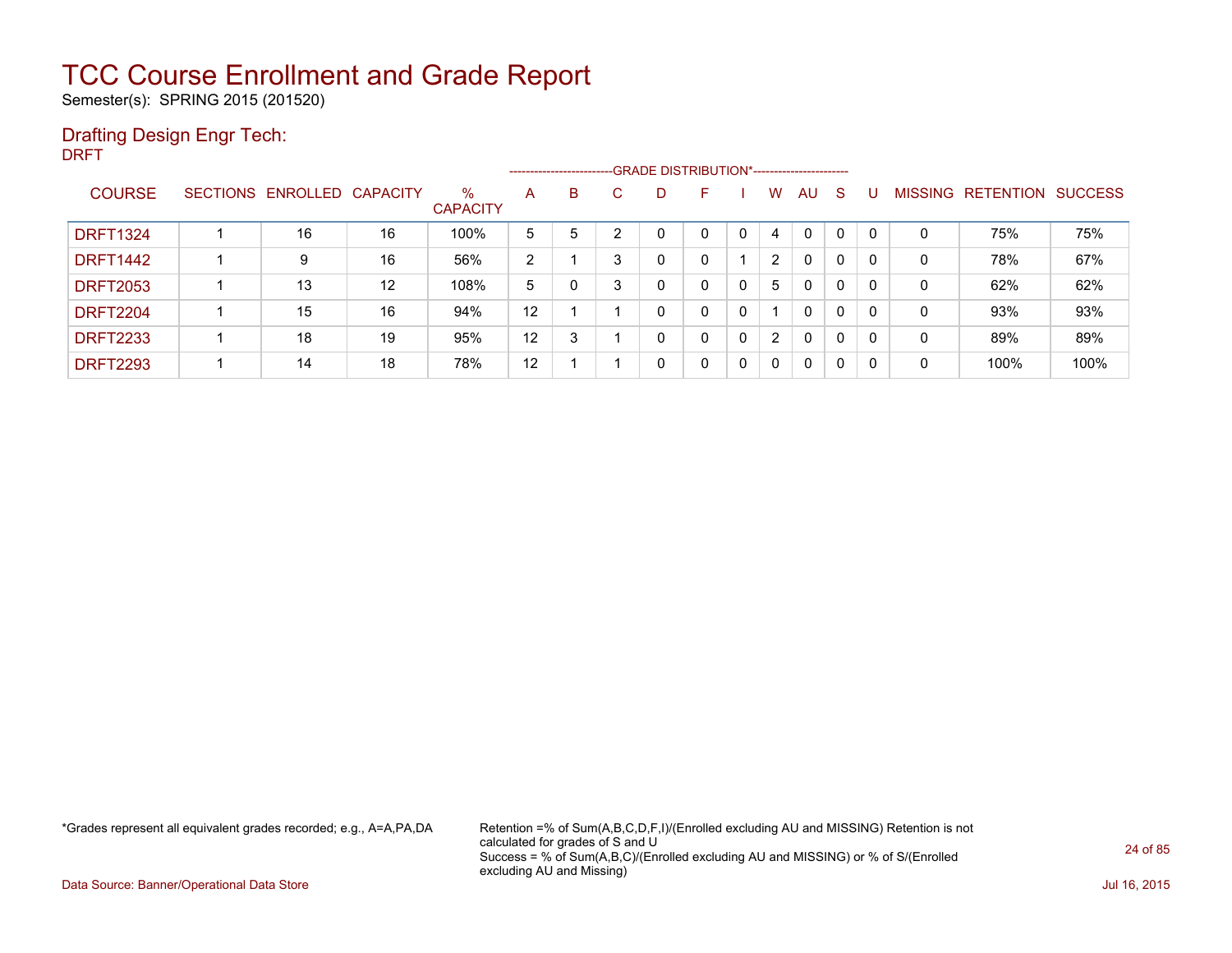Semester(s): SPRING 2015 (201520)

### Drafting Design Engr Tech:

DRFT

|                 |                 |          |                 |                         | ------------------------ |   |   | --GRADE DISTRIBUTION*----------------------- |   |   |                |          |              |              |                |                  |                |
|-----------------|-----------------|----------|-----------------|-------------------------|--------------------------|---|---|----------------------------------------------|---|---|----------------|----------|--------------|--------------|----------------|------------------|----------------|
| <b>COURSE</b>   | <b>SECTIONS</b> | ENROLLED | <b>CAPACITY</b> | $\%$<br><b>CAPACITY</b> | A                        | B | C | D                                            | F |   | w              | AU       | <sub>S</sub> |              | <b>MISSING</b> | <b>RETENTION</b> | <b>SUCCESS</b> |
| <b>DRFT1324</b> |                 | 16       | 16              | 100%                    | 5                        | 5 | ◠ | 0                                            | 0 | 0 | 4              | $\Omega$ |              | $\mathbf{0}$ | 0              | 75%              | 75%            |
| <b>DRFT1442</b> |                 | 9        | 16              | 56%                     | 2                        |   | 3 | 0                                            | 0 |   | $\overline{2}$ | $\Omega$ | 0            | $\Omega$     | 0              | 78%              | 67%            |
| <b>DRFT2053</b> |                 | 13       | 12              | 108%                    | 5                        |   | 3 | 0                                            | 0 | 0 | 5              | 0        | $\Omega$     | 0            | 0              | 62%              | 62%            |
| <b>DRFT2204</b> |                 | 15       | 16              | 94%                     | 12                       |   |   | 0                                            | 0 | 0 |                | $\Omega$ | 0            | $\Omega$     | 0              | 93%              | 93%            |
| <b>DRFT2233</b> |                 | 18       | 19              | 95%                     | 12                       | 3 |   | 0                                            | 0 | 0 | $\overline{2}$ | 0        | $\Omega$     | 0            | 0              | 89%              | 89%            |
| <b>DRFT2293</b> |                 | 14       | 18              | 78%                     | 12                       |   |   | 0                                            | 0 | 0 | 0              | 0        | 0            | 0            | 0              | 100%             | 100%           |

\*Grades represent all equivalent grades recorded; e.g., A=A,PA,DA Retention =% of Sum(A,B,C,D,F,I)/(Enrolled excluding AU and MISSING) Retention is not calculated for grades of S and U Success = % of Sum(A,B,C)/(Enrolled excluding AU and MISSING) or % of S/(Enrolled excluding AU and Missing)

Data Source: Banner/Operational Data Store Jul 16, 2015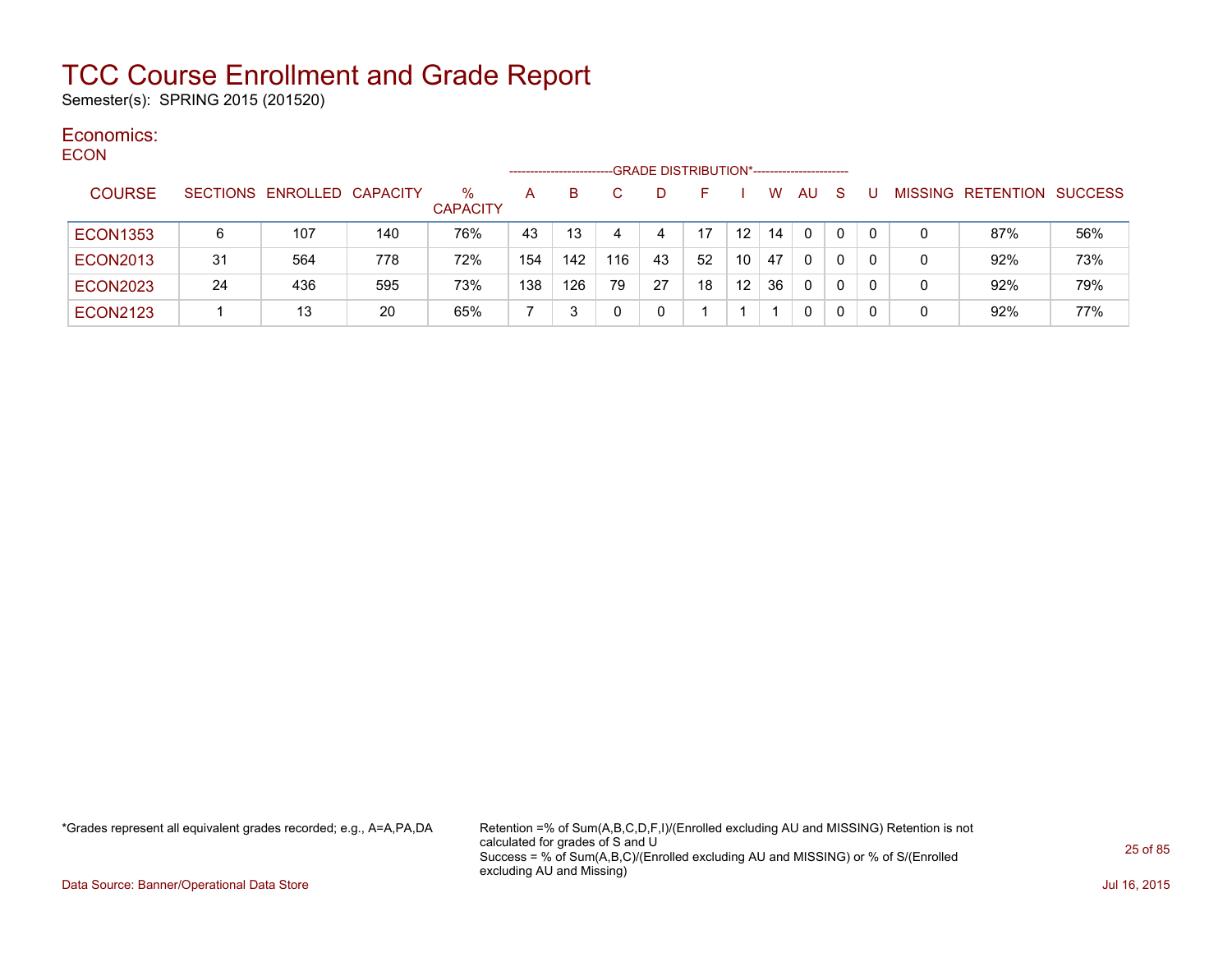Semester(s): SPRING 2015 (201520)

#### Economics: ECON

| ᆫᇰᇰᇅ            |    |                            |     |                         | ----------------- |     |     |    | -GRADE DISTRIBUTION*----------------------- |                   |    |              |              |          |   |                                  |     |
|-----------------|----|----------------------------|-----|-------------------------|-------------------|-----|-----|----|---------------------------------------------|-------------------|----|--------------|--------------|----------|---|----------------------------------|-----|
| <b>COURSE</b>   |    | SECTIONS ENROLLED CAPACITY |     | $\%$<br><b>CAPACITY</b> | A                 | B.  |     | D  |                                             |                   | w  | AU.          | <sub>S</sub> |          |   | <b>MISSING RETENTION SUCCESS</b> |     |
| <b>ECON1353</b> | 6  | 107                        | 140 | 76%                     | 43                | 13  |     | 4  | 17                                          | $12 \overline{ }$ | 14 | $\mathbf{0}$ | $\Omega$     | $\Omega$ | 0 | 87%                              | 56% |
| <b>ECON2013</b> | 31 | 564                        | 778 | 72%                     | 154               | 142 | 116 | 43 | 52                                          | 10                | 47 | $\mathbf{0}$ | $\Omega$     |          | 0 | 92%                              | 73% |
| <b>ECON2023</b> | 24 | 436                        | 595 | 73%                     | 138               | 126 | 79  | 27 | 18                                          | 12 <sup>°</sup>   | 36 | $\Omega$     | 0            | $\Omega$ | 0 | 92%                              | 79% |
| <b>ECON2123</b> |    | 13                         | 20  | 65%                     |                   |     |     | 0  |                                             |                   |    | 0            | 0            | -0       | 0 | 92%                              | 77% |

\*Grades represent all equivalent grades recorded; e.g., A=A,PA,DA Retention =% of Sum(A,B,C,D,F,I)/(Enrolled excluding AU and MISSING) Retention is not calculated for grades of S and U Success = % of Sum(A,B,C)/(Enrolled excluding AU and MISSING) or % of S/(Enrolled excluding AU and Missing)

Data Source: Banner/Operational Data Store Jul 16, 2015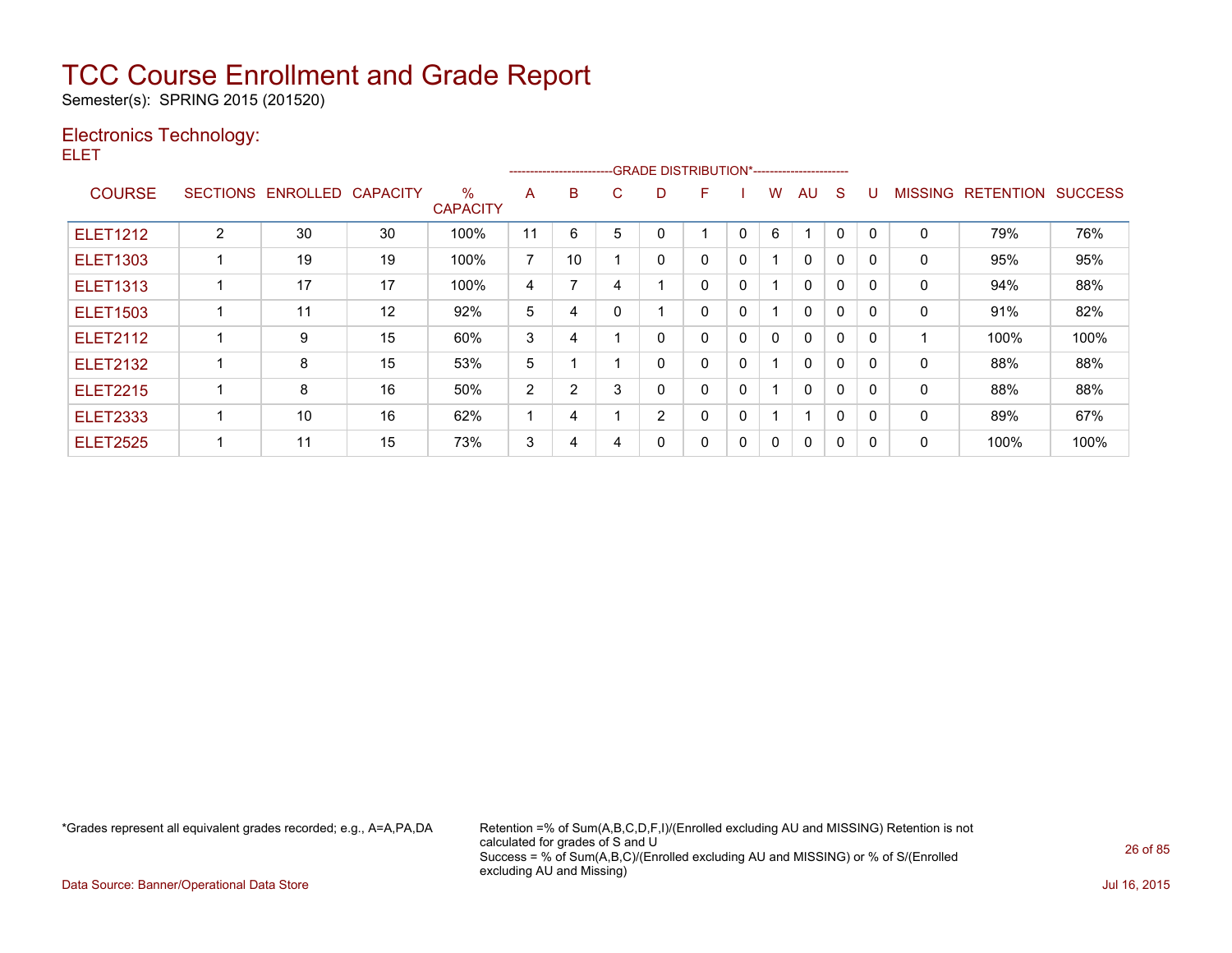Semester(s): SPRING 2015 (201520)

### Electronics Technology:

ELET

|                 |                 |                 |                 |                      |    | --------------------------GRADE DISTRIBUTION*----------------------- |   |   |   |              |   |              |              |              |                |                  |                |
|-----------------|-----------------|-----------------|-----------------|----------------------|----|----------------------------------------------------------------------|---|---|---|--------------|---|--------------|--------------|--------------|----------------|------------------|----------------|
| <b>COURSE</b>   | <b>SECTIONS</b> | <b>ENROLLED</b> | <b>CAPACITY</b> | %<br><b>CAPACITY</b> | A  | B                                                                    | С | D | F |              | W | AU           | S            |              | <b>MISSING</b> | <b>RETENTION</b> | <b>SUCCESS</b> |
| <b>ELET1212</b> | $\overline{2}$  | 30              | 30              | 100%                 | 11 | 6                                                                    | 5 | 0 |   | 0            | 6 |              | 0            | $\mathbf{0}$ | 0              | 79%              | 76%            |
| <b>ELET1303</b> |                 | 19              | 19              | 100%                 | 7  | 10                                                                   |   | 0 | 0 | 0            |   | $\mathbf{0}$ | 0            | $\Omega$     | 0              | 95%              | 95%            |
| <b>ELET1313</b> |                 | 17              | 17              | 100%                 | 4  | 7                                                                    | 4 |   | 0 | $\mathbf{0}$ |   | $\Omega$     | $\Omega$     | $\Omega$     | 0              | 94%              | 88%            |
| <b>ELET1503</b> |                 | 11              | 12              | 92%                  | 5  | 4                                                                    |   |   | 0 | 0            |   | $\mathbf{0}$ | 0            | $\Omega$     | 0              | 91%              | 82%            |
| <b>ELET2112</b> |                 | 9               | 15              | 60%                  | 3  | 4                                                                    |   | 0 | 0 | 0            | 0 | $\mathbf{0}$ | $\Omega$     | $\Omega$     |                | 100%             | 100%           |
| <b>ELET2132</b> |                 | 8               | 15              | 53%                  | 5  |                                                                      |   | 0 | 0 | 0            |   | $\Omega$     | $\Omega$     | $\Omega$     | 0              | 88%              | 88%            |
| <b>ELET2215</b> |                 | 8               | 16              | 50%                  | 2  | 2                                                                    | 3 | 0 | 0 | 0            |   | $\mathbf{0}$ | $\mathbf{0}$ | $\Omega$     | 0              | 88%              | 88%            |
| <b>ELET2333</b> |                 | 10              | 16              | 62%                  |    | 4                                                                    |   | 2 | 0 | 0            | 4 | 4            | $\Omega$     | $\Omega$     | 0              | 89%              | 67%            |
| <b>ELET2525</b> |                 | 11              | 15              | 73%                  | 3  | 4                                                                    | 4 | 0 | 0 | 0            | 0 | $\Omega$     | 0            | 0            | 0              | 100%             | 100%           |

\*Grades represent all equivalent grades recorded; e.g., A=A,PA,DA Retention =% of Sum(A,B,C,D,F,I)/(Enrolled excluding AU and MISSING) Retention is not calculated for grades of S and U Success = % of Sum(A,B,C)/(Enrolled excluding AU and MISSING) or % of S/(Enrolled excluding AU and Missing)

Data Source: Banner/Operational Data Store Jul 16, 2015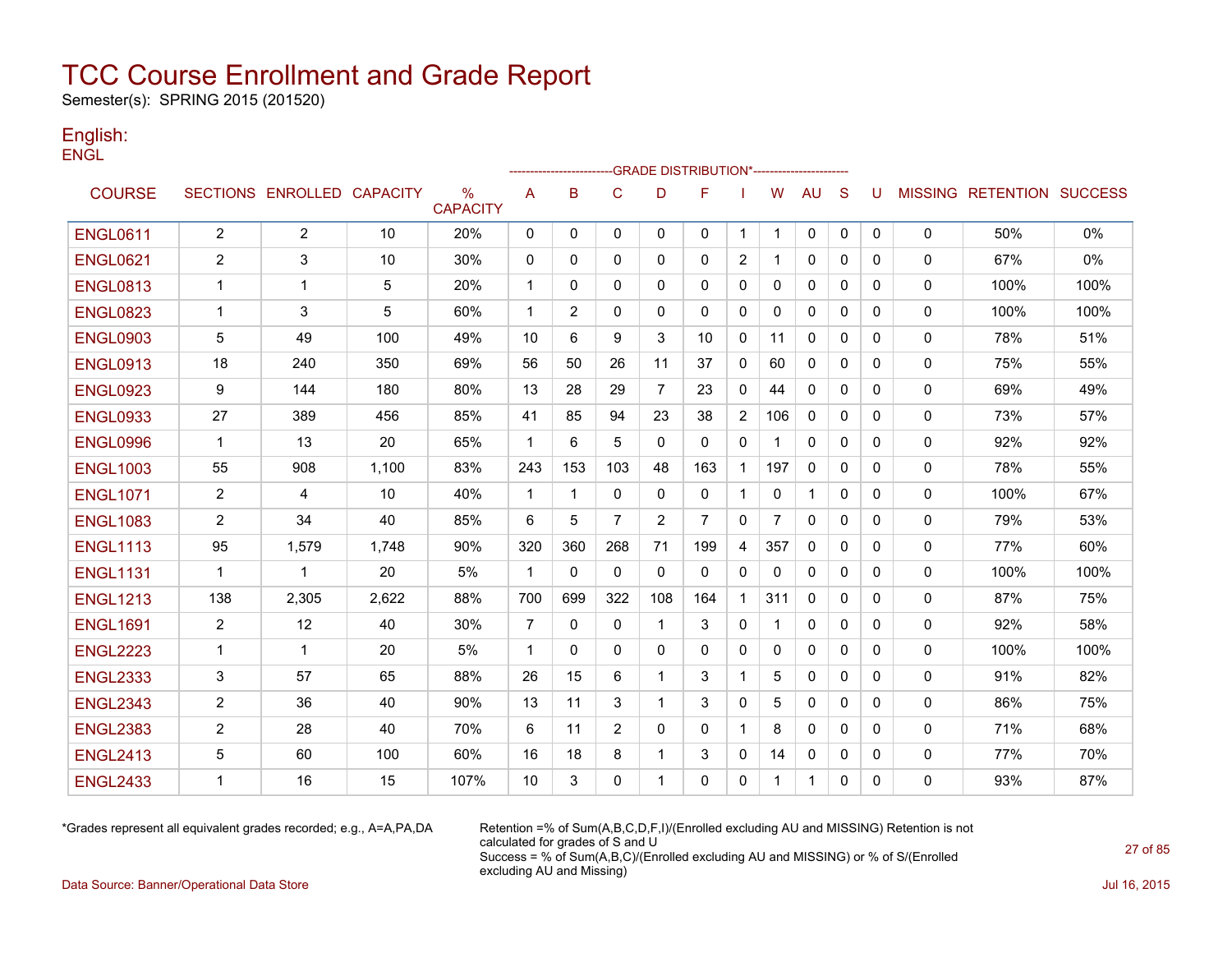Semester(s): SPRING 2015 (201520)

### English: **ENGL**

|                 |                |                            |       |                         |                |                |                |                | -GRADE DISTRIBUTION*---------------------- |                |              |              |              |              |              |                                  |      |
|-----------------|----------------|----------------------------|-------|-------------------------|----------------|----------------|----------------|----------------|--------------------------------------------|----------------|--------------|--------------|--------------|--------------|--------------|----------------------------------|------|
| <b>COURSE</b>   |                | SECTIONS ENROLLED CAPACITY |       | $\%$<br><b>CAPACITY</b> | Α              | B              | $\mathsf{C}$   | D              | F                                          |                | W            | AU           | S            | U            |              | <b>MISSING RETENTION SUCCESS</b> |      |
| <b>ENGL0611</b> | $\overline{2}$ | $\overline{2}$             | 10    | 20%                     | 0              | 0              | 0              | $\mathbf{0}$   | $\mathbf{0}$                               | $\mathbf{1}$   | $\mathbf 1$  | 0            | 0            | $\mathbf{0}$ | 0            | 50%                              | 0%   |
| <b>ENGL0621</b> | $\overline{2}$ | 3                          | 10    | 30%                     | 0              | 0              | 0              | 0              | $\mathbf{0}$                               | 2              | 1            | 0            | $\mathbf{0}$ | 0            | 0            | 67%                              | 0%   |
| <b>ENGL0813</b> | 1              | 1                          | 5     | 20%                     | $\mathbf 1$    | 0              | 0              | 0              | 0                                          | 0              | 0            | 0            | 0            | 0            | 0            | 100%                             | 100% |
| <b>ENGL0823</b> | -1             | 3                          | 5     | 60%                     | $\mathbf{1}$   | $\overline{2}$ | $\mathbf{0}$   | $\mathbf{0}$   | $\mathbf{0}$                               | $\mathbf{0}$   | 0            | $\mathbf{0}$ | 0            | 0            | $\mathbf{0}$ | 100%                             | 100% |
| <b>ENGL0903</b> | 5              | 49                         | 100   | 49%                     | 10             | 6              | 9              | 3              | 10                                         | 0              | 11           | $\mathbf{0}$ | $\mathbf{0}$ | 0            | $\mathbf 0$  | 78%                              | 51%  |
| <b>ENGL0913</b> | 18             | 240                        | 350   | 69%                     | 56             | 50             | 26             | 11             | 37                                         | $\mathbf{0}$   | 60           | $\Omega$     | $\Omega$     | 0            | $\mathbf{0}$ | 75%                              | 55%  |
| <b>ENGL0923</b> | 9              | 144                        | 180   | 80%                     | 13             | 28             | 29             | $\overline{7}$ | 23                                         | 0              | 44           | 0            | $\mathbf{0}$ | 0            | $\mathbf 0$  | 69%                              | 49%  |
| <b>ENGL0933</b> | 27             | 389                        | 456   | 85%                     | 41             | 85             | 94             | 23             | 38                                         | $\overline{2}$ | 106          | $\Omega$     | $\Omega$     | 0            | 0            | 73%                              | 57%  |
| <b>ENGL0996</b> | 1              | 13                         | 20    | 65%                     | 1              | 6              | 5              | 0              | $\mathbf{0}$                               | 0              | 1            | 0            | $\mathbf{0}$ | 0            | 0            | 92%                              | 92%  |
| <b>ENGL1003</b> | 55             | 908                        | 1.100 | 83%                     | 243            | 153            | 103            | 48             | 163                                        | $\mathbf{1}$   | 197          | $\mathbf{0}$ | $\mathbf{0}$ | 0            | 0            | 78%                              | 55%  |
| <b>ENGL1071</b> | $\overline{2}$ | 4                          | 10    | 40%                     | $\mathbf{1}$   | $\mathbf{1}$   | $\Omega$       | $\mathbf{0}$   | $\mathbf{0}$                               | $\mathbf{1}$   | $\mathbf{0}$ | $\mathbf 1$  | $\mathbf{0}$ | 0            | 0            | 100%                             | 67%  |
| <b>ENGL1083</b> | $\overline{2}$ | 34                         | 40    | 85%                     | 6              | 5              | $\overline{7}$ | 2              | 7                                          | $\mathbf{0}$   | 7            | 0            | $\mathbf{0}$ | 0            | 0            | 79%                              | 53%  |
| <b>ENGL1113</b> | 95             | 1,579                      | 1,748 | 90%                     | 320            | 360            | 268            | 71             | 199                                        | 4              | 357          | $\mathbf{0}$ | $\Omega$     | 0            | 0            | 77%                              | 60%  |
| <b>ENGL1131</b> | $\mathbf 1$    | 1                          | 20    | 5%                      | $\mathbf{1}$   | $\mathbf{0}$   | $\mathbf{0}$   | $\mathbf{0}$   | $\Omega$                                   | 0              | 0            | 0            | $\mathbf{0}$ | 0            | 0            | 100%                             | 100% |
| <b>ENGL1213</b> | 138            | 2,305                      | 2,622 | 88%                     | 700            | 699            | 322            | 108            | 164                                        | $\mathbf{1}$   | 311          | $\Omega$     | $\Omega$     | 0            | 0            | 87%                              | 75%  |
| <b>ENGL1691</b> | $\overline{2}$ | 12                         | 40    | 30%                     | $\overline{7}$ | 0              | $\mathbf 0$    | 1              | 3                                          | 0              | 1            | 0            | 0            | 0            | 0            | 92%                              | 58%  |
| <b>ENGL2223</b> | $\mathbf 1$    | 1                          | 20    | 5%                      | $\mathbf{1}$   | $\mathbf{0}$   | 0              | $\mathbf{0}$   | $\mathbf{0}$                               | $\mathbf{0}$   | $\mathbf{0}$ | $\mathbf{0}$ | $\mathbf{0}$ | 0            | 0            | 100%                             | 100% |
| <b>ENGL2333</b> | 3              | 57                         | 65    | 88%                     | 26             | 15             | 6              | 1              | 3                                          | $\mathbf{1}$   | 5            | $\Omega$     | $\Omega$     | 0            | $\mathbf 0$  | 91%                              | 82%  |
| <b>ENGL2343</b> | $\overline{2}$ | 36                         | 40    | 90%                     | 13             | 11             | 3              | 1              | 3                                          | $\mathbf{0}$   | 5            | $\mathbf{0}$ | $\Omega$     | 0            | 0            | 86%                              | 75%  |
| <b>ENGL2383</b> | $\overline{2}$ | 28                         | 40    | 70%                     | 6              | 11             | 2              | $\mathbf{0}$   | $\mathbf{0}$                               | $\mathbf{1}$   | 8            | $\mathbf{0}$ | $\Omega$     | 0            | 0            | 71%                              | 68%  |
| <b>ENGL2413</b> | 5              | 60                         | 100   | 60%                     | 16             | 18             | 8              | 1              | 3                                          | 0              | 14           | 0            | 0            | 0            | 0            | 77%                              | 70%  |
| <b>ENGL2433</b> | -1             | 16                         | 15    | 107%                    | 10             | 3              | $\mathbf{0}$   | 1              | $\mathbf{0}$                               | 0              | 1            | 1            | 0            | 0            | 0            | 93%                              | 87%  |

\*Grades represent all equivalent grades recorded; e.g., A=A,PA,DA Retention =% of Sum(A,B,C,D,F,I)/(Enrolled excluding AU and MISSING) Retention is not calculated for grades of S and U Success = % of Sum(A,B,C)/(Enrolled excluding AU and MISSING) or % of S/(Enrolled excluding AU and Missing)

Data Source: Banner/Operational Data Store Jul 16, 2015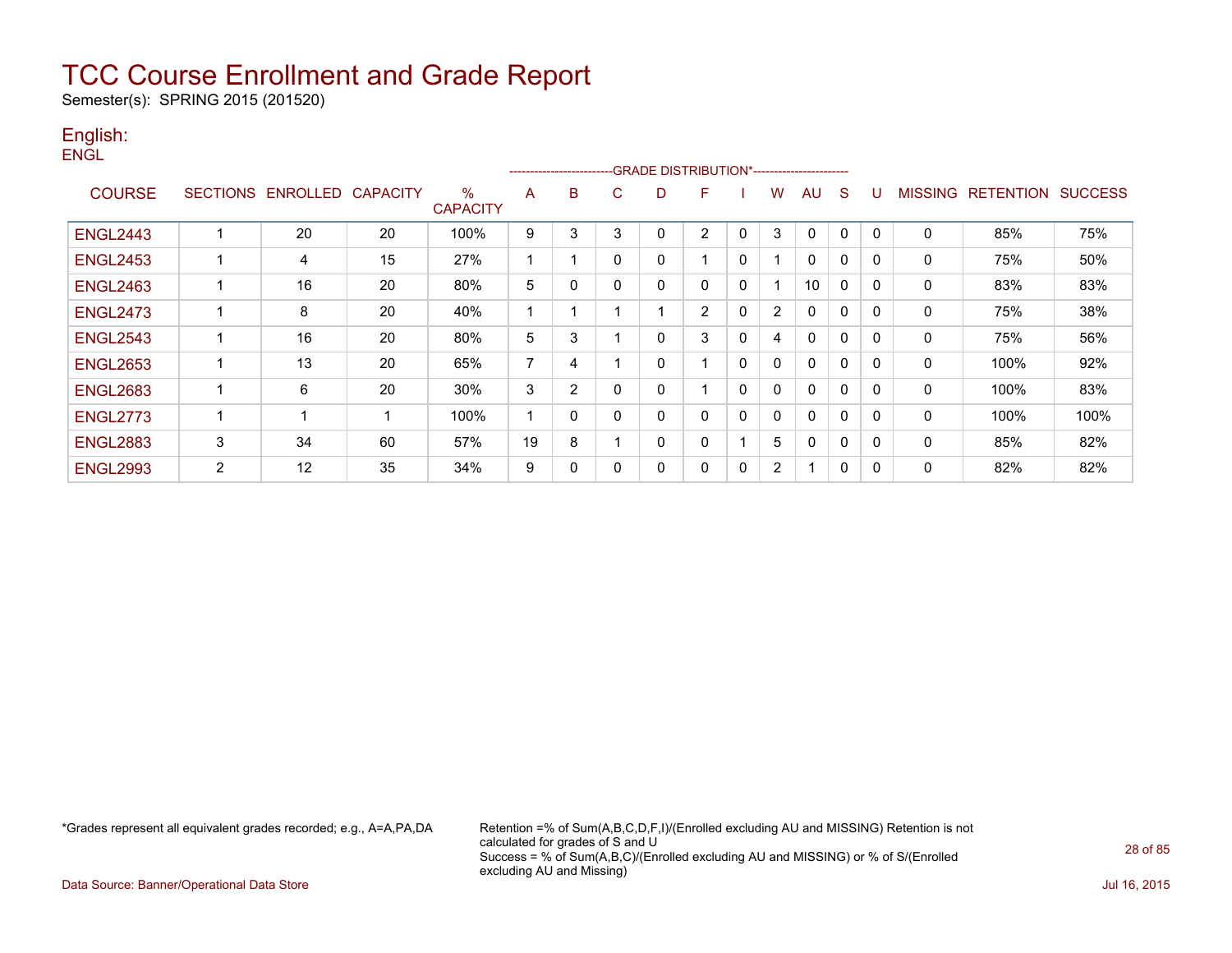Semester(s): SPRING 2015 (201520)

### English: **ENGL**

|                 |                |                            |    |                      |    | ------------------------ |             | -GRADE DISTRIBUTION*---------------------- |              |          |   |              |              |          |                |                          |      |
|-----------------|----------------|----------------------------|----|----------------------|----|--------------------------|-------------|--------------------------------------------|--------------|----------|---|--------------|--------------|----------|----------------|--------------------------|------|
| <b>COURSE</b>   |                | SECTIONS ENROLLED CAPACITY |    | %<br><b>CAPACITY</b> | A  | B                        | C           | D                                          | F            |          | w | AU           | S            |          | <b>MISSING</b> | <b>RETENTION SUCCESS</b> |      |
| <b>ENGL2443</b> | 4              | 20                         | 20 | 100%                 | 9  | 3                        | 3           | $\mathbf 0$                                | 2            | 0        | 3 | $\mathbf 0$  | $\Omega$     | 0        | $\mathbf{0}$   | 85%                      | 75%  |
| <b>ENGL2453</b> | 1              | 4                          | 15 | 27%                  |    |                          | $\mathbf 0$ | 0                                          |              | 0        |   | $\mathbf 0$  | 0            | 0        | 0              | 75%                      | 50%  |
| <b>ENGL2463</b> | 1              | 16                         | 20 | 80%                  | 5  | 0                        | $\mathbf 0$ | 0                                          | $\mathbf{0}$ | 0        |   | 10           | 0            | 0        | 0              | 83%                      | 83%  |
| <b>ENGL2473</b> | 1              | 8                          | 20 | 40%                  |    |                          |             |                                            | 2            | 0        | 2 | $\mathbf 0$  | $\Omega$     | $\Omega$ | 0              | 75%                      | 38%  |
| <b>ENGL2543</b> | 1              | 16                         | 20 | 80%                  | 5  | 3                        |             | 0                                          | 3            | 0        | 4 | 0            | 0            | 0        | 0              | 75%                      | 56%  |
| <b>ENGL2653</b> | 1              | 13                         | 20 | 65%                  | 7  | 4                        |             | $\mathbf 0$                                |              | 0        | 0 | $\mathbf 0$  | $\Omega$     | 0        | 0              | 100%                     | 92%  |
| <b>ENGL2683</b> | 1              | 6                          | 20 | 30%                  | 3  | 2                        | 0           | 0                                          |              | 0        | 0 | $\Omega$     | $\mathbf{0}$ | 0        | 0              | 100%                     | 83%  |
| <b>ENGL2773</b> | 1              |                            |    | 100%                 |    | 0                        | $\mathbf 0$ | $\mathbf 0$                                | 0            | $\Omega$ | 0 | $\Omega$     | $\Omega$     | 0        | 0              | 100%                     | 100% |
| <b>ENGL2883</b> | 3              | 34                         | 60 | 57%                  | 19 | 8                        |             | $\mathbf 0$                                | $\mathbf{0}$ |          | 5 | $\mathbf{0}$ | $\Omega$     | 0        | 0              | 85%                      | 82%  |
| <b>ENGL2993</b> | $\overline{2}$ | 12                         | 35 | 34%                  | 9  | 0                        | 0           | 0                                          | 0            | 0        | 2 |              | 0            | 0        | 0              | 82%                      | 82%  |

\*Grades represent all equivalent grades recorded; e.g., A=A,PA,DA Retention =% of Sum(A,B,C,D,F,I)/(Enrolled excluding AU and MISSING) Retention is not calculated for grades of S and U Success = % of Sum(A,B,C)/(Enrolled excluding AU and MISSING) or % of S/(Enrolled excluding AU and Missing)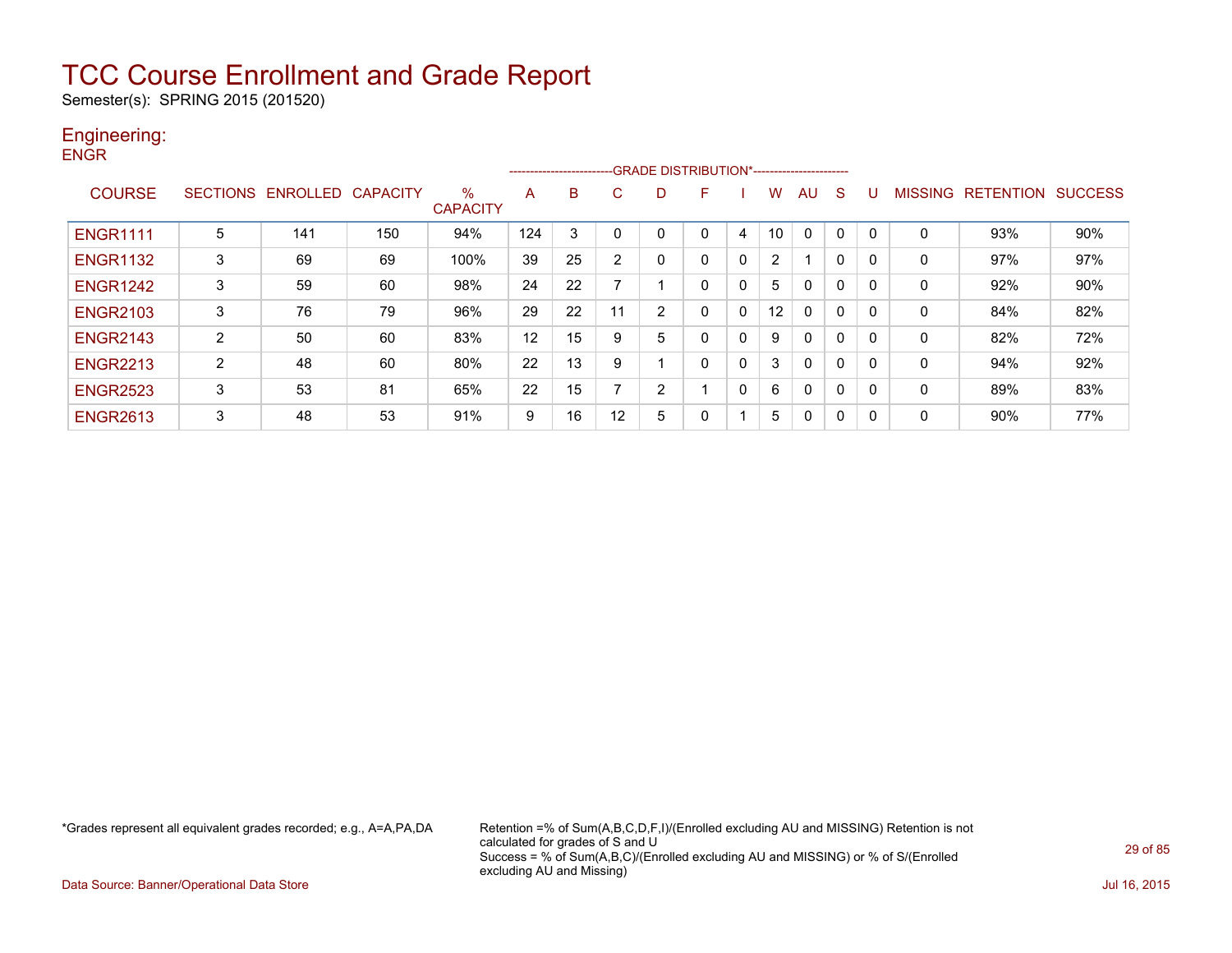Semester(s): SPRING 2015 (201520)

### Engineering: **ENGR**

|                 |   |                            |     |                      |     | ------------------------ |                | --GRADE DISTRIBUTION*----------------------- |   |              |                   |              |              |   |                |                          |     |
|-----------------|---|----------------------------|-----|----------------------|-----|--------------------------|----------------|----------------------------------------------|---|--------------|-------------------|--------------|--------------|---|----------------|--------------------------|-----|
| <b>COURSE</b>   |   | SECTIONS ENROLLED CAPACITY |     | %<br><b>CAPACITY</b> | A   | B                        | C              | D                                            | F |              | w                 | AU           | <sub>S</sub> | U | <b>MISSING</b> | <b>RETENTION SUCCESS</b> |     |
| <b>ENGR1111</b> | 5 | 141                        | 150 | 94%                  | 124 | 3                        | 0              |                                              |   | 4            | 10                | 0            | $\mathbf{0}$ | 0 | 0              | 93%                      | 90% |
| <b>ENGR1132</b> | 3 | 69                         | 69  | 100%                 | 39  | 25                       | $\overline{2}$ | $\Omega$                                     |   | $\mathbf{0}$ | $\overline{2}$    |              | $\mathbf{0}$ | 0 | 0              | 97%                      | 97% |
| <b>ENGR1242</b> | 3 | 59                         | 60  | 98%                  | 24  | 22                       |                |                                              |   | 0            | 5                 | $\mathbf{0}$ | 0            | 0 | 0              | 92%                      | 90% |
| <b>ENGR2103</b> | 3 | 76                         | 79  | 96%                  | 29  | 22                       | 11             | 2                                            |   | $\mathbf{0}$ | $12 \overline{ }$ | $\mathbf{0}$ | 0            | 0 | 0              | 84%                      | 82% |
| <b>ENGR2143</b> | 2 | 50                         | 60  | 83%                  | 12  | 15                       | 9              | 5                                            |   | 0            | 9                 | $\mathbf{0}$ | $\Omega$     | 0 | 0              | 82%                      | 72% |
| <b>ENGR2213</b> | 2 | 48                         | 60  | 80%                  | 22  | 13                       | 9              |                                              |   | 0            | 3                 | $\mathbf{0}$ | $\mathbf{0}$ | 0 | 0              | 94%                      | 92% |
| <b>ENGR2523</b> | 3 | 53                         | 81  | 65%                  | 22  | 15                       | ⇁              | 2                                            |   | $\mathbf{0}$ | 6                 | $\mathbf{0}$ | $\Omega$     | 0 | 0              | 89%                      | 83% |
| <b>ENGR2613</b> | 3 | 48                         | 53  | 91%                  | 9   | 16                       | 12             | 5                                            | 0 |              | 5                 | $\Omega$     | 0            | 0 | 0              | 90%                      | 77% |

\*Grades represent all equivalent grades recorded; e.g., A=A,PA,DA Retention =% of Sum(A,B,C,D,F,I)/(Enrolled excluding AU and MISSING) Retention is not calculated for grades of S and U Success = % of Sum(A,B,C)/(Enrolled excluding AU and MISSING) or % of S/(Enrolled excluding AU and Missing)

Data Source: Banner/Operational Data Store Jul 16, 2015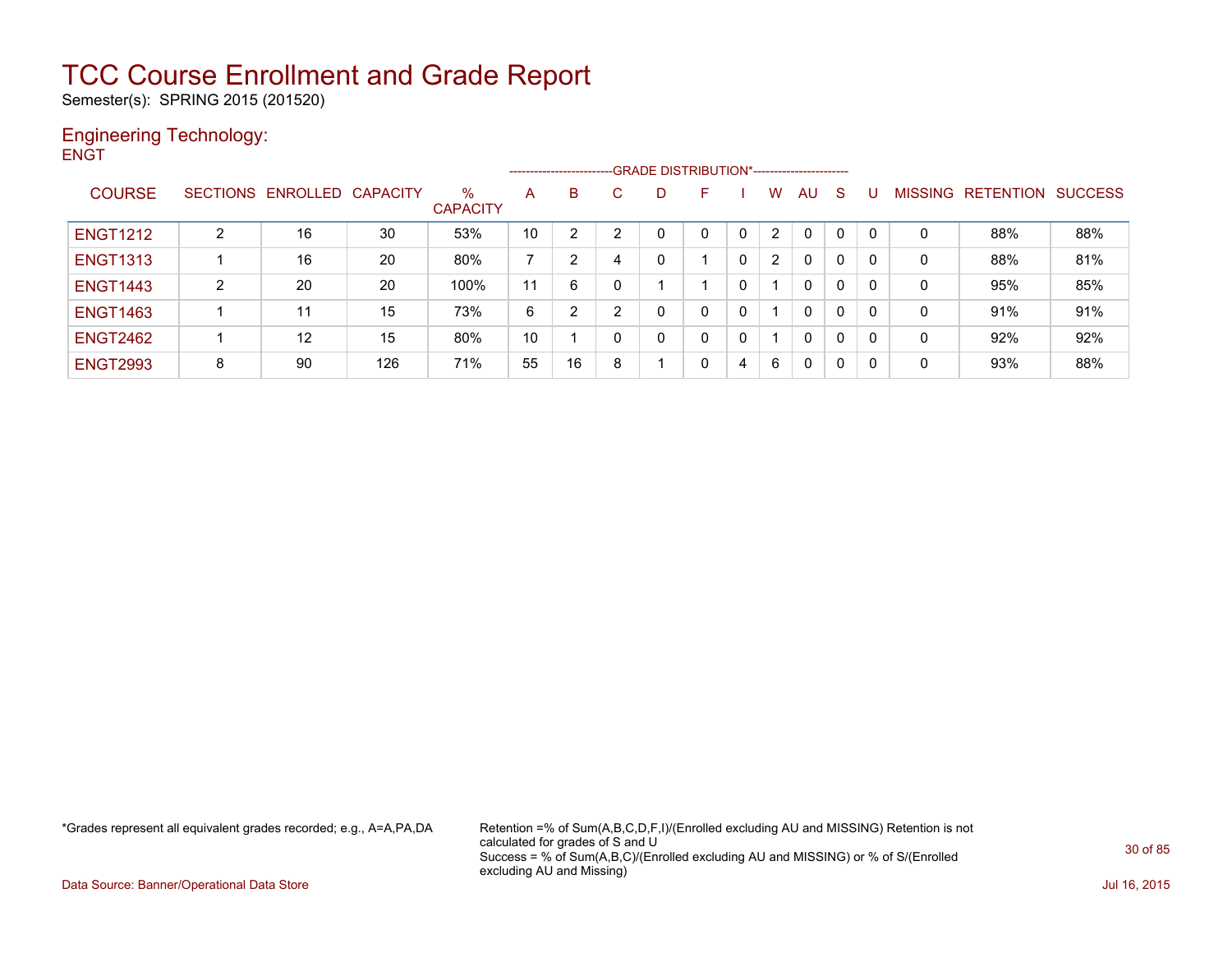Semester(s): SPRING 2015 (201520)

### Engineering Technology: **ENGT**

|                 |   |                            |     |                         |    | --------------------- |              | -GRADE DISTRIBUTION*----------------------- |    |   |   |              |   |                |           |                |
|-----------------|---|----------------------------|-----|-------------------------|----|-----------------------|--------------|---------------------------------------------|----|---|---|--------------|---|----------------|-----------|----------------|
| <b>COURSE</b>   |   | SECTIONS ENROLLED CAPACITY |     | $\%$<br><b>CAPACITY</b> | A  | B                     | $\mathbf{C}$ | D                                           | F. |   | w | AU           | S | <b>MISSING</b> | RETENTION | <b>SUCCESS</b> |
| <b>ENGT1212</b> | 2 | 16                         | 30  | 53%                     | 10 | 2                     | っ            |                                             | 0  | 0 | 2 | $\mathbf{0}$ | 0 | 0              | 88%       | 88%            |
| <b>ENGT1313</b> |   | 16                         | 20  | 80%                     |    | 2                     | 4            |                                             |    | 0 | 2 | 0            | 0 | 0              | 88%       | 81%            |
| <b>ENGT1443</b> | 2 | 20                         | 20  | 100%                    | 11 | 6                     | 0            |                                             |    | 0 |   | 0            | 0 | 0              | 95%       | 85%            |
| <b>ENGT1463</b> |   | 11                         | 15  | 73%                     | 6  | 2                     | າ            |                                             | 0  | 0 |   | $\mathbf{0}$ | 0 | 0              | 91%       | 91%            |
| <b>ENGT2462</b> |   | 12                         | 15  | 80%                     | 10 |                       | 0            |                                             |    | 0 |   | 0            | 0 | 0              | 92%       | 92%            |
| <b>ENGT2993</b> | 8 | 90                         | 126 | 71%                     | 55 | 16                    | 8            |                                             | 0  | 4 | 6 | 0            | 0 | 0              | 93%       | 88%            |

\*Grades represent all equivalent grades recorded; e.g., A=A,PA,DA Retention =% of Sum(A,B,C,D,F,I)/(Enrolled excluding AU and MISSING) Retention is not calculated for grades of S and U Success = % of Sum(A,B,C)/(Enrolled excluding AU and MISSING) or % of S/(Enrolled excluding AU and Missing)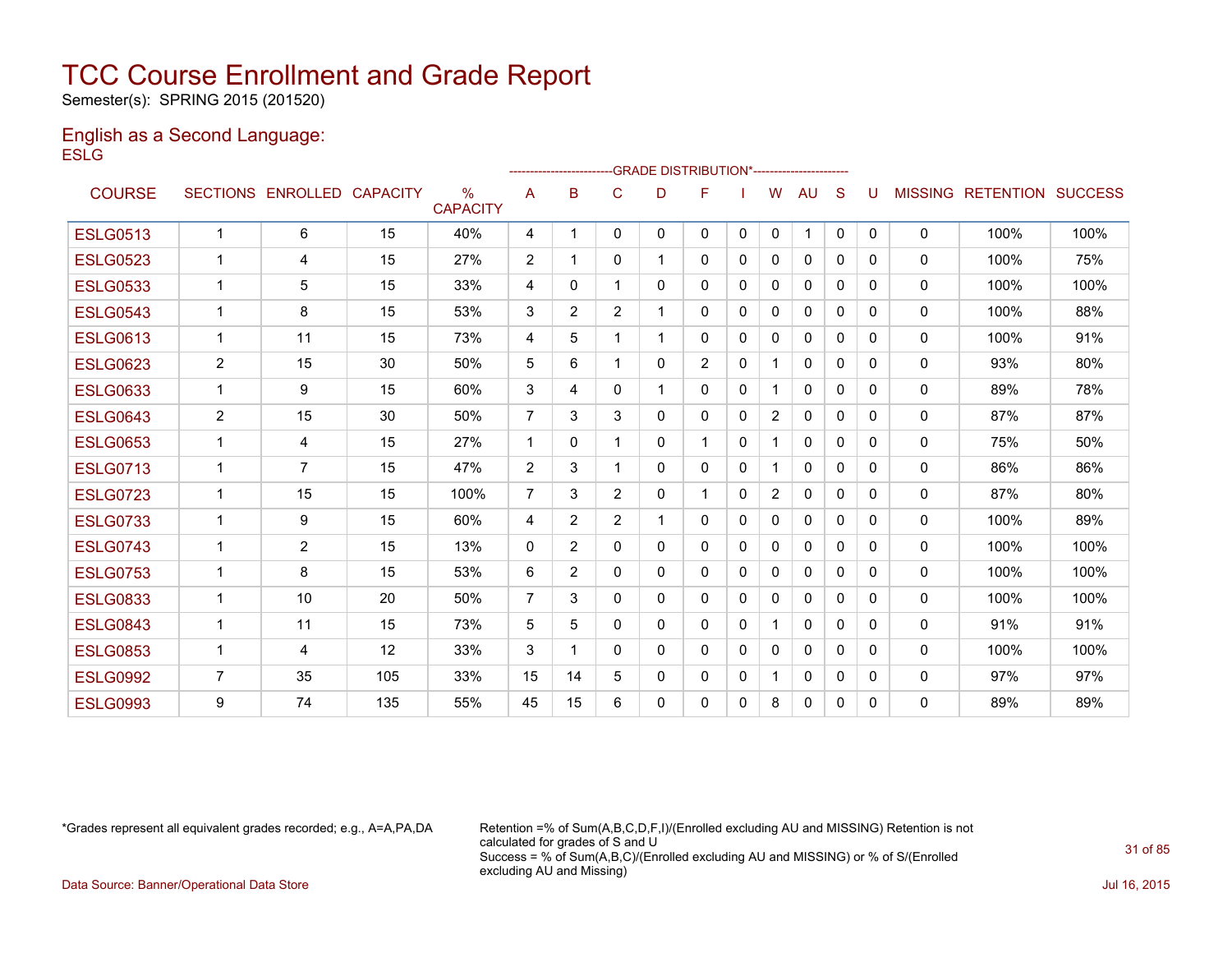Semester(s): SPRING 2015 (201520)

### English as a Second Language: **ESLG**

|                 |                |                            |     |                                  |                |                |                | -GRADE DISTRIBUTION*---------------------- |                |              |                |              |              |              |                |                  |                |
|-----------------|----------------|----------------------------|-----|----------------------------------|----------------|----------------|----------------|--------------------------------------------|----------------|--------------|----------------|--------------|--------------|--------------|----------------|------------------|----------------|
| <b>COURSE</b>   |                | SECTIONS ENROLLED CAPACITY |     | $\frac{0}{0}$<br><b>CAPACITY</b> | A              | B              | C              | D                                          | F              |              | W              | AU           | S            |              | <b>MISSING</b> | <b>RETENTION</b> | <b>SUCCESS</b> |
| <b>ESLG0513</b> | 1              | 6                          | 15  | 40%                              | 4              | 1              | 0              | 0                                          | 0              | $\mathbf{0}$ | 0              | 1            | $\mathbf{0}$ | $\mathbf{0}$ | $\mathbf{0}$   | 100%             | 100%           |
| <b>ESLG0523</b> | 1              | 4                          | 15  | 27%                              | 2              | 1              | 0              | 1                                          | 0              | 0            | 0              | 0            | 0            | 0            | 0              | 100%             | 75%            |
| <b>ESLG0533</b> | 1              | 5                          | 15  | 33%                              | 4              | 0              |                | 0                                          | 0              | $\Omega$     | 0              | $\mathbf{0}$ | $\Omega$     | $\Omega$     | $\mathbf{0}$   | 100%             | 100%           |
| <b>ESLG0543</b> | 1              | 8                          | 15  | 53%                              | 3              | $\overline{2}$ | $\overline{2}$ | 1                                          | 0              | $\mathbf{0}$ | $\mathbf{0}$   | 0            | $\Omega$     | 0            | 0              | 100%             | 88%            |
| <b>ESLG0613</b> | 1              | 11                         | 15  | 73%                              | 4              | 5              |                |                                            | 0              | $\mathbf{0}$ | 0              | $\mathbf{0}$ | $\Omega$     | 0            | $\mathbf{0}$   | 100%             | 91%            |
| <b>ESLG0623</b> | $\overline{2}$ | 15                         | 30  | 50%                              | 5              | 6              |                | 0                                          | $\overline{2}$ | 0            | 1              | $\mathbf{0}$ | $\mathbf{0}$ | 0            | $\mathbf{0}$   | 93%              | 80%            |
| <b>ESLG0633</b> | 1              | 9                          | 15  | 60%                              | 3              | 4              | 0              | 1                                          | 0              | $\mathbf{0}$ | 1.             | 0            | $\Omega$     | 0            | $\mathbf{0}$   | 89%              | 78%            |
| <b>ESLG0643</b> | $\overline{2}$ | 15                         | 30  | 50%                              | $\overline{7}$ | 3              | 3              | 0                                          | 0              | $\Omega$     | $\overline{2}$ | $\mathbf{0}$ | $\Omega$     | 0            | $\mathbf{0}$   | 87%              | 87%            |
| <b>ESLG0653</b> | 1              | 4                          | 15  | 27%                              | $\mathbf 1$    | 0              |                | 0                                          | 1              | $\Omega$     | 1              | $\mathbf{0}$ | $\Omega$     | 0            | 0              | 75%              | 50%            |
| <b>ESLG0713</b> | 1              | 7                          | 15  | 47%                              | 2              | 3              |                | 0                                          | 0              | 0            | 1              | $\mathbf{0}$ | $\Omega$     | 0            | $\mathbf{0}$   | 86%              | 86%            |
| <b>ESLG0723</b> | 1              | 15                         | 15  | 100%                             | 7              | 3              | $\overline{2}$ | 0                                          | 1              | 0            | $\overline{2}$ | $\mathbf{0}$ | $\mathbf{0}$ | 0            | 0              | 87%              | 80%            |
| <b>ESLG0733</b> | 1              | 9                          | 15  | 60%                              | 4              | $\overline{2}$ | $\overline{2}$ |                                            | 0              | 0            | 0              | $\mathbf{0}$ | $\Omega$     | 0            | $\mathbf{0}$   | 100%             | 89%            |
| <b>ESLG0743</b> | $\mathbf 1$    | $\overline{2}$             | 15  | 13%                              | $\mathbf{0}$   | $\overline{2}$ | 0              | 0                                          | 0              | $\Omega$     | 0              | $\mathbf{0}$ | $\Omega$     | 0            | $\mathbf 0$    | 100%             | 100%           |
| <b>ESLG0753</b> | 1              | 8                          | 15  | 53%                              | 6              | $\overline{2}$ | $\Omega$       | 0                                          | 0              | $\Omega$     | 0              | $\mathbf{0}$ | $\Omega$     | $\Omega$     | $\mathbf{0}$   | 100%             | 100%           |
| <b>ESLG0833</b> | 1              | 10                         | 20  | 50%                              | $\overline{7}$ | 3              | 0              | 0                                          | 0              | 0            | 0              | $\mathbf{0}$ | $\Omega$     | 0            | $\mathbf{0}$   | 100%             | 100%           |
| <b>ESLG0843</b> | 1              | 11                         | 15  | 73%                              | 5              | 5              | 0              | 0                                          | 0              | $\mathbf{0}$ | 1.             | 0            | $\Omega$     | 0            | 0              | 91%              | 91%            |
| <b>ESLG0853</b> | 1              | 4                          | 12  | 33%                              | 3              | 1              | 0              | 0                                          | 0              | 0            | 0              | 0            | $\Omega$     | 0            | $\mathbf 0$    | 100%             | 100%           |
| <b>ESLG0992</b> | $\overline{7}$ | 35                         | 105 | 33%                              | 15             | 14             | 5              | 0                                          | 0              | 0            | 1              | 0            | 0            | 0            | $\mathbf{0}$   | 97%              | 97%            |
| <b>ESLG0993</b> | 9              | 74                         | 135 | 55%                              | 45             | 15             | 6              | 0                                          | 0              | $\Omega$     | 8              | 0            | $\Omega$     | 0            | $\mathbf{0}$   | 89%              | 89%            |

\*Grades represent all equivalent grades recorded; e.g., A=A,PA,DA Retention =% of Sum(A,B,C,D,F,I)/(Enrolled excluding AU and MISSING) Retention is not calculated for grades of S and U Success = % of Sum(A,B,C)/(Enrolled excluding AU and MISSING) or % of S/(Enrolled excluding AU and Missing) Data Source: Banner/Operational Data Store Jul 16, 2015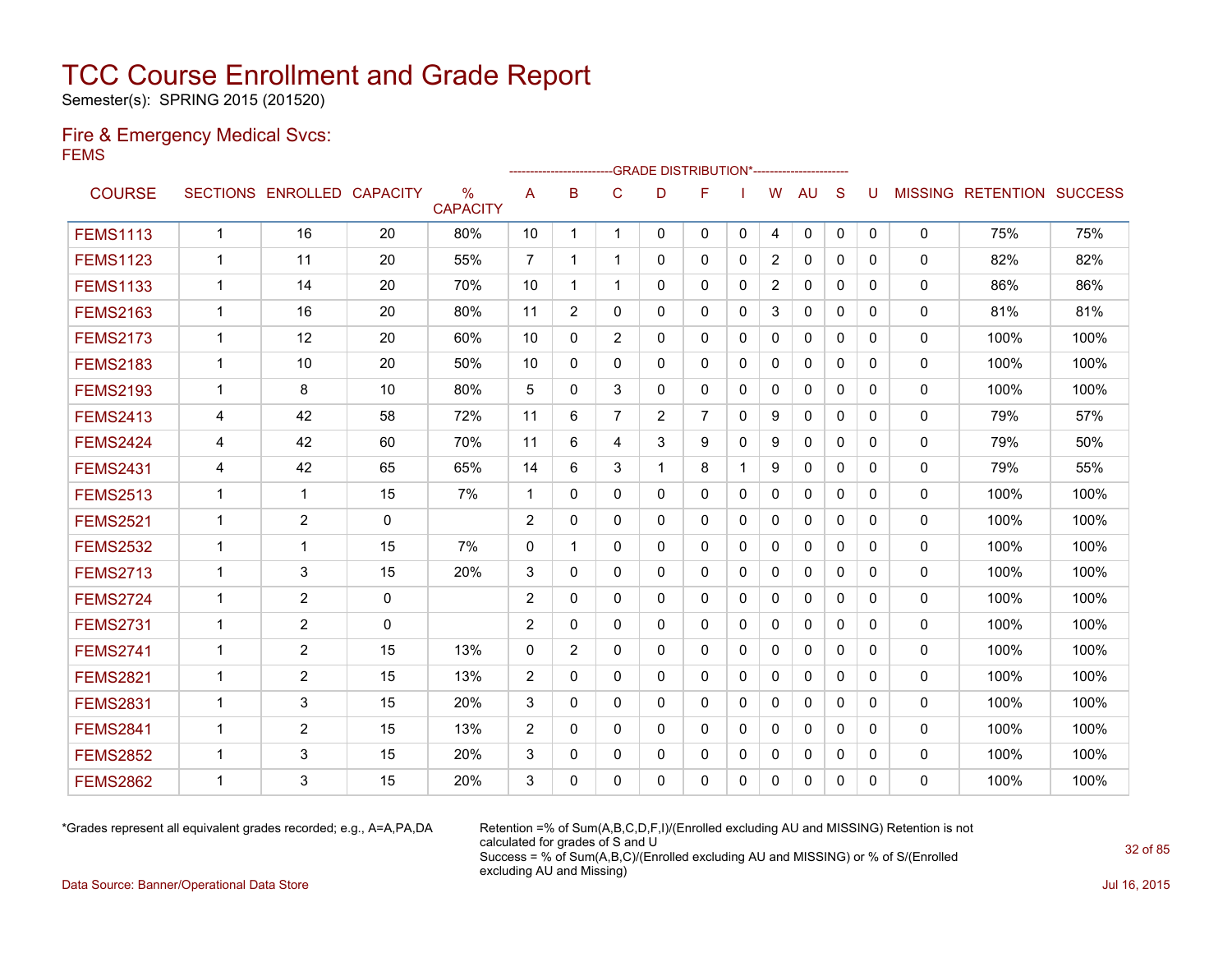Semester(s): SPRING 2015 (201520)

### Fire & Emergency Medical Svcs: FEMS

|                 |              |                            |    |                      |                | ----------------------- |                | -GRADE DISTRIBUTION*---------------------- |                |              |                |              |              |              |              |                                  |      |
|-----------------|--------------|----------------------------|----|----------------------|----------------|-------------------------|----------------|--------------------------------------------|----------------|--------------|----------------|--------------|--------------|--------------|--------------|----------------------------------|------|
| <b>COURSE</b>   |              | SECTIONS ENROLLED CAPACITY |    | %<br><b>CAPACITY</b> | A              | B                       | C              | D                                          | F              |              | W              | <b>AU</b>    | S            | U            |              | <b>MISSING RETENTION SUCCESS</b> |      |
| <b>FEMS1113</b> | $\mathbf{1}$ | 16                         | 20 | 80%                  | 10             | $\mathbf 1$             | $\mathbf 1$    | $\mathbf{0}$                               | $\mathbf{0}$   | $\mathbf{0}$ | 4              | $\mathbf{0}$ | $\mathbf{0}$ | $\mathbf{0}$ | 0            | 75%                              | 75%  |
| <b>FEMS1123</b> | $\mathbf 1$  | 11                         | 20 | 55%                  | $\overline{7}$ | -1                      | $\mathbf 1$    | 0                                          | $\mathbf{0}$   | $\Omega$     | $\overline{2}$ | $\mathbf{0}$ | $\Omega$     | 0            | $\mathbf{0}$ | 82%                              | 82%  |
| <b>FEMS1133</b> | $\mathbf 1$  | 14                         | 20 | 70%                  | 10             | 1                       | $\mathbf 1$    | $\Omega$                                   | $\Omega$       | $\Omega$     | $\overline{2}$ | $\mathbf{0}$ | $\Omega$     | 0            | $\mathbf{0}$ | 86%                              | 86%  |
| <b>FEMS2163</b> | 1            | 16                         | 20 | 80%                  | 11             | 2                       | 0              | 0                                          | $\mathbf{0}$   | 0            | 3              | $\mathbf{0}$ | $\Omega$     | 0            | 0            | 81%                              | 81%  |
| <b>FEMS2173</b> | 1            | 12                         | 20 | 60%                  | 10             | $\mathbf{0}$            | $\overline{2}$ | 0                                          | 0              | $\Omega$     | 0              | 0            | $\mathbf{0}$ | 0            | 0            | 100%                             | 100% |
| <b>FEMS2183</b> | $\mathbf 1$  | 10                         | 20 | 50%                  | 10             | $\Omega$                | $\Omega$       | 0                                          | $\mathbf{0}$   | $\mathbf{0}$ | 0              | $\mathbf{0}$ | $\Omega$     | 0            | 0            | 100%                             | 100% |
| <b>FEMS2193</b> | $\mathbf{1}$ | 8                          | 10 | 80%                  | 5              | $\mathbf{0}$            | 3              | 0                                          | $\mathbf{0}$   | 0            | $\mathbf{0}$   | $\mathbf{0}$ | $\mathbf{0}$ | 0            | 0            | 100%                             | 100% |
| <b>FEMS2413</b> | 4            | 42                         | 58 | 72%                  | 11             | 6                       | $\overline{7}$ | $\overline{2}$                             | $\overline{7}$ | 0            | 9              | $\mathbf{0}$ | $\Omega$     | 0            | 0            | 79%                              | 57%  |
| <b>FEMS2424</b> | 4            | 42                         | 60 | 70%                  | 11             | 6                       | 4              | 3                                          | 9              | 0            | 9              | $\mathbf{0}$ | $\mathbf{0}$ | 0            | 0            | 79%                              | 50%  |
| <b>FEMS2431</b> | 4            | 42                         | 65 | 65%                  | 14             | 6                       | 3              | 1                                          | 8              | 1            | 9              | $\mathbf{0}$ | $\Omega$     | 0            | 0            | 79%                              | 55%  |
| <b>FEMS2513</b> | 1            | $\mathbf 1$                | 15 | 7%                   | 1              | $\mathbf{0}$            | $\mathbf{0}$   | $\mathbf{0}$                               | $\mathbf{0}$   | 0            | 0              | $\mathbf{0}$ | $\mathbf{0}$ | 0            | 0            | 100%                             | 100% |
| <b>FEMS2521</b> | 1            | $\overline{2}$             | 0  |                      | $\overline{2}$ | $\mathbf{0}$            | $\mathbf{0}$   | 0                                          | 0              | $\Omega$     | 0              | $\mathbf{0}$ | $\Omega$     | 0            | 0            | 100%                             | 100% |
| <b>FEMS2532</b> | 1            | 1                          | 15 | 7%                   | 0              | 1                       | $\Omega$       | 0                                          | $\mathbf{0}$   | 0            | 0              | 0            | $\mathbf{0}$ | 0            | 0            | 100%                             | 100% |
| <b>FEMS2713</b> | 1            | 3                          | 15 | 20%                  | 3              | 0                       | 0              | 0                                          | 0              | 0            | 0              | 0            | 0            | 0            | 0            | 100%                             | 100% |
| <b>FEMS2724</b> | $\mathbf 1$  | 2                          | 0  |                      | 2              | $\mathbf{0}$            | 0              | 0                                          | $\mathbf{0}$   | 0            | 0              | 0            | $\mathbf{0}$ | 0            | 0            | 100%                             | 100% |
| <b>FEMS2731</b> | $\mathbf 1$  | $\overline{2}$             | 0  |                      | $\overline{2}$ | $\mathbf{0}$            | $\Omega$       | 0                                          | $\mathbf{0}$   | 0            | $\mathbf{0}$   | $\mathbf{0}$ | $\mathbf{0}$ | 0            | $\mathbf{0}$ | 100%                             | 100% |
| <b>FEMS2741</b> | $\mathbf 1$  | $\overline{2}$             | 15 | 13%                  | $\Omega$       | 2                       | $\Omega$       | $\Omega$                                   | $\mathbf{0}$   | $\Omega$     | $\Omega$       | $\mathbf{0}$ | $\mathbf{0}$ | 0            | $\mathbf{0}$ | 100%                             | 100% |
| <b>FEMS2821</b> | $\mathbf 1$  | $\overline{2}$             | 15 | 13%                  | $\overline{2}$ | $\Omega$                | 0              | 0                                          | $\mathbf{0}$   | $\mathbf{0}$ | $\mathbf{0}$   | $\mathbf{0}$ | $\Omega$     | 0            | 0            | 100%                             | 100% |
| <b>FEMS2831</b> | 1            | 3                          | 15 | 20%                  | 3              | $\Omega$                | $\Omega$       | $\Omega$                                   | $\Omega$       | $\Omega$     | $\Omega$       | $\Omega$     | $\Omega$     | 0            | $\mathbf{0}$ | 100%                             | 100% |
| <b>FEMS2841</b> | $\mathbf 1$  | $\overline{2}$             | 15 | 13%                  | $\overline{2}$ | $\Omega$                | $\Omega$       | 0                                          | $\mathbf{0}$   | $\Omega$     | $\mathbf{0}$   | $\Omega$     | $\Omega$     | $\Omega$     | 0            | 100%                             | 100% |
| <b>FEMS2852</b> | 1            | 3                          | 15 | 20%                  | 3              | $\Omega$                | $\mathbf{0}$   | 0                                          | $\mathbf{0}$   | $\Omega$     | $\mathbf{0}$   | $\mathbf{0}$ | $\Omega$     | 0            | 0            | 100%                             | 100% |
| <b>FEMS2862</b> | 1            | 3                          | 15 | 20%                  | 3              | $\Omega$                | $\Omega$       | $\Omega$                                   | $\Omega$       | $\mathbf{0}$ | $\Omega$       | $\mathbf{0}$ | $\Omega$     | 0            | $\mathbf{0}$ | 100%                             | 100% |

\*Grades represent all equivalent grades recorded; e.g., A=A,PA,DA Retention =% of Sum(A,B,C,D,F,I)/(Enrolled excluding AU and MISSING) Retention is not calculated for grades of S and U Success = % of Sum(A,B,C)/(Enrolled excluding AU and MISSING) or % of S/(Enrolled excluding AU and Missing)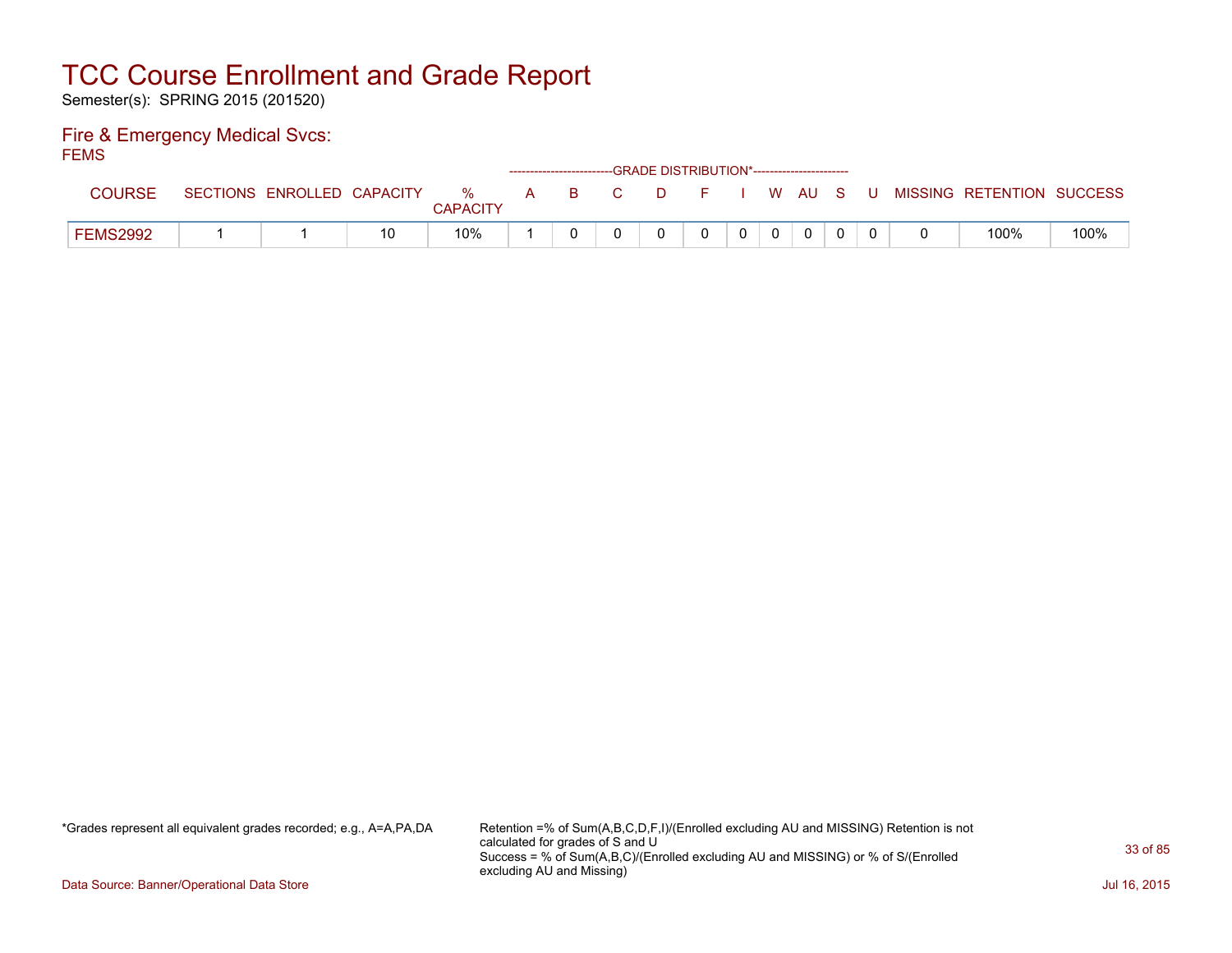Semester(s): SPRING 2015 (201520)

### Fire & Emergency Medical Svcs: FEMS

| י — יים         |                            |    |                      |  | ------------------------GRADE DISTRIBUTION*----------------------- |          |                |          |  |                                          |      |
|-----------------|----------------------------|----|----------------------|--|--------------------------------------------------------------------|----------|----------------|----------|--|------------------------------------------|------|
| COURSE          | SECTIONS ENROLLED CAPACITY |    | %<br><b>CAPACITY</b> |  | A B C                                                              |          |                |          |  | D F I W AU S U MISSING RETENTION SUCCESS |      |
| <b>FEMS2992</b> |                            | 10 | 10%                  |  |                                                                    | $\Omega$ | 0 <sup>1</sup> | $\Omega$ |  | 100%                                     | 100% |

\*Grades represent all equivalent grades recorded; e.g., A=A,PA,DA Retention =% of Sum(A,B,C,D,F,I)/(Enrolled excluding AU and MISSING) Retention is not calculated for grades of S and U Success = % of Sum(A,B,C)/(Enrolled excluding AU and MISSING) or % of S/(Enrolled excluding AU and Missing)

Data Source: Banner/Operational Data Store Jul 16, 2015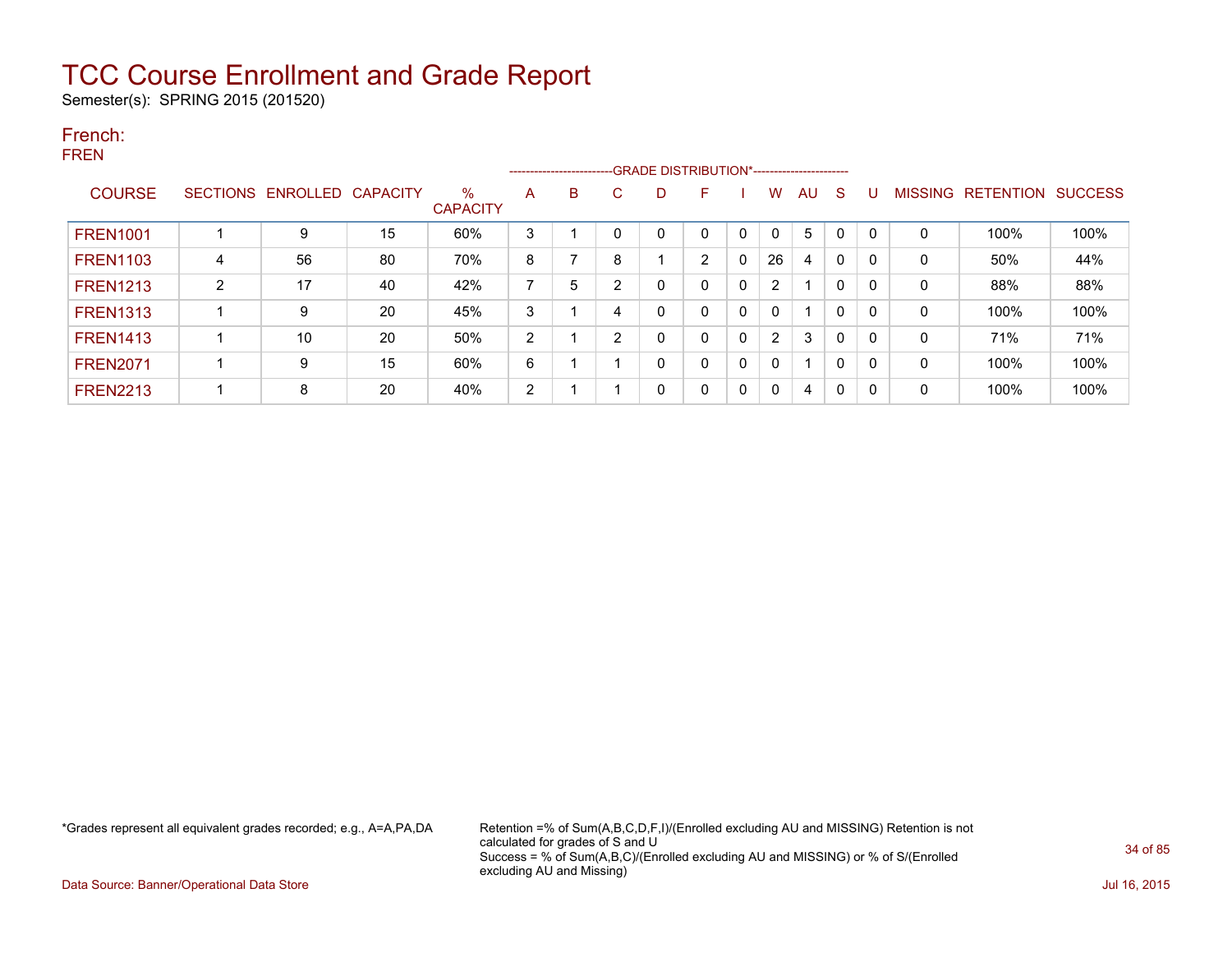Semester(s): SPRING 2015 (201520)

### French: FREN

|                 |                 |                   |    |                         |   |   |                | --------------------------GRADE DISTRIBUTION*----------------------- |                |              |          |    |              |          |                |                  |                |
|-----------------|-----------------|-------------------|----|-------------------------|---|---|----------------|----------------------------------------------------------------------|----------------|--------------|----------|----|--------------|----------|----------------|------------------|----------------|
| <b>COURSE</b>   | <b>SECTIONS</b> | ENROLLED CAPACITY |    | $\%$<br><b>CAPACITY</b> | A | B | C              | D.                                                                   | F              |              | W        | AU | <sub>S</sub> | U        | <b>MISSING</b> | <b>RETENTION</b> | <b>SUCCESS</b> |
| <b>FREN1001</b> |                 | 9                 | 15 | 60%                     | 3 |   | $\mathbf 0$    |                                                                      |                |              |          | 5  | $\mathbf{0}$ | $\Omega$ | $\Omega$       | 100%             | 100%           |
| <b>FREN1103</b> | 4               | 56                | 80 | 70%                     | 8 |   | 8              |                                                                      | $\overline{2}$ | 0            | 26       | 4  | 0            | 0        | 0              | 50%              | 44%            |
| <b>FREN1213</b> | $\overline{2}$  | 17                | 40 | 42%                     | 7 | 5 | $\overline{2}$ | 0                                                                    |                | $\mathbf{0}$ | 2        |    | $\mathbf{0}$ | 0        | 0              | 88%              | 88%            |
| <b>FREN1313</b> |                 | 9                 | 20 | 45%                     | 3 |   | 4              | 0                                                                    |                | $\mathbf{0}$ | 0        |    | $\mathbf{0}$ | 0        | 0              | 100%             | 100%           |
| <b>FREN1413</b> |                 | 10                | 20 | 50%                     | 2 |   | $\overline{2}$ | 0                                                                    |                | $\mathbf{0}$ | 2        | 3  | $\mathbf{0}$ | 0        | 0              | 71%              | 71%            |
| <b>FREN2071</b> |                 | 9                 | 15 | 60%                     | 6 |   |                | 0                                                                    |                | 0            | 0        |    | $\mathbf{0}$ | 0        | 0              | 100%             | 100%           |
| <b>FREN2213</b> |                 | 8                 | 20 | 40%                     | 2 |   |                | 0                                                                    | $\Omega$       | 0            | $\Omega$ | 4  | 0            | 0        | 0              | 100%             | 100%           |

\*Grades represent all equivalent grades recorded; e.g., A=A,PA,DA Retention =% of Sum(A,B,C,D,F,I)/(Enrolled excluding AU and MISSING) Retention is not calculated for grades of S and U Success = % of Sum(A,B,C)/(Enrolled excluding AU and MISSING) or % of S/(Enrolled excluding AU and Missing)

Data Source: Banner/Operational Data Store Jul 16, 2015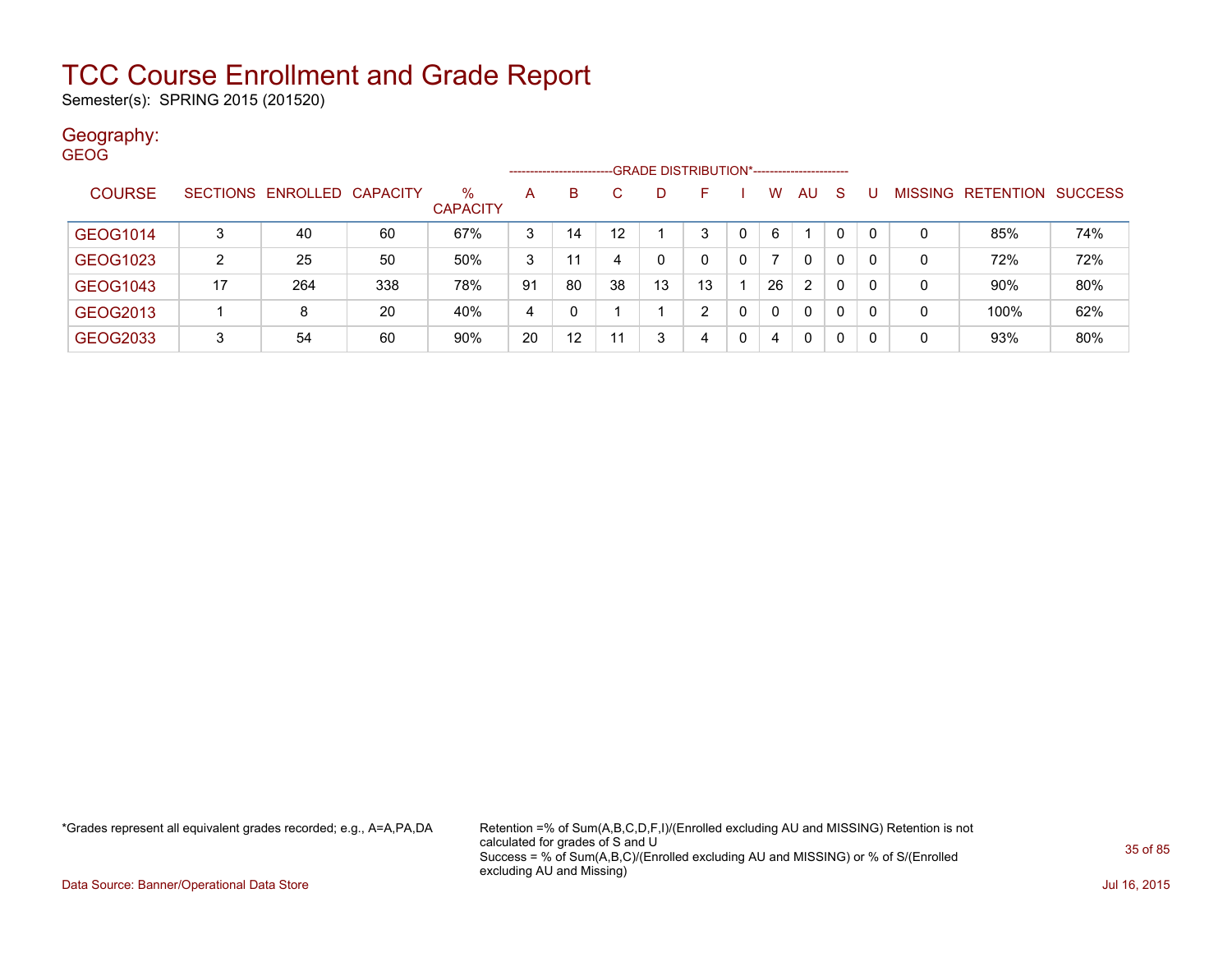Semester(s): SPRING 2015 (201520)

### Geography: GEOG

|               |    |                            |     |                         |    | ---------------------- |                  | -GRADE DISTRIBUTION*----------------------- |    |   |          |    |          |    |                |           |                |
|---------------|----|----------------------------|-----|-------------------------|----|------------------------|------------------|---------------------------------------------|----|---|----------|----|----------|----|----------------|-----------|----------------|
| <b>COURSE</b> |    | SECTIONS ENROLLED CAPACITY |     | $\%$<br><b>CAPACITY</b> | A  | В                      |                  | D                                           |    |   | w        | AU | -S       |    | <b>MISSING</b> | RETENTION | <b>SUCCESS</b> |
| GEOG1014      | 3  | 40                         | 60  | 67%                     | 3  | 14                     | 12 <sup>12</sup> |                                             | 3  | 0 | 6        |    | $\Omega$ | -0 | 0              | 85%       | 74%            |
| GEOG1023      | 2  | 25                         | 50  | 50%                     | 3  | 11                     | 4                | 0                                           | 0  | 0 |          | 0  | 0        | -0 | 0              | 72%       | 72%            |
| GEOG1043      | 17 | 264                        | 338 | 78%                     | 91 | 80                     | 38               | 13                                          | 13 |   | 26       | 2  | 0        | -0 | 0              | 90%       | 80%            |
| GEOG2013      |    | 8                          | 20  | 40%                     | 4  |                        |                  |                                             | ົ  |   | $\Omega$ | 0  | 0        | -0 | 0              | 100%      | 62%            |
| GEOG2033      | 3  | 54                         | 60  | 90%                     | 20 | $12 \,$                | 11               | 3                                           | 4  | 0 | 4        | 0  | 0        | -0 | 0              | 93%       | 80%            |

\*Grades represent all equivalent grades recorded; e.g., A=A,PA,DA Retention =% of Sum(A,B,C,D,F,I)/(Enrolled excluding AU and MISSING) Retention is not calculated for grades of S and U Success = % of Sum(A,B,C)/(Enrolled excluding AU and MISSING) or % of S/(Enrolled excluding AU and Missing)

Data Source: Banner/Operational Data Store Jul 16, 2015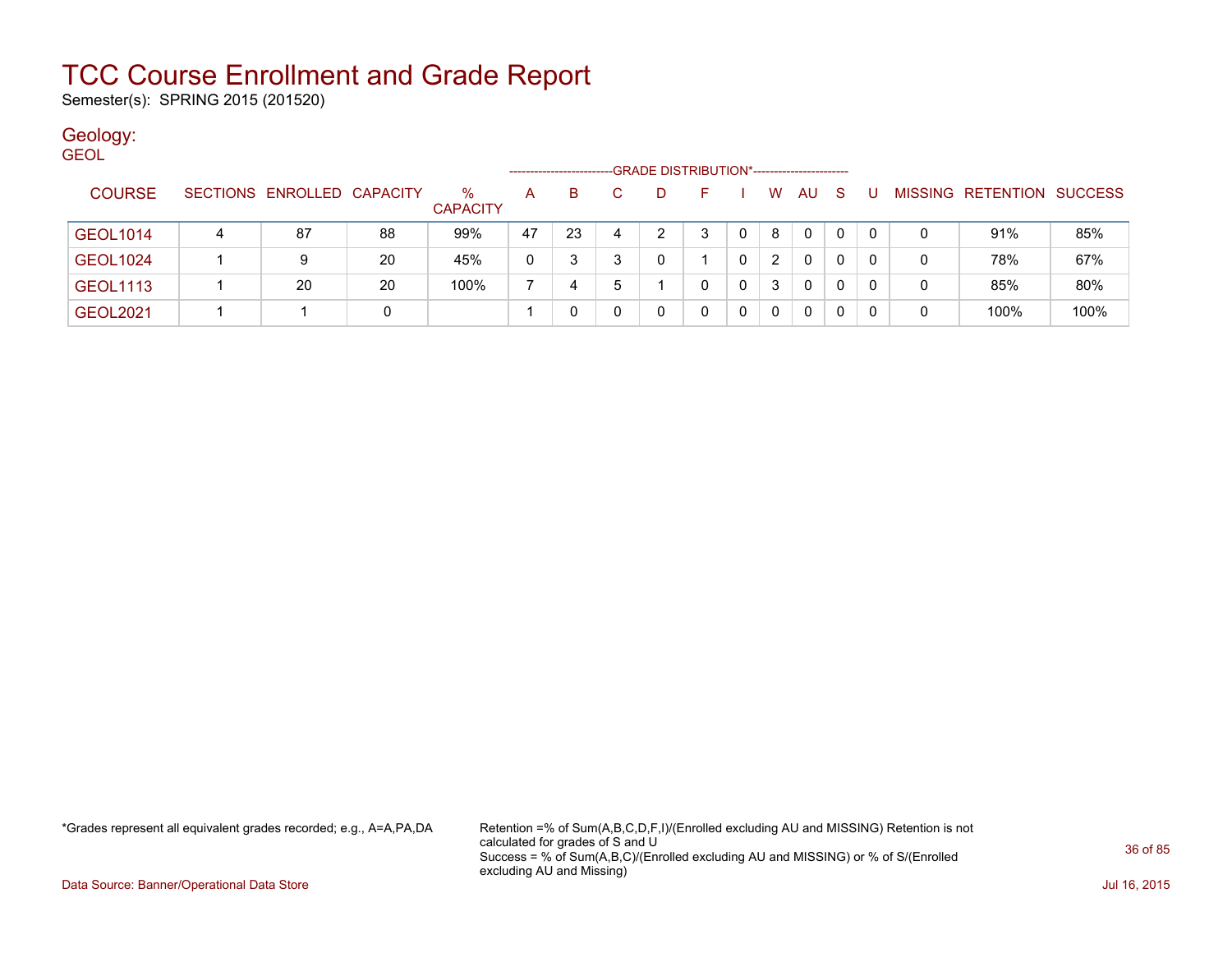Semester(s): SPRING 2015 (201520)

### Geology:

| <b>GEOL</b>     |                                                                    |   |                            |    |                 |    |    |   |   |   |   |          |              |              |   |   |                           |      |
|-----------------|--------------------------------------------------------------------|---|----------------------------|----|-----------------|----|----|---|---|---|---|----------|--------------|--------------|---|---|---------------------------|------|
|                 | -GRADE DISTRIBUTION*-----------------------<br>------------------- |   |                            |    |                 |    |    |   |   |   |   |          |              |              |   |   |                           |      |
| <b>COURSE</b>   |                                                                    |   | SECTIONS ENROLLED CAPACITY |    | $\%$            | A  | B. |   | D | F |   | W        | AU           | <sub>S</sub> | U |   | MISSING RETENTION SUCCESS |      |
|                 |                                                                    |   |                            |    | <b>CAPACITY</b> |    |    |   |   |   |   |          |              |              |   |   |                           |      |
| <b>GEOL1014</b> |                                                                    | 4 | 87                         | 88 | 99%             | 47 | 23 | 4 | ົ | 3 |   | 8        | $\mathbf{0}$ | $\Omega$     | 0 | 0 | 91%                       | 85%  |
| <b>GEOL1024</b> |                                                                    |   |                            | 20 | 45%             | 0  | 3  |   |   |   | 0 | 2        | $\mathbf{0}$ | 0            | 0 | 0 | 78%                       | 67%  |
| <b>GEOL1113</b> |                                                                    |   | 20                         | 20 | 100%            |    | 4  | h |   |   | 0 | 3        | 0            | 0            |   | 0 | 85%                       | 80%  |
| <b>GEOL2021</b> |                                                                    |   |                            | 0  |                 |    |    |   |   |   | 0 | $\Omega$ | $\mathbf{0}$ | 0            |   | 0 | 100%                      | 100% |

\*Grades represent all equivalent grades recorded; e.g., A=A,PA,DA Retention =% of Sum(A,B,C,D,F,I)/(Enrolled excluding AU and MISSING) Retention is not calculated for grades of S and U Success = % of Sum(A,B,C)/(Enrolled excluding AU and MISSING) or % of S/(Enrolled excluding AU and Missing)

Data Source: Banner/Operational Data Store Jul 16, 2015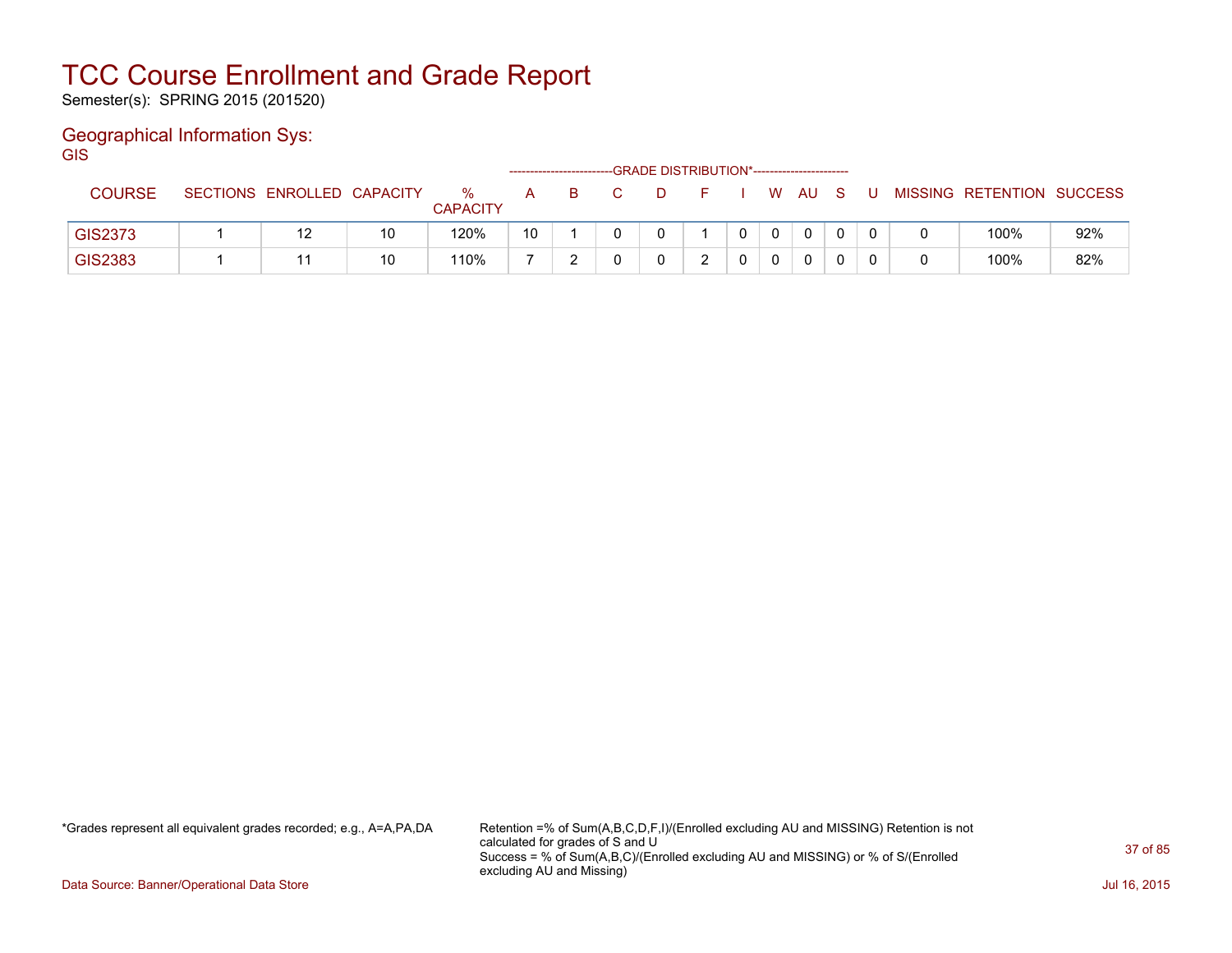Semester(s): SPRING 2015 (201520)

### Geographical Information Sys:

**GIS** 

|                |                            |    |                      |    |  | ------GRADE DISTRIBUTION*----------------------- |  |    |              |     |   |                           |     |
|----------------|----------------------------|----|----------------------|----|--|--------------------------------------------------|--|----|--------------|-----|---|---------------------------|-----|
| <b>COURSE</b>  | SECTIONS ENROLLED CAPACITY |    | ℅<br><b>CAPACITY</b> | A  |  |                                                  |  | W. | AU.          | - S | U | MISSING RETENTION SUCCESS |     |
| <b>GIS2373</b> | 12                         | 10 | 120%                 | 10 |  |                                                  |  |    | $\mathbf{0}$ |     |   | 100%                      | 92% |
| GIS2383        |                            | 10 | 110%                 |    |  |                                                  |  |    | $\mathbf{0}$ |     |   | 100%                      | 82% |

\*Grades represent all equivalent grades recorded; e.g., A=A,PA,DA Retention =% of Sum(A,B,C,D,F,I)/(Enrolled excluding AU and MISSING) Retention is not calculated for grades of S and U Success = % of Sum(A,B,C)/(Enrolled excluding AU and MISSING) or % of S/(Enrolled excluding AU and Missing)

Data Source: Banner/Operational Data Store Jul 16, 2015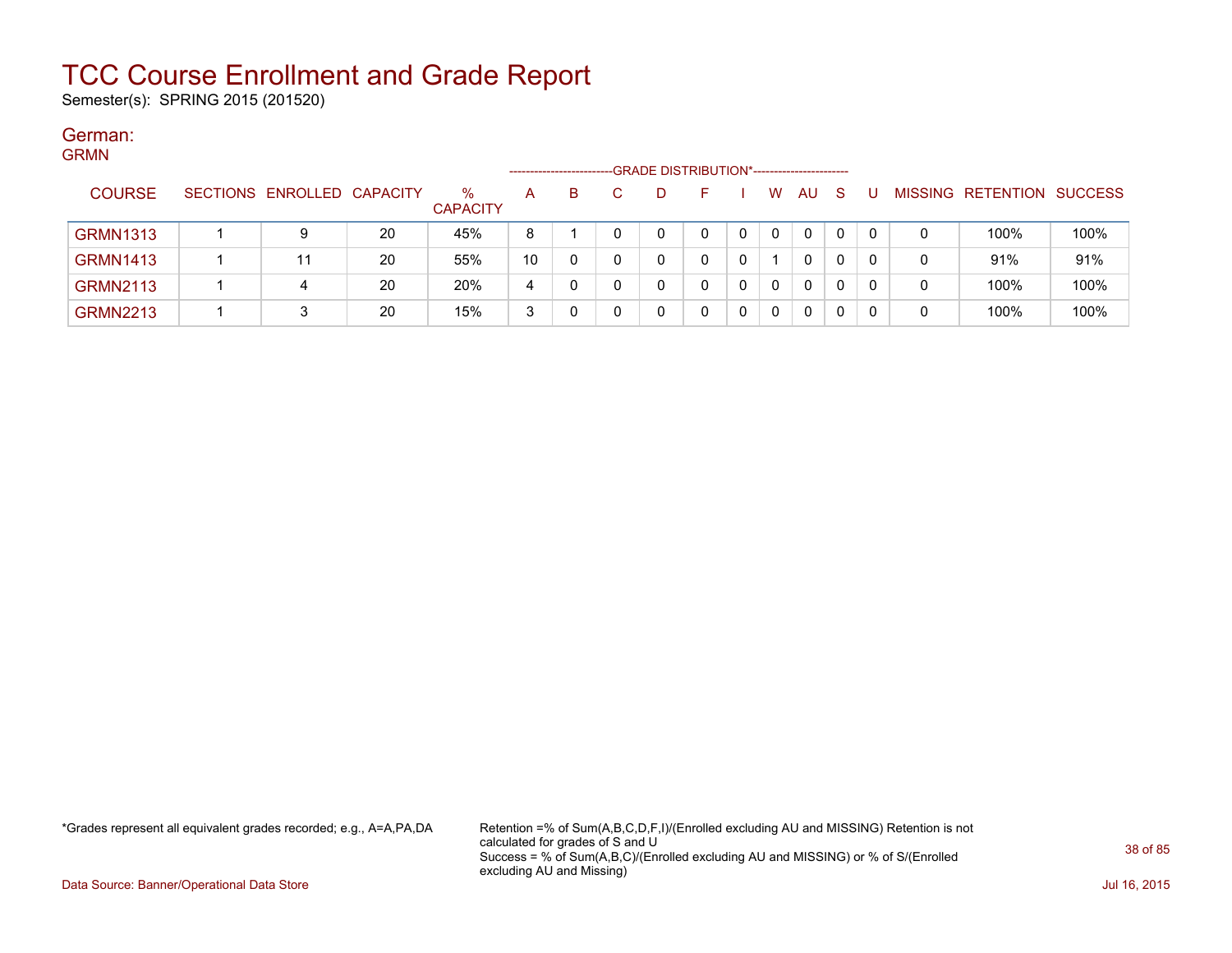Semester(s): SPRING 2015 (201520)

#### German: **CDMM**

| יוויורוט        |                            |    |                         |              | ---------------------- | -GRADE DISTRIBUTION*----------------------- |  |          |     |              |   |                           |      |
|-----------------|----------------------------|----|-------------------------|--------------|------------------------|---------------------------------------------|--|----------|-----|--------------|---|---------------------------|------|
| <b>COURSE</b>   | SECTIONS ENROLLED CAPACITY |    | $\%$<br><b>CAPACITY</b> | $\mathsf{A}$ | в                      | D                                           |  | W        | AU. | <sub>S</sub> |   | MISSING RETENTION SUCCESS |      |
| <b>GRMN1313</b> |                            | 20 | 45%                     | 8            |                        |                                             |  | $\Omega$ | 0   | $\mathbf{0}$ | 0 | 100%                      | 100% |
| <b>GRMN1413</b> | 11                         | 20 | 55%                     | 10           |                        | 0                                           |  |          | 0   | 0            | 0 | 91%                       | 91%  |
| <b>GRMN2113</b> | 4                          | 20 | 20%                     | 4            |                        |                                             |  | $\Omega$ | 0   | 0            |   | 100%                      | 100% |
| <b>GRMN2213</b> |                            | 20 | 15%                     | 3            |                        | 0                                           |  | 0        | 0   | 0            |   | 100%                      | 100% |

\*Grades represent all equivalent grades recorded; e.g., A=A,PA,DA Retention =% of Sum(A,B,C,D,F,I)/(Enrolled excluding AU and MISSING) Retention is not calculated for grades of S and U Success = % of Sum(A,B,C)/(Enrolled excluding AU and MISSING) or % of S/(Enrolled excluding AU and Missing)

Data Source: Banner/Operational Data Store Jul 16, 2015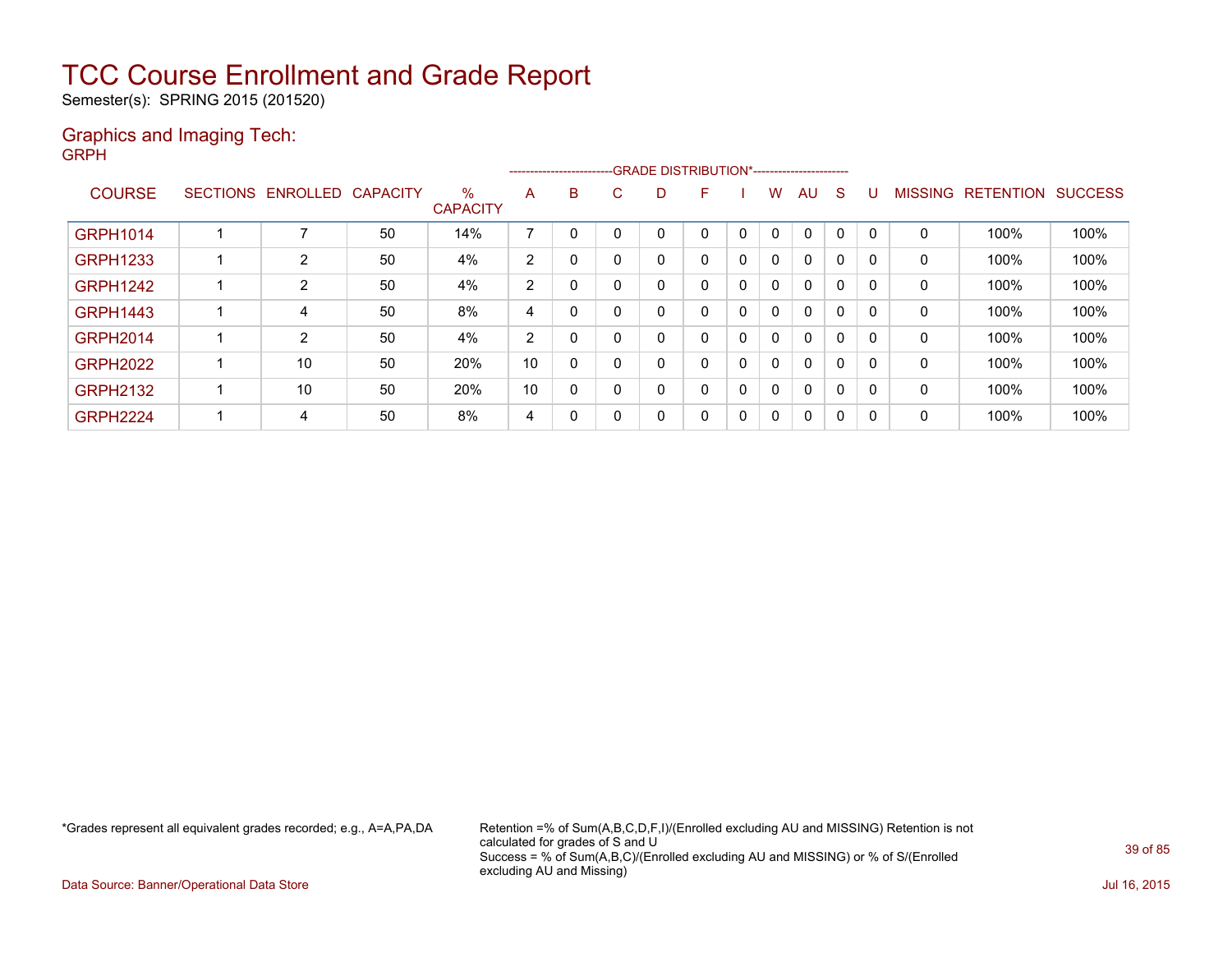Semester(s): SPRING 2015 (201520)

#### Graphics and Imaging Tech: GRPH

|                 |                            |    |                         |                          | ------------------------- |             |          | -GRADE DISTRIBUTION*----------------------- |              |              |              |          |          |                |           |                |
|-----------------|----------------------------|----|-------------------------|--------------------------|---------------------------|-------------|----------|---------------------------------------------|--------------|--------------|--------------|----------|----------|----------------|-----------|----------------|
| <b>COURSE</b>   | SECTIONS ENROLLED CAPACITY |    | $\%$<br><b>CAPACITY</b> | A                        | B                         | C           | D        | F                                           |              | w            | AU           | S        |          | <b>MISSING</b> | RETENTION | <b>SUCCESS</b> |
|                 |                            |    |                         |                          |                           |             |          |                                             |              |              |              |          |          |                |           |                |
| <b>GRPH1014</b> | ⇁                          | 50 | 14%                     | $\overline{\phantom{a}}$ | $\Omega$                  | $\Omega$    |          |                                             | $\Omega$     | 0            | $\mathbf 0$  | $\Omega$ | $\Omega$ | 0              | 100%      | 100%           |
| <b>GRPH1233</b> | 2                          | 50 | 4%                      | 2                        | 0                         | 0           | 0        |                                             | $\mathbf{0}$ | $\mathbf{0}$ | 0            | 0        | 0        | 0              | 100%      | 100%           |
| <b>GRPH1242</b> | 2                          | 50 | 4%                      | 2                        | 0                         | 0           |          |                                             | 0            | 0            | 0            | 0        | 0        | 0              | 100%      | 100%           |
| <b>GRPH1443</b> | 4                          | 50 | 8%                      | 4                        | 0                         | 0           | $\Omega$ | 0                                           | $\Omega$     | 0            | 0            | 0        | $\Omega$ | $\mathbf{0}$   | 100%      | 100%           |
| <b>GRPH2014</b> | 2                          | 50 | 4%                      | 2                        | 0                         | 0           | 0        |                                             | $\mathbf{0}$ | 0            | 0            | 0        | $\Omega$ | 0              | 100%      | 100%           |
| <b>GRPH2022</b> | 10                         | 50 | 20%                     | 10                       | 0                         | 0           | 0        |                                             | 0            | 0            | 0            | 0        | 0        | 0              | 100%      | 100%           |
| <b>GRPH2132</b> | 10                         | 50 | 20%                     | 10                       | 0                         | $\mathbf 0$ | 0        | 0                                           | 0            | 0            | 0            | $\Omega$ | 0        | $\mathbf{0}$   | 100%      | 100%           |
| <b>GRPH2224</b> | 4                          | 50 | 8%                      | 4                        | 0                         | 0           | 0        | 0                                           | $\Omega$     | $\mathbf{0}$ | $\mathbf{0}$ | 0        | 0        | $\mathbf{0}$   | 100%      | 100%           |

\*Grades represent all equivalent grades recorded; e.g., A=A,PA,DA Retention =% of Sum(A,B,C,D,F,I)/(Enrolled excluding AU and MISSING) Retention is not calculated for grades of S and U Success = % of Sum(A,B,C)/(Enrolled excluding AU and MISSING) or % of S/(Enrolled excluding AU and Missing)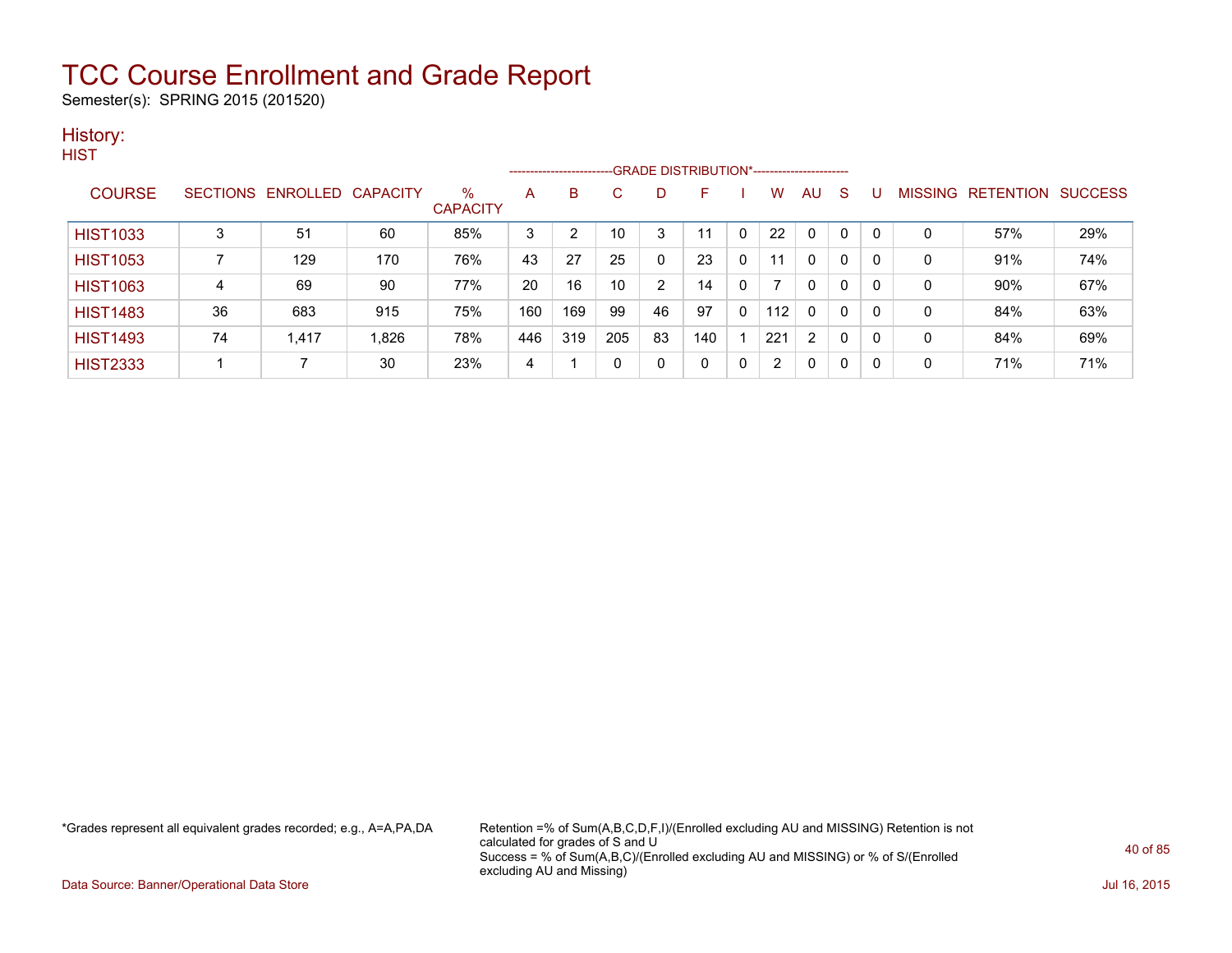Semester(s): SPRING 2015 (201520)

#### History: **HIST**

|                 |    |                   |                 |                      | --------------------- |                |     |    | -GRADE DISTRIBUTION*----------------------- |              |     |              |              |          |         |                  |                |
|-----------------|----|-------------------|-----------------|----------------------|-----------------------|----------------|-----|----|---------------------------------------------|--------------|-----|--------------|--------------|----------|---------|------------------|----------------|
| <b>COURSE</b>   |    | SECTIONS ENROLLED | <b>CAPACITY</b> | %<br><b>CAPACITY</b> | A                     | B              | C.  | D  | F                                           |              | W   | AU           | S            |          | MISSING | <b>RETENTION</b> | <b>SUCCESS</b> |
| <b>HIST1033</b> | 3  | 51                | 60              | 85%                  | 3                     | $\overline{2}$ | 10  | 3  | 11                                          | $\Omega$     | 22  | 0            | $\mathbf{0}$ | $\Omega$ | 0       | 57%              | 29%            |
| <b>HIST1053</b> |    | 129               | 170             | 76%                  | 43                    | 27             | 25  | 0  | 23                                          | $\mathbf{0}$ | 11  | $\mathbf{0}$ | $\mathbf{0}$ | 0        | 0       | 91%              | 74%            |
| <b>HIST1063</b> | 4  | 69                | 90              | 77%                  | 20                    | 16             | 10  | 2  | 14                                          | 0            |     | $\mathbf{0}$ | 0            | 0        | 0       | 90%              | 67%            |
| <b>HIST1483</b> | 36 | 683               | 915             | 75%                  | 160                   | 169            | 99  | 46 | 97                                          | 0            | 112 | $\mathbf{0}$ | 0            | 0        | 0       | 84%              | 63%            |
| <b>HIST1493</b> | 74 | 1,417             | 1,826           | 78%                  | 446                   | 319            | 205 | 83 | 140                                         |              | 221 | 2            | $\mathbf{0}$ | 0        | 0       | 84%              | 69%            |
| <b>HIST2333</b> |    |                   | 30              | 23%                  | 4                     |                |     | 0  | 0                                           | 0            | 2   | 0            | 0            | 0        | 0       | 71%              | 71%            |

\*Grades represent all equivalent grades recorded; e.g., A=A,PA,DA Retention =% of Sum(A,B,C,D,F,I)/(Enrolled excluding AU and MISSING) Retention is not calculated for grades of S and U Success = % of Sum(A,B,C)/(Enrolled excluding AU and MISSING) or % of S/(Enrolled excluding AU and Missing)

Data Source: Banner/Operational Data Store Jul 16, 2015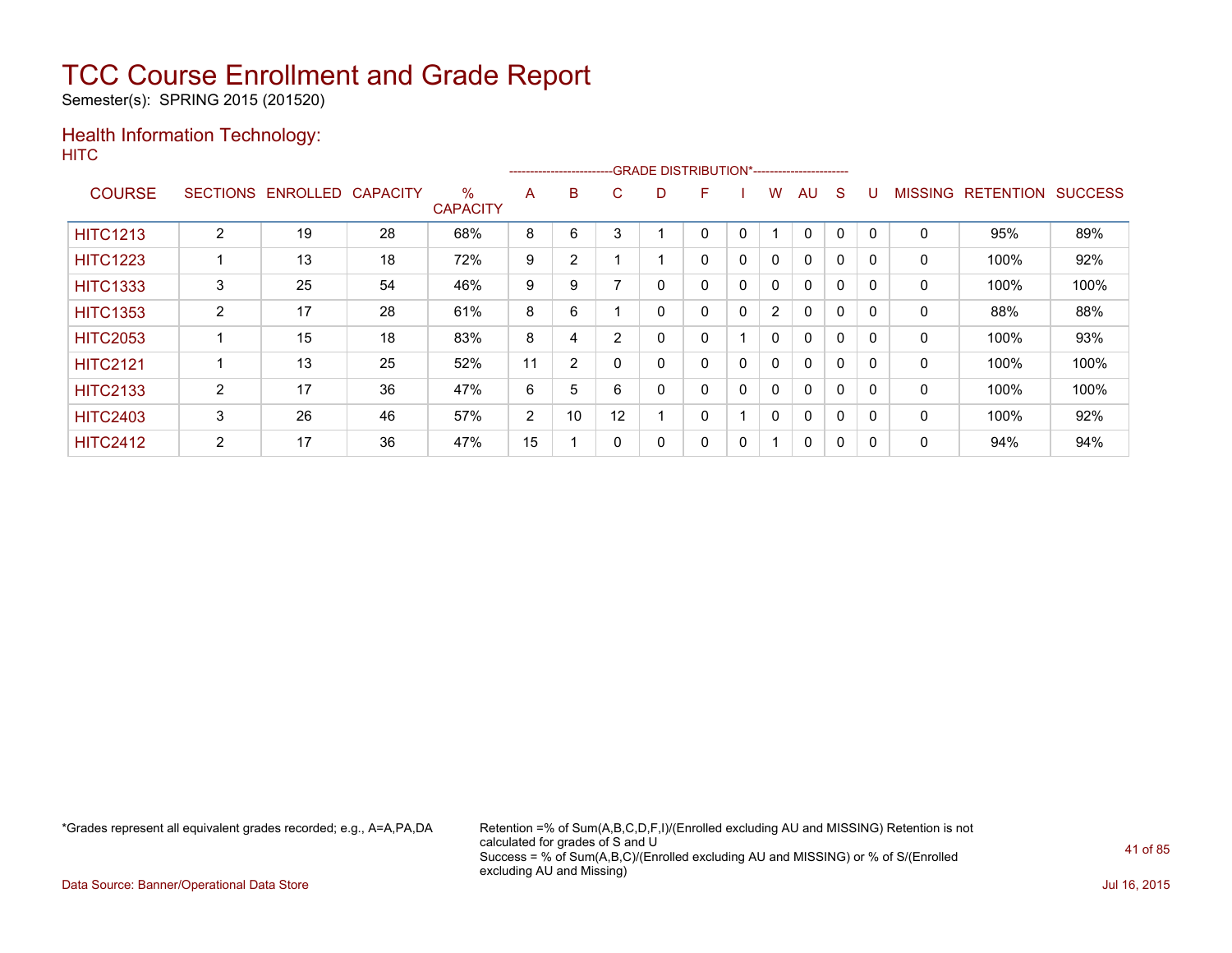Semester(s): SPRING 2015 (201520)

### Health Information Technology: **HITC**

|                 |                 |                 |                 |                         |                |                | --------------------------GRADE DISTRIBUTION*----------------------- |   |   |   |                |          |          |          |                |                  |                |
|-----------------|-----------------|-----------------|-----------------|-------------------------|----------------|----------------|----------------------------------------------------------------------|---|---|---|----------------|----------|----------|----------|----------------|------------------|----------------|
| <b>COURSE</b>   | <b>SECTIONS</b> | <b>ENROLLED</b> | <b>CAPACITY</b> | $\%$<br><b>CAPACITY</b> | A              | B              | C                                                                    | D | F |   | W              | AU       | S        |          | <b>MISSING</b> | <b>RETENTION</b> | <b>SUCCESS</b> |
| <b>HITC1213</b> | 2               | 19              | 28              | 68%                     | 8              | 6              | 3                                                                    |   | 0 | 0 |                | 0        | 0        | $\Omega$ | 0              | 95%              | 89%            |
| <b>HITC1223</b> |                 | 13              | 18              | 72%                     | 9              | $\overline{2}$ |                                                                      |   | 0 | 0 | 0              | $\Omega$ | $\Omega$ | 0        | 0              | 100%             | 92%            |
| <b>HITC1333</b> | 3               | 25              | 54              | 46%                     | 9              | 9              |                                                                      | 0 | 0 | 0 | 0              | $\Omega$ | 0        | $\Omega$ | 0              | 100%             | 100%           |
| <b>HITC1353</b> | $\overline{2}$  | 17              | 28              | 61%                     | 8              | 6              |                                                                      | 0 | 0 | 0 | $\overline{2}$ | 0        | $\Omega$ | 0        | 0              | 88%              | 88%            |
| <b>HITC2053</b> |                 | 15              | 18              | 83%                     | 8              | 4              | 2                                                                    | 0 | 0 |   | 0              | $\Omega$ | $\Omega$ | 0        | 0              | 100%             | 93%            |
| <b>HITC2121</b> |                 | 13              | 25              | 52%                     | 11             | $\overline{2}$ |                                                                      | 0 | 0 | 0 | 0              | $\Omega$ | $\Omega$ | $\Omega$ | 0              | 100%             | 100%           |
| <b>HITC2133</b> | 2               | 17              | 36              | 47%                     | 6              | 5              | 6                                                                    | 0 | 0 | 0 | 0              | $\Omega$ | 0        | $\Omega$ | 0              | 100%             | 100%           |
| <b>HITC2403</b> | 3               | 26              | 46              | 57%                     | $\overline{2}$ | 10             | 12                                                                   |   | 0 |   | 0              | $\Omega$ | $\Omega$ | 0        | 0              | 100%             | 92%            |
| <b>HITC2412</b> | 2               | 17              | 36              | 47%                     | 15             |                |                                                                      | 0 | 0 | 0 | ◢              | 0        | $\Omega$ | 0        | 0              | 94%              | 94%            |

\*Grades represent all equivalent grades recorded; e.g., A=A,PA,DA Retention =% of Sum(A,B,C,D,F,I)/(Enrolled excluding AU and MISSING) Retention is not calculated for grades of S and U Success = % of Sum(A,B,C)/(Enrolled excluding AU and MISSING) or % of S/(Enrolled excluding AU and Missing)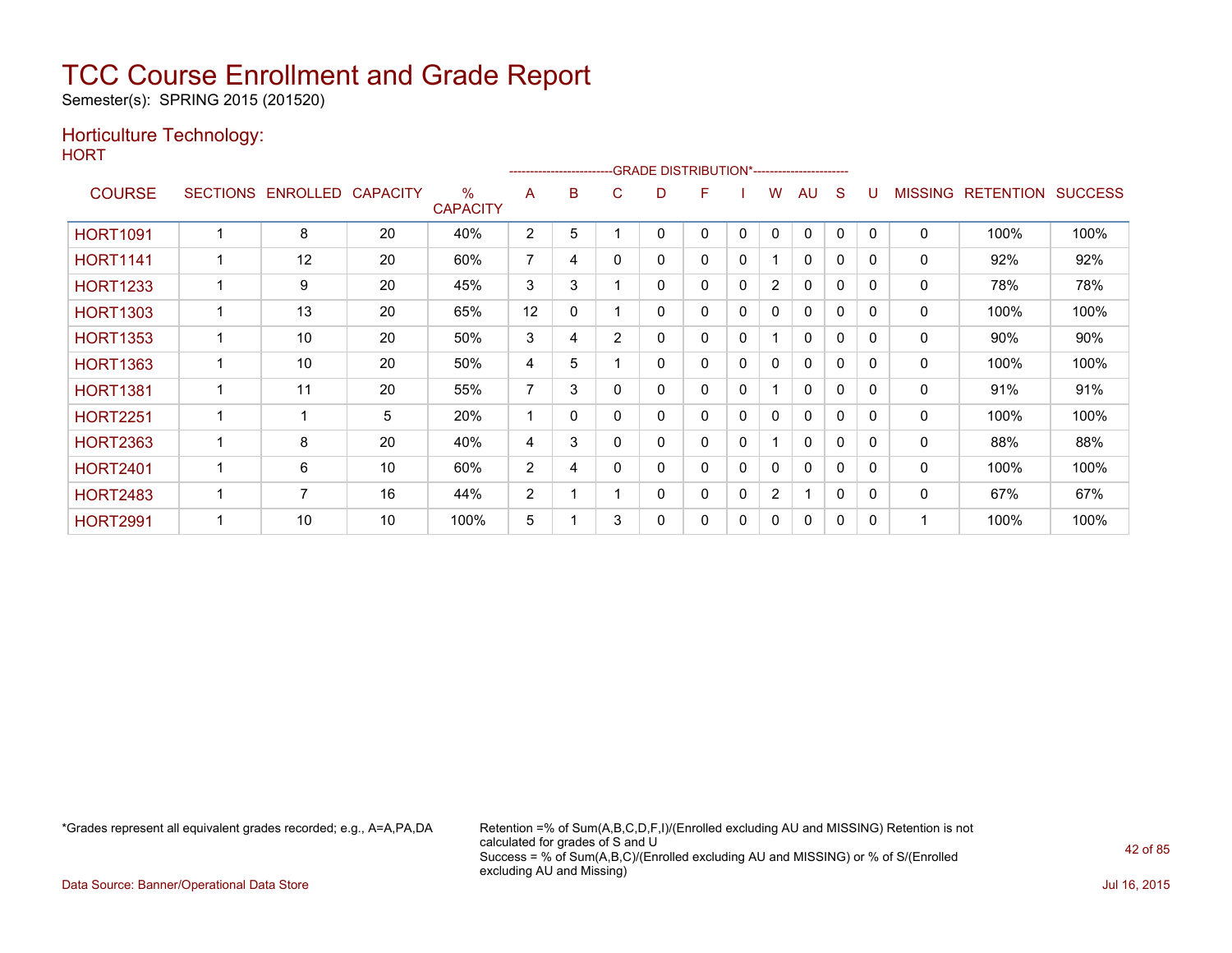Semester(s): SPRING 2015 (201520)

### Horticulture Technology:

**HORT** 

| .               |                 |                 |                 |                         |                |   |                |   | -GRADE DISTRIBUTION*----------------------- |              |                       |              |          |              |                |                  |                |
|-----------------|-----------------|-----------------|-----------------|-------------------------|----------------|---|----------------|---|---------------------------------------------|--------------|-----------------------|--------------|----------|--------------|----------------|------------------|----------------|
| <b>COURSE</b>   | <b>SECTIONS</b> | <b>ENROLLED</b> | <b>CAPACITY</b> | $\%$<br><b>CAPACITY</b> | A              | B | C              | D | F                                           |              | w                     | AU           | S        |              | <b>MISSING</b> | <b>RETENTION</b> | <b>SUCCESS</b> |
| <b>HORT1091</b> |                 | 8               | 20              | 40%                     | $\overline{2}$ | 5 |                | 0 | 0                                           | 0            | 0                     | $\Omega$     | 0        | $\mathbf{0}$ | $\mathbf 0$    | 100%             | 100%           |
| <b>HORT1141</b> |                 | 12              | 20              | 60%                     | 7              | 4 | 0              | 0 | 0                                           | 0            |                       | 0            | 0        | $\mathbf{0}$ | 0              | 92%              | 92%            |
| <b>HORT1233</b> |                 | 9               | 20              | 45%                     | 3              | 3 |                | 0 | 0                                           | 0            | $\overline{2}$        | $\mathbf{0}$ | 0        | $\mathbf{0}$ | 0              | 78%              | 78%            |
| <b>HORT1303</b> |                 | 13              | 20              | 65%                     | 12             | 0 |                | 0 | 0                                           | $\mathbf{0}$ | 0                     | $\mathbf{0}$ | 0        | $\mathbf{0}$ | 0              | 100%             | 100%           |
| <b>HORT1353</b> |                 | 10              | 20              | 50%                     | 3              | 4 | $\overline{2}$ | 0 | 0                                           | 0            |                       | 0            | 0        | $\mathbf{0}$ | 0              | 90%              | 90%            |
| <b>HORT1363</b> |                 | 10              | 20              | 50%                     | 4              | 5 |                | 0 | 0                                           | 0            | 0                     | $\mathbf{0}$ | 0        | $\Omega$     | 0              | 100%             | 100%           |
| <b>HORT1381</b> |                 | 11              | 20              | 55%                     | 7              | 3 | 0              | 0 | 0                                           | 0            |                       | 0            | 0        | $\mathbf{0}$ | 0              | 91%              | 91%            |
| <b>HORT2251</b> |                 |                 | 5               | 20%                     | 1              | 0 | 0              | 0 | 0                                           | 0            | 0                     | 0            | 0        | 0            | 0              | 100%             | 100%           |
| <b>HORT2363</b> |                 | 8               | 20              | 40%                     | 4              | 3 | ი              | 0 | 0                                           | 0            |                       | $\mathbf{0}$ | 0        | $\Omega$     | 0              | 88%              | 88%            |
| <b>HORT2401</b> |                 | 6               | 10              | 60%                     | $\overline{2}$ | 4 | 0              | 0 | 0                                           | 0            | 0                     | 0            | 0        | $\mathbf{0}$ | $\mathbf 0$    | 100%             | 100%           |
| <b>HORT2483</b> |                 | $\overline{ }$  | 16              | 44%                     | $\overline{2}$ |   |                | 0 | 0                                           | 0            | $\mathbf{2}^{\prime}$ |              | $\Omega$ | $\Omega$     | 0              | 67%              | 67%            |
| <b>HORT2991</b> |                 | 10              | 10              | 100%                    | 5              |   | 3              | 0 | 0                                           | 0            | 0                     | $\mathbf{0}$ | 0        | $\Omega$     |                | 100%             | 100%           |

\*Grades represent all equivalent grades recorded; e.g., A=A,PA,DA Retention =% of Sum(A,B,C,D,F,I)/(Enrolled excluding AU and MISSING) Retention is not calculated for grades of S and U Success = % of Sum(A,B,C)/(Enrolled excluding AU and MISSING) or % of S/(Enrolled excluding AU and Missing)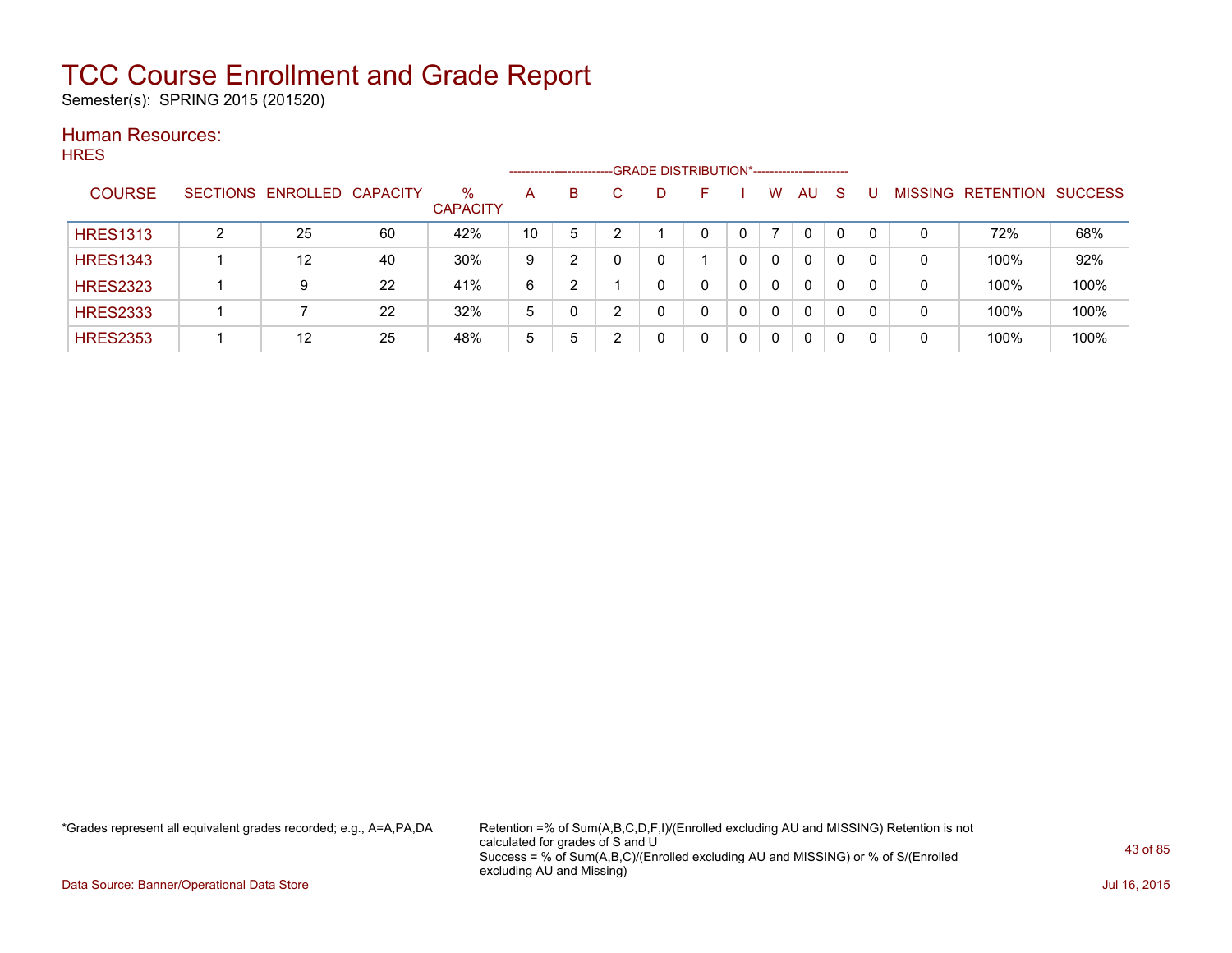Semester(s): SPRING 2015 (201520)

#### Human Resources: **HRES**

| .  .__          |   |                            |    |                         | --------------------- |   |   | -GRADE DISTRIBUTION*----------------------- |              |          |    |                |           |                |
|-----------------|---|----------------------------|----|-------------------------|-----------------------|---|---|---------------------------------------------|--------------|----------|----|----------------|-----------|----------------|
| <b>COURSE</b>   |   | SECTIONS ENROLLED CAPACITY |    | $\%$<br><b>CAPACITY</b> | A                     | B | D | н.                                          | W            | AU.      | -S | <b>MISSING</b> | RETENTION | <b>SUCCESS</b> |
| <b>HRES1313</b> | ົ | 25                         | 60 | 42%                     | 10                    | 5 |   |                                             |              | $\Omega$ |    | 0              | 72%       | 68%            |
| <b>HRES1343</b> |   | 12                         | 40 | 30%                     | 9                     | າ |   |                                             | 0            | 0        | 0  | 0              | 100%      | 92%            |
| <b>HRES2323</b> |   | 9                          | 22 | 41%                     | 6                     | າ |   |                                             | $\Omega$     | 0        | 0  | 0              | 100%      | 100%           |
| <b>HRES2333</b> |   |                            | 22 | 32%                     | 5                     |   |   |                                             | $\Omega$     | 0        | 0  | 0              | 100%      | 100%           |
| <b>HRES2353</b> |   | 12                         | 25 | 48%                     | 5                     | 5 |   |                                             | $\mathbf{0}$ | 0        | 0  | 0              | 100%      | 100%           |

\*Grades represent all equivalent grades recorded; e.g., A=A,PA,DA Retention =% of Sum(A,B,C,D,F,I)/(Enrolled excluding AU and MISSING) Retention is not calculated for grades of S and U Success = % of Sum(A,B,C)/(Enrolled excluding AU and MISSING) or % of S/(Enrolled excluding AU and Missing)

Data Source: Banner/Operational Data Store Jul 16, 2015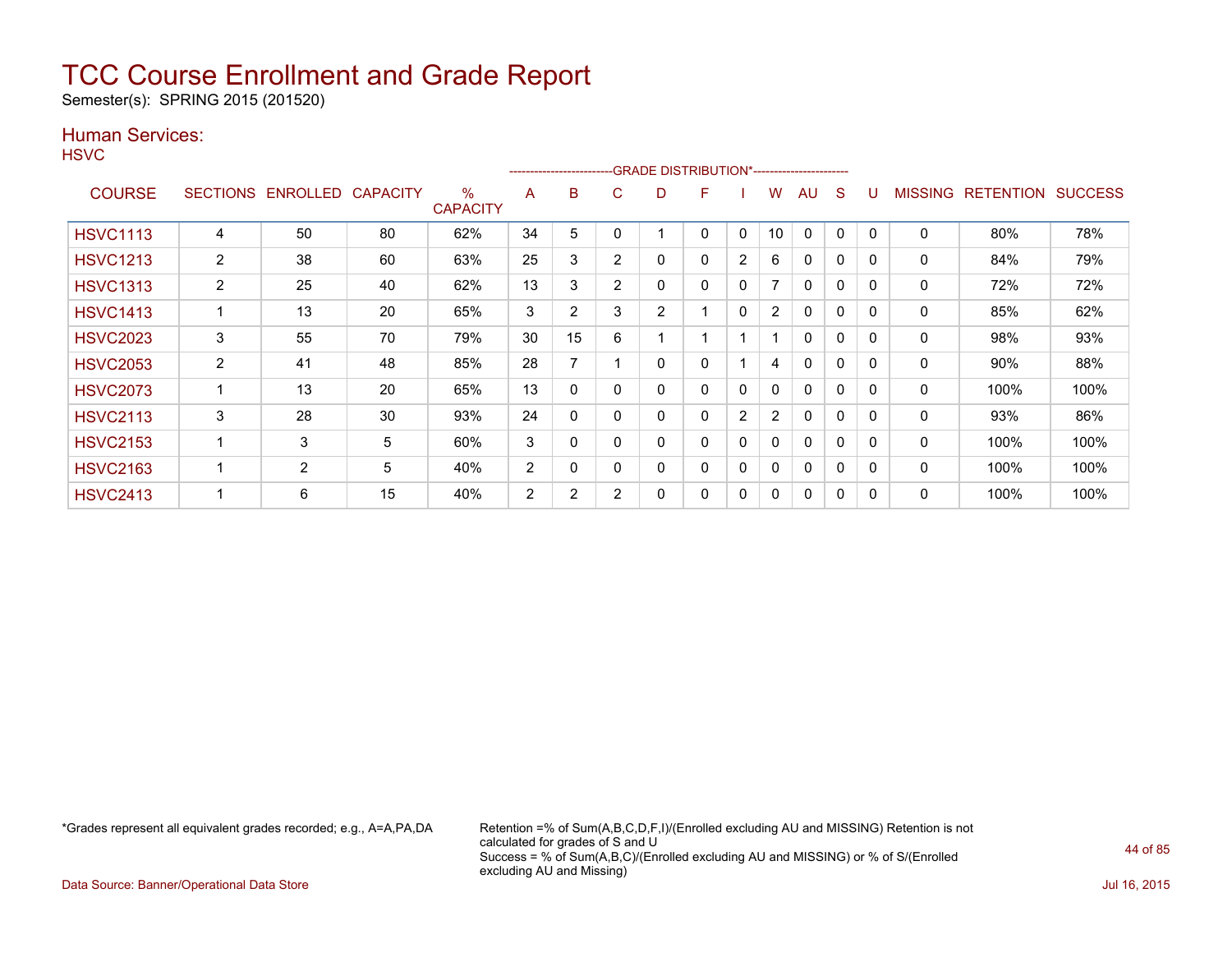Semester(s): SPRING 2015 (201520)

### Human Services:

**HSVC** 

|                 |                 |                 |                 |                      |                | ------------------------ |                | -GRADE DISTRIBUTION*----------------------- |   |   |                |              |              |          |                |                  |                |
|-----------------|-----------------|-----------------|-----------------|----------------------|----------------|--------------------------|----------------|---------------------------------------------|---|---|----------------|--------------|--------------|----------|----------------|------------------|----------------|
| <b>COURSE</b>   | <b>SECTIONS</b> | <b>ENROLLED</b> | <b>CAPACITY</b> | %<br><b>CAPACITY</b> | A              | B                        | C              | D                                           | F |   | w              | AU           | S            |          | <b>MISSING</b> | <b>RETENTION</b> | <b>SUCCESS</b> |
| <b>HSVC1113</b> | 4               | 50              | 80              | 62%                  | 34             | 5                        |                |                                             | 0 | 0 | 10             | 0            | $\Omega$     | 0        | 0              | 80%              | 78%            |
| <b>HSVC1213</b> | $\overline{2}$  | 38              | 60              | 63%                  | 25             | 3                        | $\overline{2}$ | 0                                           | 0 | 2 | 6              | 0            | 0            | $\Omega$ | 0              | 84%              | 79%            |
| <b>HSVC1313</b> | $\overline{2}$  | 25              | 40              | 62%                  | 13             | 3                        | $\overline{2}$ | 0                                           | 0 | 0 | 7              | $\mathbf{0}$ | $\mathbf 0$  | $\Omega$ | 0              | 72%              | 72%            |
| <b>HSVC1413</b> |                 | 13              | 20              | 65%                  | 3              | $\overline{2}$           | 3              | 2                                           |   | 0 | $\overline{2}$ | $\mathbf{0}$ | $\mathbf{0}$ | $\Omega$ | 0              | 85%              | 62%            |
| <b>HSVC2023</b> | 3               | 55              | 70              | 79%                  | 30             | 15                       | 6              |                                             |   |   |                | 0            | 0            | 0        | 0              | 98%              | 93%            |
| <b>HSVC2053</b> | $\overline{2}$  | 41              | 48              | 85%                  | 28             | 7                        |                | 0                                           | 0 |   | 4              | $\Omega$     | 0            | 0        | 0              | 90%              | 88%            |
| <b>HSVC2073</b> |                 | 13              | 20              | 65%                  | 13             | $\mathbf{0}$             |                | 0                                           | 0 | 0 | 0              | $\mathbf{0}$ | 0            | $\Omega$ | 0              | 100%             | 100%           |
| <b>HSVC2113</b> | 3               | 28              | 30              | 93%                  | 24             | 0                        |                | 0                                           | 0 | 2 | $\overline{2}$ | $\Omega$     | $\Omega$     | $\Omega$ | 0              | 93%              | 86%            |
| <b>HSVC2153</b> |                 | 3               | 5               | 60%                  | 3              | 0                        |                | 0                                           | 0 | 0 | 0              | $\Omega$     | 0            | $\Omega$ | 0              | 100%             | 100%           |
| <b>HSVC2163</b> |                 | $\overline{2}$  | 5               | 40%                  | $\overline{2}$ | $\Omega$                 |                | 0                                           | 0 | 0 | 0              | $\Omega$     | $\mathbf 0$  | $\Omega$ | 0              | 100%             | 100%           |
| <b>HSVC2413</b> |                 | 6               | 15              | 40%                  | 2              | $\overline{2}$           | $\overline{2}$ | 0                                           | 0 | 0 | 0              | $\Omega$     | $\mathbf{0}$ | $\Omega$ | 0              | 100%             | 100%           |

\*Grades represent all equivalent grades recorded; e.g., A=A,PA,DA Retention =% of Sum(A,B,C,D,F,I)/(Enrolled excluding AU and MISSING) Retention is not calculated for grades of S and U Success = % of Sum(A,B,C)/(Enrolled excluding AU and MISSING) or % of S/(Enrolled excluding AU and Missing)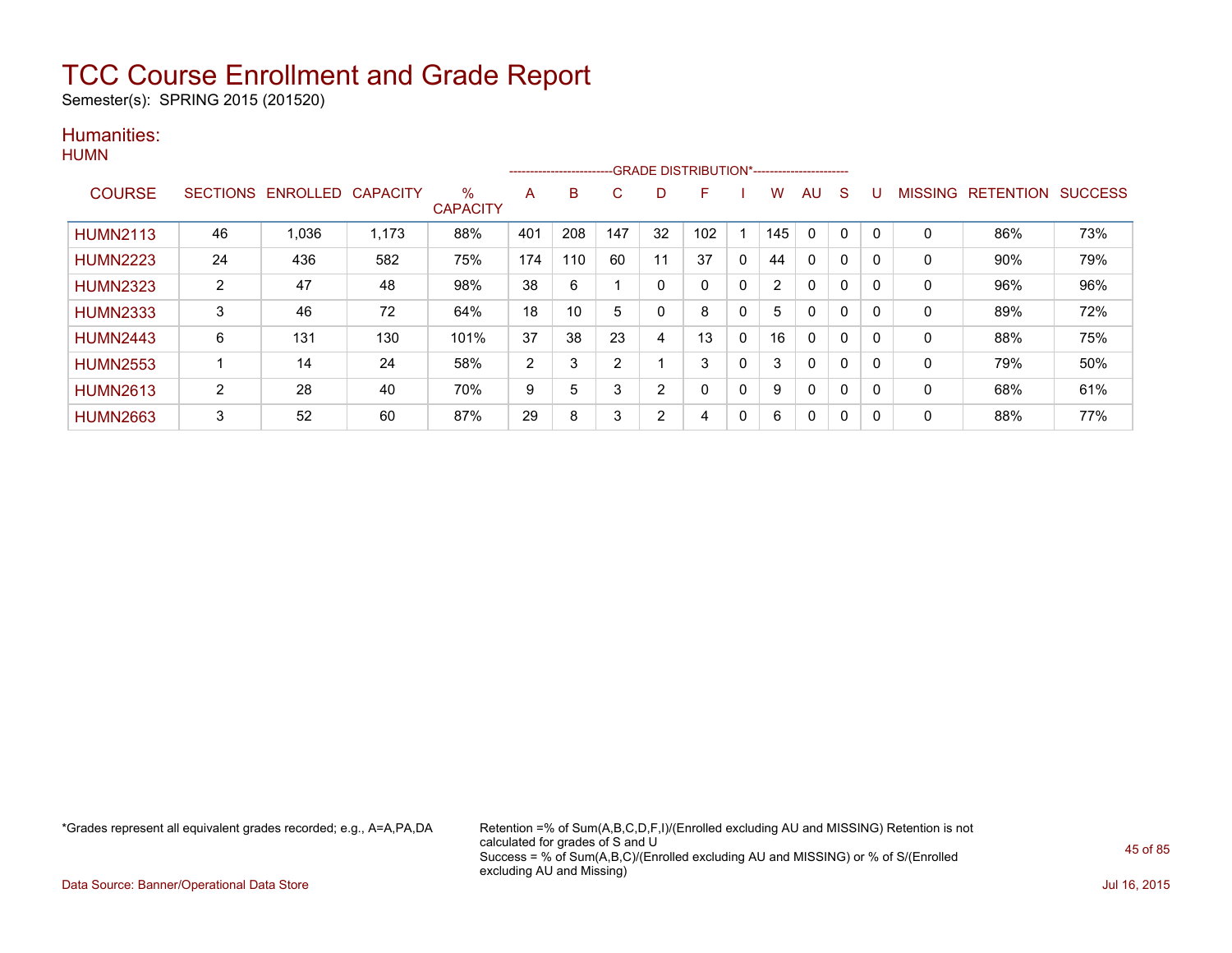Semester(s): SPRING 2015 (201520)

### Humanities: **HUMN**

|                 |    |                            |       |                         |                |     |                |                | ------------------------GRADE                DISTRIBUTION*---------------------- |              |     |              |   |             |             |                          |                |
|-----------------|----|----------------------------|-------|-------------------------|----------------|-----|----------------|----------------|----------------------------------------------------------------------------------|--------------|-----|--------------|---|-------------|-------------|--------------------------|----------------|
| <b>COURSE</b>   |    | SECTIONS ENROLLED CAPACITY |       | $\%$<br><b>CAPACITY</b> | A              | B   | C              | D              | F                                                                                |              | w   | AU           | S |             |             | <b>MISSING RETENTION</b> | <b>SUCCESS</b> |
| <b>HUMN2113</b> | 46 | 1,036                      | 1,173 | 88%                     | 401            | 208 | 147            | 32             | 102                                                                              |              | 145 | $\mathbf{0}$ | 0 | $\mathbf 0$ | $\mathbf 0$ | 86%                      | 73%            |
| <b>HUMN2223</b> | 24 | 436                        | 582   | 75%                     | 174            | 110 | 60             | 11             | 37                                                                               | $\mathbf{0}$ | 44  | $\mathbf{0}$ | 0 |             | $\mathbf 0$ | 90%                      | 79%            |
| <b>HUMN2323</b> | 2  | 47                         | 48    | 98%                     | 38             | 6   |                | 0              |                                                                                  | 0            | 2   | $\mathbf{0}$ | 0 | 0           | 0           | 96%                      | 96%            |
| <b>HUMN2333</b> | 3  | 46                         | 72    | 64%                     | 18             | 10  | 5              | 0              | 8                                                                                | 0            | 5   | 0            | 0 |             | 0           | 89%                      | 72%            |
| <b>HUMN2443</b> | 6  | 131                        | 130   | 101%                    | 37             | 38  | 23             | 4              | 13                                                                               | $\mathbf{0}$ | 16  | $\mathbf{0}$ | 0 |             | $\mathbf 0$ | 88%                      | 75%            |
| <b>HUMN2553</b> |    | 14                         | 24    | 58%                     | $\overline{2}$ | 3   | $\overline{2}$ |                | 3                                                                                | $\mathbf{0}$ | 3   | $\mathbf{0}$ | 0 | 0           | $\mathbf 0$ | 79%                      | 50%            |
| <b>HUMN2613</b> | 2  | 28                         | 40    | 70%                     | 9              | 5   | 3              | $\overline{2}$ | 0                                                                                | 0            | 9   | $\mathbf{0}$ | 0 |             | 0           | 68%                      | 61%            |
| <b>HUMN2663</b> | 3  | 52                         | 60    | 87%                     | 29             | 8   | 3              | 2              | 4                                                                                | 0            | 6   | 0            | 0 |             | $\mathbf 0$ | 88%                      | 77%            |

\*Grades represent all equivalent grades recorded; e.g., A=A,PA,DA Retention =% of Sum(A,B,C,D,F,I)/(Enrolled excluding AU and MISSING) Retention is not calculated for grades of S and U Success = % of Sum(A,B,C)/(Enrolled excluding AU and MISSING) or % of S/(Enrolled excluding AU and Missing)

Data Source: Banner/Operational Data Store Jul 16, 2015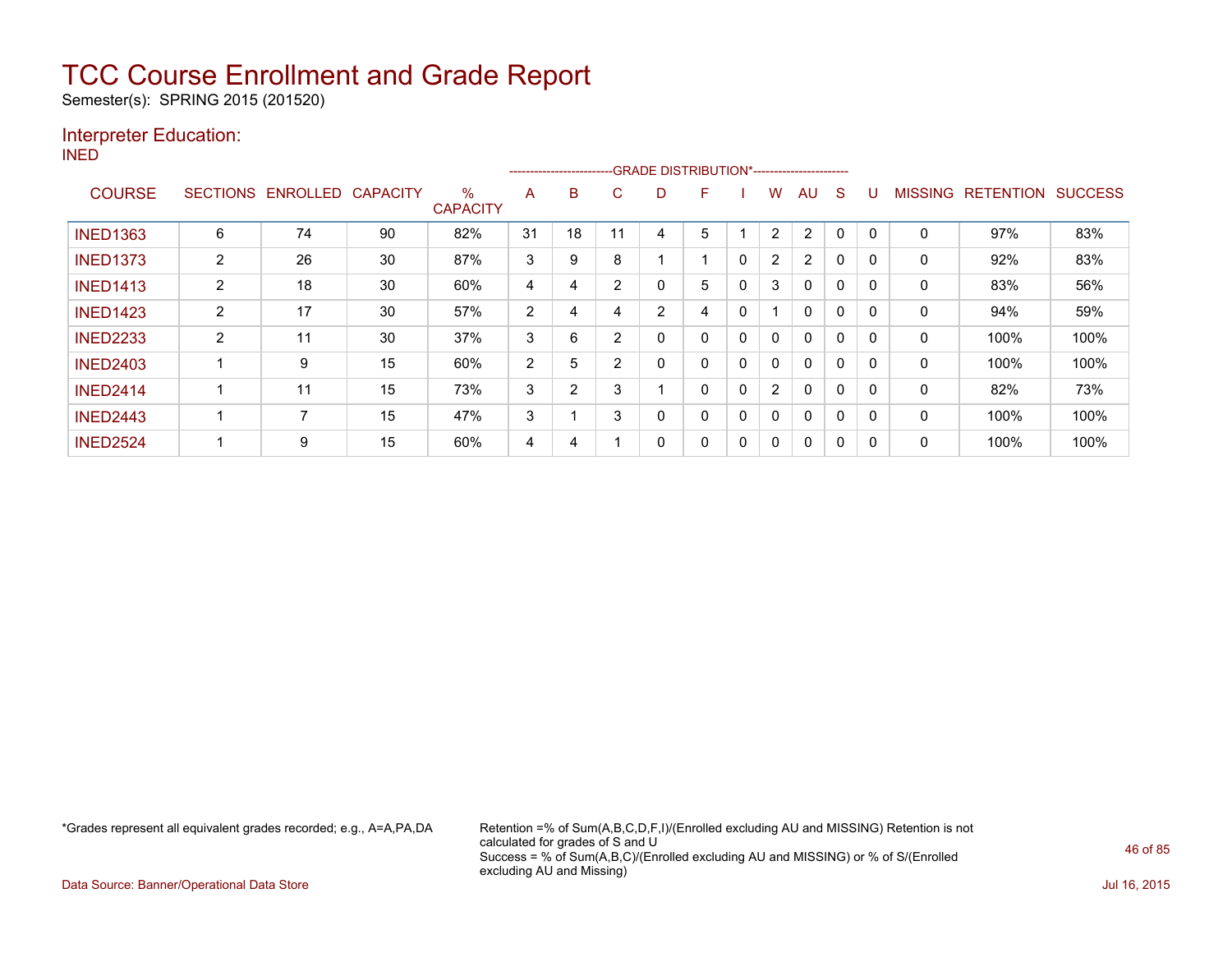Semester(s): SPRING 2015 (201520)

### Interpreter Education:

INED

| .               |                 |                 |                 |                         |                | ---------------------- |                |   | -GRADE DISTRIBUTION*----------------------- |   |                |                |          |   |              |                  |                |
|-----------------|-----------------|-----------------|-----------------|-------------------------|----------------|------------------------|----------------|---|---------------------------------------------|---|----------------|----------------|----------|---|--------------|------------------|----------------|
| <b>COURSE</b>   | <b>SECTIONS</b> | <b>ENROLLED</b> | <b>CAPACITY</b> | $\%$<br><b>CAPACITY</b> | A              | B                      | С              | D | F                                           |   | W              | AU             | S        |   | MISSING      | <b>RETENTION</b> | <b>SUCCESS</b> |
| <b>INED1363</b> | 6               | 74              | 90              | 82%                     | 31             | 18                     | 11             | 4 | 5                                           |   | 2              | $\overline{2}$ | 0        | 0 | 0            | 97%              | 83%            |
| <b>INED1373</b> | $\overline{2}$  | 26              | 30              | 87%                     | 3              | 9                      | 8              |   |                                             | 0 | $\overline{2}$ | $\overline{2}$ | 0        |   | 0            | 92%              | 83%            |
| <b>INED1413</b> | 2               | 18              | 30              | 60%                     | 4              | 4                      | $\overline{2}$ | 0 | 5                                           |   | 3              | 0              | 0        |   | 0            | 83%              | 56%            |
| <b>INED1423</b> | $\overline{2}$  | 17              | 30              | 57%                     | $\overline{2}$ | 4                      | 4              | 2 | 4                                           | 0 | 4              | $\Omega$       | 0        | 0 | $\Omega$     | 94%              | 59%            |
| <b>INED2233</b> | $\overline{2}$  | 11              | 30              | 37%                     | 3              | 6                      | 2              | 0 | 0                                           | 0 | 0              | $\Omega$       | 0        | 0 | $\mathbf{0}$ | 100%             | 100%           |
| <b>INED2403</b> |                 | 9               | 15              | 60%                     | 2              | 5                      | $\overline{2}$ | 0 | 0                                           | 0 | 0              | $\Omega$       | 0        |   | 0            | 100%             | 100%           |
| <b>INED2414</b> |                 | 11              | 15              | 73%                     | 3              | $\sim$                 | 3              |   | 0                                           | 0 | $\overline{2}$ | $\Omega$       | 0        |   | 0            | 82%              | 73%            |
| <b>INED2443</b> |                 |                 | 15              | 47%                     | 3              |                        | 3              | 0 | $\mathbf{0}$                                | 0 | 0              | $\Omega$       | $\Omega$ | 0 | $\mathbf{0}$ | 100%             | 100%           |
| <b>INED2524</b> |                 | 9               | 15              | 60%                     | 4              | 4                      |                | 0 | 0                                           |   | 0              | 0              | 0        |   | 0            | 100%             | 100%           |

\*Grades represent all equivalent grades recorded; e.g., A=A,PA,DA Retention =% of Sum(A,B,C,D,F,I)/(Enrolled excluding AU and MISSING) Retention is not calculated for grades of S and U Success = % of Sum(A,B,C)/(Enrolled excluding AU and MISSING) or % of S/(Enrolled excluding AU and Missing)

Data Source: Banner/Operational Data Store Jul 16, 2015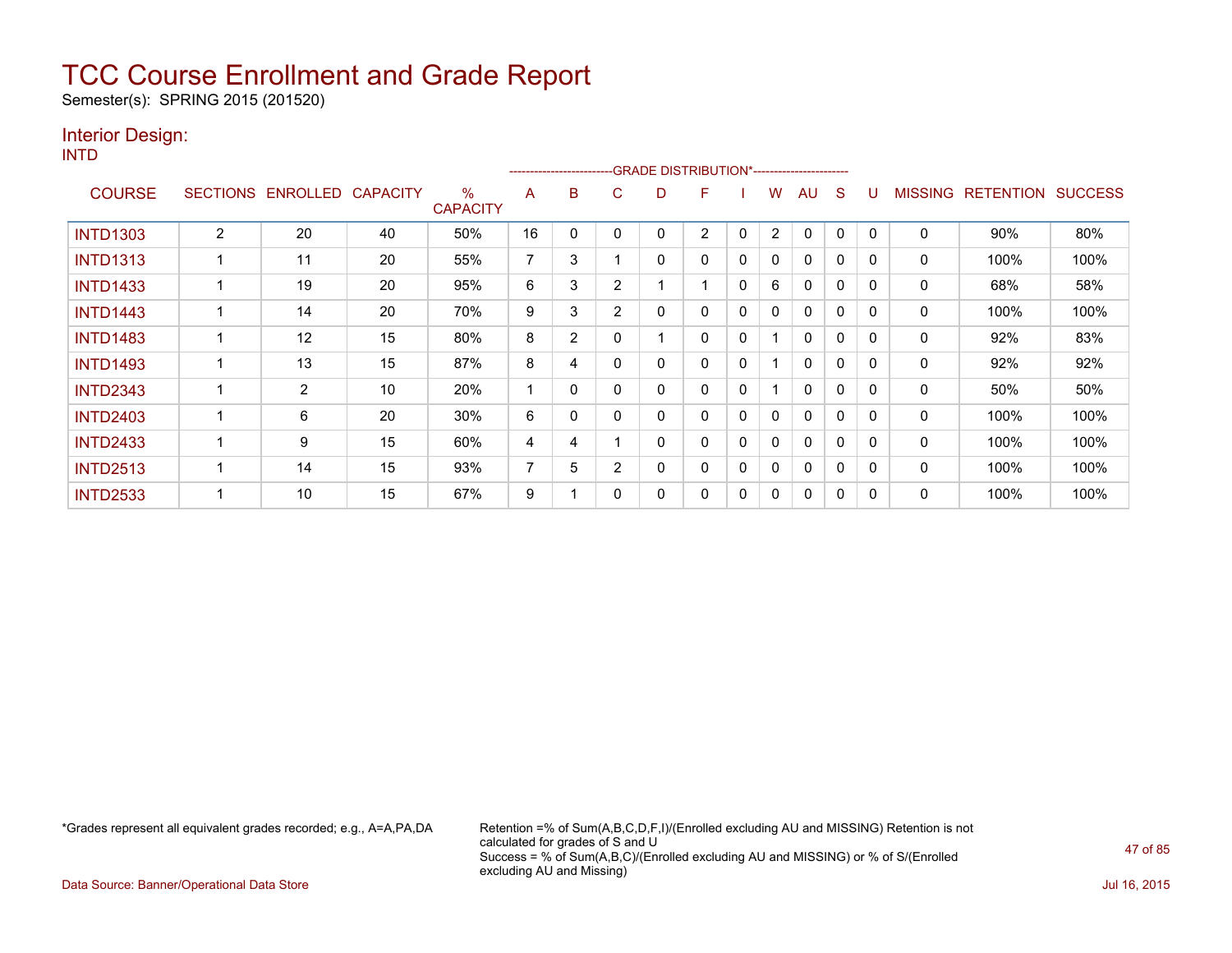Semester(s): SPRING 2015 (201520)

### Interior Design:

INTD

|                 |                |                   |                 |                         |                | --------------------- |                | -GRADE DISTRIBUTION*---------------------- |                |              |                |              |              |          |                |                  |                |
|-----------------|----------------|-------------------|-----------------|-------------------------|----------------|-----------------------|----------------|--------------------------------------------|----------------|--------------|----------------|--------------|--------------|----------|----------------|------------------|----------------|
| <b>COURSE</b>   |                | SECTIONS ENROLLED | <b>CAPACITY</b> | $\%$<br><b>CAPACITY</b> | A              | B                     | C              | D                                          | F              |              | W              | AU           | S            |          | <b>MISSING</b> | <b>RETENTION</b> | <b>SUCCESS</b> |
| <b>INTD1303</b> | $\overline{2}$ | 20                | 40              | 50%                     | 16             | 0                     |                | ი                                          | $\overline{2}$ | 0            | $\overline{2}$ | $\mathbf{0}$ | 0            | $\Omega$ | $\mathbf 0$    | 90%              | 80%            |
| <b>INTD1313</b> |                | 11                | 20              | 55%                     | $\overline{7}$ | 3                     |                | 0                                          | 0              | 0            | 0              | 0            | 0            | $\Omega$ | 0              | 100%             | 100%           |
| <b>INTD1433</b> |                | 19                | 20              | 95%                     | 6              | 3                     | $\overline{2}$ |                                            |                | 0            | 6              | $\mathbf{0}$ | 0            |          | 0              | 68%              | 58%            |
| <b>INTD1443</b> |                | 14                | 20              | 70%                     | 9              | 3                     | 2              | 0                                          | 0              | 0            | 0              | 0            | $\mathbf{0}$ | $\Omega$ | 0              | 100%             | 100%           |
| <b>INTD1483</b> |                | 12                | 15              | 80%                     | 8              | $\overline{2}$        | 0              |                                            | 0              | 0            |                | $\mathbf{0}$ | 0            | $\Omega$ | 0              | 92%              | 83%            |
| <b>INTD1493</b> |                | 13                | 15              | 87%                     | 8              | 4                     |                | 0                                          | 0              | $\mathbf{0}$ |                | $\mathbf{0}$ | $\Omega$     | $\Omega$ | 0              | 92%              | 92%            |
| <b>INTD2343</b> |                | $\overline{2}$    | 10              | 20%                     |                | 0                     |                | 0                                          | 0              | 0            |                | $\mathbf{0}$ | 0            | $\Omega$ | 0              | 50%              | 50%            |
| <b>INTD2403</b> |                | 6                 | 20              | 30%                     | 6              | 0                     |                | 0                                          | 0              | 0            | 0              | $\mathbf{0}$ | 0            | $\Omega$ | 0              | 100%             | 100%           |
| <b>INTD2433</b> |                | 9                 | 15              | 60%                     | 4              | 4                     |                | 0                                          | 0              | 0            | 0              | $\mathbf{0}$ | 0            | $\Omega$ | 0              | 100%             | 100%           |
| <b>INTD2513</b> |                | 14                | 15              | 93%                     | 7              | 5                     | $\overline{2}$ | 0                                          | 0              | $\mathbf{0}$ | $\mathbf{0}$   | $\mathbf{0}$ | $\Omega$     | $\Omega$ | $\Omega$       | 100%             | 100%           |
| <b>INTD2533</b> |                | 10                | 15              | 67%                     | 9              |                       |                | 0                                          | 0              | 0            | 0              | $\mathbf{0}$ | 0            | $\Omega$ | $\mathbf 0$    | 100%             | 100%           |

\*Grades represent all equivalent grades recorded; e.g., A=A,PA,DA Retention =% of Sum(A,B,C,D,F,I)/(Enrolled excluding AU and MISSING) Retention is not calculated for grades of S and U Success = % of Sum(A,B,C)/(Enrolled excluding AU and MISSING) or % of S/(Enrolled excluding AU and Missing)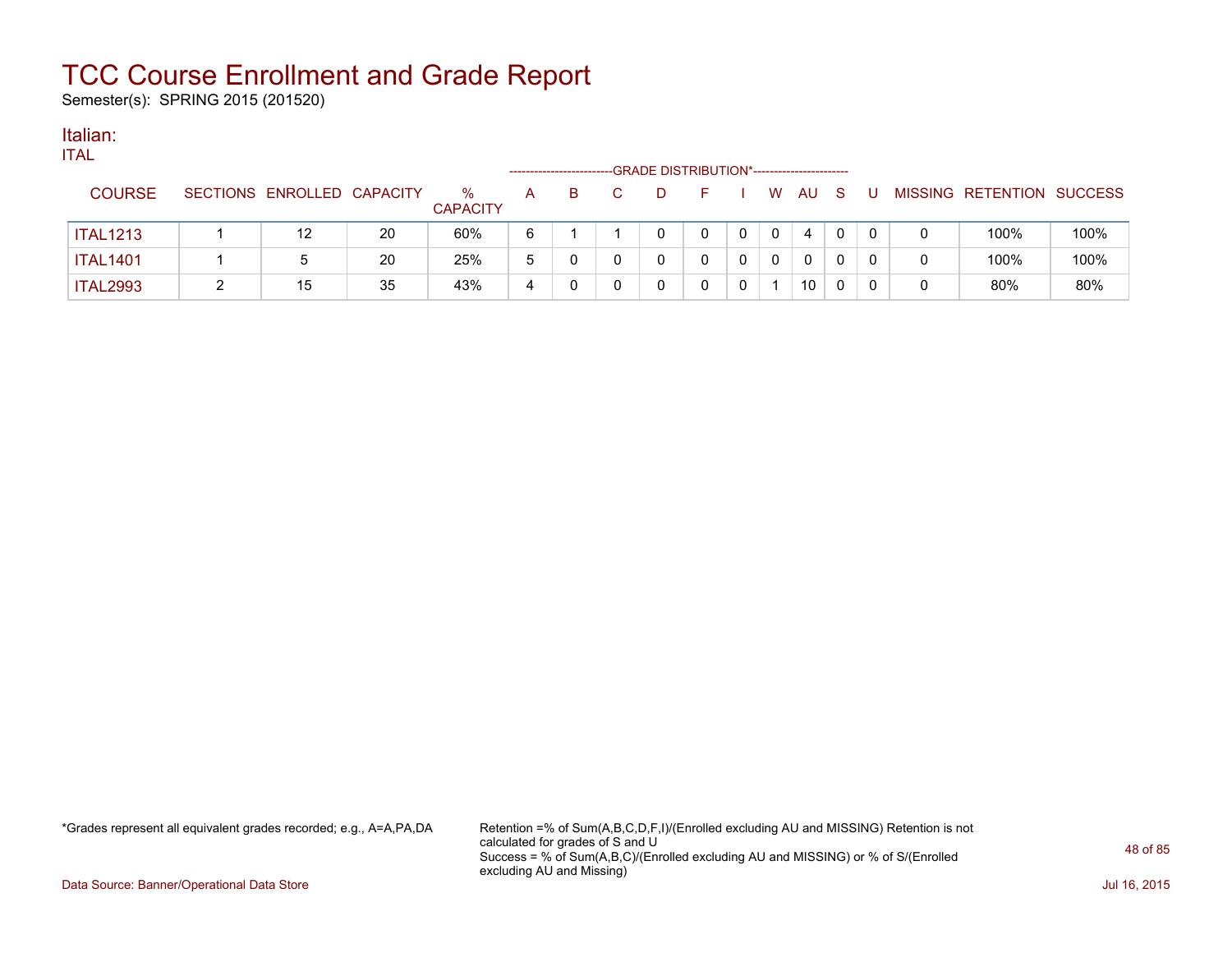Semester(s): SPRING 2015 (201520)

#### Italian: ITAL

| 'I AL           |                            |    |                         |   |    | -GRADE DISTRIBUTION*------------------------ |   |              |    |    |   |                           |      |
|-----------------|----------------------------|----|-------------------------|---|----|----------------------------------------------|---|--------------|----|----|---|---------------------------|------|
| <b>COURSE</b>   | SECTIONS ENROLLED CAPACITY |    | $\%$<br><b>CAPACITY</b> | A | B. | -10                                          |   | W            | AU | -S |   | MISSING RETENTION SUCCESS |      |
| <b>ITAL1213</b> | 12                         | 20 | 60%                     | 6 |    |                                              | 0 | $\mathbf{0}$ | 4  | 0  |   | 100%                      | 100% |
| <b>ITAL1401</b> |                            | 20 | 25%                     | 5 |    |                                              | 0 | 0            | 0  | 0  | 0 | 100%                      | 100% |
| <b>ITAL2993</b> | 15                         | 35 | 43%                     | 4 |    |                                              | 0 |              | 10 | 0  | 0 | 80%                       | 80%  |

\*Grades represent all equivalent grades recorded; e.g., A=A,PA,DA Retention =% of Sum(A,B,C,D,F,I)/(Enrolled excluding AU and MISSING) Retention is not calculated for grades of S and U Success = % of Sum(A,B,C)/(Enrolled excluding AU and MISSING) or % of S/(Enrolled excluding AU and Missing)

Data Source: Banner/Operational Data Store Jul 16, 2015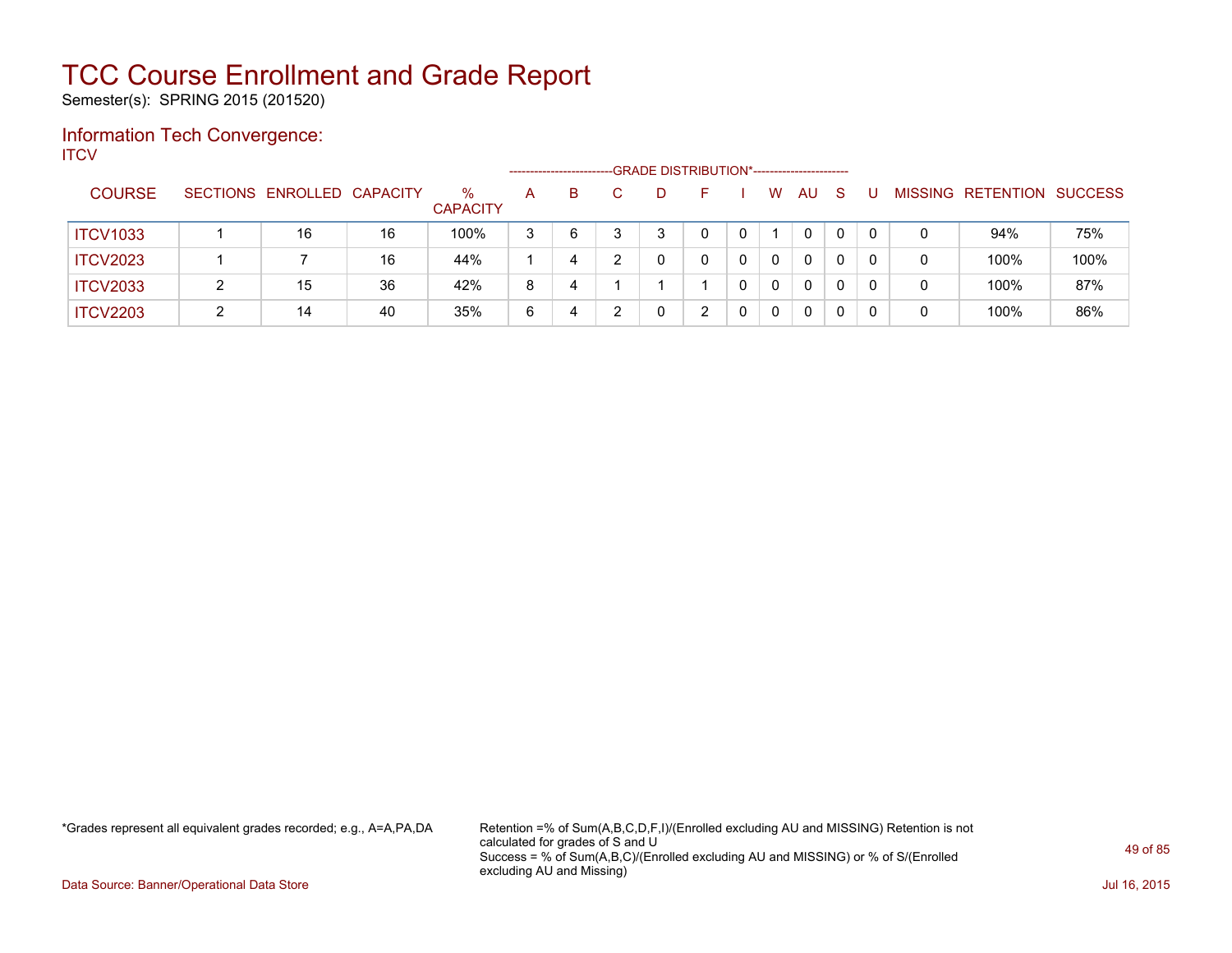Semester(s): SPRING 2015 (201520)

### Information Tech Convergence: **ITCV**

|                 |                            |    |                         | -------------------- |    | -GRADE DISTRIBUTION*----------------------- |  |              |     |    |   |                   |                |
|-----------------|----------------------------|----|-------------------------|----------------------|----|---------------------------------------------|--|--------------|-----|----|---|-------------------|----------------|
| <b>COURSE</b>   | SECTIONS ENROLLED CAPACITY |    | $\%$<br><b>CAPACITY</b> | A                    | B. |                                             |  | W            | AU. | -S |   | MISSING RETENTION | <b>SUCCESS</b> |
| <b>ITCV1033</b> | 16                         | 16 | 100%                    | 3                    | 6  |                                             |  |              | 0   | 0  | 0 | 94%               | 75%            |
| <b>ITCV2023</b> |                            | 16 | 44%                     |                      | 4  |                                             |  | 0            | 0   | 0  |   | 100%              | 100%           |
| <b>ITCV2033</b> | 15                         | 36 | 42%                     | 8                    | 4  |                                             |  | $\mathbf{0}$ | 0   | 0  |   | 100%              | 87%            |
| <b>ITCV2203</b> | 14                         | 40 | 35%                     | 6                    | 4  |                                             |  | 0            | 0   |    |   | 100%              | 86%            |

\*Grades represent all equivalent grades recorded; e.g., A=A,PA,DA Retention =% of Sum(A,B,C,D,F,I)/(Enrolled excluding AU and MISSING) Retention is not calculated for grades of S and U Success = % of Sum(A,B,C)/(Enrolled excluding AU and MISSING) or % of S/(Enrolled excluding AU and Missing)

Data Source: Banner/Operational Data Store Jul 16, 2015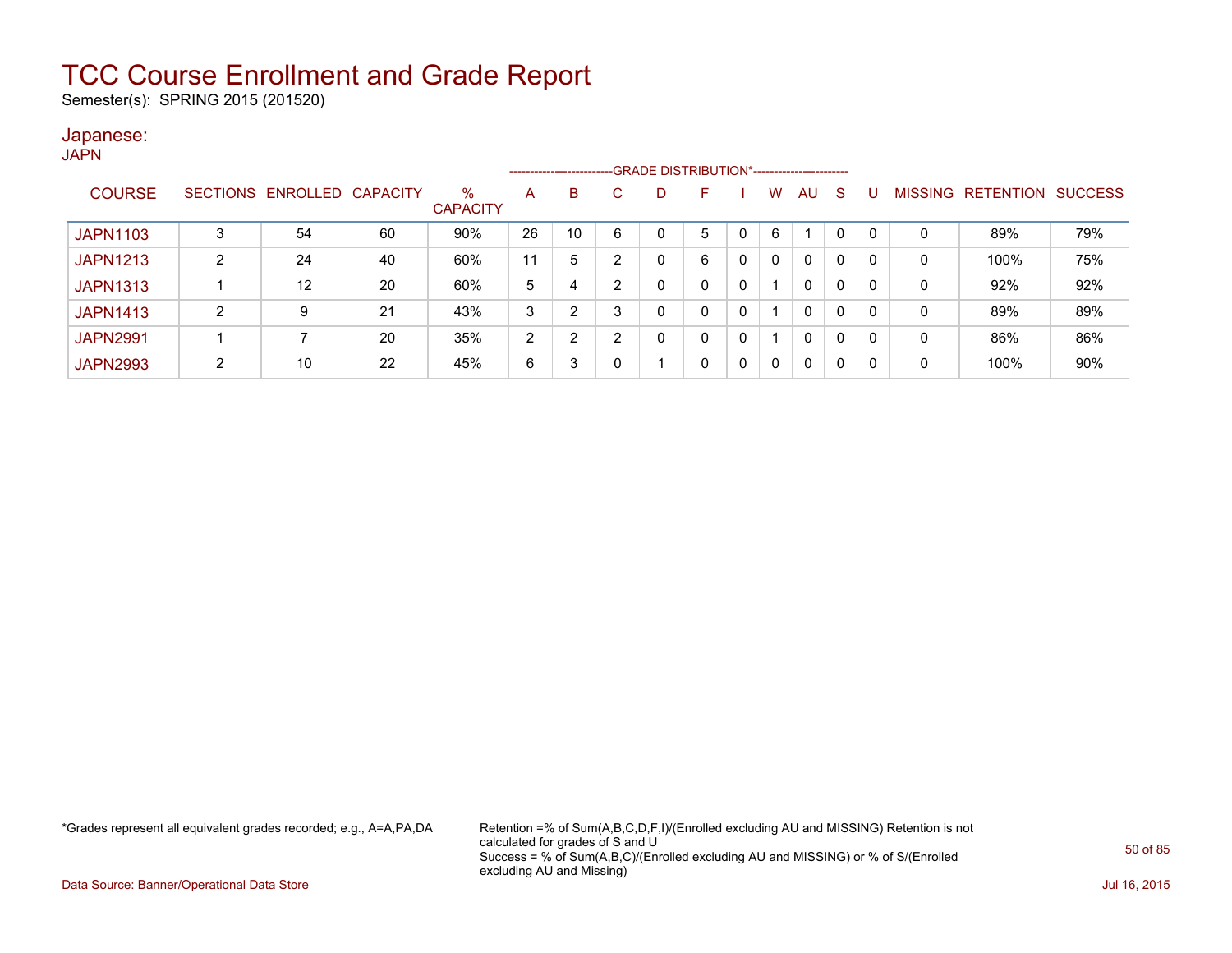Semester(s): SPRING 2015 (201520)

#### Japanese: **JAPN**

|                 |   |                   |                 |                         |                | --------------------- |   | -GRADE DISTRIBUTION*----------------------- |   |   |   |              |   |              |                |                  |                |
|-----------------|---|-------------------|-----------------|-------------------------|----------------|-----------------------|---|---------------------------------------------|---|---|---|--------------|---|--------------|----------------|------------------|----------------|
| <b>COURSE</b>   |   | SECTIONS ENROLLED | <b>CAPACITY</b> | $\%$<br><b>CAPACITY</b> | A              | B                     |   |                                             | F |   | W | AU           | S |              | <b>MISSING</b> | <b>RETENTION</b> | <b>SUCCESS</b> |
| <b>JAPN1103</b> |   | 54                | 60              | 90%                     | 26             | 10                    | 6 | 0                                           | 5 |   | 6 |              | 0 | $\mathbf{0}$ | 0              | 89%              | 79%            |
| <b>JAPN1213</b> |   | 24                | 40              | 60%                     | 11             | 5                     | 2 |                                             | 6 | 0 |   | 0            | 0 | 0            | 0              | 100%             | 75%            |
| <b>JAPN1313</b> |   | 12                | 20              | 60%                     | 5              | 4                     | 2 |                                             |   | 0 |   | 0            | 0 | 0            | 0              | 92%              | 92%            |
| <b>JAPN1413</b> | 2 | 9                 | 21              | 43%                     | 3              | っ                     | 3 | <sup>0</sup>                                | 0 | 0 |   | $\mathbf{0}$ | 0 | 0            | 0              | 89%              | 89%            |
| <b>JAPN2991</b> |   |                   | 20              | 35%                     | $\overline{2}$ | າ                     | 2 |                                             | 0 | 0 |   | 0            | 0 | 0            | 0              | 86%              | 86%            |
| <b>JAPN2993</b> | 2 | 10                | 22              | 45%                     | 6              | 3                     |   |                                             | 0 | 0 |   | 0            | 0 | 0            | $\mathbf 0$    | 100%             | 90%            |

\*Grades represent all equivalent grades recorded; e.g., A=A,PA,DA Retention =% of Sum(A,B,C,D,F,I)/(Enrolled excluding AU and MISSING) Retention is not calculated for grades of S and U Success = % of Sum(A,B,C)/(Enrolled excluding AU and MISSING) or % of S/(Enrolled excluding AU and Missing)

Data Source: Banner/Operational Data Store Jul 16, 2015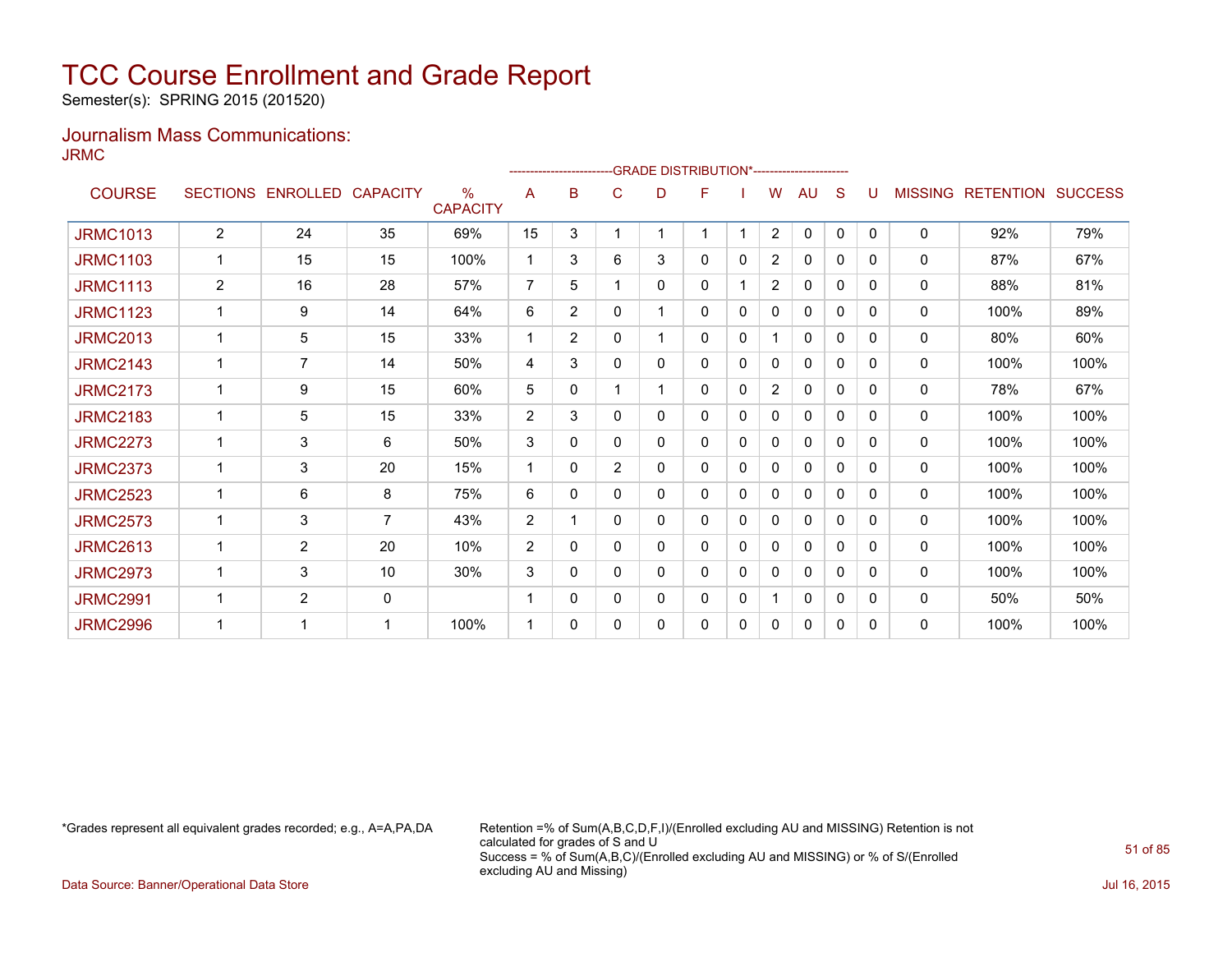Semester(s): SPRING 2015 (201520)

### Journalism Mass Communications: JRMC

|                 |                 |                   |                |                                  |                |                |                |   | -GRADE DISTRIBUTION*---------------------- |              |                |              |   |              |                |                          |      |
|-----------------|-----------------|-------------------|----------------|----------------------------------|----------------|----------------|----------------|---|--------------------------------------------|--------------|----------------|--------------|---|--------------|----------------|--------------------------|------|
| <b>COURSE</b>   | <b>SECTIONS</b> | ENROLLED CAPACITY |                | $\frac{0}{0}$<br><b>CAPACITY</b> | A              | в              | C              | D | F                                          |              | W              | AU           | S |              | <b>MISSING</b> | <b>RETENTION SUCCESS</b> |      |
| <b>JRMC1013</b> | $\overline{2}$  | 24                | 35             | 69%                              | 15             | 3              |                |   | $\mathbf{1}$                               |              | $\overline{2}$ | 0            | 0 | $\mathbf{0}$ | 0              | 92%                      | 79%  |
| <b>JRMC1103</b> | 1               | 15                | 15             | 100%                             | 1              | 3              | 6              | 3 | 0                                          | $\mathbf 0$  | $\overline{2}$ | $\mathbf{0}$ | 0 | 0            | 0              | 87%                      | 67%  |
| <b>JRMC1113</b> | $\overline{2}$  | 16                | 28             | 57%                              | $\overline{7}$ | 5              |                | 0 | 0                                          |              | 2              | 0            | 0 | 0            | $\Omega$       | 88%                      | 81%  |
| <b>JRMC1123</b> | 1               | 9                 | 14             | 64%                              | 6              | $\overline{2}$ | $\mathbf{0}$   |   | 0                                          | 0            | 0              | 0            | 0 | 0            | 0              | 100%                     | 89%  |
| <b>JRMC2013</b> |                 | 5                 | 15             | 33%                              |                | $\overline{2}$ | $\mathbf{0}$   |   | 0                                          | 0            |                | $\mathbf{0}$ | 0 | 0            | 0              | 80%                      | 60%  |
| <b>JRMC2143</b> |                 | 7                 | 14             | 50%                              | 4              | 3              | $\mathbf{0}$   | 0 | 0                                          | 0            | 0              | $\mathbf{0}$ | 0 | 0            | 0              | 100%                     | 100% |
| <b>JRMC2173</b> |                 | 9                 | 15             | 60%                              | 5              | 0              |                |   | 0                                          | $\mathbf{0}$ | $\overline{2}$ | $\mathbf{0}$ | 0 | 0            | $\mathbf{0}$   | 78%                      | 67%  |
| <b>JRMC2183</b> |                 | 5                 | 15             | 33%                              | 2              | 3              | 0              | 0 | 0                                          | 0            | 0              | $\mathbf{0}$ | 0 | 0            | 0              | 100%                     | 100% |
| <b>JRMC2273</b> | 1               | 3                 | 6              | 50%                              | 3              | 0              | $\mathbf{0}$   | 0 | 0                                          | $\mathbf 0$  | 0              | $\mathbf{0}$ | 0 | 0            | 0              | 100%                     | 100% |
| <b>JRMC2373</b> | $\mathbf 1$     | 3                 | 20             | 15%                              | 1              | 0              | $\overline{2}$ | 0 | 0                                          | $\mathbf 0$  | 0              | $\mathbf{0}$ | 0 | 0            | 0              | 100%                     | 100% |
| <b>JRMC2523</b> | 1               | 6                 | 8              | 75%                              | 6              | 0              | $\mathbf{0}$   | 0 | 0                                          | $\mathbf 0$  | $\mathbf{0}$   | $\mathbf{0}$ | 0 | 0            | 0              | 100%                     | 100% |
| <b>JRMC2573</b> |                 | 3                 | $\overline{7}$ | 43%                              | $\overline{2}$ |                | $\mathbf{0}$   | 0 | 0                                          | 0            | 0              | $\mathbf{0}$ | 0 | 0            | $\mathbf{0}$   | 100%                     | 100% |
| <b>JRMC2613</b> | 1               | $\overline{2}$    | 20             | 10%                              | 2              | $\Omega$       | $\mathbf{0}$   | 0 | 0                                          | 0            | 0              | $\mathbf{0}$ | 0 | 0            | 0              | 100%                     | 100% |
| <b>JRMC2973</b> |                 | 3                 | 10             | 30%                              | 3              | 0              | 0              | 0 | 0                                          | 0            | 0              | $\mathbf{0}$ | 0 | 0            | 0              | 100%                     | 100% |
| <b>JRMC2991</b> |                 | $\overline{2}$    | 0              |                                  |                | 0              | 0              | 0 | 0                                          | 0            |                | 0            | 0 | 0            | 0              | 50%                      | 50%  |
| <b>JRMC2996</b> |                 | 1                 | -1             | 100%                             |                | 0              | 0              | 0 | 0                                          | 0            | 0              | 0            | 0 | 0            | 0              | 100%                     | 100% |

\*Grades represent all equivalent grades recorded; e.g., A=A,PA,DA Retention =% of Sum(A,B,C,D,F,I)/(Enrolled excluding AU and MISSING) Retention is not calculated for grades of S and U Success = % of Sum(A,B,C)/(Enrolled excluding AU and MISSING) or % of S/(Enrolled excluding AU and Missing)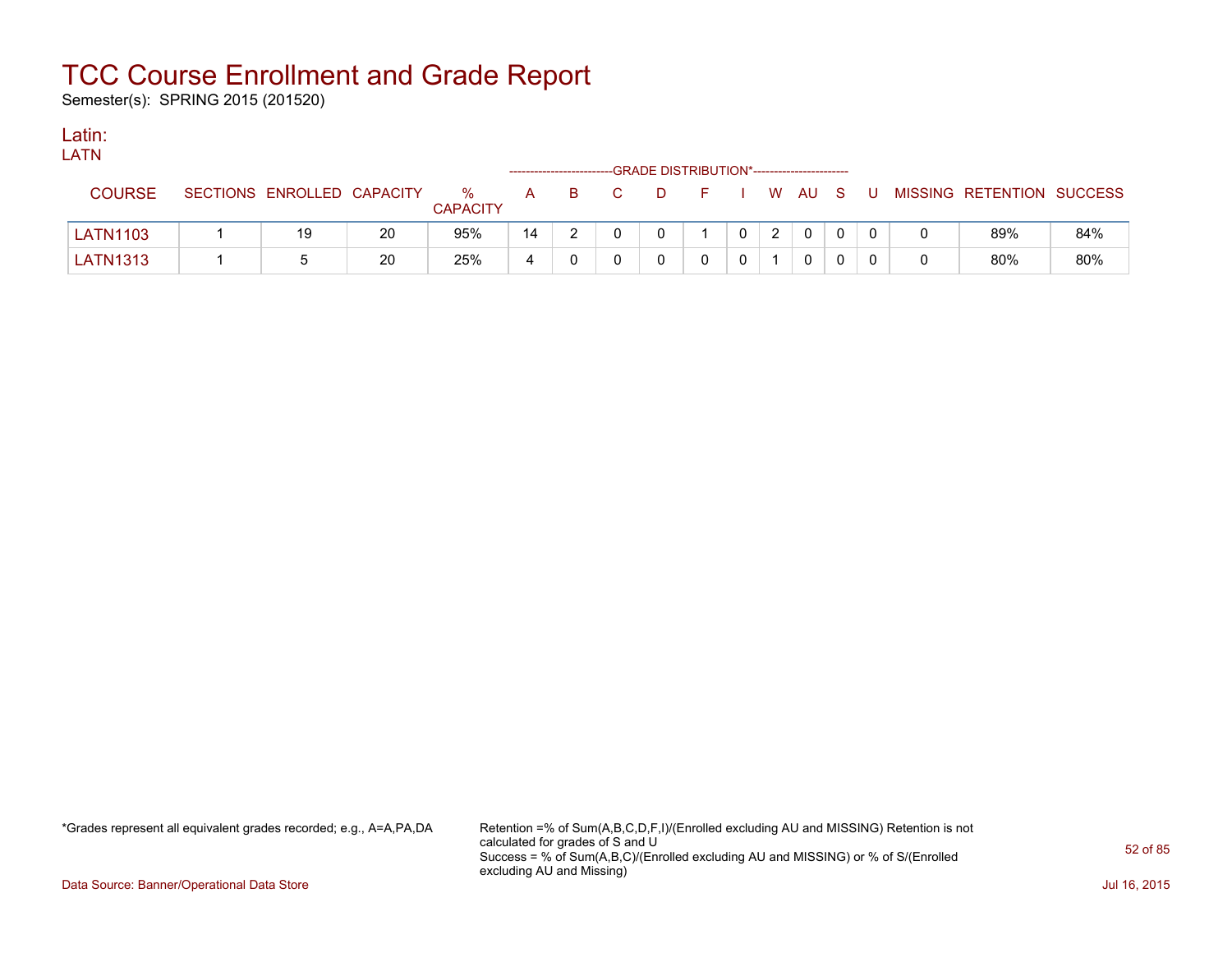Semester(s): SPRING 2015 (201520)

### Latin:

| .               |                            |    |                      | -------------------- |  | -GRADE DISTRIBUTION*----------------------- |  |          |    |     |                |                           |     |
|-----------------|----------------------------|----|----------------------|----------------------|--|---------------------------------------------|--|----------|----|-----|----------------|---------------------------|-----|
| <b>COURSE</b>   | SECTIONS ENROLLED CAPACITY |    | %<br><b>CAPACITY</b> | $\mathsf{A}$         |  | D                                           |  | <b>W</b> | AU | - S | U              | MISSING RETENTION SUCCESS |     |
| <b>LATN1103</b> | 19                         | 20 | 95%                  | 14                   |  |                                             |  |          |    | 0   |                | 89%                       | 84% |
| <b>LATN1313</b> |                            | 20 | 25%                  |                      |  |                                             |  |          |    |     | $\overline{0}$ | 80%                       | 80% |

\*Grades represent all equivalent grades recorded; e.g., A=A,PA,DA Retention =% of Sum(A,B,C,D,F,I)/(Enrolled excluding AU and MISSING) Retention is not calculated for grades of S and U Success = % of Sum(A,B,C)/(Enrolled excluding AU and MISSING) or % of S/(Enrolled excluding AU and Missing)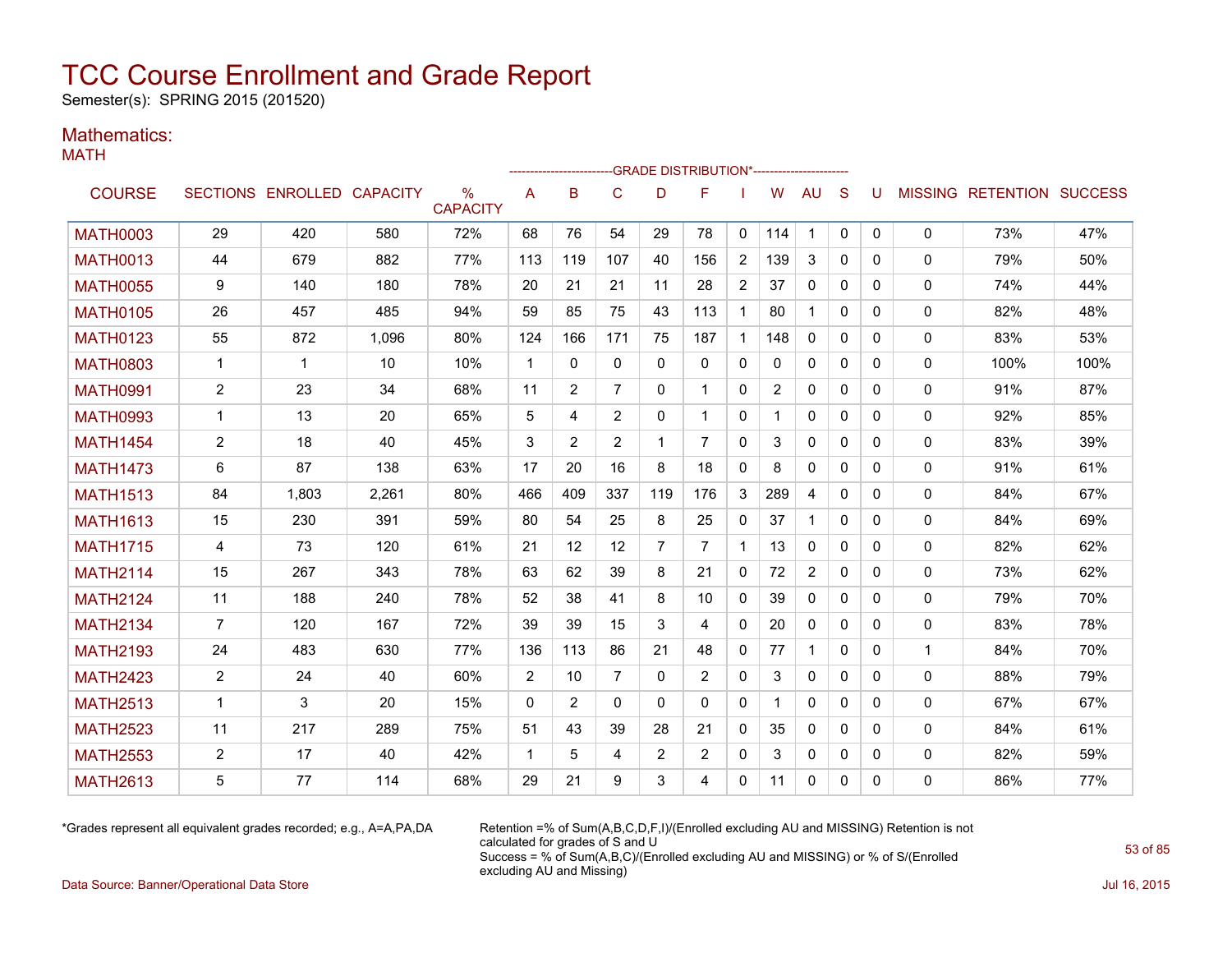Semester(s): SPRING 2015 (201520)

### Mathematics:

MATH

|                 |                |                            |       |                         |              |                |                | ------------------------GRADE                DISTRIBUTION*---------------------- |                |                |                |                |              |              |             |                                  |      |
|-----------------|----------------|----------------------------|-------|-------------------------|--------------|----------------|----------------|----------------------------------------------------------------------------------|----------------|----------------|----------------|----------------|--------------|--------------|-------------|----------------------------------|------|
| <b>COURSE</b>   |                | SECTIONS ENROLLED CAPACITY |       | $\%$<br><b>CAPACITY</b> | A            | B              | $\mathsf{C}$   | D                                                                                | F              |                | W              | <b>AU</b>      | S            | U            |             | <b>MISSING RETENTION SUCCESS</b> |      |
| <b>MATH0003</b> | 29             | 420                        | 580   | 72%                     | 68           | 76             | 54             | 29                                                                               | 78             | 0              | 114            | $\mathbf 1$    | $\mathbf{0}$ | $\mathbf{0}$ | $\mathbf 0$ | 73%                              | 47%  |
| <b>MATH0013</b> | 44             | 679                        | 882   | 77%                     | 113          | 119            | 107            | 40                                                                               | 156            | $\overline{2}$ | 139            | 3              | $\mathbf{0}$ | 0            | 0           | 79%                              | 50%  |
| <b>MATH0055</b> | 9              | 140                        | 180   | 78%                     | 20           | 21             | 21             | 11                                                                               | 28             | $\overline{2}$ | 37             | 0              | $\mathbf{0}$ | $\Omega$     | 0           | 74%                              | 44%  |
| <b>MATH0105</b> | 26             | 457                        | 485   | 94%                     | 59           | 85             | 75             | 43                                                                               | 113            | $\mathbf{1}$   | 80             |                | $\Omega$     | 0            | 0           | 82%                              | 48%  |
| <b>MATH0123</b> | 55             | 872                        | 1,096 | 80%                     | 124          | 166            | 171            | 75                                                                               | 187            | $\mathbf{1}$   | 148            | 0              | $\Omega$     | 0            | 0           | 83%                              | 53%  |
| <b>MATH0803</b> | $\mathbf 1$    | -1                         | 10    | 10%                     | $\mathbf{1}$ | $\Omega$       | 0              | $\Omega$                                                                         | $\mathbf{0}$   | 0              | $\mathbf{0}$   | 0              | $\mathbf{0}$ | 0            | 0           | 100%                             | 100% |
| <b>MATH0991</b> | $\overline{2}$ | 23                         | 34    | 68%                     | 11           | $\overline{2}$ | $\overline{7}$ | $\Omega$                                                                         | $\mathbf 1$    | $\mathbf{0}$   | $\overline{2}$ | 0              | $\mathbf{0}$ | $\mathbf{0}$ | 0           | 91%                              | 87%  |
| <b>MATH0993</b> | $\mathbf{1}$   | 13                         | 20    | 65%                     | 5            | 4              | 2              | $\Omega$                                                                         | $\overline{1}$ | $\mathbf{0}$   | 1              | $\Omega$       | $\mathbf{0}$ | $\Omega$     | 0           | 92%                              | 85%  |
| <b>MATH1454</b> | $\overline{2}$ | 18                         | 40    | 45%                     | 3            | 2              | 2              | -1                                                                               | 7              | $\mathbf{0}$   | 3              | $\mathbf{0}$   | $\Omega$     | $\Omega$     | 0           | 83%                              | 39%  |
| <b>MATH1473</b> | 6              | 87                         | 138   | 63%                     | 17           | 20             | 16             | 8                                                                                | 18             | $\mathbf{0}$   | 8              | $\Omega$       | $\Omega$     | $\Omega$     | 0           | 91%                              | 61%  |
| <b>MATH1513</b> | 84             | 1,803                      | 2,261 | 80%                     | 466          | 409            | 337            | 119                                                                              | 176            | 3              | 289            | 4              | $\Omega$     | $\Omega$     | 0           | 84%                              | 67%  |
| <b>MATH1613</b> | 15             | 230                        | 391   | 59%                     | 80           | 54             | 25             | 8                                                                                | 25             | 0              | 37             | 1              | $\mathbf{0}$ | 0            | 0           | 84%                              | 69%  |
| <b>MATH1715</b> | 4              | 73                         | 120   | 61%                     | 21           | 12             | 12             | 7                                                                                | $\overline{7}$ | $\mathbf 1$    | 13             | 0              | 0            | 0            | 0           | 82%                              | 62%  |
| <b>MATH2114</b> | 15             | 267                        | 343   | 78%                     | 63           | 62             | 39             | 8                                                                                | 21             | 0              | 72             | $\overline{2}$ | $\mathbf{0}$ | $\mathbf{0}$ | 0           | 73%                              | 62%  |
| <b>MATH2124</b> | 11             | 188                        | 240   | 78%                     | 52           | 38             | 41             | 8                                                                                | 10             | $\mathbf{0}$   | 39             | $\Omega$       | $\Omega$     | $\Omega$     | 0           | 79%                              | 70%  |
| <b>MATH2134</b> | $\overline{7}$ | 120                        | 167   | 72%                     | 39           | 39             | 15             | 3                                                                                | 4              | $\mathbf{0}$   | 20             | 0              | $\mathbf{0}$ | $\Omega$     | 0           | 83%                              | 78%  |
| <b>MATH2193</b> | 24             | 483                        | 630   | 77%                     | 136          | 113            | 86             | 21                                                                               | 48             | $\mathbf{0}$   | 77             | $\mathbf{1}$   | $\Omega$     | $\Omega$     | 1           | 84%                              | 70%  |
| <b>MATH2423</b> | $\overline{2}$ | 24                         | 40    | 60%                     | 2            | 10             | 7              | $\mathbf{0}$                                                                     | $\overline{2}$ | 0              | 3              | $\mathbf{0}$   | $\mathbf{0}$ | 0            | 0           | 88%                              | 79%  |
| <b>MATH2513</b> | $\mathbf{1}$   | 3                          | 20    | 15%                     | $\mathbf{0}$ | $\overline{2}$ | $\Omega$       | $\Omega$                                                                         | $\Omega$       | $\mathbf{0}$   | 1              | $\Omega$       | $\Omega$     | $\Omega$     | 0           | 67%                              | 67%  |
| <b>MATH2523</b> | 11             | 217                        | 289   | 75%                     | 51           | 43             | 39             | 28                                                                               | 21             | $\mathbf{0}$   | 35             | 0              | $\Omega$     | $\Omega$     | 0           | 84%                              | 61%  |
| <b>MATH2553</b> | $\overline{2}$ | 17                         | 40    | 42%                     | $\mathbf 1$  | 5              | 4              | 2                                                                                | $\overline{2}$ | 0              | 3              | 0              | 0            | 0            | 0           | 82%                              | 59%  |
| <b>MATH2613</b> | 5              | 77                         | 114   | 68%                     | 29           | 21             | 9              | 3                                                                                | 4              | 0              | 11             | 0              | $\mathbf{0}$ | 0            | 0           | 86%                              | 77%  |

\*Grades represent all equivalent grades recorded; e.g., A=A,PA,DA Retention =% of Sum(A,B,C,D,F,I)/(Enrolled excluding AU and MISSING) Retention is not calculated for grades of S and U Success = % of Sum(A,B,C)/(Enrolled excluding AU and MISSING) or % of S/(Enrolled excluding AU and Missing)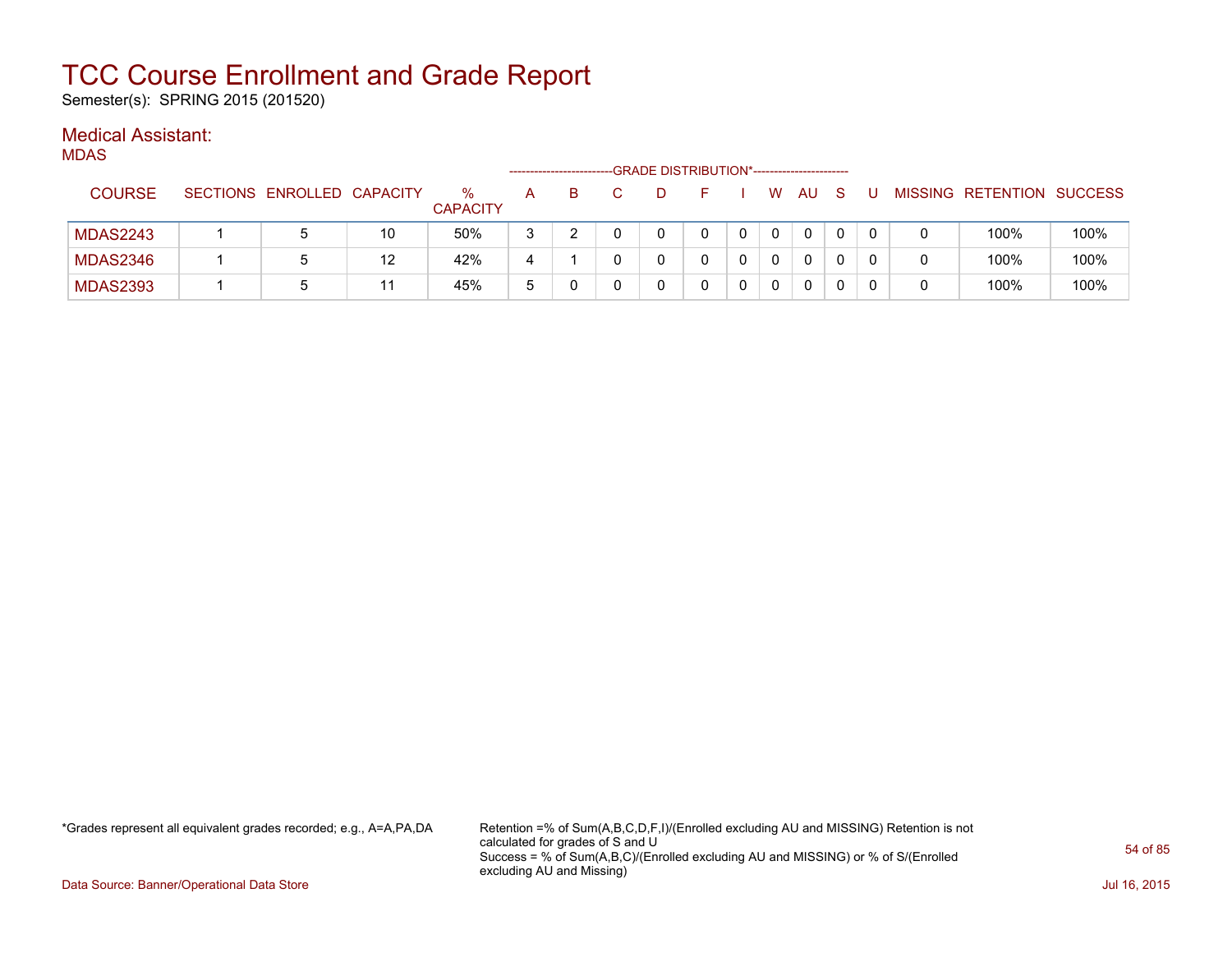Semester(s): SPRING 2015 (201520)

### Medical Assistant:

MDAS

|                 |                            |    |                      | -------------------- |  | -GRADE DISTRIBUTION*----------------------- |  |   |              |  |                           |      |
|-----------------|----------------------------|----|----------------------|----------------------|--|---------------------------------------------|--|---|--------------|--|---------------------------|------|
| <b>COURSE</b>   | SECTIONS ENROLLED CAPACITY |    | %<br><b>CAPACITY</b> | А                    |  |                                             |  | W | AU           |  | MISSING RETENTION SUCCESS |      |
| <b>MDAS2243</b> | b                          | 10 | 50%                  | 3                    |  |                                             |  |   | $\mathbf{0}$ |  | 100%                      | 100% |
| <b>MDAS2346</b> | b                          | 12 | 42%                  | 4                    |  |                                             |  |   | 0            |  | 100%                      | 100% |
| <b>MDAS2393</b> | b                          | 11 | 45%                  | 5                    |  |                                             |  |   | 0            |  | 100%                      | 100% |

\*Grades represent all equivalent grades recorded; e.g., A=A,PA,DA Retention =% of Sum(A,B,C,D,F,I)/(Enrolled excluding AU and MISSING) Retention is not calculated for grades of S and U Success = % of Sum(A,B,C)/(Enrolled excluding AU and MISSING) or % of S/(Enrolled excluding AU and Missing)

Data Source: Banner/Operational Data Store Jul 16, 2015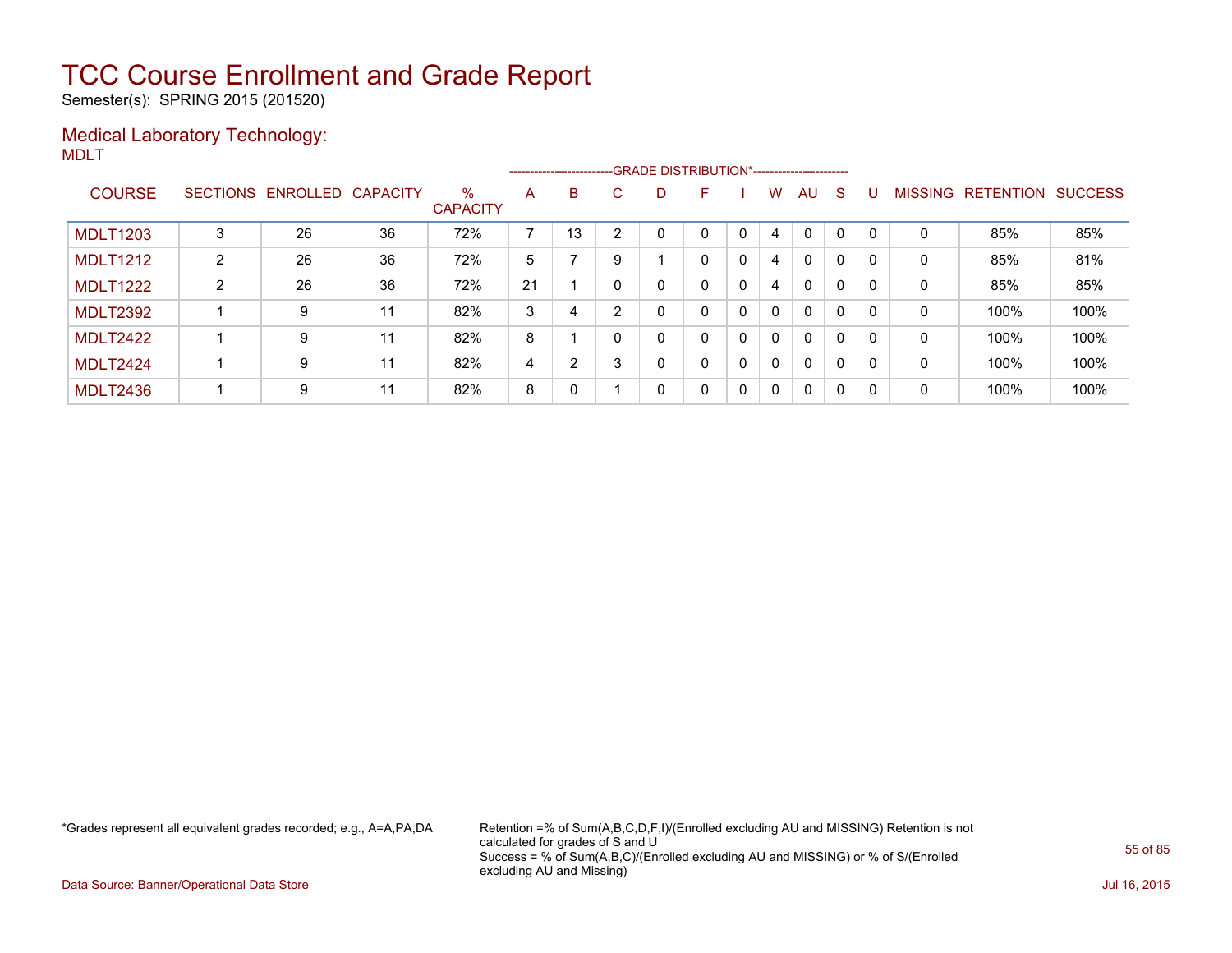Semester(s): SPRING 2015 (201520)

### Medical Laboratory Technology: MDLT

|                 |   |                            |    |                      |    | --------------------------GRADE DISTRIBUTION*----------------------- |    |   |   |   |              |              |              |              |                |                  |                |
|-----------------|---|----------------------------|----|----------------------|----|----------------------------------------------------------------------|----|---|---|---|--------------|--------------|--------------|--------------|----------------|------------------|----------------|
| <b>COURSE</b>   |   | SECTIONS ENROLLED CAPACITY |    | %<br><b>CAPACITY</b> | A  | B                                                                    | C. | D | F |   | W            | AU           | <sub>S</sub> |              | <b>MISSING</b> | <b>RETENTION</b> | <b>SUCCESS</b> |
| <b>MDLT1203</b> | 3 | 26                         | 36 | 72%                  | ⇁  | 13                                                                   | ົ  |   | 0 | 0 | 4            | $\Omega$     | $\Omega$     | <sup>0</sup> | 0              | 85%              | 85%            |
| <b>MDLT1212</b> | 2 | 26                         | 36 | 72%                  | 5  |                                                                      | 9  |   | 0 | 0 | 4            | $\mathbf{0}$ | 0            | <sup>0</sup> | 0              | 85%              | 81%            |
| <b>MDLT1222</b> | 2 | 26                         | 36 | 72%                  | 21 |                                                                      | 0  | 0 | 0 | 0 | 4            | $\mathbf{0}$ | $\Omega$     | <sup>0</sup> | 0              | 85%              | 85%            |
| <b>MDLT2392</b> |   | 9                          | 11 | 82%                  | 3  | 4                                                                    | ົ  | 0 | 0 | 0 | $\Omega$     | $\mathbf{0}$ | $\Omega$     | 0            | 0              | 100%             | 100%           |
| <b>MDLT2422</b> |   | 9                          | 11 | 82%                  | 8  |                                                                      | 0  | 0 | 0 | 0 | $\Omega$     | $\mathbf{0}$ | $\Omega$     | <sup>0</sup> | 0              | 100%             | 100%           |
| <b>MDLT2424</b> |   | 9                          | 11 | 82%                  | 4  | $\mathcal{P}$                                                        |    | 0 | 0 | 0 | $\Omega$     | $\mathbf{0}$ | $\Omega$     | 0            | 0              | 100%             | 100%           |
| <b>MDLT2436</b> |   | 9                          | 11 | 82%                  | 8  | 0                                                                    |    | 0 | 0 | 0 | $\mathbf{0}$ | $\mathbf{0}$ | 0            | $\Omega$     | 0              | 100%             | 100%           |

\*Grades represent all equivalent grades recorded; e.g., A=A,PA,DA Retention =% of Sum(A,B,C,D,F,I)/(Enrolled excluding AU and MISSING) Retention is not calculated for grades of S and U Success = % of Sum(A,B,C)/(Enrolled excluding AU and MISSING) or % of S/(Enrolled excluding AU and Missing)

Data Source: Banner/Operational Data Store Jul 16, 2015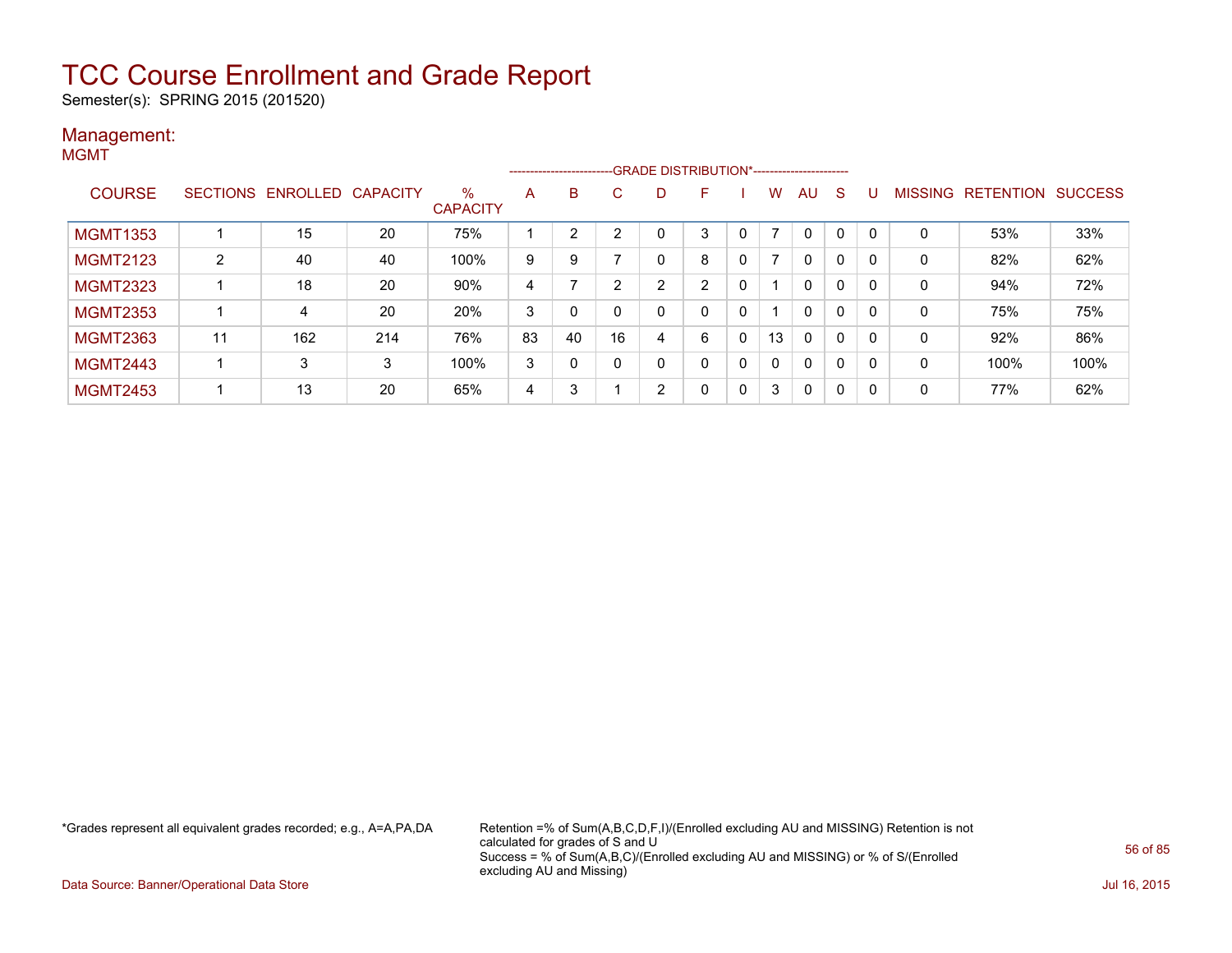Semester(s): SPRING 2015 (201520)

#### Management: **MGMT**

|                 |                 |                   |     |                         | -------------------- |    |    |   | -GRADE DISTRIBUTION*----------------------- |   |              |              |              |          |                |                  |                |
|-----------------|-----------------|-------------------|-----|-------------------------|----------------------|----|----|---|---------------------------------------------|---|--------------|--------------|--------------|----------|----------------|------------------|----------------|
| <b>COURSE</b>   | <b>SECTIONS</b> | ENROLLED CAPACITY |     | $\%$<br><b>CAPACITY</b> | A                    | B  | C. | D | F                                           |   | w            | AU           | S            |          | <b>MISSING</b> | <b>RETENTION</b> | <b>SUCCESS</b> |
| <b>MGMT1353</b> |                 | 15                | 20  | 75%                     |                      | 2  | 2  |   | 3                                           | 0 | 7            | $\mathbf{0}$ | 0            | $\Omega$ | 0              | 53%              | 33%            |
| <b>MGMT2123</b> | $\overline{2}$  | 40                | 40  | 100%                    | 9                    | 9  |    |   | 8                                           | 0 | 7            | $\mathbf{0}$ | 0            | $\Omega$ | 0              | 82%              | 62%            |
| <b>MGMT2323</b> |                 | 18                | 20  | 90%                     | 4                    |    | ົ  | ົ | 2                                           | 0 |              | $\mathbf{0}$ | 0            | $\Omega$ | 0              | 94%              | 72%            |
| <b>MGMT2353</b> |                 | 4                 | 20  | 20%                     | 3                    |    |    |   | 0                                           | 0 |              | $\mathbf{0}$ | 0            | $\Omega$ | $\mathbf 0$    | 75%              | 75%            |
| <b>MGMT2363</b> | 11              | 162               | 214 | 76%                     | 83                   | 40 | 16 | 4 | 6                                           | 0 | 13           | $\mathbf{0}$ | 0            | $\Omega$ | 0              | 92%              | 86%            |
| <b>MGMT2443</b> |                 | 3                 | 3   | 100%                    | 3                    | 0  |    |   | 0                                           | 0 | $\mathbf{0}$ | $\mathbf{0}$ | $\mathbf{0}$ | 0        | 0              | 100%             | 100%           |
| <b>MGMT2453</b> |                 | 13                | 20  | 65%                     | 4                    | 3  |    | 2 | 0                                           | 0 | 3            | $\Omega$     | 0            | 0        | 0              | 77%              | 62%            |

\*Grades represent all equivalent grades recorded; e.g., A=A,PA,DA Retention =% of Sum(A,B,C,D,F,I)/(Enrolled excluding AU and MISSING) Retention is not calculated for grades of S and U Success = % of Sum(A,B,C)/(Enrolled excluding AU and MISSING) or % of S/(Enrolled excluding AU and Missing)

Data Source: Banner/Operational Data Store Jul 16, 2015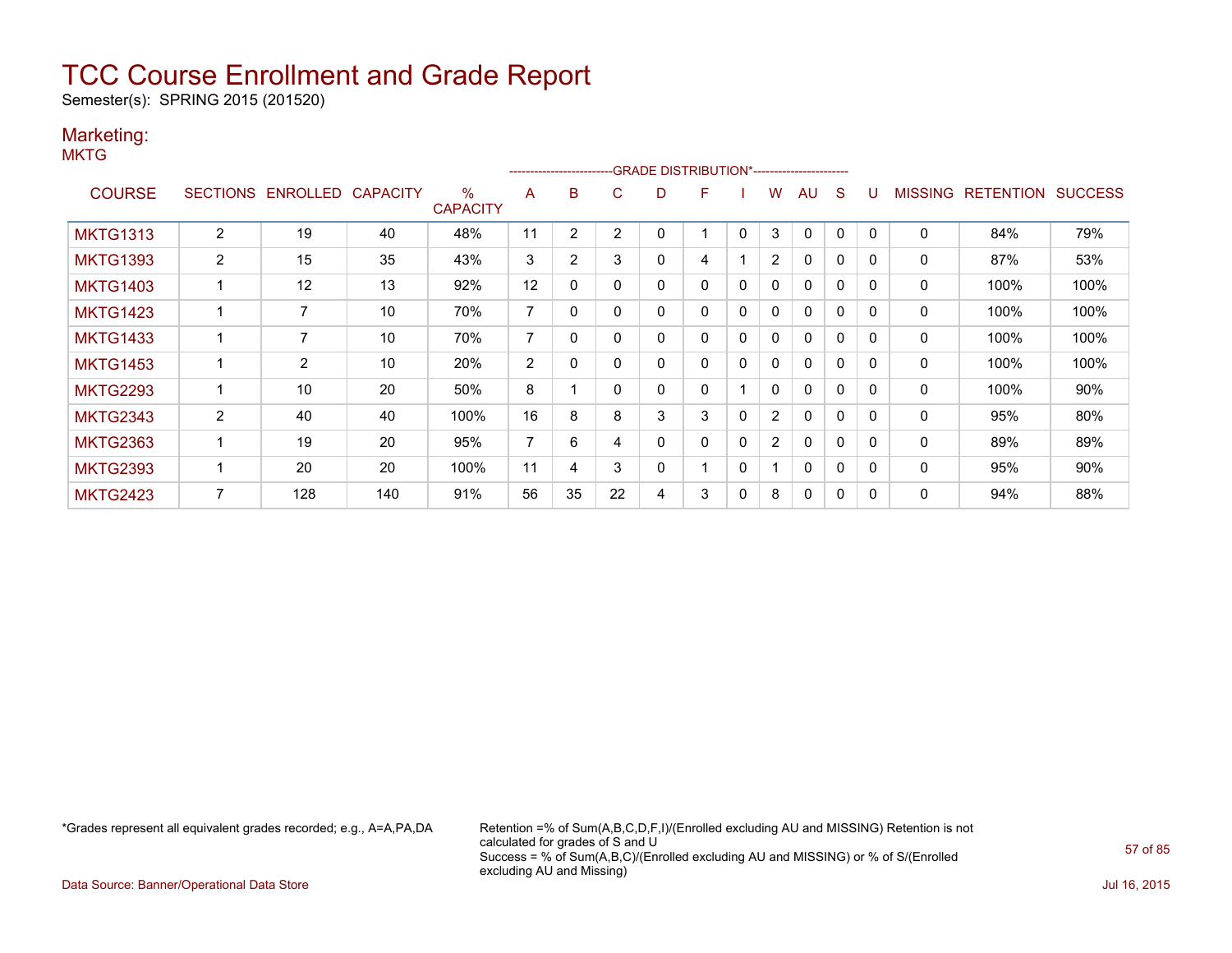Semester(s): SPRING 2015 (201520)

### Marketing:

**MKTG** 

|                 |                |                       |                 |                         |                |              |          | ------------------------GRADE                DISTRIBUTION*---------------------- |   |              |                |              |              |          |                |                  |                |
|-----------------|----------------|-----------------------|-----------------|-------------------------|----------------|--------------|----------|----------------------------------------------------------------------------------|---|--------------|----------------|--------------|--------------|----------|----------------|------------------|----------------|
| <b>COURSE</b>   |                | SECTIONS ENROLLED     | <b>CAPACITY</b> | $\%$<br><b>CAPACITY</b> | A              | B            | C        | D                                                                                | F |              | w              | AU           | S            |          | <b>MISSING</b> | <b>RETENTION</b> | <b>SUCCESS</b> |
| <b>MKTG1313</b> | $\overline{2}$ | 19                    | 40              | 48%                     | 11             | 2            | 2        | 0                                                                                |   | 0            | 3              | 0            | 0            |          | 0              | 84%              | 79%            |
| <b>MKTG1393</b> | 2              | 15                    | 35              | 43%                     | 3              | 2            | 3        | 0                                                                                | 4 |              | $\overline{2}$ | 0            | $\Omega$     | 0        | 0              | 87%              | 53%            |
| <b>MKTG1403</b> |                | 12                    | 13              | 92%                     | 12             | $\mathbf{0}$ | $\Omega$ | 0                                                                                | 0 | 0            | $\mathbf{0}$   | $\mathbf{0}$ | $\mathbf{0}$ | $\Omega$ | 0              | 100%             | 100%           |
| <b>MKTG1423</b> |                | 7                     | 10              | 70%                     | 7              | 0            |          | 0                                                                                | 0 | $\mathbf{0}$ | $\mathbf{0}$   | $\mathbf{0}$ | $\mathbf{0}$ | $\Omega$ | 0              | 100%             | 100%           |
| <b>MKTG1433</b> |                | 7                     | 10              | 70%                     | 7              | 0            |          | 0                                                                                | 0 | 0            | 0              | $\mathbf{0}$ | $\mathbf{0}$ | 0        | 0              | 100%             | 100%           |
| <b>MKTG1453</b> |                | $\mathbf{2}^{\prime}$ | 10              | 20%                     | $\overline{2}$ | 0            |          | 0                                                                                | 0 | 0            | 0              | $\mathbf{0}$ | 0            |          | 0              | 100%             | 100%           |
| <b>MKTG2293</b> |                | 10                    | 20              | 50%                     | 8              |              | O        | 0                                                                                | 0 |              | 0              | $\mathbf{0}$ | 0            | $\Omega$ | 0              | 100%             | 90%            |
| <b>MKTG2343</b> | 2              | 40                    | 40              | 100%                    | 16             | 8            | 8        | 3                                                                                | 3 | 0            | $\overline{2}$ | $\mathbf{0}$ | $\Omega$     |          | 0              | 95%              | 80%            |
| <b>MKTG2363</b> |                | 19                    | 20              | 95%                     | 7              | 6            | 4        | 0                                                                                | 0 | $\mathbf{0}$ | $\overline{2}$ | $\mathbf{0}$ | $\Omega$     | $\Omega$ | 0              | 89%              | 89%            |
| <b>MKTG2393</b> |                | 20                    | 20              | 100%                    | 11             | 4            | 3        | 0                                                                                |   | $\mathbf{0}$ |                | $\mathbf{0}$ | $\mathbf{0}$ | $\Omega$ | $\Omega$       | 95%              | 90%            |
| <b>MKTG2423</b> |                | 128                   | 140             | 91%                     | 56             | 35           | 22       | 4                                                                                | 3 | 0            | 8              | $\mathbf{0}$ | 0            |          | 0              | 94%              | 88%            |

\*Grades represent all equivalent grades recorded; e.g., A=A,PA,DA Retention =% of Sum(A,B,C,D,F,I)/(Enrolled excluding AU and MISSING) Retention is not calculated for grades of S and U Success = % of Sum(A,B,C)/(Enrolled excluding AU and MISSING) or % of S/(Enrolled excluding AU and Missing)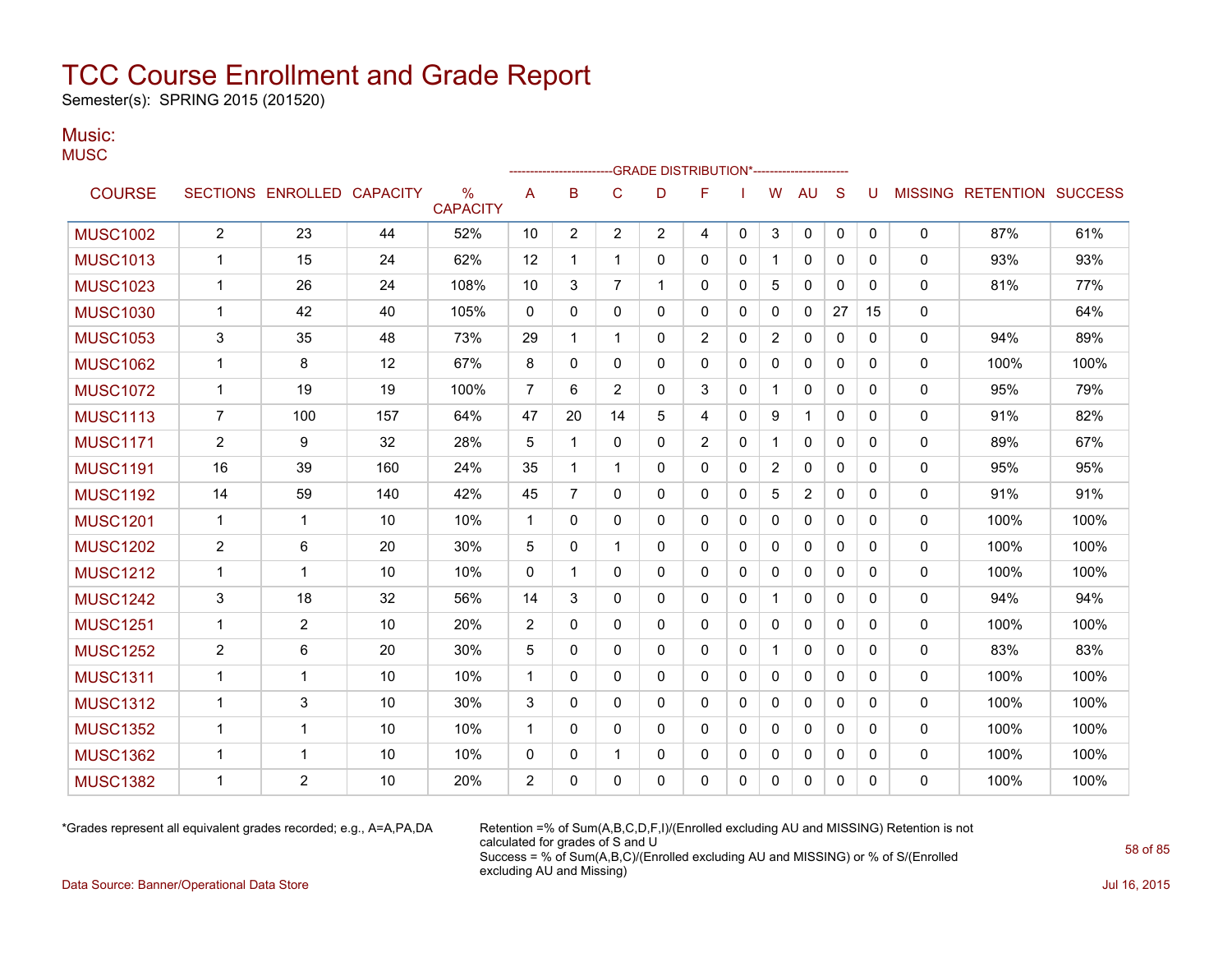Semester(s): SPRING 2015 (201520)

#### Music: **MUSC**

|                 |                |                            |     |                                  |                |                |                | -GRADE DISTRIBUTION*---------------------- |                |              |                |              |              |             |              |                   |                |
|-----------------|----------------|----------------------------|-----|----------------------------------|----------------|----------------|----------------|--------------------------------------------|----------------|--------------|----------------|--------------|--------------|-------------|--------------|-------------------|----------------|
| <b>COURSE</b>   |                | SECTIONS ENROLLED CAPACITY |     | $\frac{0}{0}$<br><b>CAPACITY</b> | A              | B              | $\mathsf{C}$   | D                                          | F              |              | W              | <b>AU</b>    | S            |             |              | MISSING RETENTION | <b>SUCCESS</b> |
| <b>MUSC1002</b> | $\mathbf{2}$   | 23                         | 44  | 52%                              | 10             | $\overline{c}$ | $\overline{2}$ | $\overline{2}$                             | 4              | $\mathbf{0}$ | 3              | 0            | $\mathbf{0}$ | $\mathbf 0$ | 0            | 87%               | 61%            |
| <b>MUSC1013</b> | $\mathbf 1$    | 15                         | 24  | 62%                              | 12             | 1              | $\mathbf{1}$   | 0                                          | 0              | 0            | $\mathbf{1}$   | 0            | $\Omega$     | 0           | 0            | 93%               | 93%            |
| <b>MUSC1023</b> | 1              | 26                         | 24  | 108%                             | 10             | 3              | $\overline{7}$ | 1                                          | 0              | 0            | 5              | $\mathbf{0}$ | $\Omega$     | $\Omega$    | $\Omega$     | 81%               | 77%            |
| <b>MUSC1030</b> | $\mathbf 1$    | 42                         | 40  | 105%                             | 0              | 0              | 0              | 0                                          | 0              | 0            | 0              | 0            | 27           | 15          | 0            |                   | 64%            |
| <b>MUSC1053</b> | 3              | 35                         | 48  | 73%                              | 29             | 1              | $\mathbf 1$    | 0                                          | 2              | $\mathbf{0}$ | $\overline{2}$ | $\mathbf{0}$ | $\Omega$     | 0           | $\mathbf{0}$ | 94%               | 89%            |
| <b>MUSC1062</b> | $\mathbf 1$    | 8                          | 12  | 67%                              | 8              | $\Omega$       | $\Omega$       | 0                                          | $\Omega$       | $\mathbf{0}$ | 0              | 0            | $\mathbf{0}$ | 0           | $\Omega$     | 100%              | 100%           |
| <b>MUSC1072</b> | $\mathbf{1}$   | 19                         | 19  | 100%                             | $\overline{7}$ | 6              | 2              | 0                                          | 3              | $\mathbf{0}$ | $\mathbf{1}$   | $\mathbf{0}$ | $\Omega$     | $\Omega$    | $\mathbf{0}$ | 95%               | 79%            |
| <b>MUSC1113</b> | $\overline{7}$ | 100                        | 157 | 64%                              | 47             | 20             | 14             | 5                                          | 4              | $\Omega$     | 9              | $\mathbf{1}$ | $\Omega$     | $\Omega$    | 0            | 91%               | 82%            |
| <b>MUSC1171</b> | 2              | 9                          | 32  | 28%                              | 5              | 1              | 0              | 0                                          | $\overline{2}$ | $\mathbf{0}$ | $\mathbf{1}$   | $\mathbf{0}$ | $\Omega$     | 0           | 0            | 89%               | 67%            |
| <b>MUSC1191</b> | 16             | 39                         | 160 | 24%                              | 35             | 1              | $\mathbf 1$    | 0                                          | 0              | 0            | $\overline{c}$ | 0            | $\Omega$     | 0           | 0            | 95%               | 95%            |
| <b>MUSC1192</b> | 14             | 59                         | 140 | 42%                              | 45             | 7              | 0              | 0                                          | 0              | 0            | 5              | 2            | $\Omega$     | 0           | 0            | 91%               | 91%            |
| <b>MUSC1201</b> | $\mathbf{1}$   | 1                          | 10  | 10%                              | $\mathbf{1}$   | 0              | $\Omega$       | 0                                          | 0              | $\Omega$     | 0              | $\mathbf{0}$ | $\mathbf{0}$ | 0           | $\Omega$     | 100%              | 100%           |
| <b>MUSC1202</b> | 2              | 6                          | 20  | 30%                              | 5              | 0              | $\mathbf 1$    | 0                                          | 0              | $\mathbf{0}$ | 0              | 0            | $\Omega$     | 0           | $\Omega$     | 100%              | 100%           |
| <b>MUSC1212</b> | $\mathbf{1}$   | 1                          | 10  | 10%                              | $\mathbf 0$    | 1              | 0              | 0                                          | 0              | 0            | 0              | 0            | $\mathbf{0}$ | 0           | $\Omega$     | 100%              | 100%           |
| <b>MUSC1242</b> | 3              | 18                         | 32  | 56%                              | 14             | 3              | 0              | 0                                          | 0              | 0            | $\mathbf{1}$   | 0            | $\mathbf{0}$ | 0           | 0            | 94%               | 94%            |
| <b>MUSC1251</b> | 1              | $\overline{2}$             | 10  | 20%                              | 2              | 0              | 0              | 0                                          | 0              | 0            | 0              | 0            | $\Omega$     | 0           | 0            | 100%              | 100%           |
| <b>MUSC1252</b> | 2              | 6                          | 20  | 30%                              | 5              | 0              | $\mathbf 0$    | 0                                          | 0              | 0            | $\mathbf{1}$   | 0            | $\Omega$     | 0           | 0            | 83%               | 83%            |
| <b>MUSC1311</b> | $\mathbf{1}$   | $\mathbf{1}$               | 10  | 10%                              | $\mathbf{1}$   | 0              | 0              | 0                                          | 0              | 0            | 0              | 0            | $\mathbf{0}$ | 0           | 0            | 100%              | 100%           |
| <b>MUSC1312</b> | $\mathbf{1}$   | 3                          | 10  | 30%                              | 3              | 0              | $\Omega$       | 0                                          | $\Omega$       | $\Omega$     | 0              | $\mathbf{0}$ | $\Omega$     | $\Omega$    | $\mathbf{0}$ | 100%              | 100%           |
| <b>MUSC1352</b> | $\mathbf{1}$   | 1                          | 10  | 10%                              | $\mathbf{1}$   | 0              | $\Omega$       | 0                                          | 0              | $\Omega$     | 0              | 0            | $\Omega$     | $\Omega$    | $\mathbf{0}$ | 100%              | 100%           |
| <b>MUSC1362</b> | 1              | 1                          | 10  | 10%                              | 0              | 0              | $\mathbf 1$    | 0                                          | 0              | 0            | 0              | 0            | 0            | 0           | 0            | 100%              | 100%           |
| <b>MUSC1382</b> | 1              | $\overline{2}$             | 10  | 20%                              | $\overline{2}$ | 0              | $\Omega$       | 0                                          | 0              | 0            | 0              | 0            | $\mathbf{0}$ | 0           | $\Omega$     | 100%              | 100%           |
|                 |                |                            |     |                                  |                |                |                |                                            |                |              |                |              |              |             |              |                   |                |

\*Grades represent all equivalent grades recorded; e.g., A=A,PA,DA Retention =% of Sum(A,B,C,D,F,I)/(Enrolled excluding AU and MISSING) Retention is not calculated for grades of S and U Success = % of Sum(A,B,C)/(Enrolled excluding AU and MISSING) or % of S/(Enrolled excluding AU and Missing)

Data Source: Banner/Operational Data Store Jul 16, 2015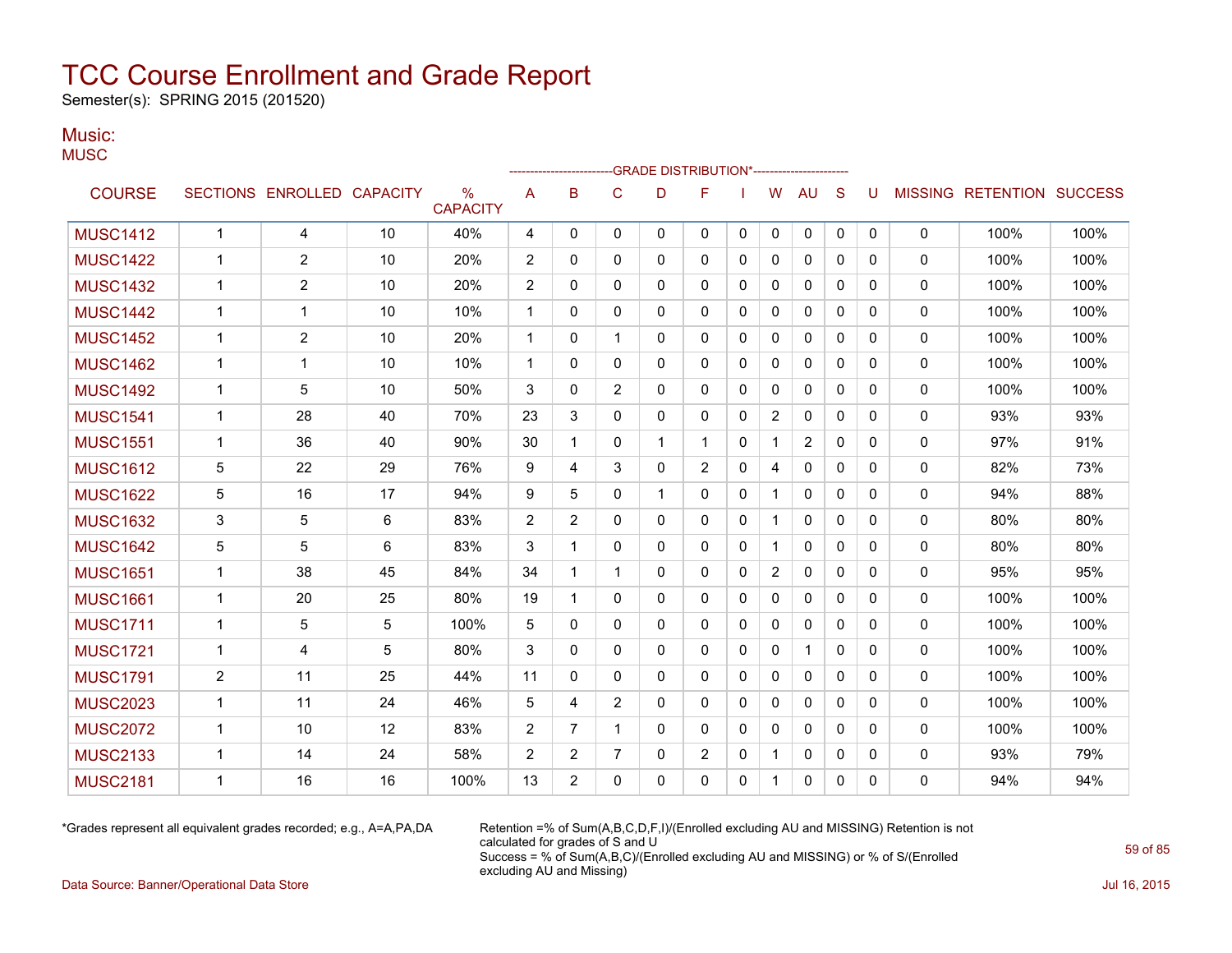Semester(s): SPRING 2015 (201520)

### Music:

| טוטועו. |  |
|---------|--|
| MUSC    |  |

|                 |                |                            |    |                         |                |                         |                | <b>GRADE DISTRIBUTION*-----------------------</b> |                |              |                |                |              |          |                |                          |      |
|-----------------|----------------|----------------------------|----|-------------------------|----------------|-------------------------|----------------|---------------------------------------------------|----------------|--------------|----------------|----------------|--------------|----------|----------------|--------------------------|------|
| <b>COURSE</b>   |                | SECTIONS ENROLLED CAPACITY |    | $\%$<br><b>CAPACITY</b> | Α              | B                       | C              | D                                                 | F              |              | W              | AU             | S            | U        | <b>MISSING</b> | <b>RETENTION SUCCESS</b> |      |
| <b>MUSC1412</b> | $\mathbf{1}$   | $\overline{4}$             | 10 | 40%                     | 4              | $\mathbf 0$             | 0              | 0                                                 | 0              | 0            | 0              | 0              | $\mathbf 0$  | 0        | 0              | 100%                     | 100% |
| <b>MUSC1422</b> | $\mathbf 1$    | 2                          | 10 | 20%                     | 2              | $\Omega$                | $\mathbf{0}$   | 0                                                 | 0              | 0            | 0              | $\mathbf{0}$   | $\mathbf{0}$ | $\Omega$ | $\mathbf{0}$   | 100%                     | 100% |
| <b>MUSC1432</b> | $\mathbf{1}$   | $\overline{2}$             | 10 | 20%                     | 2              | $\mathbf{0}$            | $\Omega$       | 0                                                 | $\Omega$       | $\mathbf{0}$ | 0              | $\mathbf{0}$   | $\mathbf{0}$ | 0        | $\Omega$       | 100%                     | 100% |
| <b>MUSC1442</b> | $\mathbf 1$    | $\overline{\mathbf{1}}$    | 10 | 10%                     | $\mathbf 1$    | $\Omega$                | $\Omega$       | 0                                                 | $\Omega$       | 0            | 0              | 0              | $\mathbf{0}$ | $\Omega$ | 0              | 100%                     | 100% |
| <b>MUSC1452</b> | $\mathbf 1$    | $\overline{2}$             | 10 | 20%                     | $\mathbf{1}$   | $\Omega$                | 1              | 0                                                 | 0              | $\Omega$     | 0              | $\Omega$       | $\mathbf{0}$ | $\Omega$ | 0              | 100%                     | 100% |
| <b>MUSC1462</b> | $\mathbf 1$    | $\mathbf 1$                | 10 | 10%                     | $\mathbf 1$    | $\Omega$                | $\mathbf{0}$   | 0                                                 | 0              | $\mathbf{0}$ | 0              | $\Omega$       | $\mathbf{0}$ | $\Omega$ | 0              | 100%                     | 100% |
| <b>MUSC1492</b> | $\mathbf 1$    | 5                          | 10 | 50%                     | 3              | $\mathbf{0}$            | 2              | 0                                                 | 0              | 0            | 0              | $\Omega$       | $\mathbf{0}$ | 0        | 0              | 100%                     | 100% |
| <b>MUSC1541</b> | $\mathbf 1$    | 28                         | 40 | 70%                     | 23             | 3                       | $\Omega$       | 0                                                 | $\Omega$       | $\mathbf{0}$ | $\overline{2}$ | $\Omega$       | $\mathbf{0}$ | $\Omega$ | 0              | 93%                      | 93%  |
| <b>MUSC1551</b> | $\mathbf{1}$   | 36                         | 40 | 90%                     | 30             | $\overline{\mathbf{1}}$ | $\mathbf{0}$   | 1                                                 | 1              | 0            | $\mathbf 1$    | $\overline{2}$ | $\mathbf{0}$ | $\Omega$ | 0              | 97%                      | 91%  |
| <b>MUSC1612</b> | 5              | 22                         | 29 | 76%                     | 9              | 4                       | 3              | 0                                                 | $\overline{2}$ | $\mathbf{0}$ | 4              | 0              | $\mathbf{0}$ | $\Omega$ | 0              | 82%                      | 73%  |
| <b>MUSC1622</b> | 5              | 16                         | 17 | 94%                     | 9              | 5                       | $\mathbf{0}$   | 1                                                 | $\mathbf{0}$   | 0            |                | 0              | $\mathbf{0}$ | 0        | 0              | 94%                      | 88%  |
| <b>MUSC1632</b> | 3              | 5                          | 6  | 83%                     | $\overline{2}$ | 2                       | $\mathbf{0}$   | 0                                                 | 0              | $\mathbf{0}$ | 1              | $\mathbf{0}$   | $\mathbf{0}$ | 0        | 0              | 80%                      | 80%  |
| <b>MUSC1642</b> | 5              | 5                          | 6  | 83%                     | 3              | -1                      | $\Omega$       | 0                                                 | $\Omega$       | $\mathbf{0}$ | 1              | $\Omega$       | $\mathbf{0}$ | 0        | $\mathbf{0}$   | 80%                      | 80%  |
| <b>MUSC1651</b> | $\mathbf 1$    | 38                         | 45 | 84%                     | 34             | -1                      | 1              | 0                                                 | 0              | 0            | 2              | 0              | $\mathbf{0}$ | 0        | 0              | 95%                      | 95%  |
| <b>MUSC1661</b> | $\mathbf{1}$   | 20                         | 25 | 80%                     | 19             | $\overline{\mathbf{1}}$ | $\Omega$       | 0                                                 | $\Omega$       | $\Omega$     | 0              | $\Omega$       | $\Omega$     | $\Omega$ | $\mathbf{0}$   | 100%                     | 100% |
| <b>MUSC1711</b> | $\mathbf{1}$   | 5                          | 5  | 100%                    | 5              | $\mathbf{0}$            | $\Omega$       | 0                                                 | 0              | $\mathbf{0}$ | 0              | 0              | $\mathbf{0}$ | $\Omega$ | 0              | 100%                     | 100% |
| <b>MUSC1721</b> | $\mathbf{1}$   | 4                          | 5  | 80%                     | 3              | $\Omega$                | $\Omega$       | 0                                                 | $\Omega$       | $\Omega$     | $\Omega$       | $\mathbf{1}$   | $\Omega$     | $\Omega$ | 0              | 100%                     | 100% |
| <b>MUSC1791</b> | $\overline{2}$ | 11                         | 25 | 44%                     | 11             | $\mathbf{0}$            | $\Omega$       | 0                                                 | $\Omega$       | $\mathbf{0}$ | $\Omega$       | $\Omega$       | $\mathbf{0}$ | 0        | $\Omega$       | 100%                     | 100% |
| <b>MUSC2023</b> | $\mathbf 1$    | 11                         | 24 | 46%                     | 5              | 4                       | $\overline{2}$ | 0                                                 | 0              | $\Omega$     | 0              | $\mathbf{0}$   | $\mathbf{0}$ | $\Omega$ | 0              | 100%                     | 100% |
| <b>MUSC2072</b> | $\mathbf 1$    | 10                         | 12 | 83%                     | $\overline{2}$ | $\overline{7}$          | 1              | 0                                                 | $\Omega$       | $\Omega$     | $\Omega$       | $\Omega$       | $\Omega$     | $\Omega$ | 0              | 100%                     | 100% |
| <b>MUSC2133</b> | $\mathbf{1}$   | 14                         | 24 | 58%                     | 2              | 2                       | $\overline{7}$ | 0                                                 | $\overline{2}$ | $\mathbf{0}$ | 1              | 0              | $\mathbf{0}$ | 0        | 0              | 93%                      | 79%  |
| <b>MUSC2181</b> | 1              | 16                         | 16 | 100%                    | 13             | 2                       | $\Omega$       | 0                                                 | $\Omega$       | $\Omega$     | 1              | $\Omega$       | $\mathbf{0}$ | $\Omega$ | $\Omega$       | 94%                      | 94%  |

\*Grades represent all equivalent grades recorded; e.g., A=A,PA,DA Retention =% of Sum(A,B,C,D,F,I)/(Enrolled excluding AU and MISSING) Retention is not calculated for grades of S and U Success = % of Sum(A,B,C)/(Enrolled excluding AU and MISSING) or % of S/(Enrolled excluding AU and Missing)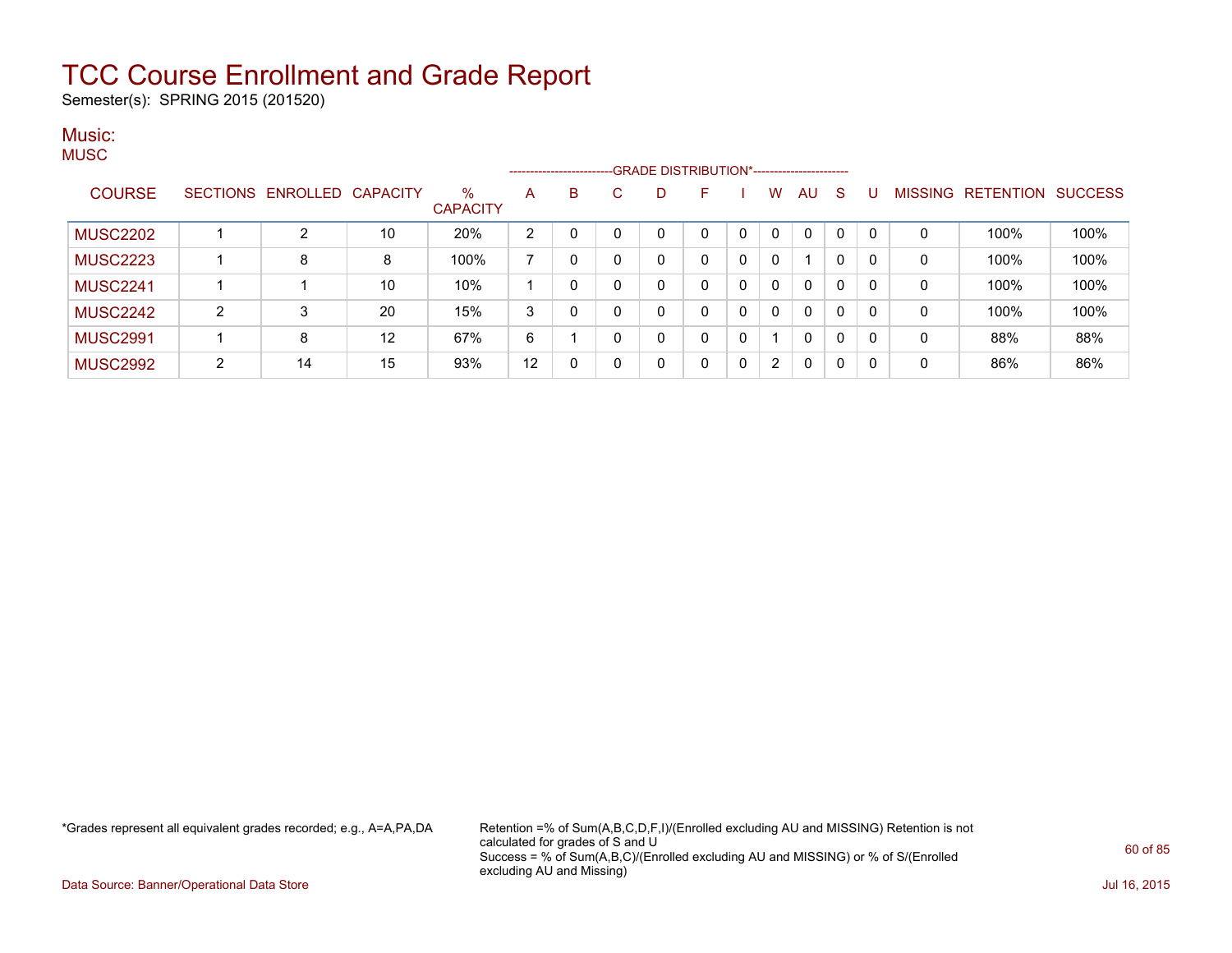Semester(s): SPRING 2015 (201520)

#### Music: **MUSC**

|                 |   |                   |                 |                      |    |          | ------------------------GRADE DISTRIBUTION*----------------------- |   |              |          |          |              |             |          |                |           |                |
|-----------------|---|-------------------|-----------------|----------------------|----|----------|--------------------------------------------------------------------|---|--------------|----------|----------|--------------|-------------|----------|----------------|-----------|----------------|
| <b>COURSE</b>   |   | SECTIONS ENROLLED | <b>CAPACITY</b> | %<br><b>CAPACITY</b> | A  | B        | С                                                                  | D | ⊢            |          | W        | AU           | S           |          | <b>MISSING</b> | RETENTION | <b>SUCCESS</b> |
| <b>MUSC2202</b> |   | C                 | 10              | 20%                  | 2  |          |                                                                    | 0 | 0            | $\Omega$ | $\Omega$ | $\Omega$     |             | $\Omega$ | 0              | 100%      | 100%           |
| <b>MUSC2223</b> |   | 8                 | 8               | 100%                 |    |          |                                                                    | 0 | 0            | 0        | 0        |              | 0           | $\Omega$ | 0              | 100%      | 100%           |
| <b>MUSC2241</b> |   |                   | 10              | 10%                  |    |          |                                                                    | 0 | 0            | 0        | 0        | 0            | 0           | $\Omega$ | 0              | 100%      | 100%           |
| <b>MUSC2242</b> | 2 | 3                 | 20              | 15%                  | 3  |          |                                                                    | 0 | 0            | 0        | 0        | $\mathbf{0}$ | 0           | $\Omega$ | 0              | 100%      | 100%           |
| <b>MUSC2991</b> |   | 8                 | 12              | 67%                  | 6  |          |                                                                    | 0 | 0            | 0        |          | $\mathbf{0}$ | $\mathbf 0$ | $\Omega$ | 0              | 88%       | 88%            |
| <b>MUSC2992</b> | C | 14                | 15              | 93%                  | 12 | $\Omega$ |                                                                    | 0 | $\mathbf{0}$ | 0        | 2        | $\Omega$     | 0           | $\Omega$ | 0              | 86%       | 86%            |

\*Grades represent all equivalent grades recorded; e.g., A=A,PA,DA Retention =% of Sum(A,B,C,D,F,I)/(Enrolled excluding AU and MISSING) Retention is not calculated for grades of S and U Success = % of Sum(A,B,C)/(Enrolled excluding AU and MISSING) or % of S/(Enrolled excluding AU and Missing)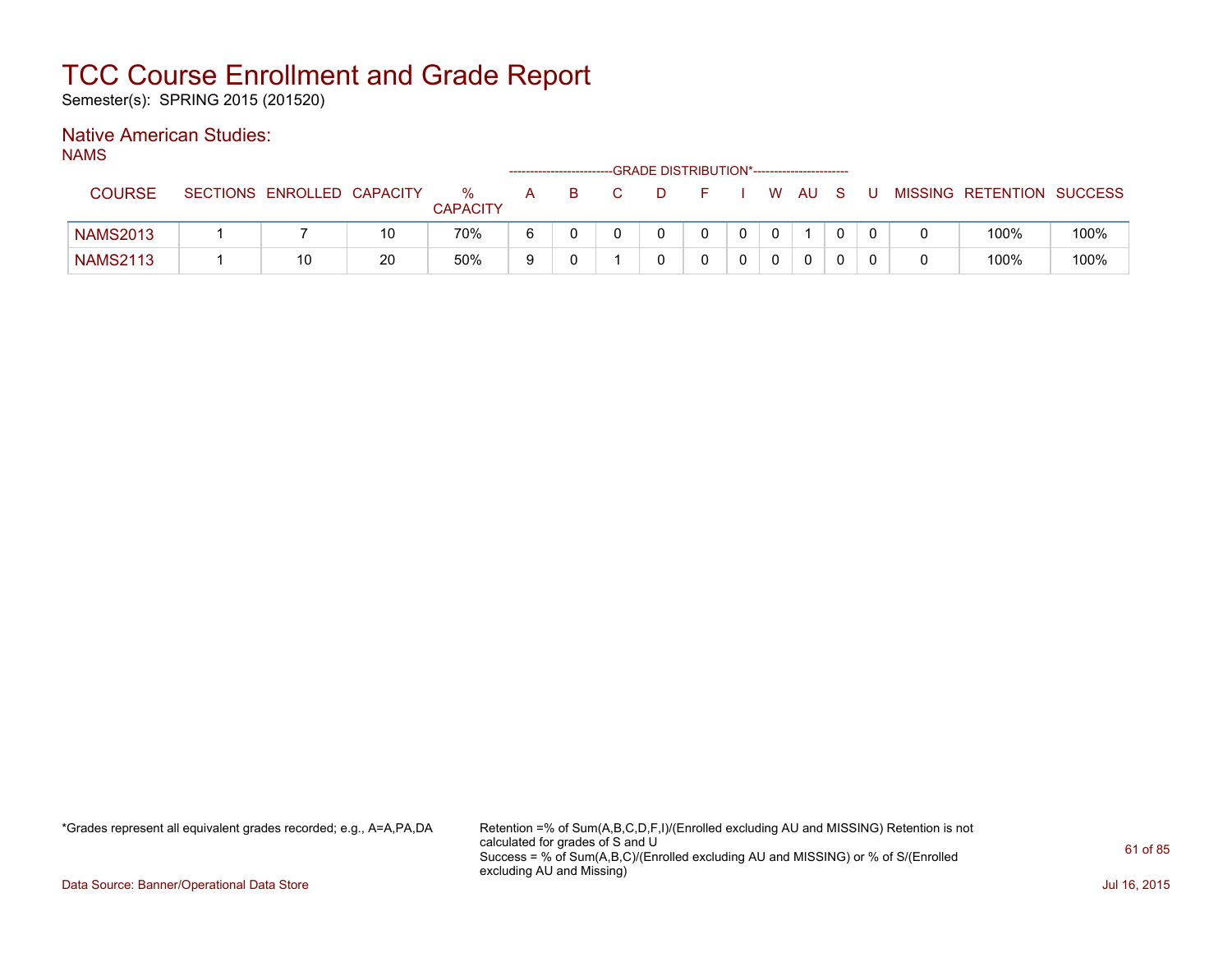Semester(s): SPRING 2015 (201520)

### Native American Studies:

NAMS

|                 |                            |    |                      |   |   | -GRADE DISTRIBUTION*----------------------- |  |          |      |    |  |                           |      |
|-----------------|----------------------------|----|----------------------|---|---|---------------------------------------------|--|----------|------|----|--|---------------------------|------|
| <b>COURSE</b>   | SECTIONS ENROLLED CAPACITY |    | %<br><b>CAPACITY</b> | A | B |                                             |  | W.       | AU - | S. |  | MISSING RETENTION SUCCESS |      |
| <b>NAMS2013</b> |                            | 10 | 70%                  | 6 |   |                                             |  | $\Omega$ |      |    |  | 100%                      | 100% |
| <b>NAMS2113</b> | 10                         | 20 | 50%                  |   |   |                                             |  |          |      |    |  | 100%                      | 100% |

\*Grades represent all equivalent grades recorded; e.g., A=A,PA,DA Retention =% of Sum(A,B,C,D,F,I)/(Enrolled excluding AU and MISSING) Retention is not calculated for grades of S and U Success = % of Sum(A,B,C)/(Enrolled excluding AU and MISSING) or % of S/(Enrolled excluding AU and Missing)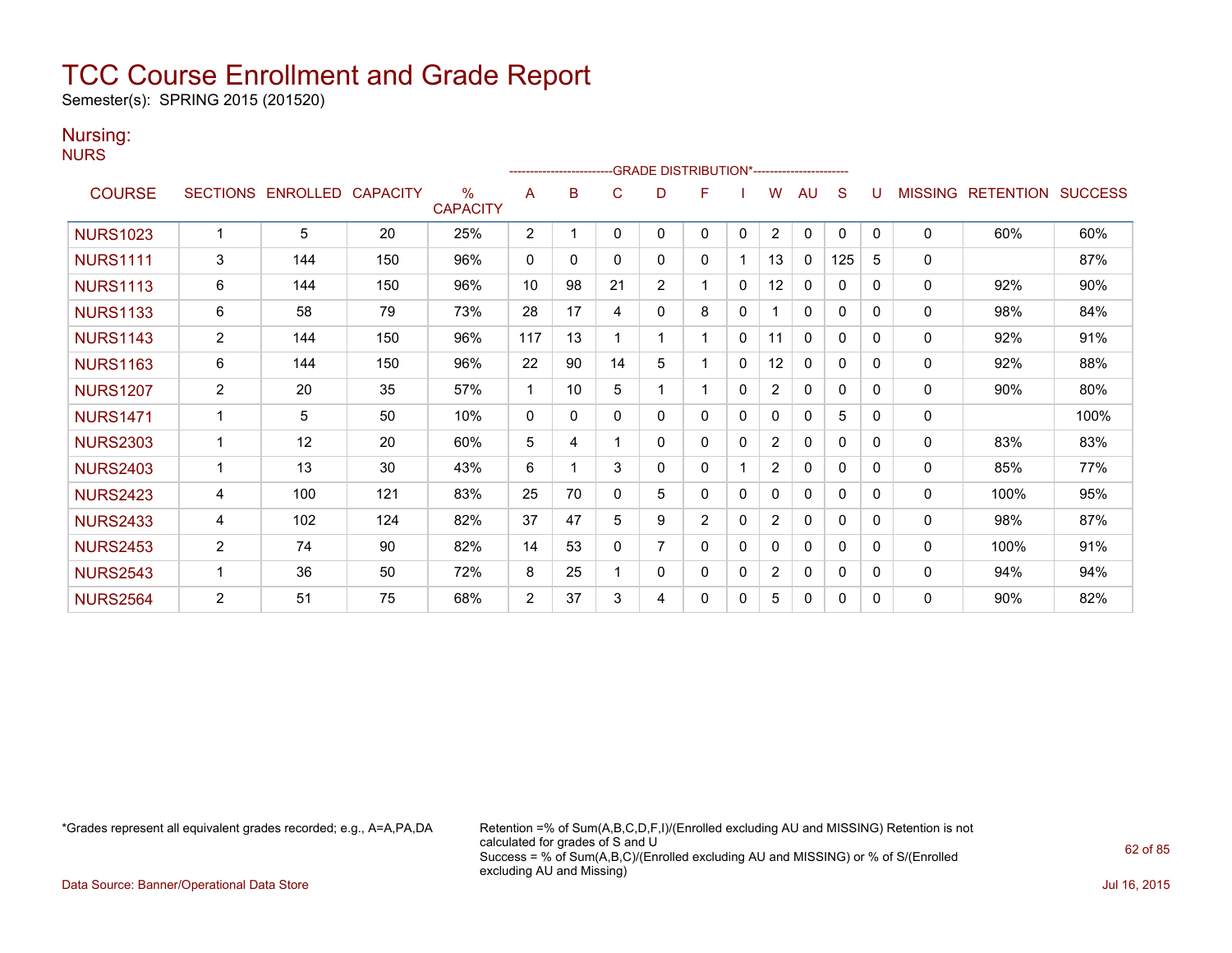Semester(s): SPRING 2015 (201520)

### Nursing:

| ۹<br>٠<br>٠ |  |  |
|-------------|--|--|
|-------------|--|--|

|                 |                |                            |     |                      |                |    |              | ------------------------GRADE                DISTRIBUTION*---------------------- |                |              |                |              |              |              |                |                          |      |
|-----------------|----------------|----------------------------|-----|----------------------|----------------|----|--------------|----------------------------------------------------------------------------------|----------------|--------------|----------------|--------------|--------------|--------------|----------------|--------------------------|------|
| <b>COURSE</b>   |                | SECTIONS ENROLLED CAPACITY |     | %<br><b>CAPACITY</b> | A              | B  | C            | D                                                                                | F              |              | w              | AU           | S            | u            | <b>MISSING</b> | <b>RETENTION SUCCESS</b> |      |
| <b>NURS1023</b> | 1              | 5                          | 20  | 25%                  | 2              |    | 0            | 0                                                                                | $\mathbf{0}$   | $\mathbf{0}$ | $\overline{2}$ | $\mathbf{0}$ | $\mathbf{0}$ | $\mathbf{0}$ | $\mathbf{0}$   | 60%                      | 60%  |
| <b>NURS1111</b> | 3              | 144                        | 150 | 96%                  | 0              | 0  | $\Omega$     | 0                                                                                | $\mathbf{0}$   | 1            | 13             | 0            | 125          | 5            | 0              |                          | 87%  |
| <b>NURS1113</b> | 6              | 144                        | 150 | 96%                  | 10             | 98 | 21           | $\overline{2}$                                                                   |                | $\mathbf{0}$ | 12             | 0            | $\mathbf{0}$ | $\Omega$     | $\mathbf 0$    | 92%                      | 90%  |
| <b>NURS1133</b> | 6              | 58                         | 79  | 73%                  | 28             | 17 | 4            | $\mathbf 0$                                                                      | 8              | $\Omega$     |                | $\mathbf{0}$ | $\mathbf{0}$ | 0            | 0              | 98%                      | 84%  |
| <b>NURS1143</b> | $\overline{2}$ | 144                        | 150 | 96%                  | 117            | 13 |              |                                                                                  |                | 0            | 11             | 0            | 0            | 0            | 0              | 92%                      | 91%  |
| <b>NURS1163</b> | 6              | 144                        | 150 | 96%                  | 22             | 90 | 14           | 5                                                                                |                | 0            | 12             | 0            | $\Omega$     | 0            | 0              | 92%                      | 88%  |
| <b>NURS1207</b> | $\overline{2}$ | 20                         | 35  | 57%                  | -1             | 10 | 5            |                                                                                  |                | $\mathbf{0}$ | $\overline{2}$ | 0            | 0            | 0            | 0              | 90%                      | 80%  |
| <b>NURS1471</b> | $\mathbf 1$    | 5                          | 50  | 10%                  | 0              | 0  | $\Omega$     | $\mathbf 0$                                                                      | $\mathbf{0}$   | 0            | 0              | 0            | 5            | 0            | 0              |                          | 100% |
| <b>NURS2303</b> | 1              | 12                         | 20  | 60%                  | 5              | 4  |              | $\Omega$                                                                         | $\Omega$       | 0            | $\overline{2}$ | $\mathbf{0}$ | $\Omega$     | $\Omega$     | 0              | 83%                      | 83%  |
| <b>NURS2403</b> | $\mathbf{1}$   | 13                         | 30  | 43%                  | 6              | 1  | 3            | $\mathbf 0$                                                                      | 0              |              | 2              | 0            | 0            | 0            | 0              | 85%                      | 77%  |
| <b>NURS2423</b> | 4              | 100                        | 121 | 83%                  | 25             | 70 | $\Omega$     | 5                                                                                | 0              | 0            | 0              | 0            | $\Omega$     | 0            | $\mathbf{0}$   | 100%                     | 95%  |
| <b>NURS2433</b> | 4              | 102                        | 124 | 82%                  | 37             | 47 | 5            | 9                                                                                | $\overline{2}$ | $\Omega$     | $\overline{2}$ | 0            | $\Omega$     | 0            | 0              | 98%                      | 87%  |
| <b>NURS2453</b> | $\overline{2}$ | 74                         | 90  | 82%                  | 14             | 53 | $\mathbf{0}$ |                                                                                  | $\mathbf{0}$   | $\mathbf{0}$ | 0              | 0            | 0            | 0            | 0              | 100%                     | 91%  |
| <b>NURS2543</b> | 1              | 36                         | 50  | 72%                  | 8              | 25 |              | $\mathbf 0$                                                                      | $\Omega$       | 0            | $\overline{2}$ | $\mathbf{0}$ | $\mathbf{0}$ | 0            | $\mathbf{0}$   | 94%                      | 94%  |
| <b>NURS2564</b> | 2              | 51                         | 75  | 68%                  | $\overline{2}$ | 37 | 3            | 4                                                                                | 0              | 0            | 5              | 0            | 0            | 0            | 0              | 90%                      | 82%  |

\*Grades represent all equivalent grades recorded; e.g., A=A,PA,DA Retention =% of Sum(A,B,C,D,F,I)/(Enrolled excluding AU and MISSING) Retention is not calculated for grades of S and U Success = % of Sum(A,B,C)/(Enrolled excluding AU and MISSING) or % of S/(Enrolled excluding AU and Missing)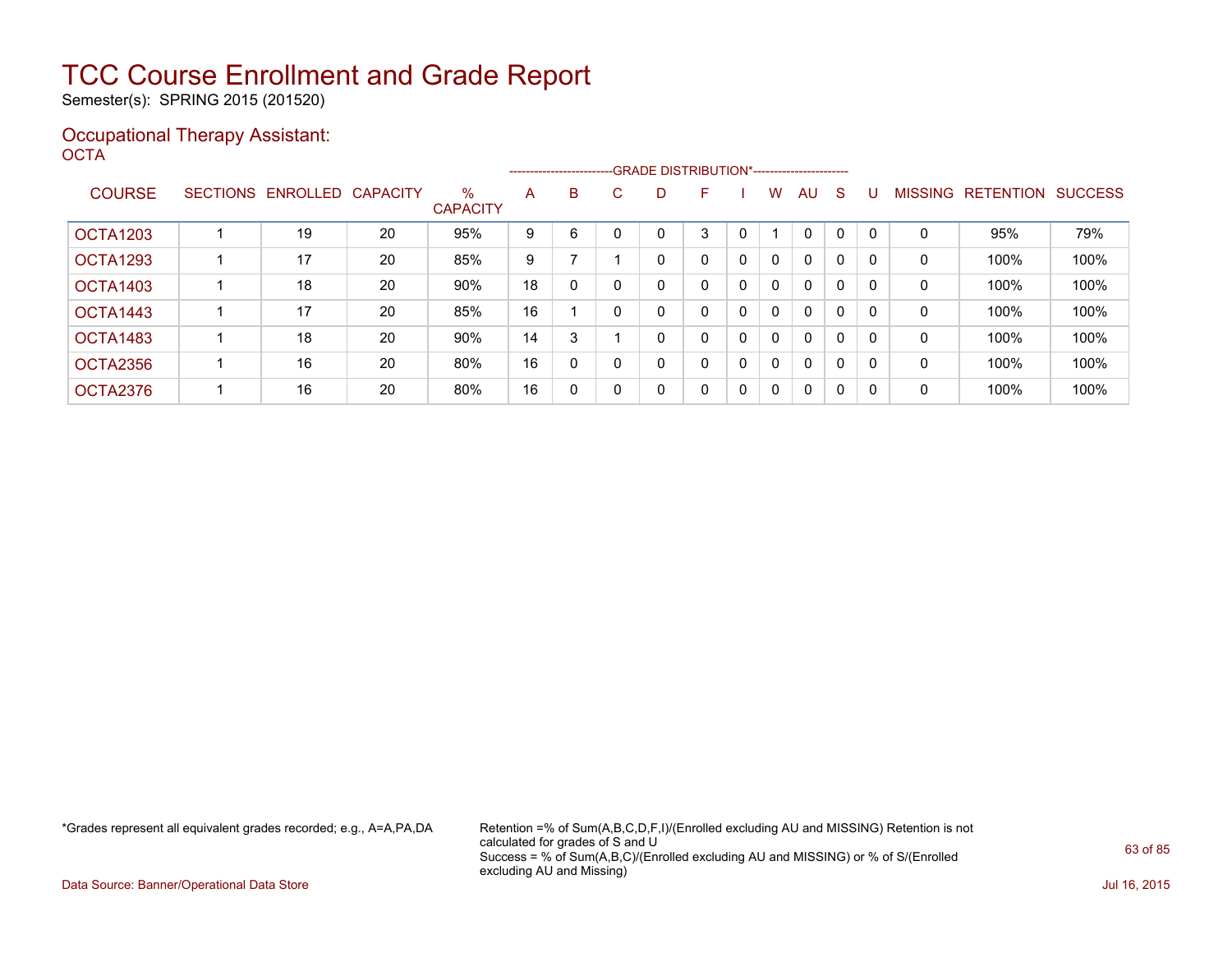Semester(s): SPRING 2015 (201520)

### Occupational Therapy Assistant: OCTA<sup>'</sup>

|                 |                 |          |                 |                         |    |              |    |   | -------------------------GRADE DISTRIBUTION*----------------------- |   |              |              |              |          |                |                  |                |
|-----------------|-----------------|----------|-----------------|-------------------------|----|--------------|----|---|---------------------------------------------------------------------|---|--------------|--------------|--------------|----------|----------------|------------------|----------------|
| <b>COURSE</b>   | <b>SECTIONS</b> | ENROLLED | <b>CAPACITY</b> | $\%$<br><b>CAPACITY</b> | A  | B            | C. | D | F                                                                   |   | W            | AU           | S            |          | <b>MISSING</b> | <b>RETENTION</b> | <b>SUCCESS</b> |
| <b>OCTA1203</b> |                 | 19       | 20              | 95%                     | 9  | 6            |    |   | 3                                                                   |   |              | $\mathbf{0}$ | $\mathbf{0}$ |          | 0              | 95%              | 79%            |
| OCTA1293        |                 | 17       | 20              | 85%                     | 9  |              |    |   | 0                                                                   | 0 | $\mathbf{0}$ | $\mathbf{0}$ | 0            | $\Omega$ | 0              | 100%             | 100%           |
| OCTA1403        |                 | 18       | 20              | 90%                     | 18 | 0            |    |   | 0                                                                   | 0 | $\mathbf{0}$ | $\mathbf{0}$ | 0            |          | 0              | 100%             | 100%           |
| OCTA1443        |                 | 17       | 20              | 85%                     | 16 |              |    |   | 0                                                                   | 0 | $\mathbf{0}$ | $\mathbf{0}$ | 0            |          | 0              | 100%             | 100%           |
| OCTA1483        |                 | 18       | 20              | 90%                     | 14 | 3            |    |   | 0                                                                   | 0 | 0            | $\mathbf{0}$ | 0            | $\Omega$ | 0              | 100%             | 100%           |
| OCTA2356        |                 | 16       | 20              | 80%                     | 16 | $\mathbf{0}$ |    |   | 0                                                                   | 0 | $\mathbf{0}$ | $\mathbf{0}$ | 0            |          | 0              | 100%             | 100%           |
| OCTA2376        |                 | 16       | 20              | 80%                     | 16 | 0            | 0  |   | 0                                                                   | 0 | $\mathbf 0$  | $\mathbf{0}$ | 0            | 0        | 0              | 100%             | 100%           |

\*Grades represent all equivalent grades recorded; e.g., A=A,PA,DA Retention =% of Sum(A,B,C,D,F,I)/(Enrolled excluding AU and MISSING) Retention is not calculated for grades of S and U Success = % of Sum(A,B,C)/(Enrolled excluding AU and MISSING) or % of S/(Enrolled excluding AU and Missing)

Data Source: Banner/Operational Data Store Jul 16, 2015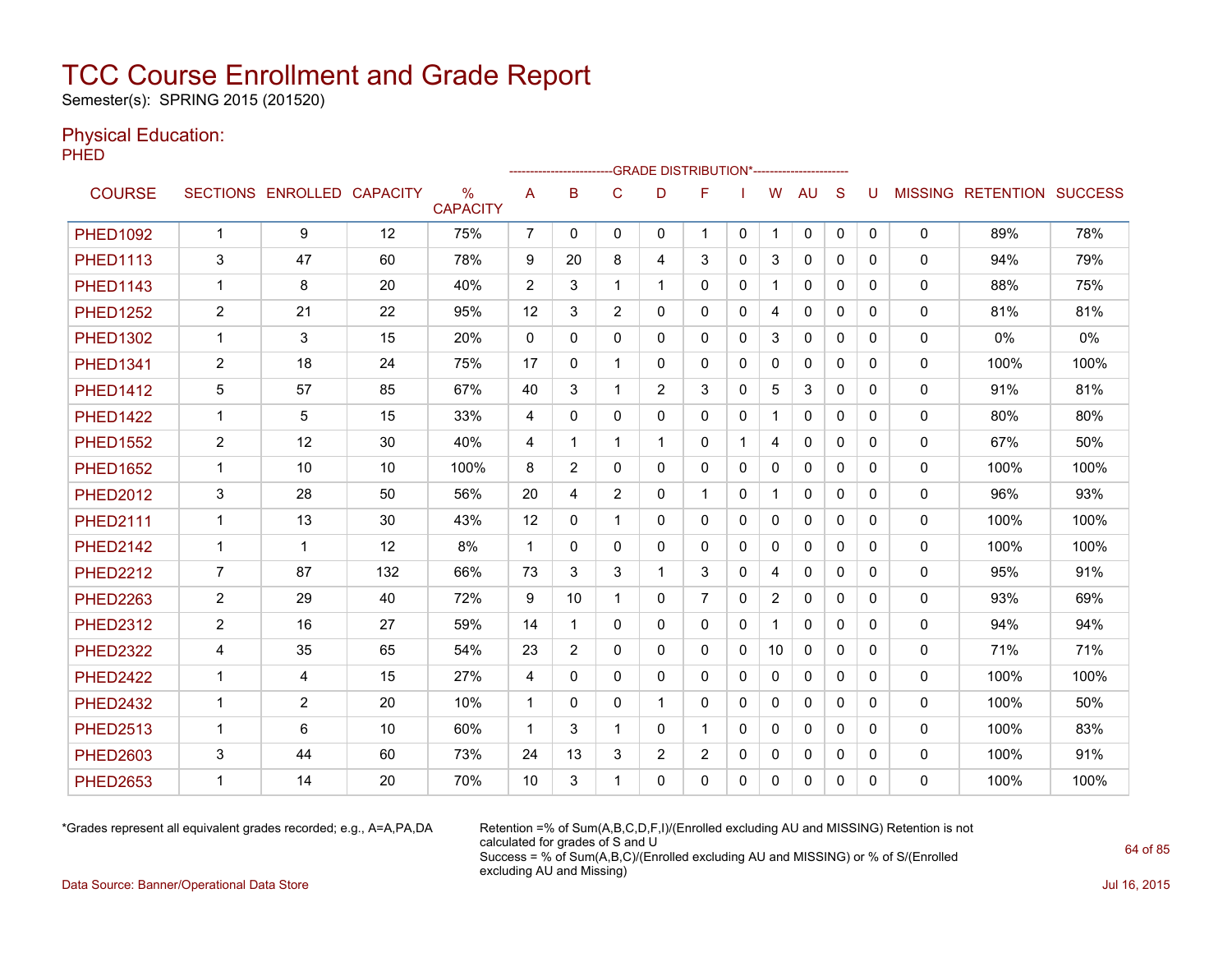Semester(s): SPRING 2015 (201520)

### Physical Education:

**PHED** 

|                 |                |                            |     |                                  |                |              |                | -- GRADE DISTRIBUTION*----------------------- |                |              |                |              |              |          |              |                                  |      |
|-----------------|----------------|----------------------------|-----|----------------------------------|----------------|--------------|----------------|-----------------------------------------------|----------------|--------------|----------------|--------------|--------------|----------|--------------|----------------------------------|------|
| <b>COURSE</b>   |                | SECTIONS ENROLLED CAPACITY |     | $\frac{0}{0}$<br><b>CAPACITY</b> | A              | B            | C              | D                                             | F              |              | W              | <b>AU</b>    | S            | U        |              | <b>MISSING RETENTION SUCCESS</b> |      |
| <b>PHED1092</b> | $\mathbf{1}$   | 9                          | 12  | 75%                              | $\overline{7}$ | $\Omega$     | 0              | 0                                             | -1             | $\mathbf{0}$ | 1              | 0            | 0            | 0        | 0            | 89%                              | 78%  |
| <b>PHED1113</b> | 3              | 47                         | 60  | 78%                              | 9              | 20           | 8              | 4                                             | 3              | 0            | 3              | $\mathbf{0}$ | $\Omega$     | 0        | 0            | 94%                              | 79%  |
| <b>PHED1143</b> | $\mathbf{1}$   | 8                          | 20  | 40%                              | $\overline{2}$ | 3            | 1              | $\mathbf 1$                                   | $\Omega$       | 0            |                | $\mathbf{0}$ | $\Omega$     | 0        | 0            | 88%                              | 75%  |
| <b>PHED1252</b> | $\overline{2}$ | 21                         | 22  | 95%                              | 12             | 3            | $\overline{2}$ | 0                                             | $\mathbf{0}$   | 0            | 4              | 0            | $\mathbf{0}$ | 0        | 0            | 81%                              | 81%  |
| <b>PHED1302</b> | $\mathbf{1}$   | 3                          | 15  | 20%                              | 0              | 0            | 0              | 0                                             | 0              | 0            | 3              | 0            | $\mathbf{0}$ | 0        | 0            | 0%                               | 0%   |
| <b>PHED1341</b> | $\overline{2}$ | 18                         | 24  | 75%                              | 17             | $\Omega$     | 1              | 0                                             | $\mathbf{0}$   | 0            | 0              | $\mathbf{0}$ | $\mathbf{0}$ | 0        | 0            | 100%                             | 100% |
| <b>PHED1412</b> | 5              | 57                         | 85  | 67%                              | 40             | 3            | 1              | $\overline{2}$                                | 3              | $\Omega$     | 5              | 3            | $\Omega$     | 0        | 0            | 91%                              | 81%  |
| <b>PHED1422</b> | $\mathbf{1}$   | 5                          | 15  | 33%                              | 4              | $\Omega$     | $\mathbf{0}$   | $\Omega$                                      | $\Omega$       | $\mathbf{0}$ | $\mathbf 1$    | $\Omega$     | $\Omega$     | 0        | $\mathbf{0}$ | 80%                              | 80%  |
| <b>PHED1552</b> | $\overline{c}$ | 12                         | 30  | 40%                              | 4              | -1           | 1              | 1                                             | $\mathbf{0}$   | 1            | 4              | $\mathbf{0}$ | $\Omega$     | 0        | 0            | 67%                              | 50%  |
| <b>PHED1652</b> | 1              | 10                         | 10  | 100%                             | 8              | 2            | $\mathbf{0}$   | 0                                             | $\mathbf{0}$   | 0            | 0              | $\mathbf{0}$ | $\mathbf{0}$ | 0        | 0            | 100%                             | 100% |
| <b>PHED2012</b> | 3              | 28                         | 50  | 56%                              | 20             | 4            | $\overline{2}$ | 0                                             | $\mathbf{1}$   | $\mathbf{0}$ |                | $\mathbf{0}$ | $\mathbf{0}$ | 0        | $\mathbf{0}$ | 96%                              | 93%  |
| <b>PHED2111</b> | $\mathbf{1}$   | 13                         | 30  | 43%                              | 12             | 0            | 1              | $\Omega$                                      | $\mathbf{0}$   | 0            | 0              | $\mathbf{0}$ | $\mathbf{0}$ | 0        | 0            | 100%                             | 100% |
| <b>PHED2142</b> | 1              | 1                          | 12  | 8%                               | -1             | 0            | $\mathbf{0}$   | 0                                             | $\mathbf{0}$   | 0            | 0              | 0            | $\Omega$     | 0        | 0            | 100%                             | 100% |
| <b>PHED2212</b> | $\overline{7}$ | 87                         | 132 | 66%                              | 73             | 3            | 3              | 1                                             | 3              | 0            | 4              | 0            | $\mathbf{0}$ | 0        | 0            | 95%                              | 91%  |
| <b>PHED2263</b> | $\overline{2}$ | 29                         | 40  | 72%                              | 9              | 10           | 1              | 0                                             | $\overline{7}$ | 0            | $\overline{2}$ | $\mathbf{0}$ | $\mathbf{0}$ | 0        | $\mathbf{0}$ | 93%                              | 69%  |
| <b>PHED2312</b> | $\overline{2}$ | 16                         | 27  | 59%                              | 14             | $\mathbf 1$  | $\mathbf{0}$   | 0                                             | $\mathbf{0}$   | 0            | 1              | $\mathbf{0}$ | $\Omega$     | $\Omega$ | 0            | 94%                              | 94%  |
| <b>PHED2322</b> | 4              | 35                         | 65  | 54%                              | 23             | 2            | $\mathbf{0}$   | $\Omega$                                      | $\Omega$       | $\Omega$     | 10             | $\mathbf{0}$ | $\Omega$     | $\Omega$ | 0            | 71%                              | 71%  |
| <b>PHED2422</b> | $\mathbf 1$    | 4                          | 15  | 27%                              | 4              | 0            | 0              | 0                                             | $\mathbf{0}$   | $\mathbf{0}$ | 0              | $\mathbf{0}$ | $\mathbf{0}$ | 0        | 0            | 100%                             | 100% |
| <b>PHED2432</b> | $\mathbf{1}$   | 2                          | 20  | 10%                              | $\mathbf{1}$   | $\mathbf{0}$ | $\mathbf{0}$   | $\mathbf 1$                                   | $\mathbf{0}$   | 0            | 0              | $\mathbf{0}$ | $\mathbf{0}$ | 0        | $\mathbf{0}$ | 100%                             | 50%  |
| <b>PHED2513</b> | $\mathbf{1}$   | 6                          | 10  | 60%                              | $\mathbf 1$    | 3            | 1              | $\Omega$                                      |                | $\Omega$     | $\mathbf{0}$   | $\mathbf{0}$ | $\Omega$     | 0        | 0            | 100%                             | 83%  |
| <b>PHED2603</b> | 3              | 44                         | 60  | 73%                              | 24             | 13           | 3              | $\overline{2}$                                | $\overline{2}$ | $\mathbf{0}$ | 0              | 0            | $\mathbf{0}$ | 0        | 0            | 100%                             | 91%  |
| <b>PHED2653</b> | $\mathbf 1$    | 14                         | 20  | 70%                              | 10             | 3            | 1              | $\Omega$                                      | 0              | 0            | 0              | $\mathbf{0}$ | $\mathbf{0}$ | 0        | 0            | 100%                             | 100% |

\*Grades represent all equivalent grades recorded; e.g., A=A,PA,DA Retention =% of Sum(A,B,C,D,F,I)/(Enrolled excluding AU and MISSING) Retention is not calculated for grades of S and U Success = % of Sum(A,B,C)/(Enrolled excluding AU and MISSING) or % of S/(Enrolled excluding AU and Missing)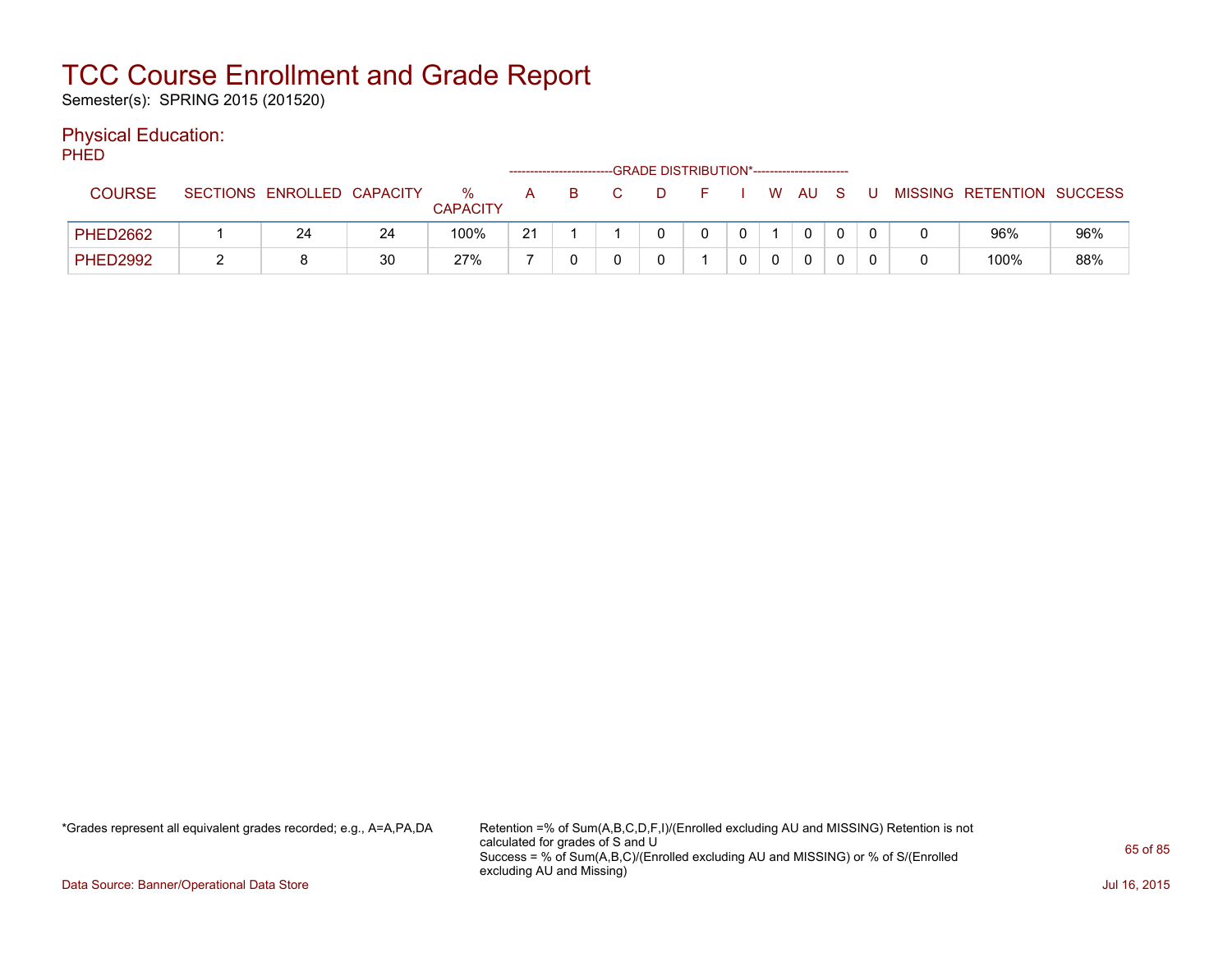Semester(s): SPRING 2015 (201520)

### Physical Education:

PHED

|                 |   |                            |    |                         |    |   | -GRADE DISTRIBUTION*----------------------- |              |      |  |                           |     |
|-----------------|---|----------------------------|----|-------------------------|----|---|---------------------------------------------|--------------|------|--|---------------------------|-----|
| <b>COURSE</b>   |   | SECTIONS ENROLLED CAPACITY |    | $\%$<br><b>CAPACITY</b> | A  | B |                                             |              | W AU |  | MISSING RETENTION SUCCESS |     |
| <b>PHED2662</b> |   | 24                         | 24 | 100%                    | 21 |   |                                             | $\mathbf{0}$ |      |  | 96%                       | 96% |
| <b>PHED2992</b> | _ |                            | 30 | 27%                     |    |   |                                             |              |      |  | 100%                      | 88% |

\*Grades represent all equivalent grades recorded; e.g., A=A,PA,DA Retention =% of Sum(A,B,C,D,F,I)/(Enrolled excluding AU and MISSING) Retention is not calculated for grades of S and U Success = % of Sum(A,B,C)/(Enrolled excluding AU and MISSING) or % of S/(Enrolled excluding AU and Missing)

Data Source: Banner/Operational Data Store Jul 16, 2015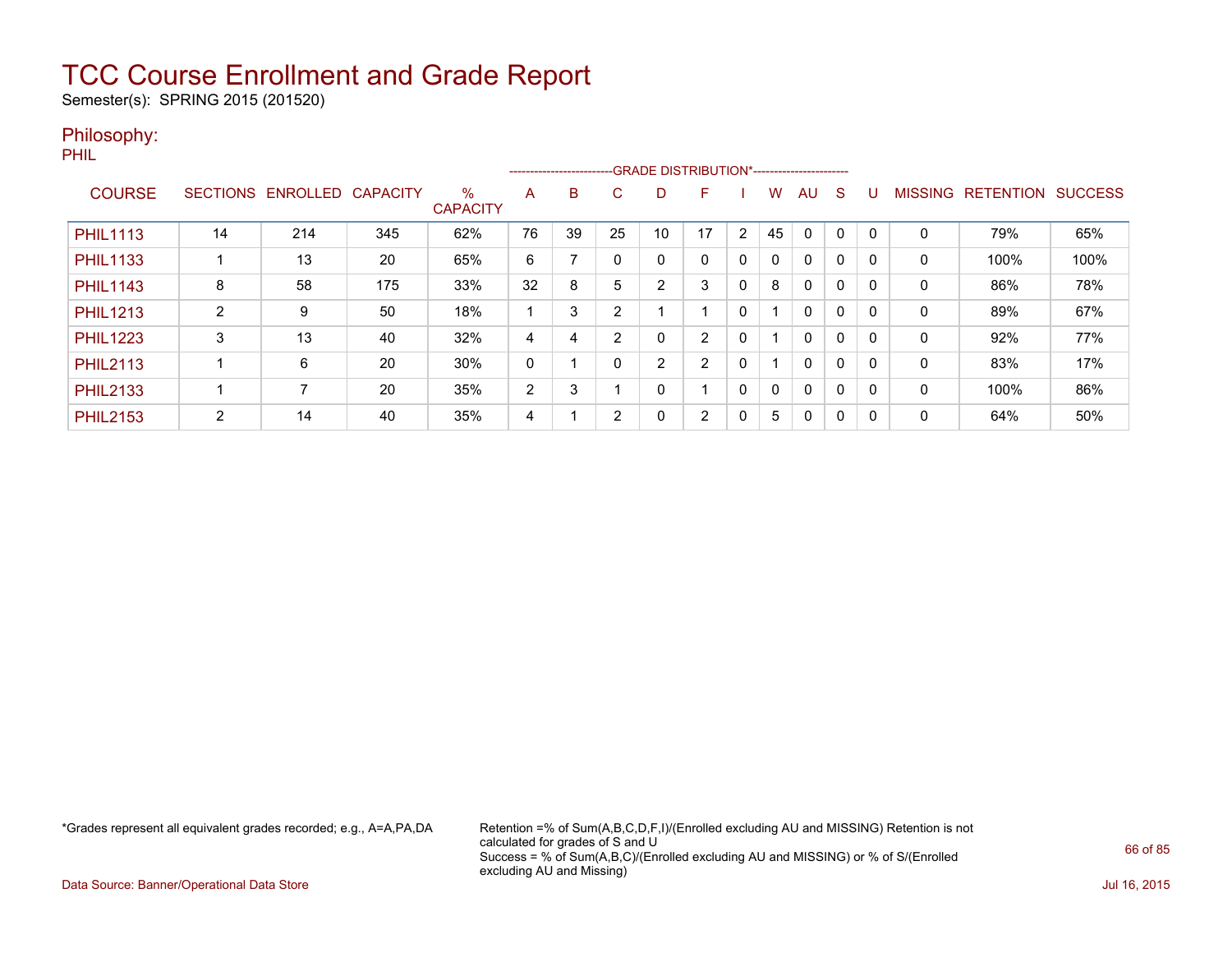Semester(s): SPRING 2015 (201520)

### Philosophy:

PHIL

|                 |                 |          |                 |                         |              |    | --------------------------GRADE DISTRIBUTION*----------------------- |                |    |                |              |              |             |              |                |                  |                |
|-----------------|-----------------|----------|-----------------|-------------------------|--------------|----|----------------------------------------------------------------------|----------------|----|----------------|--------------|--------------|-------------|--------------|----------------|------------------|----------------|
| <b>COURSE</b>   | <b>SECTIONS</b> | ENROLLED | <b>CAPACITY</b> | $\%$<br><b>CAPACITY</b> | A            | B  | C.                                                                   | D              | F  |                | w            | AU           | S           |              | <b>MISSING</b> | <b>RETENTION</b> | <b>SUCCESS</b> |
|                 |                 |          |                 |                         |              |    |                                                                      |                |    |                |              |              |             |              |                |                  |                |
| <b>PHIL1113</b> | 14              | 214      | 345             | 62%                     | 76           | 39 | 25                                                                   | 10             | 17 | $\overline{2}$ | 45           | 0            | $\Omega$    |              | 0              | 79%              | 65%            |
| <b>PHIL1133</b> |                 | 13       | 20              | 65%                     | 6            |    |                                                                      | 0              | 0  | 0              | $\mathbf{0}$ | $\mathbf{0}$ | 0           | <sup>0</sup> | 0              | 100%             | 100%           |
| <b>PHIL1143</b> | 8               | 58       | 175             | 33%                     | 32           | 8  | 5                                                                    | 2              | 3  | 0              | 8            | 0            | $\mathbf 0$ | - 0          | 0              | 86%              | 78%            |
| <b>PHIL1213</b> | 2               | 9        | 50              | 18%                     |              | 3  | ົ                                                                    |                |    | 0              |              | 0            | 0           |              | 0              | 89%              | 67%            |
| <b>PHIL1223</b> | 3               | 13       | 40              | 32%                     | 4            | 4  | 2                                                                    | 0              | 2  | 0              |              | $\mathbf{0}$ | $\mathbf 0$ | <sup>0</sup> | 0              | 92%              | 77%            |
| <b>PHIL2113</b> |                 | 6        | 20              | 30%                     | $\mathbf{0}$ |    |                                                                      | $\overline{2}$ | 2  | 0              |              | $\mathbf{0}$ | 0           | $\Omega$     | 0              | 83%              | 17%            |
| <b>PHIL2133</b> |                 |          | 20              | 35%                     | 2            | 3  |                                                                      | 0              |    | $\Omega$       | $\mathbf{0}$ | 0            | 0           |              | 0              | 100%             | 86%            |
| <b>PHIL2153</b> | 2               | 14       | 40              | 35%                     | 4            |    | 2                                                                    | 0              | 2  | 0              | 5            | 0            | 0           | -0           | 0              | 64%              | 50%            |

\*Grades represent all equivalent grades recorded; e.g., A=A,PA,DA Retention =% of Sum(A,B,C,D,F,I)/(Enrolled excluding AU and MISSING) Retention is not calculated for grades of S and U Success = % of Sum(A,B,C)/(Enrolled excluding AU and MISSING) or % of S/(Enrolled excluding AU and Missing)

Data Source: Banner/Operational Data Store Jul 16, 2015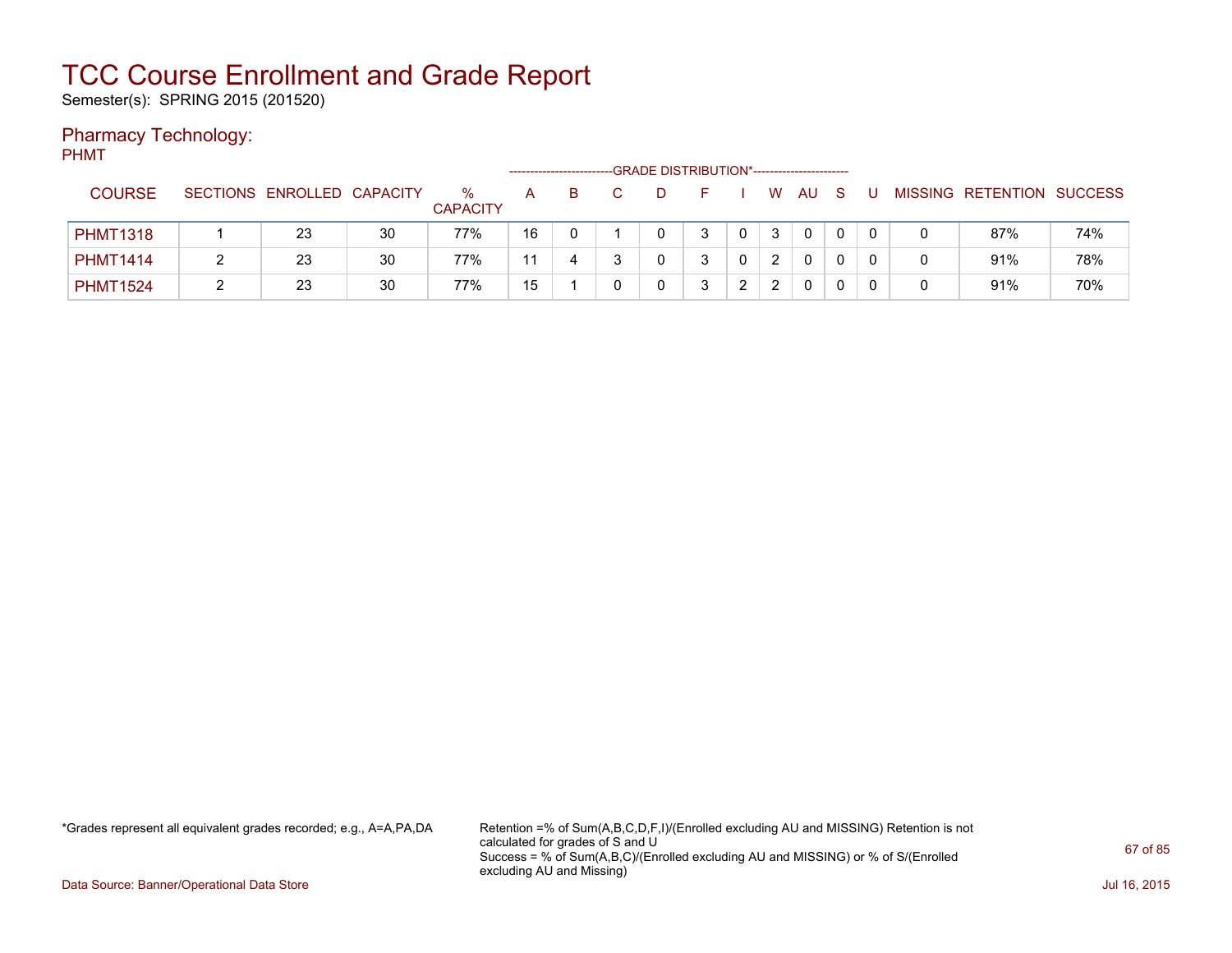Semester(s): SPRING 2015 (201520)

### Pharmacy Technology:

PHMT

|                 |   |                            |    |                      |    |    |  | -GRADE DISTRIBUTION*----------------------- |        |              |    |              |  |                           |     |
|-----------------|---|----------------------------|----|----------------------|----|----|--|---------------------------------------------|--------|--------------|----|--------------|--|---------------------------|-----|
| <b>COURSE</b>   |   | SECTIONS ENROLLED CAPACITY |    | ℅<br><b>CAPACITY</b> | А  | B. |  |                                             |        | W            | AU |              |  | MISSING RETENTION SUCCESS |     |
| <b>PHMT1318</b> |   | 23                         | 30 | 77%                  | 16 |    |  | ર                                           |        | $\mathbf{3}$ | 0  | 0            |  | 87%                       | 74% |
| <b>PHMT1414</b> | າ | 23                         | 30 | 77%                  | 11 |    |  | 2                                           |        | 2            | 0  | $\mathbf{0}$ |  | 91%                       | 78% |
| <b>PHMT1524</b> |   | 23                         | 30 | 77%                  | 15 |    |  | ົ                                           | $\sim$ |              | 0  | 0            |  | 91%                       | 70% |

\*Grades represent all equivalent grades recorded; e.g., A=A,PA,DA Retention =% of Sum(A,B,C,D,F,I)/(Enrolled excluding AU and MISSING) Retention is not calculated for grades of S and U Success = % of Sum(A,B,C)/(Enrolled excluding AU and MISSING) or % of S/(Enrolled excluding AU and Missing)

Data Source: Banner/Operational Data Store Jul 16, 2015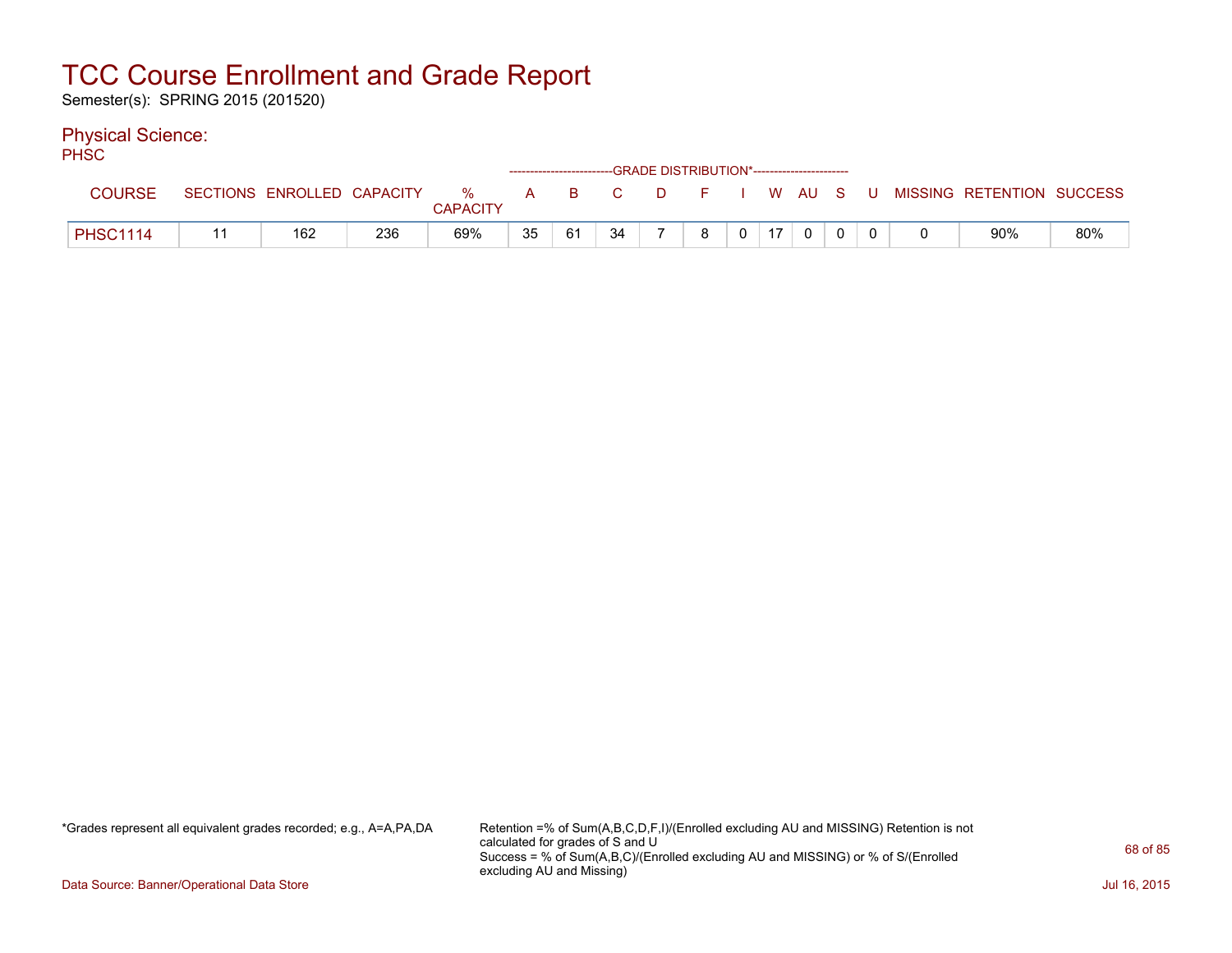Semester(s): SPRING 2015 (201520)

### Physical Science:

PH<sub>SC</sub>

|                 |                            |     |                  |    | ------------------------GRADE DISTRIBUTION*----------------------- |      |         |    |        |       |                           |     |
|-----------------|----------------------------|-----|------------------|----|--------------------------------------------------------------------|------|---------|----|--------|-------|---------------------------|-----|
| COURSE          | SECTIONS ENROLLED CAPACITY |     | $\%$<br>CAPACITY | A  |                                                                    | BC C | $D = F$ |    | W AU S | - U - | MISSING RETENTION SUCCESS |     |
| <b>PHSC1114</b> | 162                        | 236 | 69%              | 35 | -61                                                                | 34   |         | 17 |        |       | 90%                       | 80% |

\*Grades represent all equivalent grades recorded; e.g., A=A,PA,DA Retention =% of Sum(A,B,C,D,F,I)/(Enrolled excluding AU and MISSING) Retention is not calculated for grades of S and U Success = % of Sum(A,B,C)/(Enrolled excluding AU and MISSING) or % of S/(Enrolled excluding AU and Missing)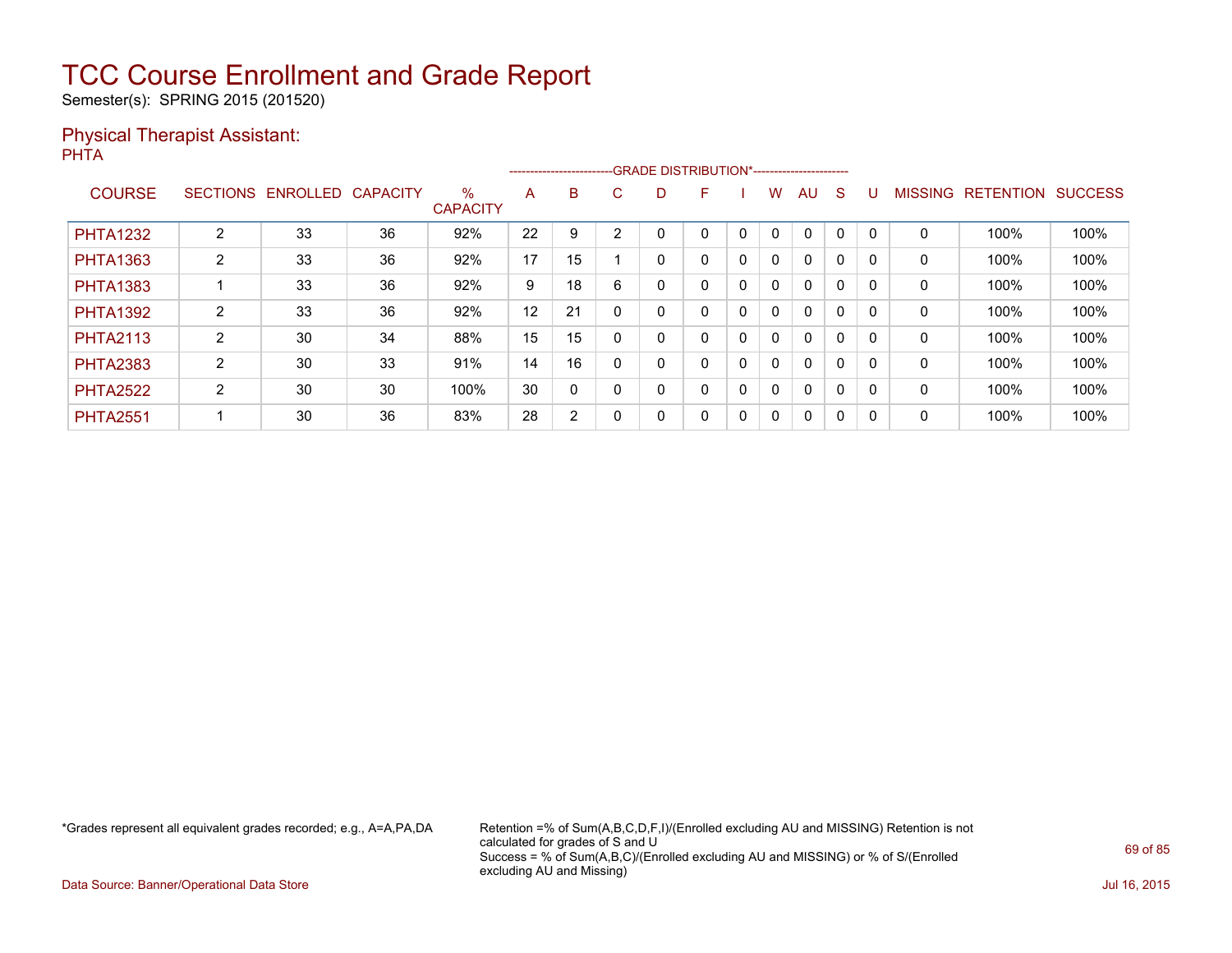Semester(s): SPRING 2015 (201520)

### Physical Therapist Assistant: PHTA

|                 |                |                   |                 |                         |    |    | --------------------------GRADE DISTRIBUTION*----------------------- |    |   |              |              |              |              |          |                |                  |                |
|-----------------|----------------|-------------------|-----------------|-------------------------|----|----|----------------------------------------------------------------------|----|---|--------------|--------------|--------------|--------------|----------|----------------|------------------|----------------|
| <b>COURSE</b>   |                | SECTIONS ENROLLED | <b>CAPACITY</b> | $\%$<br><b>CAPACITY</b> | A  | B  | C.                                                                   | D. | F |              | w            | AU           | <sub>S</sub> |          | <b>MISSING</b> | <b>RETENTION</b> | <b>SUCCESS</b> |
| <b>PHTA1232</b> | $\overline{2}$ | 33                | 36              | 92%                     | 22 | 9  |                                                                      |    |   |              | 0            | $\Omega$     | 0            |          | 0              | 100%             | 100%           |
| <b>PHTA1363</b> | 2              | 33                | 36              | 92%                     | 17 | 15 |                                                                      |    | 0 | 0            | $\mathbf{0}$ | $\mathbf{0}$ | $\Omega$     |          | 0              | 100%             | 100%           |
| <b>PHTA1383</b> |                | 33                | 36              | 92%                     | 9  | 18 | 6                                                                    | 0  | 0 | $\mathbf{0}$ | 0            | $\mathbf{0}$ | 0            | $\Omega$ | 0              | 100%             | 100%           |
| <b>PHTA1392</b> | 2              | 33                | 36              | 92%                     | 12 | 21 |                                                                      | 0  | 0 | 0            | 0            | $\mathbf{0}$ | 0            |          | 0              | 100%             | 100%           |
| <b>PHTA2113</b> | 2              | 30                | 34              | 88%                     | 15 | 15 |                                                                      | 0  | 0 | 0            | 0            | $\mathbf{0}$ | $\Omega$     |          | 0              | 100%             | 100%           |
| <b>PHTA2383</b> | 2              | 30                | 33              | 91%                     | 14 | 16 |                                                                      | 0  | 0 | 0            | $\mathbf{0}$ | $\mathbf{0}$ | $\Omega$     | $\Omega$ | 0              | 100%             | 100%           |
| <b>PHTA2522</b> | 2              | 30                | 30              | 100%                    | 30 | 0  |                                                                      | 0  | 0 | 0            | 0            | $\mathbf{0}$ | 0            |          | 0              | 100%             | 100%           |
| <b>PHTA2551</b> |                | 30                | 36              | 83%                     | 28 | 2  |                                                                      | 0  | 0 | 0            | $\Omega$     | $\mathbf{0}$ | 0            | $\Omega$ | 0              | 100%             | 100%           |

\*Grades represent all equivalent grades recorded; e.g., A=A,PA,DA Retention =% of Sum(A,B,C,D,F,I)/(Enrolled excluding AU and MISSING) Retention is not calculated for grades of S and U Success = % of Sum(A,B,C)/(Enrolled excluding AU and MISSING) or % of S/(Enrolled excluding AU and Missing)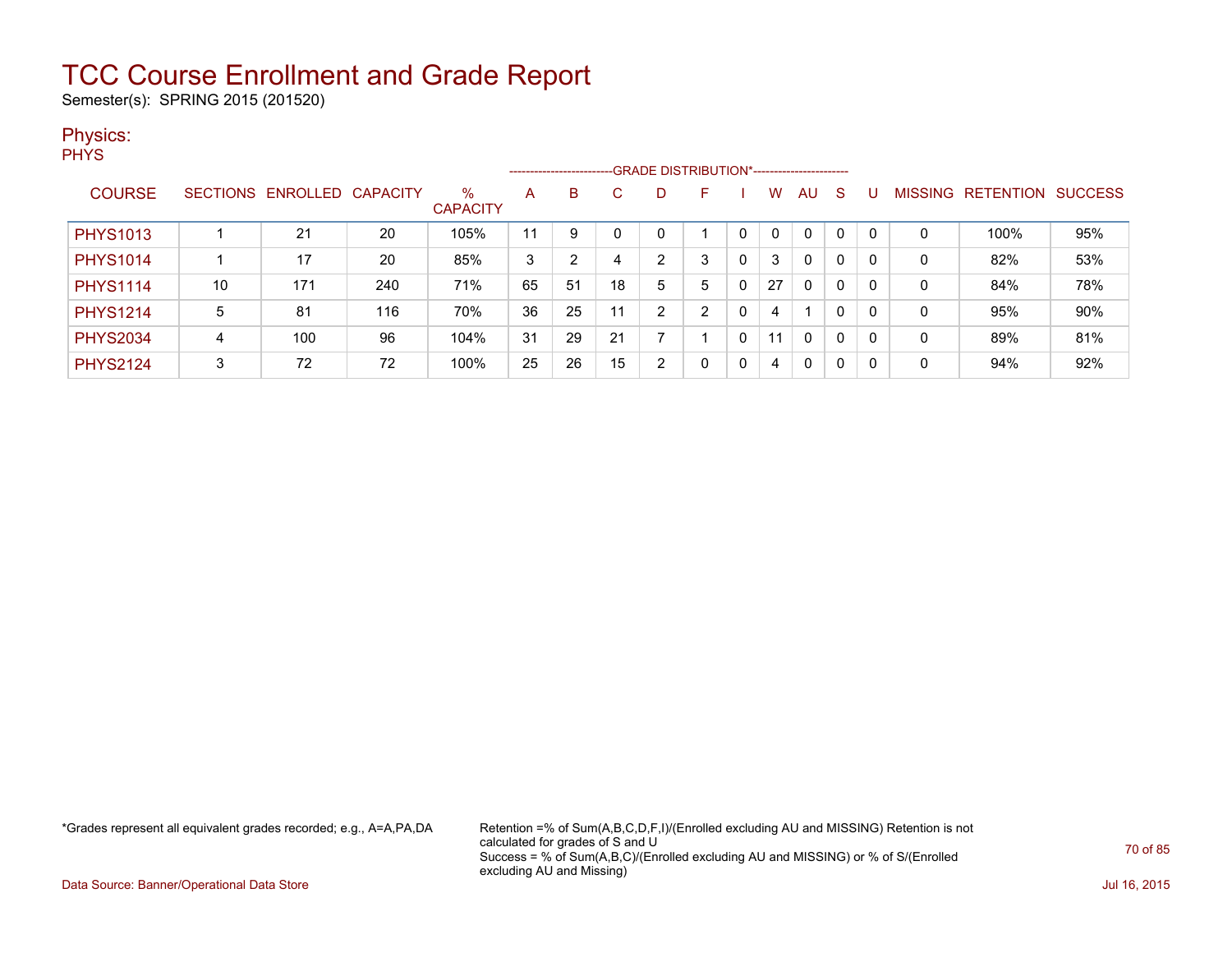Semester(s): SPRING 2015 (201520)

### Physics:

**PHYS** 

|                 | ------------------------GRADE DISTRIBUTION*----------------------- |                            |     |                         |    |    |    |   |   |   |    |              |   |   |   |                   |                |
|-----------------|--------------------------------------------------------------------|----------------------------|-----|-------------------------|----|----|----|---|---|---|----|--------------|---|---|---|-------------------|----------------|
| <b>COURSE</b>   |                                                                    | SECTIONS ENROLLED CAPACITY |     | $\%$<br><b>CAPACITY</b> | A  | B  |    |   | F |   | w  | AU           | S |   |   | MISSING RETENTION | <b>SUCCESS</b> |
| <b>PHYS1013</b> |                                                                    | 21                         | 20  | 105%                    | 11 | 9  |    |   |   |   | 0  | $\mathbf{0}$ | 0 |   | 0 | 100%              | 95%            |
| <b>PHYS1014</b> |                                                                    | 17                         | 20  | 85%                     | 3  | っ  | 4  | ົ | 3 | 0 | 3  | 0            | 0 | 0 | 0 | 82%               | 53%            |
| <b>PHYS1114</b> | 10                                                                 | 171                        | 240 | 71%                     | 65 | 51 | 18 | 5 | 5 | 0 | 27 | $\mathbf{0}$ | 0 | 0 | 0 | 84%               | 78%            |
| <b>PHYS1214</b> | 5                                                                  | 81                         | 116 | 70%                     | 36 | 25 | 11 | ົ | າ | 0 | 4  |              | 0 |   | 0 | 95%               | 90%            |
| <b>PHYS2034</b> | 4                                                                  | 100                        | 96  | 104%                    | 31 | 29 | 21 |   |   | 0 | 11 | $\mathbf{0}$ | 0 | 0 | 0 | 89%               | 81%            |
| <b>PHYS2124</b> | 3                                                                  | 72                         | 72  | 100%                    | 25 | 26 | 15 | າ | 0 | 0 | 4  | 0            | 0 |   | 0 | 94%               | 92%            |

\*Grades represent all equivalent grades recorded; e.g., A=A,PA,DA Retention =% of Sum(A,B,C,D,F,I)/(Enrolled excluding AU and MISSING) Retention is not calculated for grades of S and U Success = % of Sum(A,B,C)/(Enrolled excluding AU and MISSING) or % of S/(Enrolled excluding AU and Missing)

Data Source: Banner/Operational Data Store Jul 16, 2015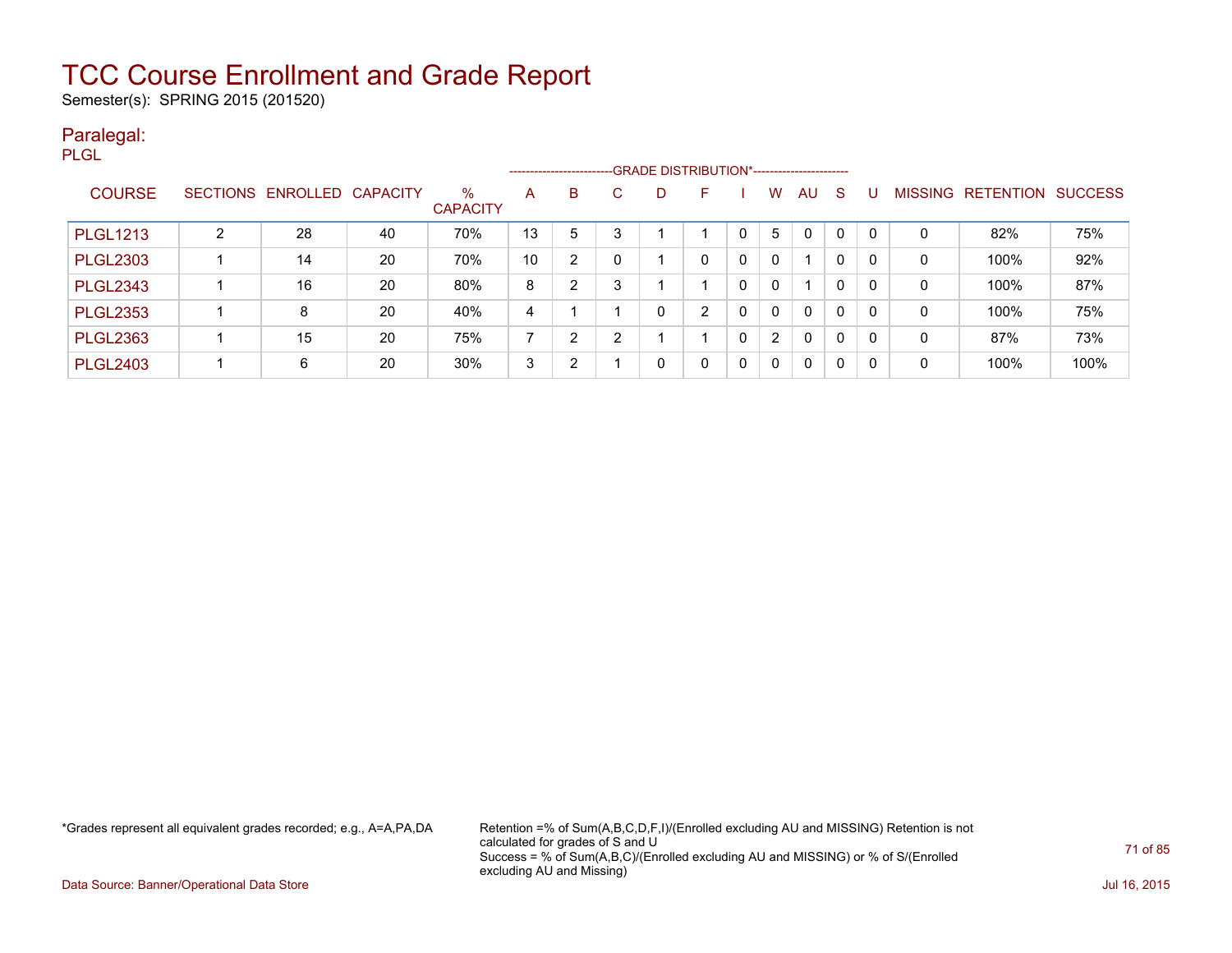Semester(s): SPRING 2015 (201520)

### Paralegal:

| m. |                |
|----|----------------|
|    | ×<br>۰.<br>. . |

|                 |                 |                   |    |                         |    | ---------------------- |    | --GRADE DISTRIBUTION*----------------------- |   |              |              |              |              |              |                |           |                |
|-----------------|-----------------|-------------------|----|-------------------------|----|------------------------|----|----------------------------------------------|---|--------------|--------------|--------------|--------------|--------------|----------------|-----------|----------------|
| <b>COURSE</b>   | <b>SECTIONS</b> | ENROLLED CAPACITY |    | $\%$<br><b>CAPACITY</b> | A  | B                      | C. |                                              | F |              | w            | AU           | <sub>S</sub> |              | <b>MISSING</b> | RETENTION | <b>SUCCESS</b> |
| <b>PLGL1213</b> | 2               | 28                | 40 | 70%                     | 13 | 5                      | 3  |                                              |   |              | 5            | 0            | 0            | 0            | 0              | 82%       | 75%            |
| <b>PLGL2303</b> |                 | 14                | 20 | 70%                     | 10 | 2                      | 0  |                                              |   |              | $\Omega$     |              | 0            | 0            | 0              | 100%      | 92%            |
| <b>PLGL2343</b> |                 | 16                | 20 | 80%                     | 8  | っ                      | 3  |                                              |   |              | <sup>0</sup> |              | 0            | 0            | 0              | 100%      | 87%            |
| <b>PLGL2353</b> |                 | 8                 | 20 | 40%                     | 4  |                        |    |                                              | ົ |              | $\Omega$     | $\mathbf{0}$ | 0            | $\mathbf{0}$ | 0              | 100%      | 75%            |
| <b>PLGL2363</b> |                 | 15                | 20 | 75%                     |    | 2                      | າ  |                                              |   | $\Omega$     | 2            | 0            | 0            | 0            | 0              | 87%       | 73%            |
| <b>PLGL2403</b> |                 | 6                 | 20 | 30%                     | 3  | 2                      |    |                                              |   | $\mathbf{0}$ | $\Omega$     | $\mathbf{0}$ | 0            | $\mathbf{0}$ | 0              | 100%      | 100%           |

\*Grades represent all equivalent grades recorded; e.g., A=A,PA,DA Retention =% of Sum(A,B,C,D,F,I)/(Enrolled excluding AU and MISSING) Retention is not calculated for grades of S and U Success = % of Sum(A,B,C)/(Enrolled excluding AU and MISSING) or % of S/(Enrolled excluding AU and Missing)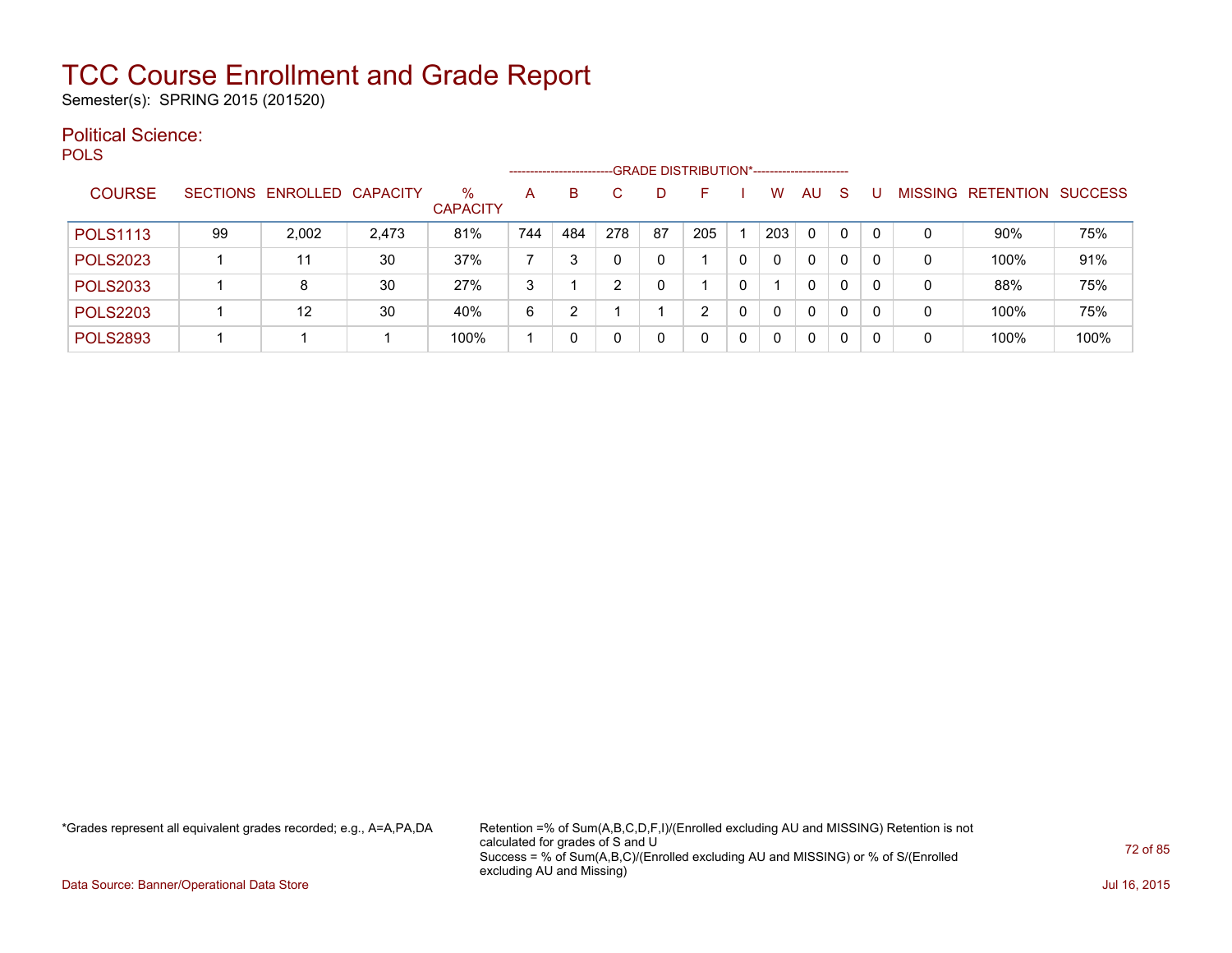Semester(s): SPRING 2015 (201520)

#### Political Science: **POLS**

|                 |    | -GRADE DISTRIBUTION*-----------------------<br>-------------------- |       |                      |     |     |     |    |     |   |     |              |    |   |   |                           |      |
|-----------------|----|---------------------------------------------------------------------|-------|----------------------|-----|-----|-----|----|-----|---|-----|--------------|----|---|---|---------------------------|------|
| <b>COURSE</b>   |    | SECTIONS ENROLLED CAPACITY                                          |       | %<br><b>CAPACITY</b> | А   | B   | C.  |    | н.  |   | W   | AU           | -S |   |   | MISSING RETENTION SUCCESS |      |
| <b>POLS1113</b> | 99 | 2,002                                                               | 2,473 | 81%                  | 744 | 484 | 278 | 87 | 205 |   | 203 | 0            | 0  |   | 0 | $90\%$                    | 75%  |
| <b>POLS2023</b> |    | 11                                                                  | 30    | 37%                  |     |     | 0   |    |     | 0 |     | 0            | 0  |   | 0 | 100%                      | 91%  |
| <b>POLS2033</b> |    | 8                                                                   | 30    | 27%                  | 3   |     | າ   |    |     | 0 |     | 0            | 0  | 0 | 0 | 88%                       | 75%  |
| <b>POLS2203</b> |    | 12                                                                  | 30    | 40%                  | 6   | ◠   |     |    |     | 0 |     | $\mathbf{0}$ | 0  |   | 0 | 100%                      | 75%  |
| <b>POLS2893</b> |    |                                                                     |       | 100%                 |     |     | 0   |    |     | 0 |     | 0            | 0  |   |   | 100%                      | 100% |

\*Grades represent all equivalent grades recorded; e.g., A=A,PA,DA Retention =% of Sum(A,B,C,D,F,I)/(Enrolled excluding AU and MISSING) Retention is not calculated for grades of S and U Success = % of Sum(A,B,C)/(Enrolled excluding AU and MISSING) or % of S/(Enrolled excluding AU and Missing)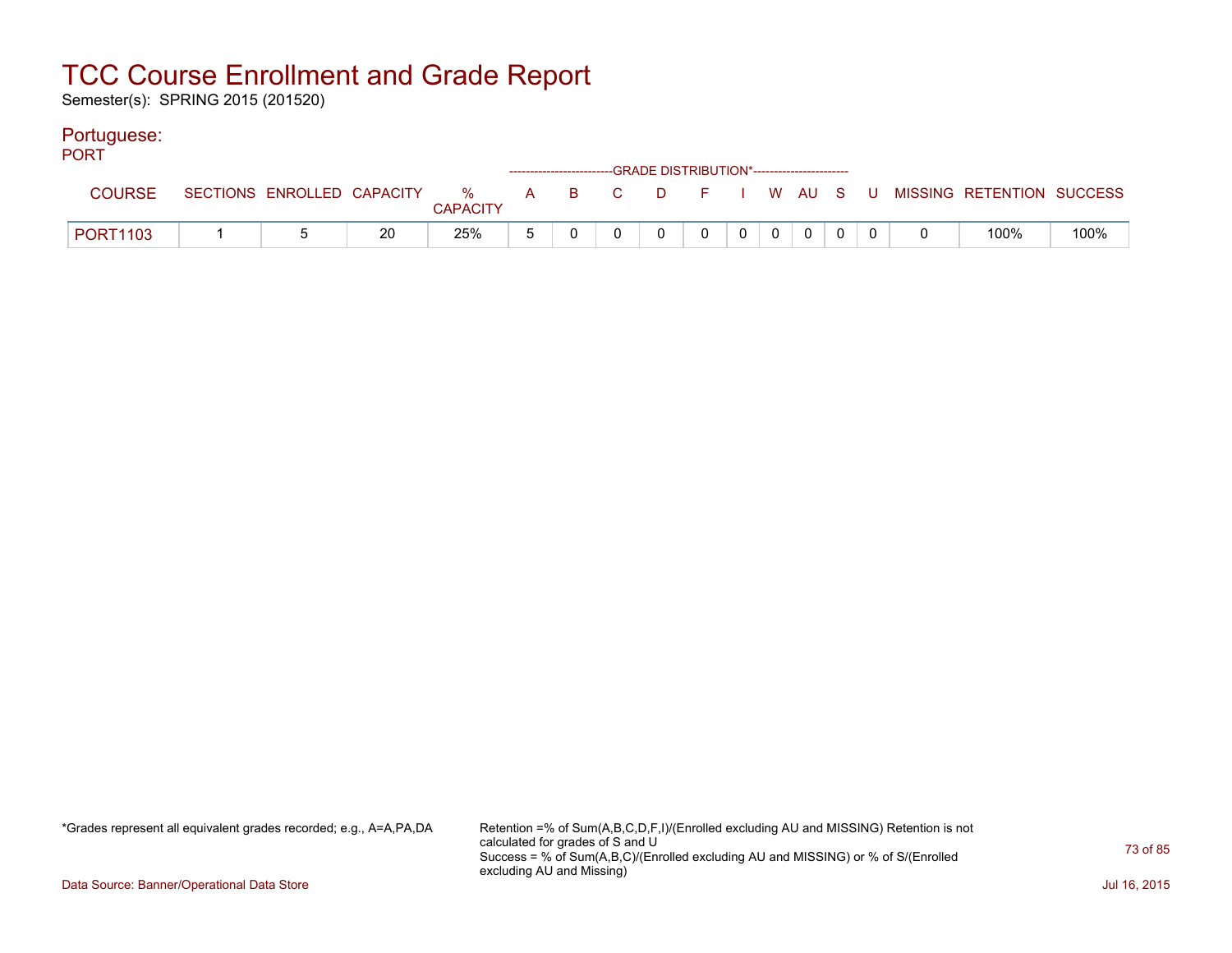Semester(s): SPRING 2015 (201520)

#### Portuguese:

| <b>PORT</b>     |  |    |                 |  | ------------------------GRADE DISTRIBUTION*----------------------- |             |   |   |             |  |                                                                               |      |
|-----------------|--|----|-----------------|--|--------------------------------------------------------------------|-------------|---|---|-------------|--|-------------------------------------------------------------------------------|------|
| <b>COURSE</b>   |  |    | <b>CAPACITY</b> |  |                                                                    |             |   |   |             |  | SECTIONS ENROLLED CAPACITY 3 % A B C D F I W AU S U MISSING RETENTION SUCCESS |      |
| <b>PORT1103</b> |  | 20 | 25%             |  | $\overline{0}$                                                     | $\mathbf 0$ | 0 | 0 | $\mathbf 0$ |  | 100%                                                                          | 100% |

\*Grades represent all equivalent grades recorded; e.g., A=A,PA,DA Retention =% of Sum(A,B,C,D,F,I)/(Enrolled excluding AU and MISSING) Retention is not calculated for grades of S and U Success = % of Sum(A,B,C)/(Enrolled excluding AU and MISSING) or % of S/(Enrolled excluding AU and Missing)

Data Source: Banner/Operational Data Store Jul 16, 2015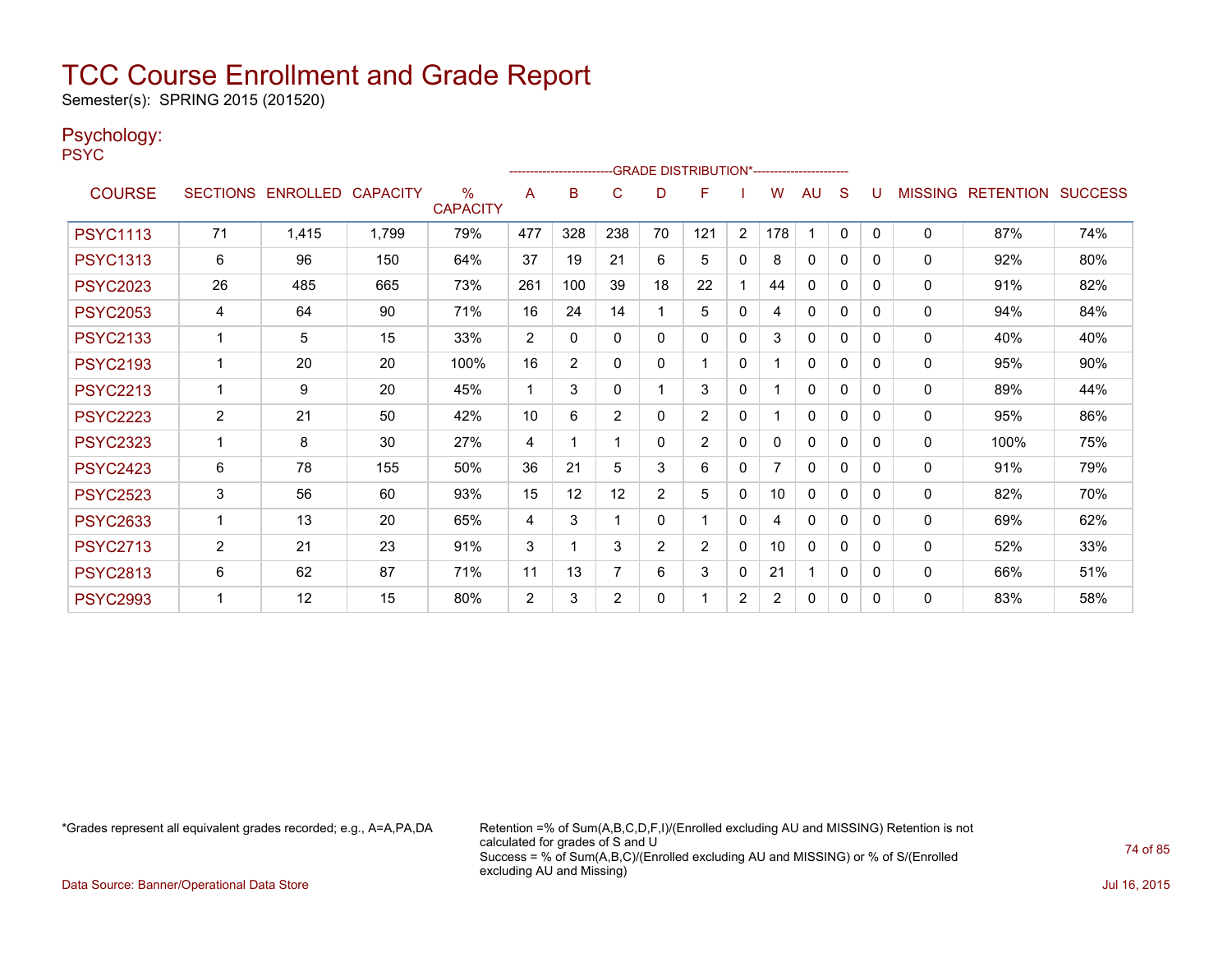Semester(s): SPRING 2015 (201520)

#### Psychology:

PSYC

|                 |                |                            |       |                         |                | ------------------------ |                |                | -GRADE DISTRIBUTION*----------------------- |                |                |              |              |   |                |                          |     |
|-----------------|----------------|----------------------------|-------|-------------------------|----------------|--------------------------|----------------|----------------|---------------------------------------------|----------------|----------------|--------------|--------------|---|----------------|--------------------------|-----|
| <b>COURSE</b>   |                | SECTIONS ENROLLED CAPACITY |       | $\%$<br><b>CAPACITY</b> | A              | B                        | C              | D              | F                                           |                | w              | AU           | S            |   | <b>MISSING</b> | <b>RETENTION SUCCESS</b> |     |
| <b>PSYC1113</b> | 71             | 1,415                      | 1,799 | 79%                     | 477            | 328                      | 238            | 70             | 121                                         | 2              | 178            |              | $\mathbf{0}$ | 0 | 0              | 87%                      | 74% |
| <b>PSYC1313</b> | 6              | 96                         | 150   | 64%                     | 37             | 19                       | 21             | 6              | 5                                           | $\mathbf{0}$   | 8              | $\mathbf{0}$ | $\mathbf{0}$ | 0 | 0              | 92%                      | 80% |
| <b>PSYC2023</b> | 26             | 485                        | 665   | 73%                     | 261            | 100                      | 39             | 18             | 22                                          |                | 44             | 0            | $\Omega$     | 0 | 0              | 91%                      | 82% |
| <b>PSYC2053</b> | 4              | 64                         | 90    | 71%                     | 16             | 24                       | 14             |                | 5                                           | 0              | 4              | 0            | 0            | 0 | 0              | 94%                      | 84% |
| <b>PSYC2133</b> | $\overline{ }$ | 5                          | 15    | 33%                     | $\overline{2}$ | 0                        | $\Omega$       | $\Omega$       | 0                                           | $\mathbf{0}$   | 3              | 0            | 0            | 0 | 0              | 40%                      | 40% |
| <b>PSYC2193</b> |                | 20                         | 20    | 100%                    | 16             | $\overline{2}$           | $\Omega$       | $\Omega$       |                                             | $\mathbf{0}$   |                | 0            | $\Omega$     | 0 | 0              | 95%                      | 90% |
| <b>PSYC2213</b> | 1              | 9                          | 20    | 45%                     | 1              | 3                        | $\Omega$       |                | 3                                           | $\mathbf{0}$   |                | 0            | $\Omega$     | 0 | 0              | 89%                      | 44% |
| <b>PSYC2223</b> | $\overline{2}$ | 21                         | 50    | 42%                     | 10             | 6                        | 2              | $\Omega$       | $\overline{2}$                              | $\mathbf{0}$   |                | 0            | $\Omega$     | 0 | 0              | 95%                      | 86% |
| <b>PSYC2323</b> |                | 8                          | 30    | 27%                     | 4              | 1                        |                | $\Omega$       | $\overline{2}$                              | $\Omega$       | 0              | $\Omega$     | 0            | 0 | 0              | 100%                     | 75% |
| <b>PSYC2423</b> | 6              | 78                         | 155   | 50%                     | 36             | 21                       | 5              | 3              | 6                                           | $\mathbf{0}$   |                | 0            | 0            | 0 | $\Omega$       | 91%                      | 79% |
| <b>PSYC2523</b> | 3              | 56                         | 60    | 93%                     | 15             | $12 \overline{ }$        | 12             | $\overline{2}$ | 5                                           | $\Omega$       | 10             | $\Omega$     | $\Omega$     | 0 | 0              | 82%                      | 70% |
| <b>PSYC2633</b> | 1              | 13                         | 20    | 65%                     | 4              | 3                        | -1             | $\mathbf{0}$   |                                             | $\mathbf{0}$   | 4              | $\mathbf{0}$ | 0            | 0 | 0              | 69%                      | 62% |
| <b>PSYC2713</b> | $\overline{2}$ | 21                         | 23    | 91%                     | 3              | 1                        | 3              | $\overline{2}$ | $\overline{2}$                              | $\mathbf{0}$   | 10             | $\mathbf{0}$ | $\Omega$     | 0 | $\mathbf{0}$   | 52%                      | 33% |
| <b>PSYC2813</b> | 6              | 62                         | 87    | 71%                     | 11             | 13                       | $\overline{7}$ | 6              | 3                                           | $\Omega$       | 21             |              | $\mathbf{0}$ | 0 | $\mathbf{0}$   | 66%                      | 51% |
| <b>PSYC2993</b> | 1              | 12                         | 15    | 80%                     | $\overline{2}$ | 3                        | 2              | 0              |                                             | $\overline{2}$ | $\overline{2}$ | $\mathbf{0}$ | 0            | 0 | $\mathbf{0}$   | 83%                      | 58% |

\*Grades represent all equivalent grades recorded; e.g., A=A,PA,DA Retention =% of Sum(A,B,C,D,F,I)/(Enrolled excluding AU and MISSING) Retention is not calculated for grades of S and U Success = % of Sum(A,B,C)/(Enrolled excluding AU and MISSING) or % of S/(Enrolled excluding AU and Missing)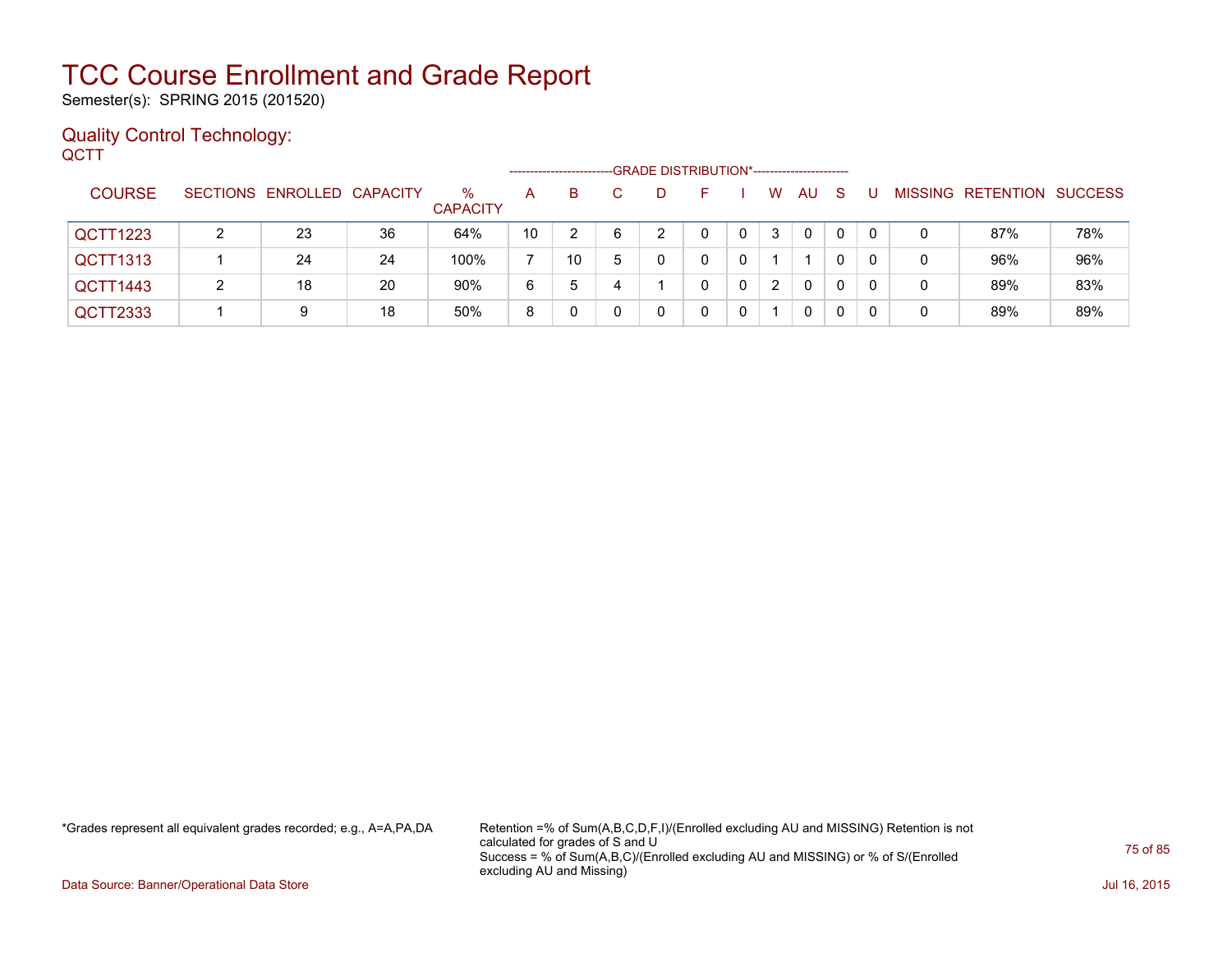Semester(s): SPRING 2015 (201520)

#### Quality Control Technology: **QCTT**

|               |                            |    |                         | -------------------- |    |   |    | -GRADE DISTRIBUTION*----------------------- |   |   |          |              |          |   |                   |                |
|---------------|----------------------------|----|-------------------------|----------------------|----|---|----|---------------------------------------------|---|---|----------|--------------|----------|---|-------------------|----------------|
| <b>COURSE</b> | SECTIONS ENROLLED CAPACITY |    | $\%$<br><b>CAPACITY</b> | A                    | B  |   | D. | н.                                          |   | W | AU.      | <sub>S</sub> |          |   | MISSING RETENTION | <b>SUCCESS</b> |
| QCTT1223      | 23                         | 36 | 64%                     | 10                   |    | 6 |    | 0                                           | 0 | 3 | $\Omega$ | $\mathbf{0}$ | $\Omega$ | 0 | 87%               | 78%            |
| QCTT1313      | 24                         | 24 | 100%                    |                      | 10 | 5 |    |                                             |   |   |          | 0            |          |   | 96%               | 96%            |
| QCTT1443      | 18                         | 20 | 90%                     | 6                    | 5  | 4 |    |                                             | 0 | 2 | 0        | 0            |          |   | 89%               | 83%            |
| QCTT2333      | 9                          | 18 | 50%                     | 8                    |    |   |    |                                             |   |   | 0        | 0            |          | 0 | 89%               | 89%            |

\*Grades represent all equivalent grades recorded; e.g., A=A,PA,DA Retention =% of Sum(A,B,C,D,F,I)/(Enrolled excluding AU and MISSING) Retention is not calculated for grades of S and U Success = % of Sum(A,B,C)/(Enrolled excluding AU and MISSING) or % of S/(Enrolled excluding AU and Missing)

Data Source: Banner/Operational Data Store Jul 16, 2015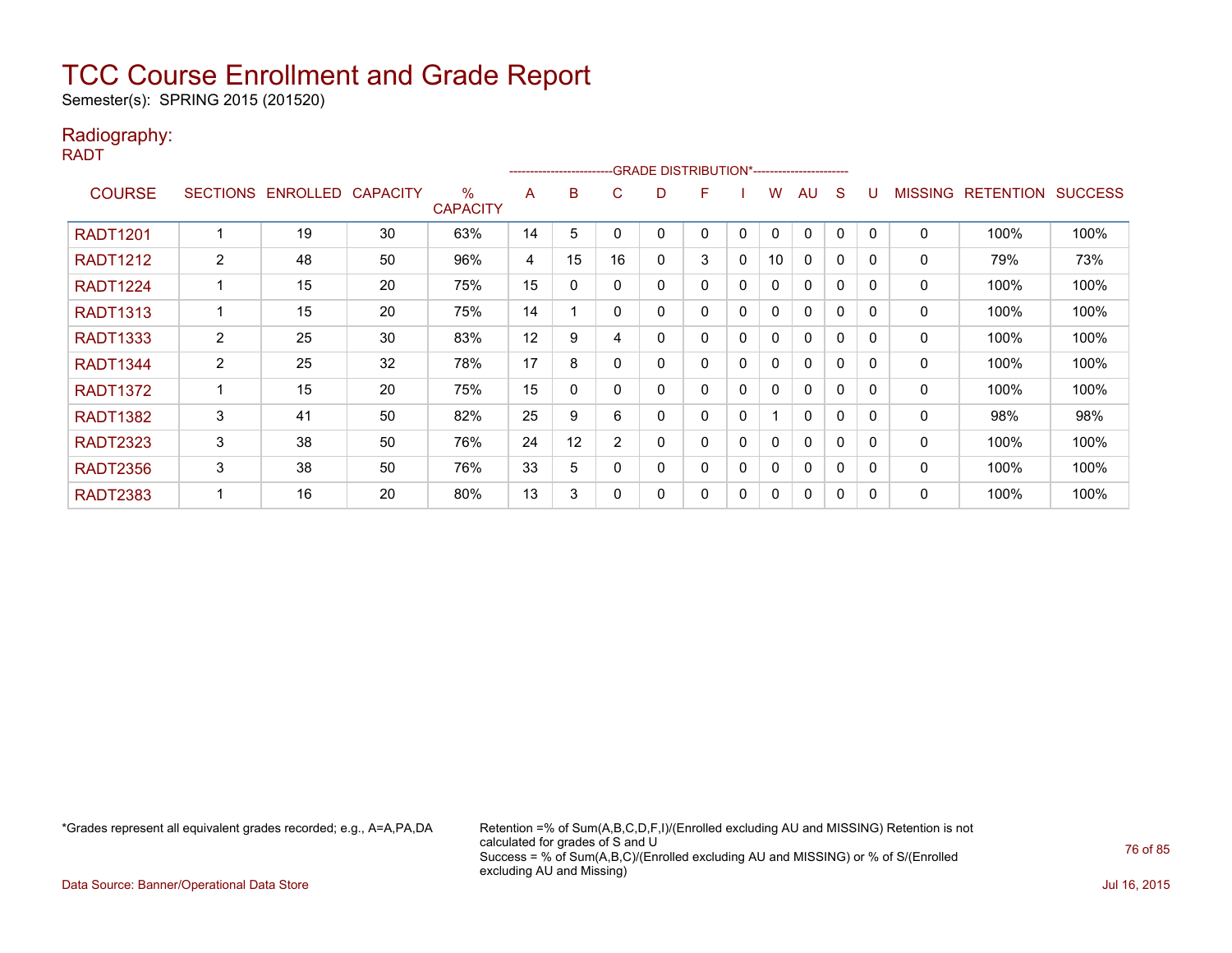Semester(s): SPRING 2015 (201520)

#### Radiography:

RADT

|                 |                 |          |                 |                         |    | --------------------- |                |   | -GRADE DISTRIBUTION*---------------------- |             |              |              |              |          |                |                  |                |
|-----------------|-----------------|----------|-----------------|-------------------------|----|-----------------------|----------------|---|--------------------------------------------|-------------|--------------|--------------|--------------|----------|----------------|------------------|----------------|
| <b>COURSE</b>   | <b>SECTIONS</b> | ENROLLED | <b>CAPACITY</b> | $\%$<br><b>CAPACITY</b> | A  | B                     | C.             | D | F                                          |             | w            | AU           | S            |          | <b>MISSING</b> | <b>RETENTION</b> | <b>SUCCESS</b> |
| <b>RADT1201</b> |                 | 19       | 30              | 63%                     | 14 | 5                     | 0              |   | 0                                          | 0           | $\mathbf{0}$ | $\Omega$     | 0            | $\Omega$ | 0              | 100%             | 100%           |
| <b>RADT1212</b> | $\overline{2}$  | 48       | 50              | 96%                     | 4  | 15                    | 16             | 0 | 3                                          | 0           | 10           | $\Omega$     | $\mathbf{0}$ | $\Omega$ | 0              | 79%              | 73%            |
| <b>RADT1224</b> |                 | 15       | 20              | 75%                     | 15 | 0                     | 0              | 0 | 0                                          | 0           | 0            | $\mathbf{0}$ | 0            | 0        | 0              | 100%             | 100%           |
| <b>RADT1313</b> |                 | 15       | 20              | 75%                     | 14 |                       | $\mathbf{0}$   | 0 | 0                                          | $\Omega$    | 0            | $\mathbf{0}$ | 0            | $\Omega$ | 0              | 100%             | 100%           |
| <b>RADT1333</b> | $\overline{2}$  | 25       | 30              | 83%                     | 12 | 9                     | 4              | 0 | 0                                          | 0           | 0            | $\mathbf{0}$ | 0            | 0        | 0              | 100%             | 100%           |
| <b>RADT1344</b> | $\overline{2}$  | 25       | 32              | 78%                     | 17 | 8                     | 0              |   | 0                                          | 0           | 0            | $\mathbf{0}$ | 0            | $\Omega$ | 0              | 100%             | 100%           |
| <b>RADT1372</b> |                 | 15       | 20              | 75%                     | 15 | 0                     | 0              | 0 | 0                                          | $\mathbf 0$ | 0            | 0            | 0            | 0        | 0              | 100%             | 100%           |
| <b>RADT1382</b> | 3               | 41       | 50              | 82%                     | 25 | 9                     | 6              | 0 | 0                                          | 0           |              | 0            | 0            | 0        | 0              | 98%              | 98%            |
| <b>RADT2323</b> | 3               | 38       | 50              | 76%                     | 24 | 12                    | $\overline{2}$ | 0 | 0                                          | $\Omega$    | 0            | $\mathbf{0}$ | 0            | 0        | 0              | 100%             | 100%           |
| <b>RADT2356</b> | 3               | 38       | 50              | 76%                     | 33 | 5                     | $\Omega$       | 0 | 0                                          | 0           | 0            | $\mathbf{0}$ | 0            | $\Omega$ | 0              | 100%             | 100%           |
| <b>RADT2383</b> |                 | 16       | 20              | 80%                     | 13 | 3                     | 0              | 0 | 0                                          | 0           | 0            | $\mathbf{0}$ | 0            | $\Omega$ | 0              | 100%             | 100%           |

\*Grades represent all equivalent grades recorded; e.g., A=A,PA,DA Retention =% of Sum(A,B,C,D,F,I)/(Enrolled excluding AU and MISSING) Retention is not calculated for grades of S and U Success = % of Sum(A,B,C)/(Enrolled excluding AU and MISSING) or % of S/(Enrolled excluding AU and Missing)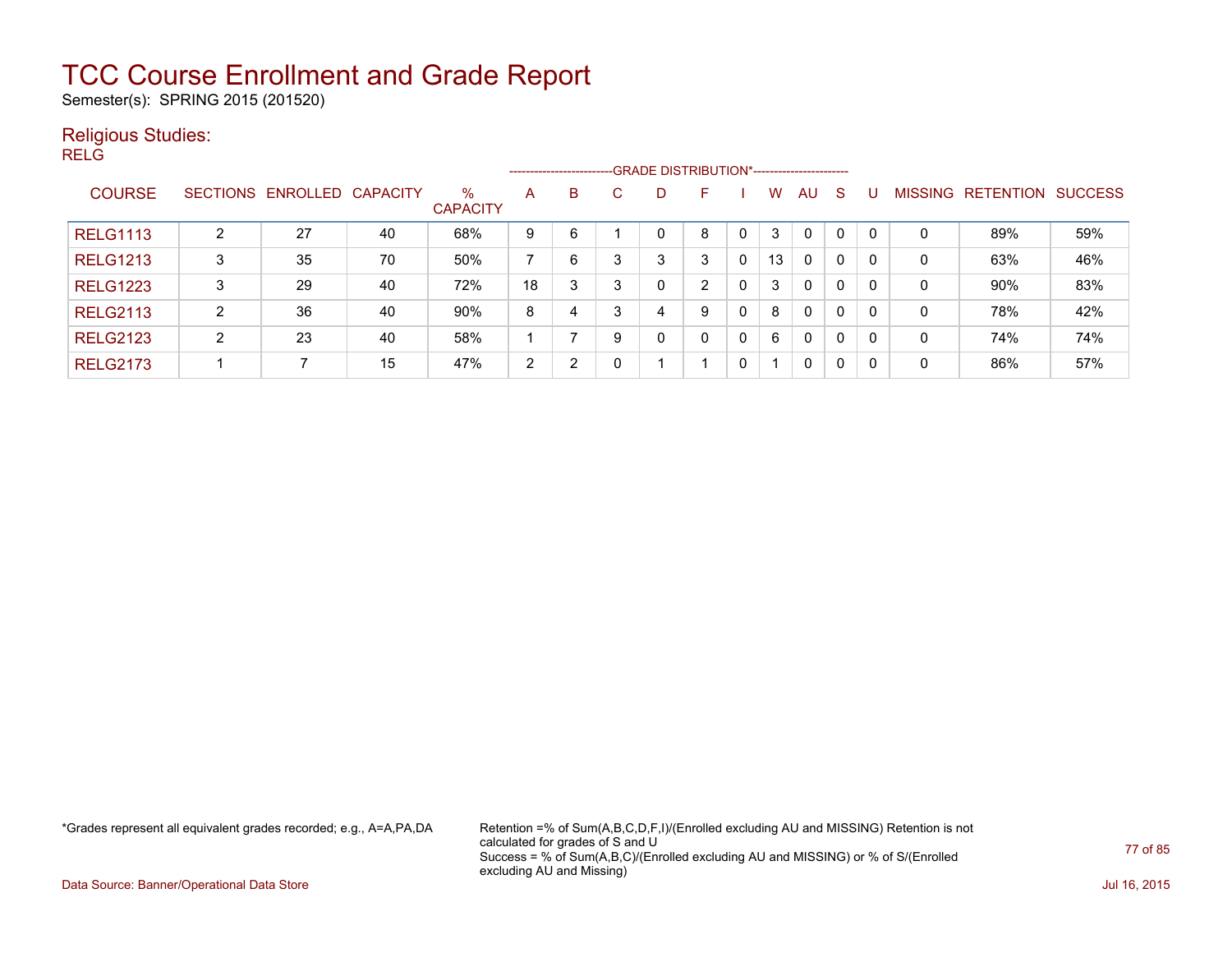Semester(s): SPRING 2015 (201520)

#### Religious Studies:

RELG

|                 |                |                            |    |                         |    | ------------------------- |    | -GRADE DISTRIBUTION*----------------------- |   |              |    |              |              |          |                |                  |                |
|-----------------|----------------|----------------------------|----|-------------------------|----|---------------------------|----|---------------------------------------------|---|--------------|----|--------------|--------------|----------|----------------|------------------|----------------|
| <b>COURSE</b>   |                | SECTIONS ENROLLED CAPACITY |    | $\%$<br><b>CAPACITY</b> | A  | B                         | C. | D                                           | F |              | W  | AU           | <sub>S</sub> |          | <b>MISSING</b> | <b>RETENTION</b> | <b>SUCCESS</b> |
| <b>RELG1113</b> | 2              | 27                         | 40 | 68%                     | 9  | 6                         |    | 0                                           | 8 |              | 3  | $\mathbf 0$  | 0            |          | 0              | 89%              | 59%            |
| <b>RELG1213</b> | 3              | 35                         | 70 | 50%                     |    | 6                         |    | 3                                           | 3 | $\Omega$     | 13 | $\mathbf{0}$ | 0            | $\Omega$ | 0              | 63%              | 46%            |
| <b>RELG1223</b> | 3              | 29                         | 40 | 72%                     | 18 | 3                         | 3  | 0                                           | ົ | $\Omega$     | 3  | $\mathbf{0}$ | 0            | -0       | 0              | 90%              | 83%            |
| <b>RELG2113</b> | $\overline{2}$ | 36                         | 40 | 90%                     | 8  | 4                         | 3  | 4                                           | 9 | 0            | 8  | $\mathbf{0}$ | 0            | 0        | 0              | 78%              | 42%            |
| <b>RELG2123</b> | $\overline{2}$ | 23                         | 40 | 58%                     |    |                           | 9  | 0                                           | 0 | $\mathbf{0}$ | 6  | $\mathbf{0}$ | 0            | -0       | 0              | 74%              | 74%            |
| <b>RELG2173</b> |                |                            | 15 | 47%                     | 2  | 2                         |    |                                             |   | 0            |    | 0            | 0            | -0       | 0              | 86%              | 57%            |

\*Grades represent all equivalent grades recorded; e.g., A=A,PA,DA Retention =% of Sum(A,B,C,D,F,I)/(Enrolled excluding AU and MISSING) Retention is not calculated for grades of S and U Success = % of Sum(A,B,C)/(Enrolled excluding AU and MISSING) or % of S/(Enrolled excluding AU and Missing)

Data Source: Banner/Operational Data Store Jul 16, 2015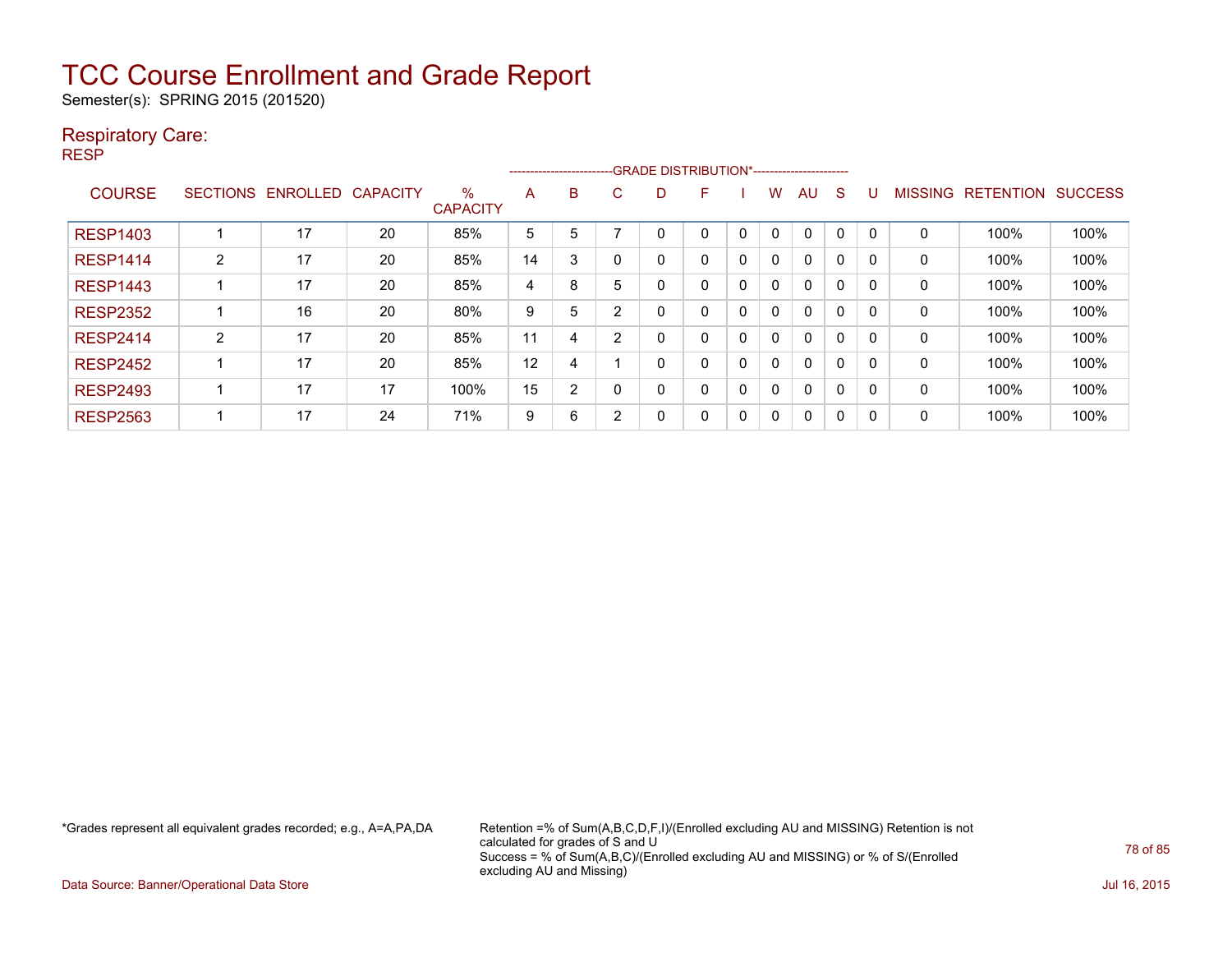Semester(s): SPRING 2015 (201520)

#### Respiratory Care:

RESP

|                 |                 |                 |                 |                         |    | ------------------------ |   | -- GRADE DISTRIBUTION*------------------------ |   |   |   |          |          |          |                |                  |                |
|-----------------|-----------------|-----------------|-----------------|-------------------------|----|--------------------------|---|------------------------------------------------|---|---|---|----------|----------|----------|----------------|------------------|----------------|
| <b>COURSE</b>   | <b>SECTIONS</b> | <b>ENROLLED</b> | <b>CAPACITY</b> | $\%$<br><b>CAPACITY</b> | A  | B                        | C | D                                              | F |   | w | AU       | S        |          | <b>MISSING</b> | <b>RETENTION</b> | <b>SUCCESS</b> |
| <b>RESP1403</b> |                 | 17              | 20              | 85%                     | 5  | 5                        |   |                                                | 0 | 0 | 0 | 0        | 0        | 0        | 0              | 100%             | 100%           |
| <b>RESP1414</b> | 2               | 17              | 20              | 85%                     | 14 | 3                        |   | 0                                              | 0 | 0 | 0 | 0        | 0        | 0        | 0              | 100%             | 100%           |
| <b>RESP1443</b> |                 | 17              | 20              | 85%                     | 4  | 8                        | 5 | 0                                              | 0 | 0 | 0 | $\Omega$ | $\Omega$ | $\Omega$ | 0              | 100%             | 100%           |
| <b>RESP2352</b> |                 | 16              | 20              | 80%                     | 9  | 5                        | ົ | 0                                              | 0 | 0 | 0 | $\Omega$ | 0        | 0        | 0              | 100%             | 100%           |
| <b>RESP2414</b> | $\overline{2}$  | 17              | 20              | 85%                     | 11 | 4                        | ົ | 0                                              | 0 | 0 | 0 | $\Omega$ | $\Omega$ | 0        | 0              | 100%             | 100%           |
| <b>RESP2452</b> |                 | 17              | 20              | 85%                     | 12 | 4                        |   | 0                                              | 0 | 0 | 0 | $\Omega$ | $\Omega$ | 0        | 0              | 100%             | 100%           |
| <b>RESP2493</b> |                 | 17              | 17              | 100%                    | 15 | 2                        |   | 0                                              | 0 | 0 | 0 | 0        | 0        | 0        | 0              | 100%             | 100%           |
| <b>RESP2563</b> |                 | 17              | 24              | 71%                     | 9  | 6                        | 2 | 0                                              | 0 | 0 | 0 | $\Omega$ | 0        | 0        | 0              | 100%             | 100%           |

\*Grades represent all equivalent grades recorded; e.g., A=A,PA,DA Retention =% of Sum(A,B,C,D,F,I)/(Enrolled excluding AU and MISSING) Retention is not calculated for grades of S and U Success = % of Sum(A,B,C)/(Enrolled excluding AU and MISSING) or % of S/(Enrolled excluding AU and Missing)

Data Source: Banner/Operational Data Store Jul 16, 2015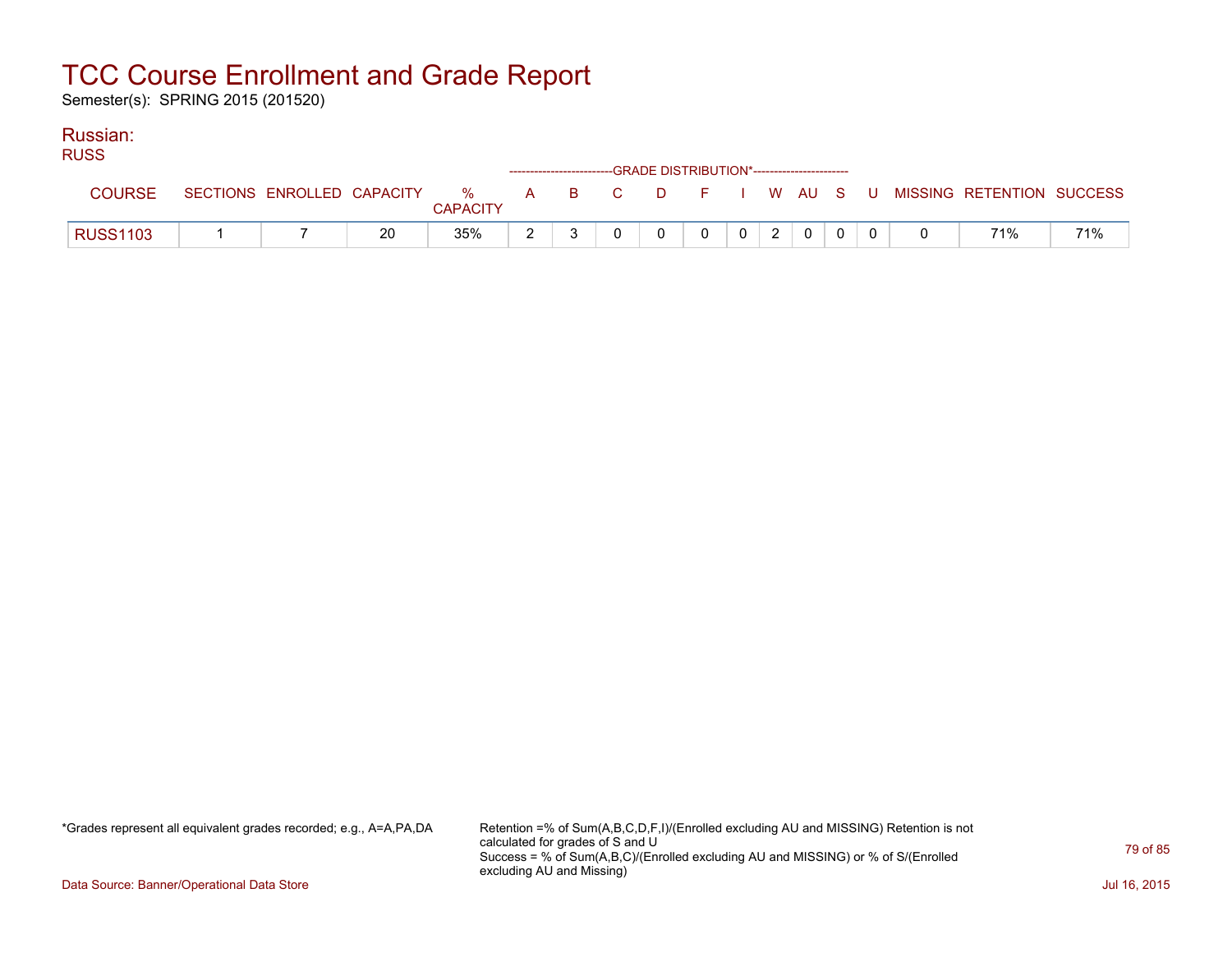Semester(s): SPRING 2015 (201520)

#### Russian:

| <b>RUSS</b>     |  |    |                 |  | ------------------------GRADE DISTRIBUTION*----------------------- |   |                |                |              |  |                                                                               |     |
|-----------------|--|----|-----------------|--|--------------------------------------------------------------------|---|----------------|----------------|--------------|--|-------------------------------------------------------------------------------|-----|
| <b>COURSE</b>   |  |    | <b>CAPACITY</b> |  |                                                                    |   |                |                |              |  | SECTIONS ENROLLED CAPACITY 3 % A B C D F I W AU S U MISSING RETENTION SUCCESS |     |
| <b>RUSS1103</b> |  | 20 | 35%             |  | $\Omega$                                                           | 0 | 0 <sup>1</sup> | 2 <sup>1</sup> | $\mathbf{0}$ |  | 71%                                                                           | 71% |

\*Grades represent all equivalent grades recorded; e.g., A=A,PA,DA Retention =% of Sum(A,B,C,D,F,I)/(Enrolled excluding AU and MISSING) Retention is not calculated for grades of S and U Success = % of Sum(A,B,C)/(Enrolled excluding AU and MISSING) or % of S/(Enrolled excluding AU and Missing)

Data Source: Banner/Operational Data Store Jul 16, 2015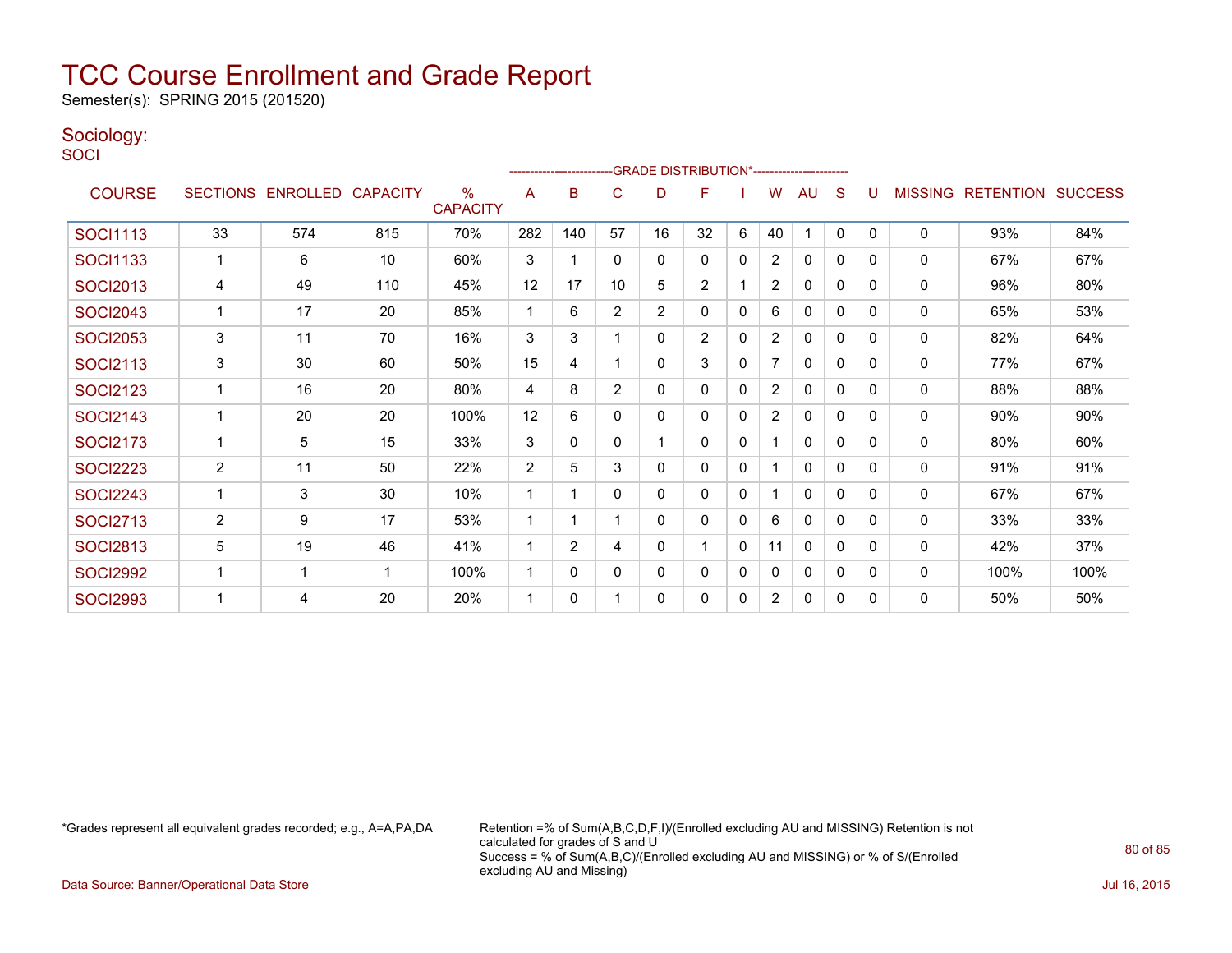Semester(s): SPRING 2015 (201520)

#### Sociology:

**SOCI** 

|                 |                |                   |                 | ----------------------  |                |                | -GRADE DISTRIBUTION*---------------------- |                |                |              |                |              |              |              |                |                          |      |
|-----------------|----------------|-------------------|-----------------|-------------------------|----------------|----------------|--------------------------------------------|----------------|----------------|--------------|----------------|--------------|--------------|--------------|----------------|--------------------------|------|
| <b>COURSE</b>   |                | SECTIONS ENROLLED | <b>CAPACITY</b> | $\%$<br><b>CAPACITY</b> | A              | в              | C                                          | D              | F              |              | W              | AU           | S            |              | <b>MISSING</b> | <b>RETENTION SUCCESS</b> |      |
| <b>SOCI1113</b> | 33             | 574               | 815             | 70%                     | 282            | 140            | 57                                         | 16             | 32             | 6            | 40             | 1            | $\mathbf{0}$ | $\Omega$     | $\mathbf 0$    | 93%                      | 84%  |
| <b>SOCI1133</b> |                | 6                 | 10              | 60%                     | 3              |                | 0                                          | 0              | 0              | $\mathbf{0}$ | $\overline{2}$ | $\Omega$     | $\Omega$     | $\Omega$     | $\Omega$       | 67%                      | 67%  |
| <b>SOCI2013</b> | 4              | 49                | 110             | 45%                     | 12             | 17             | 10                                         | 5              | $\overline{2}$ |              | $\overline{2}$ | 0            | 0            | 0            | $\mathbf 0$    | 96%                      | 80%  |
| <b>SOCI2043</b> |                | 17                | 20              | 85%                     | 1              | 6              | $\overline{2}$                             | $\overline{c}$ | 0              | $\Omega$     | 6              | 0            | 0            | $\Omega$     | $\Omega$       | 65%                      | 53%  |
| <b>SOCI2053</b> | 3              | 11                | 70              | 16%                     | 3              | 3              |                                            | 0              | $\overline{2}$ | $\mathbf 0$  | $\overline{2}$ | $\Omega$     | 0            | $\Omega$     | 0              | 82%                      | 64%  |
| <b>SOCI2113</b> | 3              | 30                | 60              | 50%                     | 15             | 4              |                                            | 0              | 3              | $\mathbf{0}$ | $\overline{7}$ | $\mathbf{0}$ | $\mathbf{0}$ | $\mathbf{0}$ | $\mathbf 0$    | 77%                      | 67%  |
| <b>SOCI2123</b> |                | 16                | 20              | 80%                     | 4              | 8              | $\overline{2}$                             | 0              | 0              | 0            | $\overline{2}$ | $\mathbf{0}$ | $\mathbf{0}$ | $\Omega$     | $\mathbf 0$    | 88%                      | 88%  |
| <b>SOCI2143</b> |                | 20                | 20              | 100%                    | 12             | 6              | $\Omega$                                   | 0              | 0              | 0            | $\overline{2}$ | $\Omega$     | 0            | $\Omega$     | 0              | 90%                      | 90%  |
| <b>SOCI2173</b> |                | 5                 | 15              | 33%                     | 3              | 0              | 0                                          |                | 0              | 0            |                | $\mathbf{0}$ | $\mathbf{0}$ | $\Omega$     | 0              | 80%                      | 60%  |
| <b>SOCI2223</b> | $\overline{2}$ | 11                | 50              | 22%                     | $\overline{2}$ | 5              | 3                                          | 0              | 0              | $\Omega$     |                | $\Omega$     | $\Omega$     | $\Omega$     | $\mathbf 0$    | 91%                      | 91%  |
| <b>SOCI2243</b> |                | 3                 | 30              | 10%                     | 1              |                | 0                                          | 0              | 0              | $\mathbf{0}$ |                | $\mathbf{0}$ | $\mathbf{0}$ | $\Omega$     | $\mathbf 0$    | 67%                      | 67%  |
| <b>SOCI2713</b> | $\overline{2}$ | 9                 | 17              | 53%                     | 1              | 1              |                                            | 0              | 0              | $\mathbf{0}$ | 6              | $\mathbf{0}$ | $\mathbf{0}$ | $\Omega$     | $\mathbf 0$    | 33%                      | 33%  |
| <b>SOCI2813</b> | 5              | 19                | 46              | 41%                     | 1              | $\overline{2}$ | 4                                          | 0              | 1              | $\mathbf{0}$ | 11             | $\mathbf{0}$ | $\mathbf{0}$ | $\Omega$     | $\Omega$       | 42%                      | 37%  |
| <b>SOCI2992</b> |                | 1                 |                 | 100%                    | 1              | $\Omega$       | 0                                          | 0              | 0              | 0            | 0              | 0            | 0            | $\Omega$     | $\Omega$       | 100%                     | 100% |
| <b>SOCI2993</b> |                | 4                 | 20              | 20%                     | 1              | 0              |                                            | 0              | 0              | 0            | $\overline{2}$ | $\mathbf{0}$ | 0            | $\Omega$     | $\mathbf 0$    | 50%                      | 50%  |

\*Grades represent all equivalent grades recorded; e.g., A=A,PA,DA Retention =% of Sum(A,B,C,D,F,I)/(Enrolled excluding AU and MISSING) Retention is not calculated for grades of S and U Success = % of Sum(A,B,C)/(Enrolled excluding AU and MISSING) or % of S/(Enrolled excluding AU and Missing)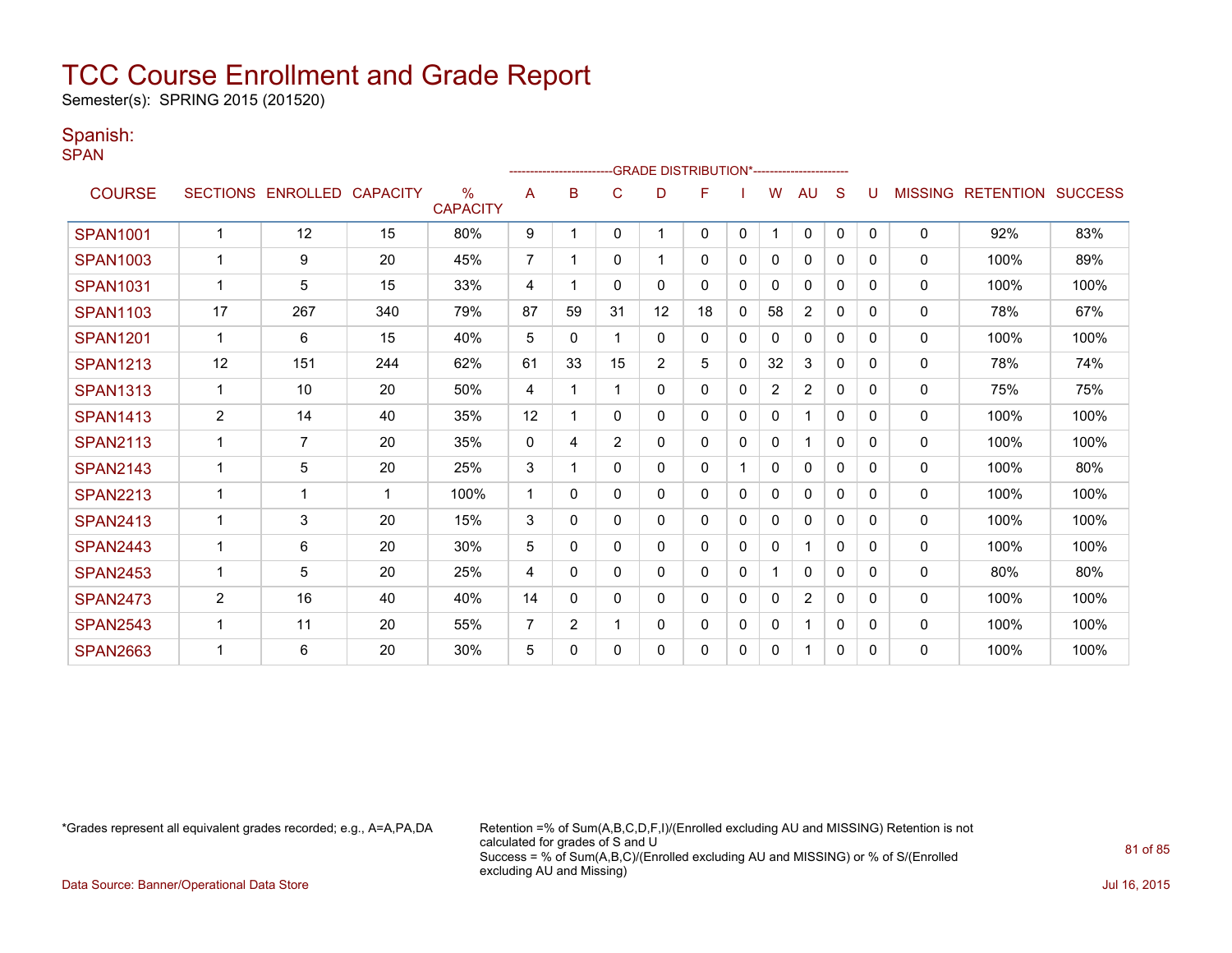Semester(s): SPRING 2015 (201520)

#### Spanish:

SPAN

|                 |                 |                 |                         |                                  |                | ----------------------- |                | <b>GRADE DISTRIBUTION*----------------------</b> |    |              |              |                |              |          |                |                  |                |
|-----------------|-----------------|-----------------|-------------------------|----------------------------------|----------------|-------------------------|----------------|--------------------------------------------------|----|--------------|--------------|----------------|--------------|----------|----------------|------------------|----------------|
| <b>COURSE</b>   | <b>SECTIONS</b> | <b>ENROLLED</b> | <b>CAPACITY</b>         | $\frac{0}{0}$<br><b>CAPACITY</b> | A              | B                       | C              | D                                                | F  |              | w            | AU             | S            |          | <b>MISSING</b> | <b>RETENTION</b> | <b>SUCCESS</b> |
| <b>SPAN1001</b> |                 | 12              | 15                      | 80%                              | 9              |                         | 0              |                                                  | 0  | 0            |              | $\mathbf 0$    | 0            | 0        | $\mathbf 0$    | 92%              | 83%            |
| <b>SPAN1003</b> |                 | 9               | 20                      | 45%                              | 7              |                         | 0              |                                                  | 0  | 0            | 0            | 0              | 0            | 0        | $\mathbf 0$    | 100%             | 89%            |
| <b>SPAN1031</b> | 1               | 5               | 15                      | 33%                              | 4              | 1                       | 0              | 0                                                | 0  | 0            | 0            | 0              | 0            | 0        | 0              | 100%             | 100%           |
| <b>SPAN1103</b> | 17              | 267             | 340                     | 79%                              | 87             | 59                      | 31             | 12                                               | 18 | 0            | 58           | $\overline{c}$ | 0            | 0        | 0              | 78%              | 67%            |
| <b>SPAN1201</b> |                 | 6               | 15                      | 40%                              | 5              | $\mathbf{0}$            |                | 0                                                | 0  | $\Omega$     | $\mathbf{0}$ | 0              | $\Omega$     | $\Omega$ | 0              | 100%             | 100%           |
| <b>SPAN1213</b> | 12              | 151             | 244                     | 62%                              | 61             | 33                      | 15             | 2                                                | 5  | 0            | 32           | 3              | $\mathbf{0}$ | 0        | 0              | 78%              | 74%            |
| <b>SPAN1313</b> | 1               | 10              | 20                      | 50%                              | 4              |                         |                | 0                                                | 0  | $\Omega$     | 2            | $\overline{2}$ | $\Omega$     | 0        | $\mathbf{0}$   | 75%              | 75%            |
| <b>SPAN1413</b> | $\overline{c}$  | 14              | 40                      | 35%                              | 12             |                         | 0              | 0                                                | 0  | 0            | $\mathbf{0}$ | 1              | $\mathbf{0}$ | $\Omega$ | $\Omega$       | 100%             | 100%           |
| <b>SPAN2113</b> |                 | 7               | 20                      | 35%                              | 0              | 4                       | $\overline{2}$ | 0                                                | 0  | $\mathbf{0}$ | 0            | 1              | $\mathbf{0}$ | $\Omega$ | $\mathbf 0$    | 100%             | 100%           |
| <b>SPAN2143</b> | 1               | 5               | 20                      | 25%                              | 3              |                         | 0              | 0                                                | 0  |              | 0            | $\mathbf{0}$   | $\Omega$     | 0        | 0              | 100%             | 80%            |
| <b>SPAN2213</b> |                 | 1               | $\overline{\mathbf{1}}$ | 100%                             | -1             | 0                       | 0              | 0                                                | 0  | $\mathbf{0}$ | $\mathbf{0}$ | $\mathbf{0}$   | $\Omega$     | 0        | 0              | 100%             | 100%           |
| <b>SPAN2413</b> | 1               | 3               | 20                      | 15%                              | 3              | 0                       | 0              | 0                                                | 0  | 0            | 0            | $\Omega$       | $\Omega$     | 0        | 0              | 100%             | 100%           |
| <b>SPAN2443</b> |                 | 6               | 20                      | 30%                              | 5              | 0                       | 0              | 0                                                | 0  | 0            | 0            |                | 0            | 0        | $\mathbf{0}$   | 100%             | 100%           |
| <b>SPAN2453</b> |                 | 5               | 20                      | 25%                              | 4              | 0                       | 0              | 0                                                | 0  | 0            |              | $\mathbf{0}$   | 0            | 0        | 0              | 80%              | 80%            |
| <b>SPAN2473</b> | 2               | 16              | 40                      | 40%                              | 14             | 0                       | 0              | 0                                                | 0  | $\Omega$     | 0            | 2              | $\Omega$     | $\Omega$ | $\mathbf{0}$   | 100%             | 100%           |
| <b>SPAN2543</b> |                 | 11              | 20                      | 55%                              | $\overline{7}$ | $\overline{2}$          |                | 0                                                | 0  | $\Omega$     | 0            | 1              | $\Omega$     | $\Omega$ | 0              | 100%             | 100%           |
| <b>SPAN2663</b> |                 | 6               | 20                      | 30%                              | 5              | $\Omega$                | 0              | 0                                                | 0  | 0            | 0            | 1              | 0            | 0        | 0              | 100%             | 100%           |

\*Grades represent all equivalent grades recorded; e.g., A=A,PA,DA Retention =% of Sum(A,B,C,D,F,I)/(Enrolled excluding AU and MISSING) Retention is not calculated for grades of S and U Success = % of Sum(A,B,C)/(Enrolled excluding AU and MISSING) or % of S/(Enrolled excluding AU and Missing)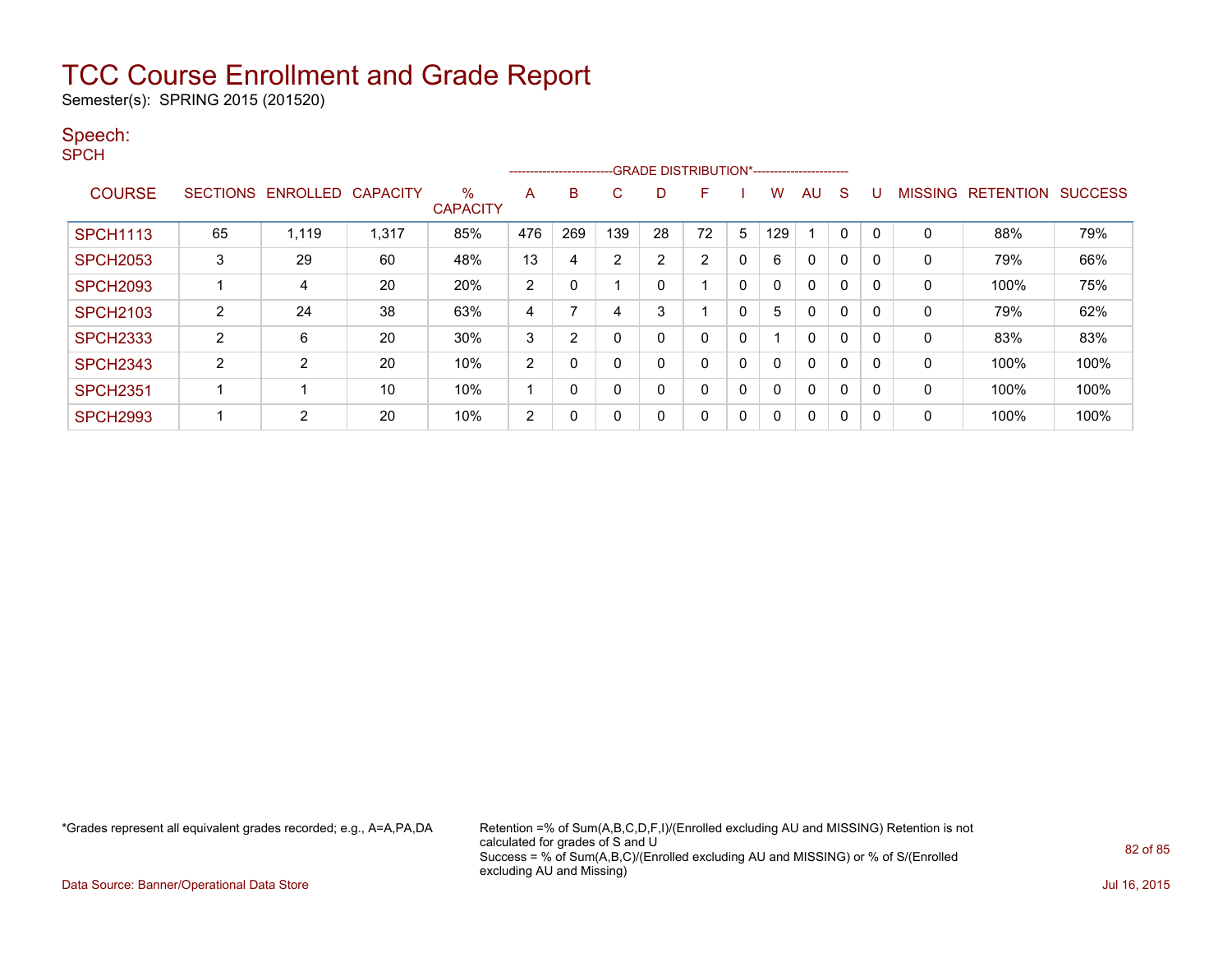Semester(s): SPRING 2015 (201520)

#### Speech:

SPCH

|                 |    |                   |                 |                      |                | --------------------------GRADE DISTRIBUTION*----------------------- |                |    |    |              |            |              |   |   |                |                          |      |
|-----------------|----|-------------------|-----------------|----------------------|----------------|----------------------------------------------------------------------|----------------|----|----|--------------|------------|--------------|---|---|----------------|--------------------------|------|
| <b>COURSE</b>   |    | SECTIONS ENROLLED | <b>CAPACITY</b> | %<br><b>CAPACITY</b> | A              | B                                                                    | C              | D  | F  |              | w          | AU           | S |   | <b>MISSING</b> | <b>RETENTION SUCCESS</b> |      |
| <b>SPCH1113</b> | 65 | 1,119             | 1,317           | 85%                  | 476            | 269                                                                  | 139            | 28 | 72 | 5            | <b>129</b> |              | 0 |   | -0             | 88%                      | 79%  |
| <b>SPCH2053</b> | 3  | 29                | 60              | 48%                  | 13             | 4                                                                    | $\overline{2}$ | 2  | 2  | $\mathbf{0}$ | 6          | $\mathbf{0}$ | 0 | 0 | $\Omega$       | 79%                      | 66%  |
| <b>SPCH2093</b> |    | 4                 | 20              | 20%                  | $\overline{c}$ | 0                                                                    |                | 0  |    | 0            |            | $\mathbf{0}$ | 0 |   | 0              | 100%                     | 75%  |
| <b>SPCH2103</b> | 2  | 24                | 38              | 63%                  | 4              |                                                                      | 4              | 3  |    | 0            | 5          | $\mathbf{0}$ | 0 |   | $\Omega$       | 79%                      | 62%  |
| <b>SPCH2333</b> | 2  | 6                 | 20              | 30%                  | 3              | $\overline{2}$                                                       | 0              | 0  | 0  | 0            |            | $\mathbf{0}$ | 0 | 0 | $\Omega$       | 83%                      | 83%  |
| <b>SPCH2343</b> | 2  | 2                 | 20              | 10%                  | $\overline{2}$ | 0                                                                    | $\mathbf 0$    | 0  | 0  | 0            |            | $\Omega$     | 0 |   | $\Omega$       | 100%                     | 100% |
| <b>SPCH2351</b> |    |                   | 10              | 10%                  |                | 0                                                                    | 0              | 0  | 0  | 0            |            | $\mathbf{0}$ | 0 |   | 0              | 100%                     | 100% |
| <b>SPCH2993</b> |    | 2                 | 20              | 10%                  | 2              | 0                                                                    | 0              | 0  | 0  | 0            | 0          | 0            | 0 |   | 0              | 100%                     | 100% |

\*Grades represent all equivalent grades recorded; e.g., A=A,PA,DA Retention =% of Sum(A,B,C,D,F,I)/(Enrolled excluding AU and MISSING) Retention is not calculated for grades of S and U Success = % of Sum(A,B,C)/(Enrolled excluding AU and MISSING) or % of S/(Enrolled excluding AU and Missing)

Data Source: Banner/Operational Data Store Jul 16, 2015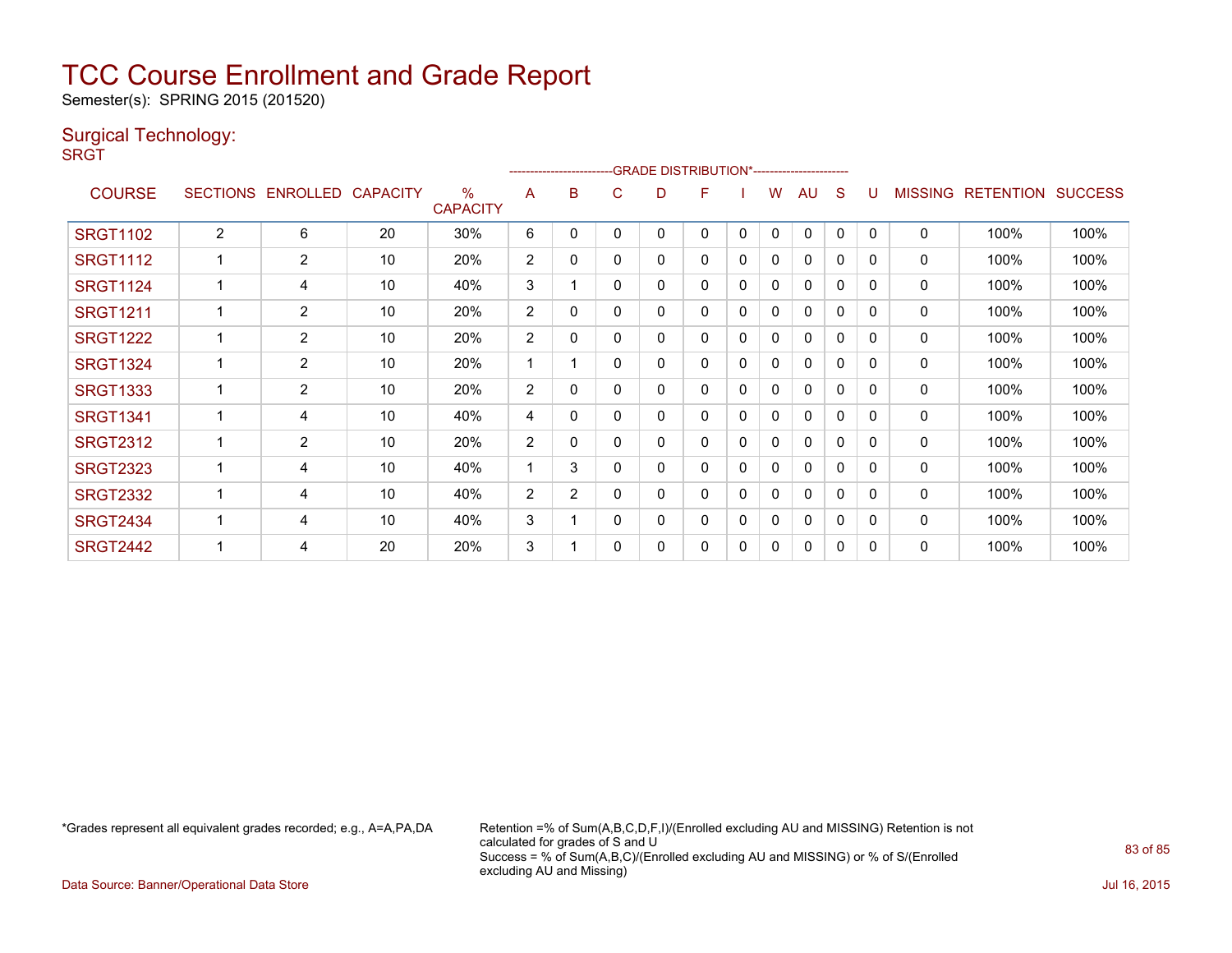Semester(s): SPRING 2015 (201520)

#### Surgical Technology:

**SRGT** 

|                 |                 |                |                 |                         |                | -------------------------GRADE                DISTRIBUTION*---------------------- |   |   |   |   |   |              |              |              |                |                  |                |
|-----------------|-----------------|----------------|-----------------|-------------------------|----------------|-----------------------------------------------------------------------------------|---|---|---|---|---|--------------|--------------|--------------|----------------|------------------|----------------|
| <b>COURSE</b>   | <b>SECTIONS</b> | ENROLLED       | <b>CAPACITY</b> | $\%$<br><b>CAPACITY</b> | A              | B                                                                                 | С | D | F |   | w | AU           | S            |              | <b>MISSING</b> | <b>RETENTION</b> | <b>SUCCESS</b> |
| <b>SRGT1102</b> | $\overline{2}$  | 6              | 20              | 30%                     | 6              | 0                                                                                 | 0 | 0 | 0 | 0 | 0 | $\mathbf 0$  | 0            | $\mathbf{0}$ | 0              | 100%             | 100%           |
| <b>SRGT1112</b> |                 | $\overline{2}$ | 10              | 20%                     | $\overline{2}$ | 0                                                                                 | 0 | 0 | 0 | 0 | 0 | $\mathbf{0}$ | 0            | $\mathbf{0}$ | 0              | 100%             | 100%           |
| <b>SRGT1124</b> |                 | 4              | 10              | 40%                     | 3              |                                                                                   | 0 | 0 | 0 | 0 | 0 | $\Omega$     | $\Omega$     | $\Omega$     | 0              | 100%             | 100%           |
| <b>SRGT1211</b> |                 | $\overline{2}$ | 10              | 20%                     | $\overline{2}$ | 0                                                                                 | 0 | 0 | 0 | 0 | 0 | 0            | 0            | 0            | 0              | 100%             | 100%           |
| <b>SRGT1222</b> |                 | $\overline{2}$ | 10              | 20%                     | $\overline{2}$ | 0                                                                                 | 0 | 0 | 0 | 0 | 0 | $\Omega$     | 0            | 0            | $\Omega$       | 100%             | 100%           |
| <b>SRGT1324</b> |                 | $\overline{2}$ | 10              | 20%                     | 1              |                                                                                   | 0 | 0 | 0 | 0 | 0 | 0            | 0            | 0            | 0              | 100%             | 100%           |
| <b>SRGT1333</b> |                 | $\overline{2}$ | 10              | 20%                     | 2              | 0                                                                                 | 0 | 0 | 0 | 0 | 0 | $\mathbf{0}$ | 0            | 0            | $\mathbf{0}$   | 100%             | 100%           |
| <b>SRGT1341</b> |                 | 4              | 10              | 40%                     | 4              | 0                                                                                 | 0 | 0 | 0 | 0 | 0 | 0            | 0            | 0            | 0              | 100%             | 100%           |
| <b>SRGT2312</b> |                 | $\overline{2}$ | 10              | 20%                     | 2              | 0                                                                                 | 0 | 0 | 0 | 0 | 0 | 0            | $\Omega$     | $\Omega$     | 0              | 100%             | 100%           |
| <b>SRGT2323</b> |                 | 4              | 10              | 40%                     | 1              | 3                                                                                 | 0 | 0 | 0 | 0 | 0 | 0            | 0            | 0            | $\Omega$       | 100%             | 100%           |
| <b>SRGT2332</b> |                 | 4              | 10              | 40%                     | 2              | $\overline{2}$                                                                    | 0 | 0 | 0 | 0 | 0 | $\mathbf{0}$ | 0            | $\Omega$     | $\mathbf{0}$   | 100%             | 100%           |
| <b>SRGT2434</b> |                 | 4              | 10              | 40%                     | 3              |                                                                                   | 0 | 0 | 0 | 0 | 0 | 0            | $\mathbf{0}$ | $\mathbf{0}$ | 0              | 100%             | 100%           |
| <b>SRGT2442</b> |                 | 4              | 20              | 20%                     | 3              |                                                                                   | 0 | 0 | 0 | 0 | 0 | 0            | 0            | $\mathbf{0}$ | 0              | 100%             | 100%           |

\*Grades represent all equivalent grades recorded; e.g., A=A,PA,DA Retention =% of Sum(A,B,C,D,F,I)/(Enrolled excluding AU and MISSING) Retention is not calculated for grades of S and U Success = % of Sum(A,B,C)/(Enrolled excluding AU and MISSING) or % of S/(Enrolled excluding AU and Missing)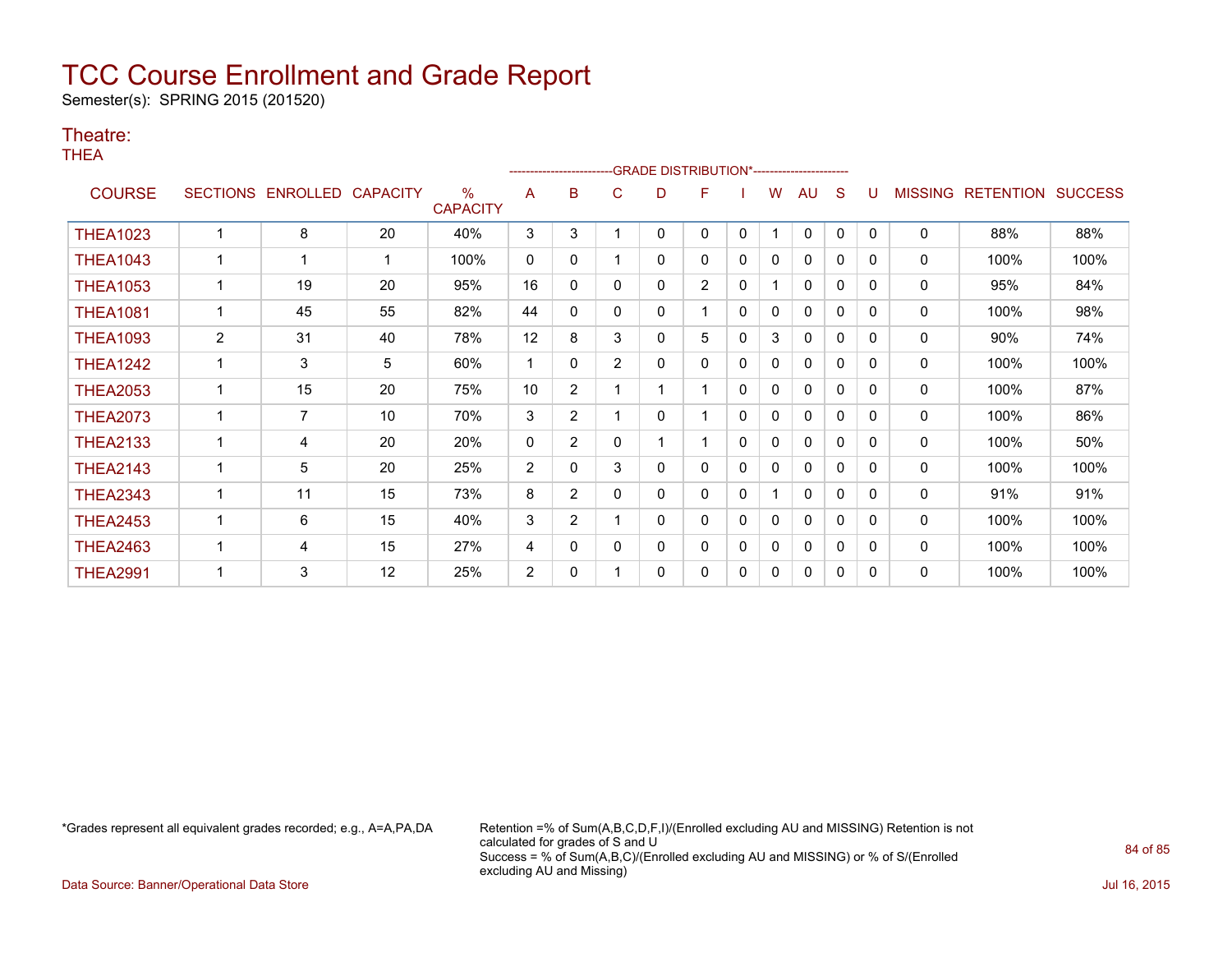Semester(s): SPRING 2015 (201520)

#### Theatre:

THEA

|                 |                |                   |                 |                      |                |                       |                | ------------------------GRADE                DISTRIBUTION*---------------------- |                |          |   |              |             |              |                |                          |      |
|-----------------|----------------|-------------------|-----------------|----------------------|----------------|-----------------------|----------------|----------------------------------------------------------------------------------|----------------|----------|---|--------------|-------------|--------------|----------------|--------------------------|------|
| <b>COURSE</b>   |                | SECTIONS ENROLLED | <b>CAPACITY</b> | %<br><b>CAPACITY</b> | A              | в                     | С              | D                                                                                | F              |          | W | <b>AU</b>    | S           | U            | <b>MISSING</b> | <b>RETENTION SUCCESS</b> |      |
| <b>THEA1023</b> |                | 8                 | 20              | 40%                  | 3              | 3                     |                | 0                                                                                | 0              | 0        | 1 | $\mathbf{0}$ | 0           | $\Omega$     | $\mathbf{0}$   | 88%                      | 88%  |
| <b>THEA1043</b> |                |                   | -1              | 100%                 | $\mathbf{0}$   | $\mathbf{0}$          |                | 0                                                                                | 0              | 0        | 0 | 0            | 0           | $\Omega$     | 0              | 100%                     | 100% |
| <b>THEA1053</b> |                | 19                | 20              | 95%                  | 16             | $\mathbf{0}$          | 0              | 0                                                                                | $\overline{2}$ | 0        |   | $\mathbf{0}$ | 0           | 0            | 0              | 95%                      | 84%  |
| <b>THEA1081</b> |                | 45                | 55              | 82%                  | 44             | $\mathbf{0}$          | 0              | 0                                                                                |                | $\Omega$ | 0 | 0            | 0           | 0            | 0              | 100%                     | 98%  |
| <b>THEA1093</b> | $\overline{c}$ | 31                | 40              | 78%                  | 12             | 8                     | 3              | 0                                                                                | 5              | 0        | 3 | 0            | 0           | <sup>0</sup> | 0              | 90%                      | 74%  |
| <b>THEA1242</b> |                | 3                 | 5               | 60%                  | $\mathbf 1$    | 0                     | $\overline{2}$ | 0                                                                                | 0              | 0        | 0 | 0            | 0           | 0            | 0              | 100%                     | 100% |
| <b>THEA2053</b> | 1              | 15                | 20              | 75%                  | 10             | $\overline{2}$        |                |                                                                                  |                | 0        | 0 | 0            | 0           | $\Omega$     | 0              | 100%                     | 87%  |
| <b>THEA2073</b> |                | $\overline{7}$    | 10              | 70%                  | 3              | $\overline{2}$        |                | 0                                                                                |                | 0        | 0 | 0            | 0           | 0            | 0              | 100%                     | 86%  |
| <b>THEA2133</b> |                | 4                 | 20              | 20%                  | 0              | $\overline{2}$        | 0              |                                                                                  |                | 0        | 0 | 0            | 0           | $\Omega$     | 0              | 100%                     | 50%  |
| <b>THEA2143</b> |                | 5                 | 20              | 25%                  | 2              | $\Omega$              | 3              | 0                                                                                | 0              | 0        | 0 | $\mathbf{0}$ | 0           | $\Omega$     | 0              | 100%                     | 100% |
| <b>THEA2343</b> |                | 11                | 15              | 73%                  | 8              | $\overline{2}$        | 0              | 0                                                                                | 0              | 0        |   | $\mathbf{0}$ | 0           | $\Omega$     | 0              | 91%                      | 91%  |
| <b>THEA2453</b> |                | 6                 | 15              | 40%                  | 3              | $\mathbf{2}^{\prime}$ |                | 0                                                                                | 0              | 0        | 0 | $\mathbf{0}$ | 0           | 0            | 0              | 100%                     | 100% |
| <b>THEA2463</b> | -1             | 4                 | 15              | 27%                  | 4              | 0                     | 0              | 0                                                                                | 0              | 0        | 0 | 0            | 0           | 0            | 0              | 100%                     | 100% |
| <b>THEA2991</b> |                | 3                 | 12              | 25%                  | $\overline{2}$ | 0                     |                | 0                                                                                | 0              | 0        | 0 | 0            | $\mathbf 0$ | 0            | 0              | 100%                     | 100% |

\*Grades represent all equivalent grades recorded; e.g., A=A,PA,DA Retention =% of Sum(A,B,C,D,F,I)/(Enrolled excluding AU and MISSING) Retention is not calculated for grades of S and U Success = % of Sum(A,B,C)/(Enrolled excluding AU and MISSING) or % of S/(Enrolled excluding AU and Missing)